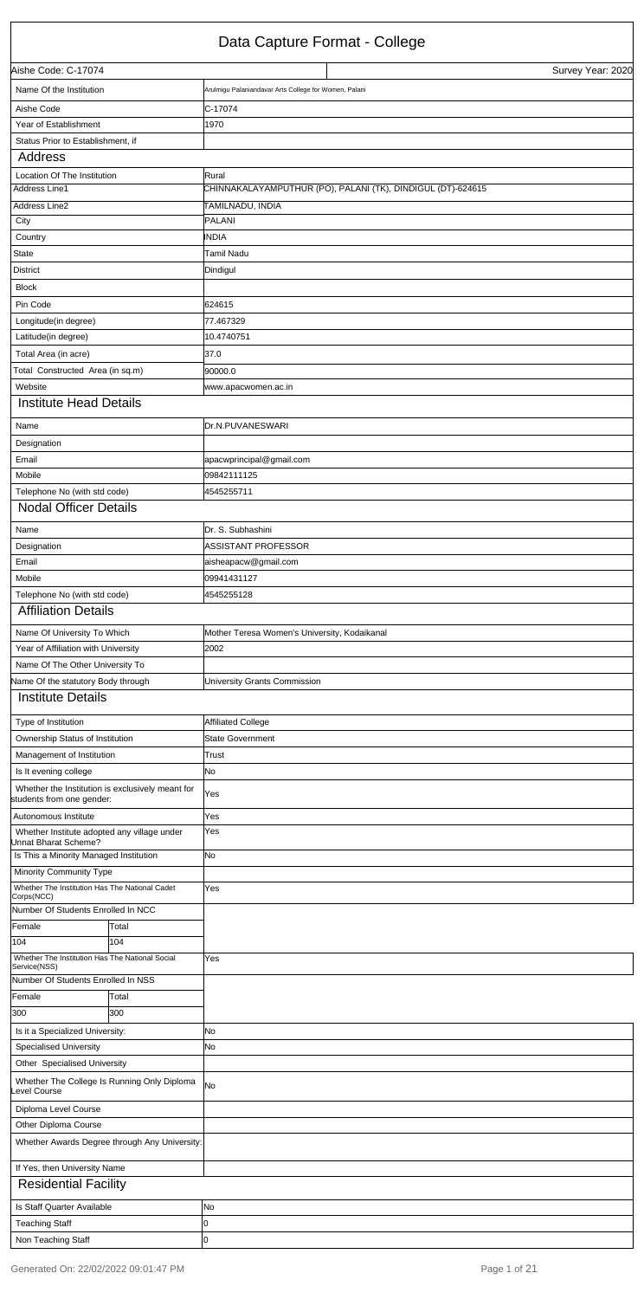## Data Capture Format - College

 $\overline{1}$ 

|                                                                               | Dala Capture I Ullial - College                             |
|-------------------------------------------------------------------------------|-------------------------------------------------------------|
| Aishe Code: C-17074                                                           | Survey Year: 2020                                           |
| Name Of the Institution                                                       | Arulmigu Palaniandavar Arts College for Women, Palani       |
| Aishe Code                                                                    | C-17074                                                     |
| Year of Establishment                                                         | 1970                                                        |
| Status Prior to Establishment, if                                             |                                                             |
| Address                                                                       |                                                             |
| Location Of The Institution                                                   | Rural                                                       |
| <b>Address Line1</b>                                                          | CHINNAKALAYAMPUTHUR (PO), PALANI (TK), DINDIGUL (DT)-624615 |
| Address Line2                                                                 | TAMILNADU, INDIA                                            |
| City                                                                          | PALANI                                                      |
| Country                                                                       | INDIA                                                       |
| State                                                                         | <b>Tamil Nadu</b>                                           |
| District                                                                      | Dindigul                                                    |
| <b>Block</b>                                                                  |                                                             |
| Pin Code                                                                      | 624615                                                      |
| Longitude(in degree)                                                          | 77.467329                                                   |
| Latitude(in degree)                                                           | 10.4740751                                                  |
| Total Area (in acre)                                                          | 37.0                                                        |
| Total Constructed Area (in sq.m)                                              | 90000.0                                                     |
| Website                                                                       | www.apacwomen.ac.in                                         |
| <b>Institute Head Details</b>                                                 |                                                             |
| Name                                                                          | Dr.N.PUVANESWARI                                            |
| Designation                                                                   |                                                             |
| Email                                                                         | apacwprincipal@gmail.com                                    |
| Mobile                                                                        | 09842111125                                                 |
| Telephone No (with std code)                                                  | 4545255711                                                  |
| <b>Nodal Officer Details</b>                                                  |                                                             |
| Name                                                                          | Dr. S. Subhashini                                           |
| Designation                                                                   | ASSISTANT PROFESSOR                                         |
| Email                                                                         | aisheapacw@gmail.com                                        |
| Mobile                                                                        | 09941431127                                                 |
| Telephone No (with std code)                                                  | 4545255128                                                  |
| <b>Affiliation Details</b>                                                    |                                                             |
| Name Of University To Which                                                   | Mother Teresa Women's University, Kodaikanal                |
| Year of Affiliation with University                                           | 2002                                                        |
| Name Of The Other University To                                               |                                                             |
| Name Of the statutory Body through                                            | University Grants Commission                                |
| <b>Institute Details</b>                                                      |                                                             |
| Type of Institution                                                           | Affiliated College                                          |
| Ownership Status of Institution                                               | <b>State Government</b>                                     |
| Management of Institution                                                     | Trust                                                       |
| Is It evening college                                                         | No.                                                         |
| Whether the Institution is exclusively meant for<br>students from one gender: | Yes                                                         |
| Autonomous Institute                                                          | Yes                                                         |
| Whether Institute adopted any village under<br>Jnnat Bharat Scheme?           | Yes                                                         |
| Is This a Minority Managed Institution                                        | No.                                                         |
| Minority Community Type                                                       |                                                             |
| Whether The Institution Has The National Cadet                                | Yes                                                         |
| Corps(NCC)                                                                    |                                                             |
| Number Of Students Enrolled In NCC                                            |                                                             |
| Female<br>Total<br>104<br>104                                                 |                                                             |
| Whether The Institution Has The National Social                               | Yes                                                         |
| Service(NSS)                                                                  |                                                             |

| Number Of Students Enrolled In NSS |                                               |           |
|------------------------------------|-----------------------------------------------|-----------|
| Female                             | Total                                         |           |
| 300                                | 300                                           |           |
| Is it a Specialized University:    |                                               | <b>No</b> |
| <b>Specialised University</b>      |                                               | <b>No</b> |
| Other Specialised University       |                                               |           |
| evel Course                        | Whether The College Is Running Only Diploma   | <b>No</b> |
| Diploma Level Course               |                                               |           |
| Other Diploma Course               |                                               |           |
|                                    | Whether Awards Degree through Any University: |           |
| If Yes, then University Name       |                                               |           |
| <b>Residential Facility</b>        |                                               |           |
| Is Staff Quarter Available         |                                               | No        |
| <b>Teaching Staff</b>              |                                               | 10        |
| Non Teaching Staff                 |                                               | 10        |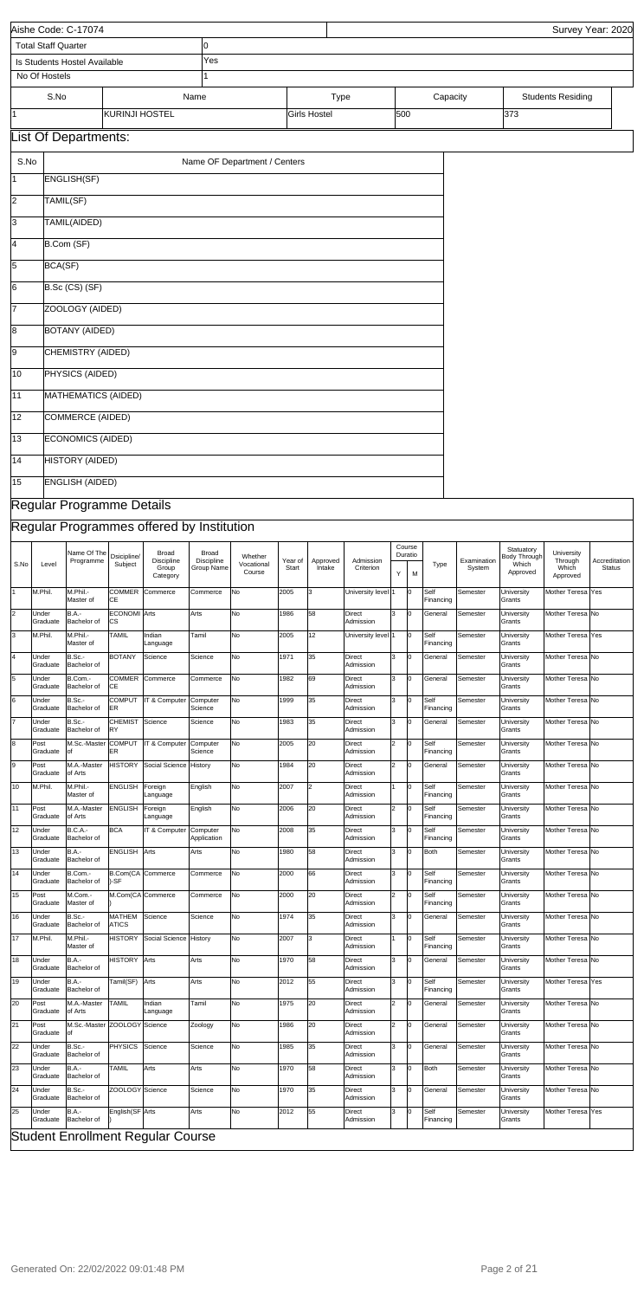|                 |                                                                                                                                                                                                                                                                                                                                                                                                                                                                                                                  | Aishe Code: C-17074                 |                           |                                          |                         |                              |      |                                    |                            |                |     |                      |          |                             |                          | Survey Year: 2020              |
|-----------------|------------------------------------------------------------------------------------------------------------------------------------------------------------------------------------------------------------------------------------------------------------------------------------------------------------------------------------------------------------------------------------------------------------------------------------------------------------------------------------------------------------------|-------------------------------------|---------------------------|------------------------------------------|-------------------------|------------------------------|------|------------------------------------|----------------------------|----------------|-----|----------------------|----------|-----------------------------|--------------------------|--------------------------------|
|                 | <b>Total Staff Quarter</b>                                                                                                                                                                                                                                                                                                                                                                                                                                                                                       |                                     |                           |                                          | 0                       |                              |      |                                    |                            |                |     |                      |          |                             |                          |                                |
|                 | No Of Hostels                                                                                                                                                                                                                                                                                                                                                                                                                                                                                                    | Is Students Hostel Available        |                           |                                          | Yes                     |                              |      |                                    |                            |                |     |                      |          |                             |                          |                                |
|                 | S.No                                                                                                                                                                                                                                                                                                                                                                                                                                                                                                             |                                     |                           |                                          | Name                    |                              |      |                                    |                            |                |     | Capacity             |          |                             |                          |                                |
| 11.             |                                                                                                                                                                                                                                                                                                                                                                                                                                                                                                                  |                                     | KURINJI HOSTEL            |                                          |                         |                              |      | <b>Type</b><br><b>Girls Hostel</b> |                            | 500            |     |                      |          | 373                         | <b>Students Residing</b> |                                |
|                 |                                                                                                                                                                                                                                                                                                                                                                                                                                                                                                                  | <b>List Of Departments:</b>         |                           |                                          |                         |                              |      |                                    |                            |                |     |                      |          |                             |                          |                                |
|                 |                                                                                                                                                                                                                                                                                                                                                                                                                                                                                                                  |                                     |                           |                                          |                         |                              |      |                                    |                            |                |     |                      |          |                             |                          |                                |
| S.No            |                                                                                                                                                                                                                                                                                                                                                                                                                                                                                                                  |                                     |                           |                                          |                         | Name OF Department / Centers |      |                                    |                            |                |     |                      |          |                             |                          |                                |
| 11              |                                                                                                                                                                                                                                                                                                                                                                                                                                                                                                                  | ENGLISH(SF)                         |                           |                                          |                         |                              |      |                                    |                            |                |     |                      |          |                             |                          |                                |
| 2               | TAMIL(SF)                                                                                                                                                                                                                                                                                                                                                                                                                                                                                                        |                                     |                           |                                          |                         |                              |      |                                    |                            |                |     |                      |          |                             |                          |                                |
| 3               |                                                                                                                                                                                                                                                                                                                                                                                                                                                                                                                  | TAMIL(AIDED)                        |                           |                                          |                         |                              |      |                                    |                            |                |     |                      |          |                             |                          |                                |
| 14              |                                                                                                                                                                                                                                                                                                                                                                                                                                                                                                                  | B.Com (SF)                          |                           |                                          |                         |                              |      |                                    |                            |                |     |                      |          |                             |                          |                                |
| 5               | BCA(SF)                                                                                                                                                                                                                                                                                                                                                                                                                                                                                                          |                                     |                           |                                          |                         |                              |      |                                    |                            |                |     |                      |          |                             |                          |                                |
| 6               |                                                                                                                                                                                                                                                                                                                                                                                                                                                                                                                  | B.Sc (CS) (SF)                      |                           |                                          |                         |                              |      |                                    |                            |                |     |                      |          |                             |                          |                                |
| 17              |                                                                                                                                                                                                                                                                                                                                                                                                                                                                                                                  | ZOOLOGY (AIDED)                     |                           |                                          |                         |                              |      |                                    |                            |                |     |                      |          |                             |                          |                                |
| 8               |                                                                                                                                                                                                                                                                                                                                                                                                                                                                                                                  | <b>BOTANY (AIDED)</b>               |                           |                                          |                         |                              |      |                                    |                            |                |     |                      |          |                             |                          |                                |
| 9               | <b>CHEMISTRY (AIDED)</b><br>PHYSICS (AIDED)<br>MATHEMATICS (AIDED)                                                                                                                                                                                                                                                                                                                                                                                                                                               |                                     |                           |                                          |                         |                              |      |                                    |                            |                |     |                      |          |                             |                          |                                |
| 10              |                                                                                                                                                                                                                                                                                                                                                                                                                                                                                                                  |                                     |                           |                                          |                         |                              |      |                                    |                            |                |     |                      |          |                             |                          |                                |
| 11              | COMMERCE (AIDED)                                                                                                                                                                                                                                                                                                                                                                                                                                                                                                 |                                     |                           |                                          |                         |                              |      |                                    |                            |                |     |                      |          |                             |                          |                                |
| $\overline{12}$ | <b>ECONOMICS (AIDED)</b>                                                                                                                                                                                                                                                                                                                                                                                                                                                                                         |                                     |                           |                                          |                         |                              |      |                                    |                            |                |     |                      |          |                             |                          |                                |
| 13              | <b>HISTORY (AIDED)</b>                                                                                                                                                                                                                                                                                                                                                                                                                                                                                           |                                     |                           |                                          |                         |                              |      |                                    |                            |                |     |                      |          |                             |                          |                                |
| 14              |                                                                                                                                                                                                                                                                                                                                                                                                                                                                                                                  |                                     |                           |                                          |                         |                              |      |                                    |                            |                |     |                      |          |                             |                          |                                |
| $\overline{15}$ | <b>ENGLISH (AIDED)</b>                                                                                                                                                                                                                                                                                                                                                                                                                                                                                           |                                     |                           |                                          |                         |                              |      |                                    |                            |                |     |                      |          |                             |                          |                                |
|                 |                                                                                                                                                                                                                                                                                                                                                                                                                                                                                                                  |                                     |                           |                                          |                         |                              |      |                                    |                            |                |     |                      |          |                             |                          |                                |
|                 | Regular Programme Details                                                                                                                                                                                                                                                                                                                                                                                                                                                                                        |                                     |                           |                                          |                         |                              |      |                                    |                            |                |     |                      |          |                             |                          |                                |
|                 |                                                                                                                                                                                                                                                                                                                                                                                                                                                                                                                  |                                     |                           |                                          |                         |                              |      |                                    |                            |                |     |                      |          |                             |                          |                                |
| S.No            | Regular Programmes offered by Institution<br>Course<br>Statuatory<br>Name Of The<br>Broad<br><b>Broad</b><br>University<br>Duratio<br>Dsicipline/<br><b>Body Through</b><br>Whether<br>Discipline<br>Programme<br>Discipline<br>Examination<br>Through<br>Year of<br>Approved<br>Admission<br>Subject<br>Vocational<br>Type<br>Which<br>Level<br>Group<br>Which<br>Group Name<br>Start<br>Intake<br>Criterion<br>System<br>Course<br>Approved<br>Y<br>M<br>Category<br>Approved<br>M.Phil.<br>Mother Teresa  Yes |                                     |                           |                                          |                         |                              |      |                                    |                            |                |     |                      |          |                             |                          | Accreditation<br><b>Status</b> |
|                 |                                                                                                                                                                                                                                                                                                                                                                                                                                                                                                                  | M.Phil.-<br>Master of               | <b>COMMER</b><br>СE       | Commerce                                 | Commerce                | No                           | 2005 | 3                                  | University level 1         |                | O   | Self<br>Financing    | Semester | University<br>Grants        |                          |                                |
| $\overline{2}$  | Under<br>Graduate                                                                                                                                                                                                                                                                                                                                                                                                                                                                                                | <b>B.A.-</b><br>Bachelor of         | <b>ECONOMI</b> Arts<br>СS |                                          | Arts                    | No                           | 1986 | 58                                 | <b>Direct</b><br>Admission | 3              | Iо  | General              | Semester | University<br>Grants        | Mother Teresa No         |                                |
| 3               | M.Phil.                                                                                                                                                                                                                                                                                                                                                                                                                                                                                                          | M.Phil.-<br>Master of               | TAMIL                     | Indian<br>Language                       | Tamil                   | No                           | 2005 | 12                                 | University level 1         |                | lo. | Self<br>Financing    | Semester | University<br>Grants        | Mother Teresa Yes        |                                |
| 4               | Under<br>Graduate                                                                                                                                                                                                                                                                                                                                                                                                                                                                                                | B.Sc.-<br>Bachelor of               | <b>BOTANY</b>             | Science                                  | Science                 | No                           | 1971 | 35                                 | Direct<br>Admission        | 3              | l0  | General              | Semester | University<br>Grants        | Mother Teresa No         |                                |
| 5               | Under                                                                                                                                                                                                                                                                                                                                                                                                                                                                                                            | B.Com.-                             | COMMER<br>СE              | Commerce                                 | Commerce                | No                           | 1982 | 69                                 | Direct<br>Admission        | 3              | Iо  | General              | Semester | University                  | Mother Teresa No         |                                |
| 6               | Graduate<br>Under                                                                                                                                                                                                                                                                                                                                                                                                                                                                                                | Bachelor of<br>B.Sc.-               | COMPUT                    | IT & Computer                            | Computer                | No                           | 1999 | 35                                 | <b>Direct</b>              | 3              | O   | Self                 | Semester | Grants<br>University        | Mother Teresa No         |                                |
|                 | Graduate<br>Under                                                                                                                                                                                                                                                                                                                                                                                                                                                                                                | Bachelor of<br>B.Sc.-               | ER<br><b>CHEMIST</b>      | Science                                  | Science<br>Science      | No                           | 1983 | 35                                 | Admission<br>Direct        | 3              | 0   | Financing<br>General | Semester | Grants<br>University        | Mother Teresa No         |                                |
| 8<br>Post       | Graduate                                                                                                                                                                                                                                                                                                                                                                                                                                                                                                         | Bachelor of<br>M.Sc.-Master         | RY<br><b>COMPUT</b>       | IT & Computer                            | Computer                | No                           | 2005 | 20                                 | Admission<br>Direct        | $\overline{2}$ | IО  | Self                 | Semester | Grants<br>University        | Mother Teresa No         |                                |
| 9<br>Post       | Graduate                                                                                                                                                                                                                                                                                                                                                                                                                                                                                                         | of<br>M.A.-Master                   | ER<br><b>HISTORY</b>      | Social Science                           | Science<br>History      | No                           | 1984 | 20                                 | Admission<br><b>Direct</b> | $\overline{2}$ | O   | Financing<br>General | Semester | Grants<br>University        | Mother Teresa No         |                                |
| 10              | Graduate<br>M.Phil.                                                                                                                                                                                                                                                                                                                                                                                                                                                                                              | of Arts<br>M.Phil.-                 | <b>ENGLISH</b>            | Foreign                                  | English                 | No                           | 2007 | $\overline{2}$                     | Admission<br>Direct        |                | Iо  | Self                 | Semester | Grants<br>University        | Mother Teresa No         |                                |
| 11<br>Post      |                                                                                                                                                                                                                                                                                                                                                                                                                                                                                                                  | Master of<br>M.A.-Master            | <b>ENGLISH</b>            | Language<br>Foreign                      | English                 | No                           | 2006 | 20                                 | Admission<br>Direct        | $\overline{2}$ | IО  | Financing<br>Self    | Semester | Grants                      | Mother Teresa No         |                                |
|                 | Graduate                                                                                                                                                                                                                                                                                                                                                                                                                                                                                                         | of Arts                             |                           | Language                                 |                         |                              |      |                                    | Admission                  |                |     | Financing            |          | University<br>Grants        |                          |                                |
| 12              | Under<br>Graduate                                                                                                                                                                                                                                                                                                                                                                                                                                                                                                | <b>B.C.A.-</b><br>Bachelor of       | <b>BCA</b>                | IT & Computer                            | Computer<br>Application | No                           | 2008 | 35                                 | <b>Direct</b><br>Admission | 3              | O   | Self<br>Financing    | Semester | <b>University</b><br>Grants | Mother Teresa No         |                                |
| 13              | Under<br>Graduate                                                                                                                                                                                                                                                                                                                                                                                                                                                                                                | <b>B.A.-</b><br>Bachelor of         | <b>ENGLISH</b>            | Arts                                     | Arts                    | No                           | 1980 | 58                                 | Direct<br>Admission        | 3              | O   | <b>Both</b>          | Semester | University<br>Grants        | Mother Teresa No         |                                |
| 14              | Under<br>Graduate                                                                                                                                                                                                                                                                                                                                                                                                                                                                                                | B.Com.-<br>Bachelor of              | -SF                       | B.Com(CA Commerce                        | Commerce                | No                           | 2000 | 66                                 | <b>Direct</b><br>Admission | 3              | O   | Self<br>Financing    | Semester | University<br>Grants        | Mother Teresa No         |                                |
| 15<br>Post      | Graduate                                                                                                                                                                                                                                                                                                                                                                                                                                                                                                         | M.Com.-<br>Master of                |                           | M.Com(CA Commerce                        | Commerce                | No                           | 2000 | 20                                 | <b>Direct</b><br>Admission | $\overline{2}$ | O   | Self<br>Financing    | Semester | <b>University</b><br>Grants | Mother Teresa No         |                                |
| 16              | Under<br>Graduate                                                                                                                                                                                                                                                                                                                                                                                                                                                                                                | B.Sc.-<br>Bachelor of               | MATHEM<br><b>ATICS</b>    | Science                                  | Science                 | No                           | 1974 | 35                                 | Direct<br>Admission        | 3              | l0  | General              | Semester | University<br>Grants        | Mother Teresa No         |                                |
| 17              | M.Phil.                                                                                                                                                                                                                                                                                                                                                                                                                                                                                                          | M.Phil.-<br>Master of               | <b>HISTORY</b>            | Social Science                           | History                 | No                           | 2007 | 3                                  | <b>Direct</b><br>Admission |                | Iо  | Self<br>Financing    | Semester | University<br>Grants        | Mother Teresa No         |                                |
| 18              | Under<br>Graduate                                                                                                                                                                                                                                                                                                                                                                                                                                                                                                | <b>B.A.-</b><br>Bachelor of         | <b>HISTORY</b>            | Arts                                     | Arts                    | No                           | 1970 | 58                                 | <b>Direct</b><br>Admission | 3              | O   | General              | Semester | <b>University</b><br>Grants | Mother Teresa No         |                                |
| 19              | Under<br>Graduate                                                                                                                                                                                                                                                                                                                                                                                                                                                                                                | <b>B.A.-</b><br>Bachelor of         | Tamil(SF)                 | Arts                                     | Arts                    | No                           | 2012 | 55                                 | Direct<br>Admission        | 3              | l0  | Self<br>Financing    | Semester | <b>University</b><br>Grants | Mother Teresa Yes        |                                |
| 20<br>Post      | Graduate                                                                                                                                                                                                                                                                                                                                                                                                                                                                                                         | M.A.-Master<br>of Arts              | <b>TAMIL</b>              | Indian<br>Language                       | Tamil                   | No                           | 1975 | 20                                 | Direct<br>Admission        | $\overline{2}$ | O   | General              | Semester | University<br>Grants        | Mother Teresa No         |                                |
| 21<br>Post      | Graduate                                                                                                                                                                                                                                                                                                                                                                                                                                                                                                         | M.Sc.-Master ZOOLOGY Science<br>lof |                           |                                          | Zoology                 | No                           | 1986 | 20                                 | Direct<br>Admission        | $\overline{2}$ | 0   | General              | Semester | University<br>Grants        | Mother Teresa No         |                                |
| 22              | Under<br>Graduate                                                                                                                                                                                                                                                                                                                                                                                                                                                                                                | B.Sc.-<br>Bachelor of               | PHYSICS                   | Science                                  | Science                 | No                           | 1985 | 35                                 | Direct<br>Admission        | 3              | 0   | General              | Semester | University<br>Grants        | Mother Teresa No         |                                |
| 23              | Under                                                                                                                                                                                                                                                                                                                                                                                                                                                                                                            | <b>B.A.-</b>                        | <b>TAMIL</b>              | Arts                                     | Arts                    | No                           | 1970 | 58                                 | Direct                     | 3              | l0  | <b>Both</b>          | Semester | University                  | Mother Teresa No         |                                |
| 24              | Graduate<br>Under                                                                                                                                                                                                                                                                                                                                                                                                                                                                                                | Bachelor of<br>B.Sc.-               | ZOOLOGY Science           |                                          | Science                 | No                           | 1970 | 35                                 | Admission<br>Direct        | 3              | 0   | General              | Semester | Grants<br>University        | Mother Teresa No         |                                |
| 25              | Graduate<br>Under                                                                                                                                                                                                                                                                                                                                                                                                                                                                                                | Bachelor of<br><b>B.A.-</b>         | English(SF Arts           |                                          | Arts                    | No                           | 2012 | 55                                 | Admission<br><b>Direct</b> | 3              | O   | Self                 | Semester | Grants<br>University        | Mother Teresa Yes        |                                |
|                 | Graduate                                                                                                                                                                                                                                                                                                                                                                                                                                                                                                         | Bachelor of                         |                           |                                          |                         |                              |      |                                    | Admission                  |                |     | Financing            |          | Grants                      |                          |                                |
|                 |                                                                                                                                                                                                                                                                                                                                                                                                                                                                                                                  |                                     |                           | <b>Student Enrollment Regular Course</b> |                         |                              |      |                                    |                            |                |     |                      |          |                             |                          |                                |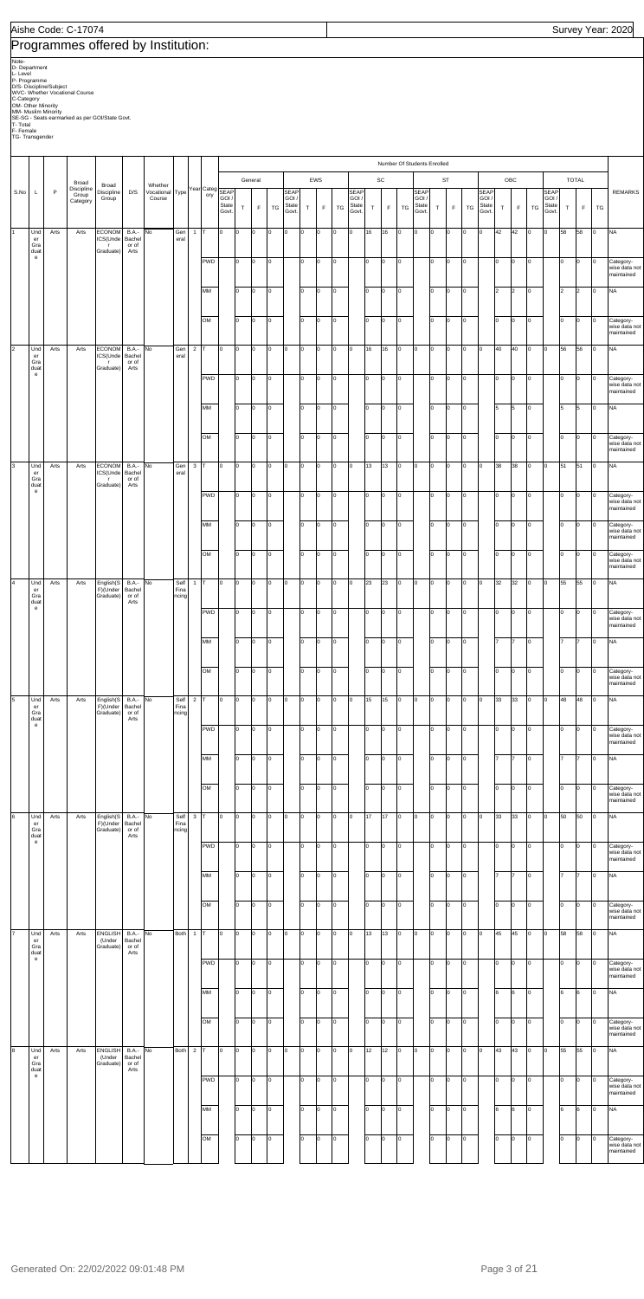## Programmes offered by Institution:

Note-<br>D. Department<br>D. S. Discipline/Subject<br>D/S- Discipline/Subject<br>O/S- Discipline/Subject<br>CV-C-Whether Viccational Course<br>OM- Other Minority<br>SE-SG - Seats earmarked as per GOI/State Govt.<br>T- Total<br>T-S- Transgender

|                      |                                                          |      |                     |                                       |                                 |                            |                       |                |            |                        |     |         |     |                         |     |                 |     |                              |    |             |                 | Number Of Students Enrolled |        |                 |                 |                        |               |             |     |                         |    |                |                 |                                          |
|----------------------|----------------------------------------------------------|------|---------------------|---------------------------------------|---------------------------------|----------------------------|-----------------------|----------------|------------|------------------------|-----|---------|-----|-------------------------|-----|-----------------|-----|------------------------------|----|-------------|-----------------|-----------------------------|--------|-----------------|-----------------|------------------------|---------------|-------------|-----|-------------------------|----|----------------|-----------------|------------------------------------------|
|                      |                                                          |      | Broad               |                                       |                                 |                            |                       |                |            |                        |     | General |     |                         |     | EWS             |     |                              |    | SC          |                 |                             |        | <b>ST</b>       |                 |                        |               | OBC         |     |                         |    | <b>TOTAL</b>   |                 |                                          |
| S.No                 |                                                          | P    | Discipline<br>Group | Broad<br>Discipline                   | D/S                             | Whether<br>Vocational Type |                       |                | ory        | Year Categ SEAP        |     |         |     | SEAP                    |     |                 |     | <b>SEAP</b>                  |    |             |                 | SEAP                        |        |                 |                 | SEAP                   |               |             |     | SEAP                    |    |                |                 | <b>REMARKS</b>                           |
|                      |                                                          |      | Category            | Group                                 |                                 | Course                     |                       |                |            | GOI,<br>State<br>Govt. | T   | F       | TG  | GOI /<br>State<br>Govt. | T   | F               | TG  | <b>GOI</b><br>State<br>Govt. | T  | $\mathsf F$ | TG              | GOI /<br>State<br>Govt.     | $\top$ | $\mathsf F$     | TG              | GOI/<br>State<br>Govt. | $\top$        | $\mathsf F$ | TG  | GOI /<br>State<br>Govt. | T  | F              | TG              |                                          |
|                      |                                                          |      |                     |                                       |                                 |                            |                       |                |            |                        |     |         |     |                         |     |                 |     |                              |    |             |                 |                             |        |                 |                 |                        |               |             |     |                         |    |                |                 |                                          |
|                      | Und<br>er<br>Gra                                         | Arts | Arts                | <b>ECONOM</b><br>ICS(Unde<br>г.       | <b>B.A.-</b><br>Bachel<br>or of | No                         | Gen<br>eral           | $\mathbf{1}$   | T          | o                      | lo  | Iо      | O   | 0                       | O   | Iо              | l0  | lo.                          | 16 | 16          | lo.             | Iо                          | O      | Iо              | 0               | O                      | 42            | 42          | Iо  | lo.                     | 58 | 58             | 0               | <b>NA</b>                                |
|                      | duat<br>$\mathbf{e}% _{t}\left( t\right)$                |      |                     | Graduate)                             | Arts                            |                            |                       |                | <b>PWD</b> |                        | lo  | Iо      | lo. |                         | I٥  | Iо              | O   |                              | I٥ | Iо          | lo.             |                             | I٥     | Iо              | O               |                        | lo.           | Iо          | Iо  |                         | Iо | l0             | $\Omega$        | Category-                                |
|                      |                                                          |      |                     |                                       |                                 |                            |                       |                |            |                        |     |         |     |                         |     |                 |     |                              |    |             |                 |                             |        |                 |                 |                        |               |             |     |                         |    |                |                 | wise data not<br>maintained              |
|                      |                                                          |      |                     |                                       |                                 |                            |                       |                | MM         |                        | lo  | Iо      | lo. |                         | I٥  | Iо              | O   |                              | I٥ | Iо          | lo.             |                             | I٥     | $\overline{0}$  | $\circ$         |                        | $\mathsf{I}2$ | 2           | Iо  |                         | 2  | $\overline{2}$ | $\Omega$        | <b>NA</b>                                |
|                      |                                                          |      |                     |                                       |                                 |                            |                       |                |            |                        |     |         |     |                         |     |                 |     |                              |    |             |                 |                             |        |                 |                 |                        |               |             |     |                         |    |                |                 |                                          |
|                      |                                                          |      |                     |                                       |                                 |                            |                       |                | OM         |                        | lo  | Iо      | lo. |                         | I٥  | lо              | O   |                              | I٥ | lо          | O               |                             | I٥     | Iо              | $\circ$         |                        | lo            | Iо          | lo. |                         | lо | Iо             | 0               | Category-<br>wise data not               |
|                      |                                                          |      |                     |                                       |                                 |                            |                       |                |            |                        |     |         |     |                         |     |                 |     |                              |    |             |                 |                             |        |                 |                 |                        |               |             |     |                         |    |                |                 | maintained                               |
| $\vert$ <sub>2</sub> | Und<br>er<br>Gra                                         | Arts | Arts                | <b>ECONOM</b><br>ICS(Unde<br>- 11     | <b>B.A.-</b><br>Bachel<br>or of | No                         | Gen<br>eral           | $\overline{2}$ |            | lo.                    | lo. | Iо      | O   | O                       | O   | Iо              | O   | l0                           | 16 | 16          | lo.             | lо                          | O      | Iо              | O               | O                      | 40            | 40          | O   | l0                      | 56 | 56             | 0               | <b>NA</b>                                |
|                      | duat<br>$\mathbf{e}% _{t}\left  \mathbf{1}\right\rangle$ |      |                     | Graduate)                             | Arts                            |                            |                       |                | <b>PWD</b> |                        | lo  | Iо      | lo. |                         | I٥  | Iо              | o   |                              | I٥ | Iо          | O               |                             | I٥     | O               | O               |                        | Iо            | Iо          | lo. |                         | Iо | O              | 0               | Category-                                |
|                      |                                                          |      |                     |                                       |                                 |                            |                       |                |            |                        |     |         |     |                         |     |                 |     |                              |    |             |                 |                             |        |                 |                 |                        |               |             |     |                         |    |                |                 | wise data not<br>maintained              |
|                      |                                                          |      |                     |                                       |                                 |                            |                       |                | MM         |                        | lo  | Iо      | l0  |                         | I٥  | Iо              | O   |                              | I٥ | Iо          | lo.             |                             | I٥     | Iо              | O               |                        | 15            | 5           | Iо  |                         | 5  | 5              | $\Omega$        | <b>NA</b>                                |
|                      |                                                          |      |                     |                                       |                                 |                            |                       |                |            |                        |     |         |     |                         |     |                 |     |                              |    |             |                 |                             |        |                 |                 |                        |               |             |     |                         |    |                |                 |                                          |
|                      |                                                          |      |                     |                                       |                                 |                            |                       |                | OM         |                        | lo  | Iо      | lo. |                         | I٥  | Iо              | o   |                              | I٥ | lо          | lo.             |                             | I٥     | Iо              | O               |                        | lo            | Iо          | lo. |                         | Iо | O              | $\Omega$        | Category-<br>wise data not<br>maintained |
| 3                    | Und                                                      | Arts | Arts                | <b>ECONOM</b>                         | <b>B.A.-</b>                    | No                         | Gen                   | $\mathbf{3}$   |            | l0                     | lo. | Iо      | lo. | O                       | O   | Iо              | l0  | l0                           | 13 | 13          | lo.             | Iо                          | O      | O               | O               | O                      | 38            | 38          | Iо  | l٥                      | 51 | 51             | $\Omega$        | <b>NA</b>                                |
|                      | er<br>Gra<br>duat                                        |      |                     | ICS(Unde<br>- 11<br>Graduate)         | Bachel<br>or of<br>Arts         |                            | eral                  |                |            |                        |     |         |     |                         |     |                 |     |                              |    |             |                 |                             |        |                 |                 |                        |               |             |     |                         |    |                |                 |                                          |
|                      | $\mathbf{e}% _{t}\left( t\right)$                        |      |                     |                                       |                                 |                            |                       |                | <b>PWD</b> |                        | lo  | Iо      | lo. |                         | I٥  | Iо              | o   |                              | I٥ | Iо          | lo.             |                             | I٥     | Iо              | O               |                        | lo.           | Iо          | Iо  |                         | Iо | O              | $\Omega$        | Category-<br>wise data not               |
|                      |                                                          |      |                     |                                       |                                 |                            |                       |                |            |                        |     |         |     |                         |     |                 |     |                              |    |             |                 |                             |        |                 |                 |                        |               |             |     |                         |    |                |                 | maintained                               |
|                      |                                                          |      |                     |                                       |                                 |                            |                       |                | MM         |                        | lo  | Iо      | lo. |                         | I٥  | Iо              | 0   |                              | I٥ | Iо          | lo.             |                             | I٥     | $\overline{0}$  | $\circ$         |                        | lo            | Iо          | Iо  |                         | Iо | lo.            | $\Omega$        | Category-<br>wise data not<br>maintained |
|                      |                                                          |      |                     |                                       |                                 |                            |                       |                | OM         |                        | lo  | Iо      | lo. |                         | I٥  | Iо              | O   |                              | I٥ | lо          | lo.             |                             | I٥     | $\overline{0}$  | $\circ$         |                        | lo            | Iо          | lo. |                         | lо | Iо             | $\Omega$        | Category-                                |
|                      |                                                          |      |                     |                                       |                                 |                            |                       |                |            |                        |     |         |     |                         |     |                 |     |                              |    |             |                 |                             |        |                 |                 |                        |               |             |     |                         |    |                |                 | wise data not<br>maintained              |
| 4                    | Und<br>er                                                | Arts | Arts                | English(S<br>F)(Under                 | <b>B.A.-</b><br>Bachel          | No                         | Self<br>Fina          | $\mathbf{1}$   | Iт         | o                      | lo. | Iо      | O   | O                       | O   | Iо              | O   | lo.                          | 23 | 23          | lo.             | lо                          | O      | Iо              | O               | O                      | 32            | 32          | O   | l0                      | 55 | 55             | 0               | <b>NA</b>                                |
|                      | Gra<br>duat<br>$\mathbf{e}% _{t}\left( t\right)$         |      |                     | Graduate)                             | or of<br>Arts                   |                            | ncing                 |                |            |                        |     |         |     |                         |     |                 |     |                              |    |             |                 |                             |        |                 |                 |                        |               |             |     |                         |    |                |                 |                                          |
|                      |                                                          |      |                     |                                       |                                 |                            |                       |                | <b>PWD</b> |                        | Iо  | Iо      | lo. |                         | I٥  | lо              | O   |                              | I٥ | Iо          | lo.             |                             | I٥     | O               | O               |                        | lo.           | Iо          | O   |                         | Iо | O              | O               | Category-<br>wise data not<br>maintained |
|                      |                                                          |      |                     |                                       |                                 |                            |                       |                | MM         |                        | Iо  | O       | o   |                         | 0   | $\vert 0 \vert$ | Jо  |                              | 10 | O           | $\vert 0 \vert$ |                             | 0      | $\vert 0 \vert$ | O               |                        |               |             | O   |                         | 17 | 7              | $\vert 0 \vert$ | <b>NA</b>                                |
|                      |                                                          |      |                     |                                       |                                 |                            |                       |                |            |                        |     |         |     |                         |     |                 |     |                              |    |             |                 |                             |        |                 |                 |                        |               |             |     |                         |    |                |                 |                                          |
|                      |                                                          |      |                     |                                       |                                 |                            |                       |                | OM         |                        | I٥  | Iо      | lo. |                         | I٥  | lо              | O   |                              | I٥ | Iо          | lo.             |                             | I٥     | Iо              | o               |                        | lo            | Iо          | lo. |                         | lо | Iо             | O               | Category-<br>wise data not               |
|                      |                                                          |      |                     |                                       |                                 |                            |                       |                |            |                        |     |         |     |                         |     |                 |     |                              |    |             |                 |                             |        |                 |                 |                        |               |             |     |                         |    |                |                 | maintained                               |
| $\overline{5}$       | Und<br>er<br>Gra                                         | Arts | Arts                | English(S<br>F)(Under<br>Graduate)    | B.A.-<br>Bachel<br>or of        | No                         | Self<br>Fina<br>ncing | $\overline{2}$ |            | o                      | lo  | lо      | O   | O                       | O   | lo.             | O   | O                            | 15 | 15          | O               | Iо                          | 0      | Iо              | lо              | O                      | 33            | 33          | Iо  | lо                      | 48 | 48             | O               | <b>NA</b>                                |
|                      | duat<br>$\mathbf{e}% _{t}\left( t\right)$                |      |                     |                                       | Arts                            |                            |                       |                | <b>PWD</b> |                        | Iо  | Iо      | l0  |                         | O   | O               | o   |                              | I٥ | O           | O               |                             | I٥     | O               | O               |                        | lo.           | Iо          | Iо  |                         | 10 | O              | 0               |                                          |
|                      |                                                          |      |                     |                                       |                                 |                            |                       |                |            |                        |     |         |     |                         |     |                 |     |                              |    |             |                 |                             |        |                 |                 |                        |               |             |     |                         |    |                |                 | Category-<br>wise data not<br>maintained |
|                      |                                                          |      |                     |                                       |                                 |                            |                       |                | MM         |                        | lo  | Iо      | l0  |                         | I٥  | lo.             | o   |                              | I٥ | Iо          | O               |                             | I٥     | Iо              | O               |                        | 17            |             | Iо  |                         | 17 |                | $\Omega$        | <b>NA</b>                                |
|                      |                                                          |      |                     |                                       |                                 |                            |                       |                |            |                        |     |         |     |                         |     |                 |     |                              |    |             |                 |                             |        |                 |                 |                        |               |             |     |                         |    |                |                 |                                          |
|                      |                                                          |      |                     |                                       |                                 |                            |                       |                | OM         |                        | lo  | Iо      | lo. |                         | I٥  | Iо              | lo. |                              | I٥ | lо          | lo.             |                             | I٥     | Iо              | O               |                        | lo            | Iо          | lo. |                         | Iо | O              | 0               | Category-<br>wise data not<br>maintained |
| 6                    | Und                                                      | Arts | Arts                | English(S                             | B.A.-                           | No                         | Self                  | $\mathbf{3}$   |            | O                      | lo. | Iо      | O   | O                       | O   | lo.             | O   | O                            | 17 | 17          | O               | lо                          | 0      | Iо              | lо              | O                      | 33            | 33          | Iо  | lо                      | 50 | 50             | O               | <b>NA</b>                                |
|                      | er<br>Gra<br>duat                                        |      |                     | F)(Under<br>Graduate)                 | Bachel<br>or of<br>Arts         |                            | Fina<br>ncing         |                |            |                        |     |         |     |                         |     |                 |     |                              |    |             |                 |                             |        |                 |                 |                        |               |             |     |                         |    |                |                 |                                          |
|                      | $\mathsf{e}% _{0}\left( \mathsf{e}\right)$               |      |                     |                                       |                                 |                            |                       |                | <b>PWD</b> |                        | lo  | Iо      | lo. |                         | I٥  | Iо              | o   |                              | I٥ | lо          | O               |                             | I٥     | Iо              | O               |                        | lo.           | Iо          | Iо  |                         | Iо | O              | 0               | Category-<br>wise data not               |
|                      |                                                          |      |                     |                                       |                                 |                            |                       |                |            |                        |     |         |     |                         |     |                 |     |                              |    |             |                 |                             |        |                 |                 |                        |               |             |     |                         |    |                |                 | maintained                               |
|                      |                                                          |      |                     |                                       |                                 |                            |                       |                | MM         |                        | I٥  | Iо      | lo. |                         | I٥  | Iо              | O   |                              | I٥ | Iо          | O               |                             | I٥     | $\overline{0}$  | lо              |                        | 17            | l7          | Iо  |                         | 17 | 17             | $\Omega$        | <b>NA</b>                                |
|                      |                                                          |      |                     |                                       |                                 |                            |                       |                | OM         |                        | lo  | Iо      | lo. |                         | I٥  | Iо              | o   |                              | I٥ | Iо          | lo.             |                             | I٥     | Iо              | O               |                        | lo            | Iо          | lo. |                         | lо | O              | 0               | Category-                                |
|                      |                                                          |      |                     |                                       |                                 |                            |                       |                |            |                        |     |         |     |                         |     |                 |     |                              |    |             |                 |                             |        |                 |                 |                        |               |             |     |                         |    |                |                 | wise data not<br>maintained              |
| l7                   | Und<br>er                                                | Arts | Arts                | <b>ENGLISH</b><br>(Under              | B.A.-<br>Bachel                 | No                         | <b>Both</b>           | $1$ T          |            | O                      | lo  | lо      | O   | O                       | O   | lo.             | O   | O                            | 13 | 13          | O               | Iо                          | 0      | Iо              | O               | O                      | 45            | 45          | Iо  | lо                      | 58 | 58             | O               | <b>NA</b>                                |
|                      | Gra<br>duat<br>$\mathbf{e}% _{t}\left( t\right)$         |      |                     | Graduate)                             | or of<br>Arts                   |                            |                       |                |            |                        |     |         |     |                         |     |                 |     |                              |    |             |                 |                             |        |                 |                 |                        |               |             |     |                         |    |                |                 |                                          |
|                      |                                                          |      |                     |                                       |                                 |                            |                       |                | <b>PWD</b> |                        | lo  | Iо      | lo. |                         | I٥  | lo.             | o   |                              | I٥ | O           | O               |                             | I٥     | Iо              | O               |                        | Iо            | Iо          | Iо  |                         | Iо | O              | 0               | Category-<br>wise data not<br>maintained |
|                      |                                                          |      |                     |                                       |                                 |                            |                       |                | MM         |                        | I٥  | Iо      | l0  |                         | I٥  | lo.             | o   |                              | I٥ | Iо          | O               |                             | I٥     | Iо              | O               |                        | l6            | l6          | Iо  |                         | 6  | 6              | $\Omega$        | <b>NA</b>                                |
|                      |                                                          |      |                     |                                       |                                 |                            |                       |                |            |                        |     |         |     |                         |     |                 |     |                              |    |             |                 |                             |        |                 |                 |                        |               |             |     |                         |    |                |                 |                                          |
|                      |                                                          |      |                     |                                       |                                 |                            |                       |                | OM         |                        | lo  | Iо      | lo. |                         | I٥  | lo.             | o   |                              | I٥ | Iо          | lo.             |                             | I٥     | O               | o               |                        | lo            | Iо          | lo. |                         | lо | O              | 0               | Category-<br>wise data not               |
|                      |                                                          |      |                     |                                       |                                 |                            |                       |                |            |                        |     |         |     |                         |     |                 |     |                              |    |             |                 |                             |        |                 |                 |                        |               |             |     |                         |    |                |                 | maintained                               |
| 8                    | Und<br>er<br>Gra                                         | Arts | Arts                | <b>ENGLISH</b><br>(Under<br>Graduate) | <b>B.A.-</b><br>Bachel<br>or of | No                         | <b>Both</b>           | $2$ T          |            | O                      | 0   | Iо      | l0  | O                       | O   | l0              | l0  | l0                           | 12 | 12          | O               | Iо                          | 0      | Iо              | O               | O                      | 43            | 43          | lo. | lо                      | 55 | 55             | 0               | <b>NA</b>                                |
|                      | duat<br>$\mathbf{e}% _{t}\left( t\right)$                |      |                     |                                       | Arts                            |                            |                       |                | PWD        |                        | I٥  | Iо      | lo. |                         | I٥  | Iо              | o   |                              | I٥ | lо          | O               |                             | I٥     | Iо              | O               |                        | lo.           | Iо          | Iо  |                         | Iо | O              | 0               |                                          |
|                      |                                                          |      |                     |                                       |                                 |                            |                       |                |            |                        |     |         |     |                         |     |                 |     |                              |    |             |                 |                             |        |                 |                 |                        |               |             |     |                         |    |                |                 | Category-<br>wise data not<br>maintained |
|                      |                                                          |      |                     |                                       |                                 |                            |                       |                | MM         |                        | I٥  | lо      | l0  |                         | lo. | O               | o   |                              | I٥ | Iо          | O               |                             | I٥     | Iо              | $\overline{10}$ |                        | 16            | 6           | Iо  |                         | 6  | 6              | $\Omega$        | <b>NA</b>                                |
|                      |                                                          |      |                     |                                       |                                 |                            |                       |                |            |                        |     |         |     |                         |     |                 |     |                              |    |             |                 |                             |        |                 |                 |                        |               |             |     |                         |    |                |                 |                                          |
|                      |                                                          |      |                     |                                       |                                 |                            |                       |                | OM         |                        | lo  | Iо      | O   |                         | O   | lo.             | 0   |                              | 10 | Iо          | O               |                             | I٥     | Iо              | O               |                        | lo            | Iо          | Iо  |                         | lо | $\overline{0}$ | O               | Category-<br>wise data not               |
|                      |                                                          |      |                     |                                       |                                 |                            |                       |                |            |                        |     |         |     |                         |     |                 |     |                              |    |             |                 |                             |        |                 |                 |                        |               |             |     |                         |    |                |                 | maintained                               |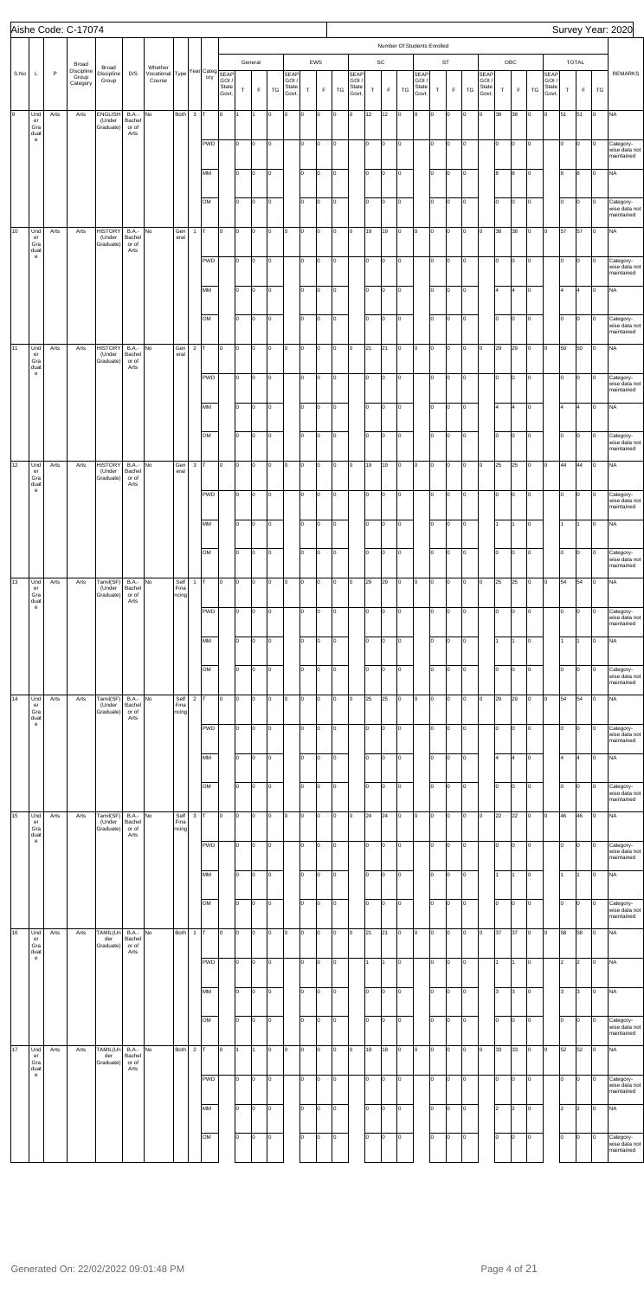|      |                               |      | Aishe Code: C-17074             |                                       |                                         |                                            |                       |                |                  |                |                 |                      |                      |                                 |                  |                           |              |                                 |                      |                                  |                                             |                                |                   |                           |                              |                                 |                            |             |          |                                      |           |                      |             |            | Survey Year: 2020                                     |
|------|-------------------------------|------|---------------------------------|---------------------------------------|-----------------------------------------|--------------------------------------------|-----------------------|----------------|------------------|----------------|-----------------|----------------------|----------------------|---------------------------------|------------------|---------------------------|--------------|---------------------------------|----------------------|----------------------------------|---------------------------------------------|--------------------------------|-------------------|---------------------------|------------------------------|---------------------------------|----------------------------|-------------|----------|--------------------------------------|-----------|----------------------|-------------|------------|-------------------------------------------------------|
|      |                               |      | Broad                           |                                       |                                         |                                            |                       |                |                  |                |                 | General              |                      |                                 |                  | EWS                       |              |                                 |                      | $\mathsf{SC}$                    |                                             | Number Of Students Enrolled    |                   | ST                        |                              |                                 |                            | OBC         |          |                                      |           | <b>TOTAL</b>         |             |            |                                                       |
| S.No | L                             | P    | Discipline<br>Group<br>Category | Broad<br>Discipline<br>Group          | D/S                                     | Whether Vocational Type Year Category SEAP |                       |                |                  | State<br>Govt. | $\top$          | $\mathsf F$          | TG                   | SEAP<br>GOI /<br>State<br>Govt. | $\top$           | F                         | TG           | SEAP<br>GOI /<br>State<br>Govt. | T.                   | $\mathsf F$                      | TG                                          | SEAP<br>GOI/<br>State<br>Govt. | $\top$            | F                         | TG                           | SEAP<br>GOI /<br>State<br>Govt. | $\top$                     | $\mathsf F$ | TG       | <b>SEAP</b><br>GOI<br>State<br>Govt. | T         |                      | $\mathsf F$ | ${\tt TG}$ | <b>REMARKS</b>                                        |
| 9    | Und<br>er<br>Gra<br>duat      | Arts | Arts                            | ENGLISH<br>(Under<br>Graduate)        | <b>B.A.-</b><br>Bachel<br>or of<br>Arts | No                                         | Both                  | $3$ T          |                  | O              |                 |                      | $\circ$              | lо                              | O                | 0                         | O            | l0                              | 12                   | 12                               | $\overline{0}$                              | 0                              | O                 | lо                        | $\vert$ 0                    | O                               | 38                         | 38          | lо       | o                                    | 51        | 51                   |             | $\circ$    | <b>NA</b>                                             |
|      | e                             |      |                                 |                                       |                                         |                                            |                       |                | <b>PWD</b>       |                | I٥              | O                    | 0                    |                                 | I٥               | 0                         | O            |                                 | lo.                  | $\circ$                          | $\overline{0}$                              |                                | 10                | $\circ$                   | $\vert$ 0                    |                                 | I٥                         | Iо          | lо       |                                      | lo.       | $\circ$              |             | 0          | Category-<br>wise data not<br>maintained              |
|      |                               |      |                                 |                                       |                                         |                                            |                       |                | MM               |                | lo.             | $\circ$              | $\vert 0 \vert$      |                                 | lo.              | $\circ$                   | O            |                                 | I٥                   | $\circ$                          | $\overline{0}$                              |                                | I٥                | $\circ$                   | $\circ$                      |                                 | 8                          | 8           | O        |                                      | 8         | 8                    |             | 0          | <b>NA</b>                                             |
| 10   | Und<br>er                     | Arts | Arts                            | <b>HISTORY</b><br>(Under              | <b>B.A.-</b><br>Bachel                  | No                                         | Gen<br>eral           | $\mathbf{1}$   | OM<br>IT.        | O              | lo.<br>O        | $\overline{0}$<br>O  | 0<br>$\circ$         | <b>O</b>                        | I٥<br>0          | $\overline{0}$<br>$\circ$ | O<br>O       | o                               | I٥<br>19             | lo.<br>19                        | $\overline{0}$<br>$\overline{0}$            | 0                              | I٥<br>O           | $\vert$ 0<br>$\circ$      | $\vert$ 0<br>$\vert$ 0       | Iо                              | lo<br>38                   | Iо<br>38    | lо<br>O  | Iо                                   | I٥<br>57  | $\circ$<br>57        |             | 0<br>o     | Category-<br>wise data not<br>maintained<br><b>NA</b> |
|      | Gra<br>duat<br>e              |      |                                 | Graduate)                             | or of<br>Arts                           |                                            |                       |                | <b>PWD</b>       |                | I٥              | O                    | 0                    |                                 | I٥               | $\overline{0}$            | O            |                                 | lo.                  | $\circ$                          | $\overline{0}$                              |                                | 10                | $\circ$                   | $\vert$ 0                    |                                 | lo.                        | Iо          | lо       |                                      | lo.       | $\vert 0 \vert$      |             | 0          | Category-<br>wise data not<br>maintained              |
|      |                               |      |                                 |                                       |                                         |                                            |                       |                | MM<br>OM         |                | lo.<br>lo.      | $\vert 0 \vert$<br>O | 0<br>0               |                                 | lo.<br>I٥        | $\circ$<br>$\circ$        | O<br>O       |                                 | I٥<br>I٥             | $\circ$<br>$\overline{0}$        | $\overline{0}$<br>$\mathsf{I}^{\mathsf{o}}$ |                                | I٥<br>I٥          | $\circ$<br>$\vert$ 0      | $\circ$<br>$\vert$ 0         |                                 | $\vert$ 4<br>lо            | 4<br>Iо     | lо<br>lо |                                      | 4<br>I٥   | 4<br>$\circ$         |             | O<br>0     | <b>NA</b><br>Category-<br>wise data not<br>maintained |
| 11   | Und<br>er<br>Gra              | Arts | Arts                            | <b>HISTORY</b><br>(Under<br>Graduate) | <b>B.A.-</b><br>Bachel<br>or of         | No                                         | Gen<br>eral           | $\overline{2}$ | Iт               | l0             | O               | O                    | $\circ$              | lо                              | 0                | $\circ$                   | O            | o                               | 21                   | 21                               | $\mathsf{I}^{\mathsf{o}}$                   | 0                              | O                 | lо                        | $\vert$ 0                    | Iо                              | 29                         | 29          | O        | Iо                                   | 50        | 50                   |             | o          | <b>NA</b>                                             |
|      | duat<br>e                     |      |                                 |                                       | Arts                                    |                                            |                       |                | <b>PWD</b>       |                | lo.             | O                    | 0                    |                                 | I٥               | <b>O</b>                  | O            |                                 | lo.                  | $\circ$                          | $\circ$                                     |                                | 10                | $\circ$                   | $\vert$ 0                    |                                 | lо                         | Iо          | lо       |                                      | 0         | $\circ$              |             | 0          | Category-<br>wise data not<br>maintained              |
|      |                               |      |                                 |                                       |                                         |                                            |                       |                | MM<br>OM         |                | I٥<br>I٥        | Iо<br>O              | 0<br>$\vert 0 \vert$ |                                 | I٥<br>lo.        | $\circ$<br>0              | O<br>lо      |                                 | I٥<br>I٥             | $\overline{0}$<br>$\overline{0}$ | $\overline{0}$<br>$\overline{0}$            |                                | I٥<br>I٥          | $\circ$<br>$\vert$ 0      | $\circ$<br>$\vert$ 0         |                                 | 14<br>lо                   | 4<br>Iо     | lо<br>lо |                                      | 4<br>I٥   | 4<br>$\vert 0 \vert$ |             | O<br>0     | <b>NA</b><br>Category-                                |
| 12   | Und<br>er<br>Gra              | Arts | Arts                            | <b>HISTORY</b><br>(Under<br>Graduate) | <b>B.A.-</b><br>Bachel<br>or of         | No                                         | Gen<br>eral           | $3$ T          |                  | l0             | O               | O                    | $\circ$              | lо                              | 0                | $\circ$                   | O            | l0                              | 19                   | 19                               | $\overline{0}$                              | 0                              | O                 | $\vert$ 0                 | $\vert$ 0                    | Iо                              | 25                         | 25          | O        | Iо                                   | 44        | 44                   |             | o          | wise data not<br>maintained<br><b>NA</b>              |
|      | duat<br>e                     |      |                                 |                                       | Arts                                    |                                            |                       |                | <b>PWD</b>       |                | lo.             | $\vert 0 \vert$      | 0                    |                                 | 0                | <b>O</b>                  | O            |                                 | lo.                  | $\circ$                          | $\overline{0}$                              |                                | lo.               | $\circ$                   | $\vert$ 0                    |                                 | lо                         | O           | lо       |                                      | 0         | $\vert 0 \vert$      |             | 0          | Category-<br>wise data not<br>maintained              |
|      |                               |      |                                 |                                       |                                         |                                            |                       |                | <b>MM</b><br>OM  |                | lo.<br>I٥       | O<br>O               | O<br>O               |                                 | I٥<br>lo.        | 0<br>0                    | Iо<br>Iо     |                                 | lo<br>I٥             | lо<br>lо                         | $\overline{0}$<br>$\circ$                   |                                | o<br>I٥           | lо<br>0                   | $\vert$ 0<br>$\vert$ 0       |                                 | I1.<br>lo                  | 11<br>Iо    | lо<br>lо |                                      | I1.<br>I٥ | I1<br>Iо             |             | O<br>0     | <b>NA</b><br>Category-                                |
| 13   | Und<br>er                     | Arts | Arts                            | Tamil(SF)<br>(Under                   | <b>B.A.-</b><br>Bachel                  | No                                         | Self<br>Fina          | $1$ T          |                  | O              | l0.             | O                    | Iо                   | lо                              | O                | 0                         | O            | l0                              | 29                   | 29                               | $\overline{0}$                              | 0                              | O                 | $\circ$                   | $\vert$ 0                    | Iо                              | 25                         | 25          | O        | O                                    | 54        | 54                   |             | o          | wise data not<br>maintained<br><b>NA</b>              |
|      | Gra<br>duat<br>e              |      |                                 | Graduate)                             | or of<br>Arts                           |                                            | ncing                 |                | PWD              |                | O               | O                    | Iо                   |                                 | I٥               | O                         | Iо           |                                 | I٥                   | lо                               | l0                                          |                                | I٥                | 0                         | $\vert 0 \vert$              |                                 | I٥                         | Iо          | o        |                                      | I٥        | Iо                   |             | 0          | Category-<br>wise data not<br>maintained              |
|      |                               |      |                                 |                                       |                                         |                                            |                       |                | MM               |                | I٥              | O                    | Iо                   |                                 | I٥               | l0                        | Iо           |                                 | I٥                   | lо                               | Iо                                          |                                | I٥                | $\circ$                   | $\vert$ 0                    |                                 | 1                          | I1          | lo.      |                                      | I1        |                      |             |            | <b>NA</b>                                             |
| 14   | Und                           | Arts | Arts                            | Tamil(SF)                             | <b>B.A.-</b>                            | No                                         | Self                  | $2$ T          | OM               | O              | I٥<br>lo.       | O<br>O               | O<br>Iо              | $\overline{0}$                  | Iо<br>O          | 0<br>0                    | Iо<br>O      | l0                              | I٥<br>25             | lо<br>25                         | l0<br>$\circ$                               | O                              | I٥<br>O           | Iо<br>$\circ$             | $\vert 0 \vert$<br>$\vert$ 0 | Iо                              | lo<br>29                   | Iо<br>29    | lо<br>O  | O                                    | I٥<br>54  | Iо<br>54             |             | 0<br>0     | Category-<br>wise data not<br>maintained<br><b>NA</b> |
|      | er<br>Gra<br>duat<br>e        |      |                                 | (Under<br>Graduate)                   | Bachel<br>or of<br>Arts                 |                                            | Fina<br>ncing         |                | PWD              |                | O               | O                    | O                    |                                 | I٥               | 0                         | Iо           |                                 | I٥                   | lо                               | lo.                                         |                                | I٥                | 0                         | $\vert 0 \vert$              |                                 | I٥                         | Iо          | o        |                                      | I٥        | Iо                   |             | 0          | Category-<br>wise data not                            |
|      |                               |      |                                 |                                       |                                         |                                            |                       |                | MM               |                | I٥              | O                    | Iо                   |                                 | I٥               | l0                        | Iо           |                                 | I٥                   | lо                               | Iо                                          |                                | I٥                | $\circ$                   | $\vert$ 0                    |                                 | 4                          | 4           | lо       |                                      | 4         | l4                   |             | 0          | maintained<br><b>NA</b>                               |
|      |                               |      |                                 |                                       |                                         |                                            |                       |                | OM               |                | I٥              | O                    | O                    |                                 | I٥               | 0                         | Iо           |                                 | I٥                   | lо                               | O                                           |                                | I٥                | Iо                        | Iо                           |                                 | lo                         | Iо          | lо       |                                      | I٥        | $\circ$              |             | 0          | Category-<br>wise data not<br>maintained              |
| 15   | Und<br>er<br>Gra<br>duat<br>e | Arts | Arts                            | Tamil(SF)<br>(Under<br>Graduate)      | $BA.-$ No<br>Bachel<br>or of<br>Arts    |                                            | Self<br>Fina<br>ncing | $3$ T          | <b>PWD</b>       | O              | l0<br>I٥        | O<br>O               | $\circ$<br>Iо        | $\overline{0}$                  | O<br>I٥          | $\circ$<br>0              | O<br>Iо      | l0                              | 24<br>Iо             | 24<br>lо                         | $\circ$<br>lo.                              | O                              | O<br>I٥           | $\circ$<br>0              | $\vert$ 0<br>$\vert 0 \vert$ | O                               | 22<br>I٥                   | 22<br>Iо    | O<br>lо  | O                                    | 46<br>I٥  | 46<br>Iо             |             | 0<br>0     | <b>NA</b>                                             |
|      |                               |      |                                 |                                       |                                         |                                            |                       |                | MM               |                | I٥              | O                    | Iо                   |                                 | I٥               | 0                         | Iо           |                                 | I٥                   | lо                               | lo.                                         |                                | I٥                | $\circ$                   | $\vert$ 0                    |                                 | 1                          | I1          | lо       |                                      | 11.       |                      |             | 0          | Category-<br>wise data not<br>maintained<br><b>NA</b> |
|      |                               |      |                                 |                                       |                                         |                                            |                       |                | OM               |                | I٥              | O                    | O                    |                                 | I٥               | 0                         | Iо           |                                 | I٥                   | lо                               | lo.                                         |                                | I٥                | 0                         | $\vert 0 \vert$              |                                 | lo                         | Iо          | lо       |                                      | I٥        | $\circ$              |             | 0          | Category-<br>wise data not<br>maintained              |
| 16   | Und<br>er<br>Gra<br>duat      | Arts | Arts                            | TAMIL(Un<br>der<br>Graduate)          | <b>B.A.-</b><br>Bachel<br>or of<br>Arts | No                                         | Both                  |                | $1$ T            | O              | lo.             | O                    | $\vert 0 \vert$      | $\overline{0}$                  | 0                | $\circ$                   | O            | lo.                             | 21                   | 21                               | $\circ$                                     | O                              | O                 | $\circ$                   | $\circ$                      | Iо                              | 37                         | 37          | O        | O                                    | 58        | 58                   |             | 0          | <b>NA</b>                                             |
|      | e                             |      |                                 |                                       |                                         |                                            |                       |                | <b>PWD</b>       |                | I٥              | O                    | 0                    |                                 | I٥               | 0                         | Iо           |                                 | 1                    | 1                                | lo.                                         |                                | I٥                | $\circ$                   | $\circ$                      |                                 | 11                         | I1          | o        |                                      | 2         | $\overline{2}$       |             | 0          | <b>NA</b>                                             |
|      |                               |      |                                 |                                       |                                         |                                            |                       |                | MM<br>OM         |                | lo<br>I٥        | $\vert$ 0<br>O       | $\vert$ 0<br>Iо      |                                 | $\sqrt{2}$<br>I٥ | $\overline{0}$<br>$\circ$ | $\circ$<br>O |                                 | $\overline{0}$<br>I٥ | Iо<br><b>lo</b>                  | $\overline{0}$<br>$\overline{0}$            |                                | $\boxed{0}$<br>I٥ | $\vert$ 0<br>$\vert$ 0    | $\vert$ 0<br>$\vert$ 0       |                                 | $\sqrt{3}$<br>lо           | 3<br>Iо     | o<br>O   |                                      | 3<br>lо   | $\vert$ 3<br>$\circ$ |             | lо<br>0    | <b>NA</b><br>Category-<br>wise data not<br>maintained |
| 17   | Und<br>er<br>Gra<br>duat      | Arts | Arts                            | TAMIL(Un<br>der<br>Graduate)          | <b>B.A.-</b><br>Bachel<br>or of<br>Arts | No                                         | Both                  | 2 $\Gamma$     |                  | O              |                 |                      | O                    | <b>O</b>                        | O                | 0                         | Iо           | lo.                             | 18                   | 18                               | lo.                                         | O                              | O                 | $\circ$                   | $\circ$                      | O                               | 33                         | 33          | Iо       | O                                    | 52        | 52                   |             | O          | <b>NA</b>                                             |
|      | e                             |      |                                 |                                       |                                         |                                            |                       |                | <b>PWD</b><br>MM |                | O<br>lo.        | O<br>O               | O<br>Iо              |                                 | I٥<br>I٥         | 0<br>$\circ$              | Iо<br>Iо     |                                 | lo.<br>I٥            | O<br>lо                          | $\overline{0}$<br>$\overline{0}$            |                                | I٥<br>I٥          | $\circ$<br>$\overline{0}$ | $\circ$<br>$\circ$           |                                 | I٥<br>$\vert$ <sub>2</sub> | Iо<br>2     | Iо<br>O  |                                      | I٥<br>l2  | lo.<br>2             |             | 0<br>O     | Category-<br>wise data not<br>maintained<br><b>NA</b> |
|      |                               |      |                                 |                                       |                                         |                                            |                       |                | OM               |                | $\overline{10}$ | O                    | O                    |                                 | I٥               | 0                         | Iо           |                                 | I٥                   | lо                               | lo.                                         |                                | I٥                | Iо                        | lо                           |                                 | lо                         | Iо          | Iо       |                                      | I٥        | Iо                   |             | 0          | Category-<br>wise data not<br>maintained              |
|      |                               |      |                                 |                                       |                                         |                                            |                       |                |                  |                |                 |                      |                      |                                 |                  |                           |              |                                 |                      |                                  |                                             |                                |                   |                           |                              |                                 |                            |             |          |                                      |           |                      |             |            |                                                       |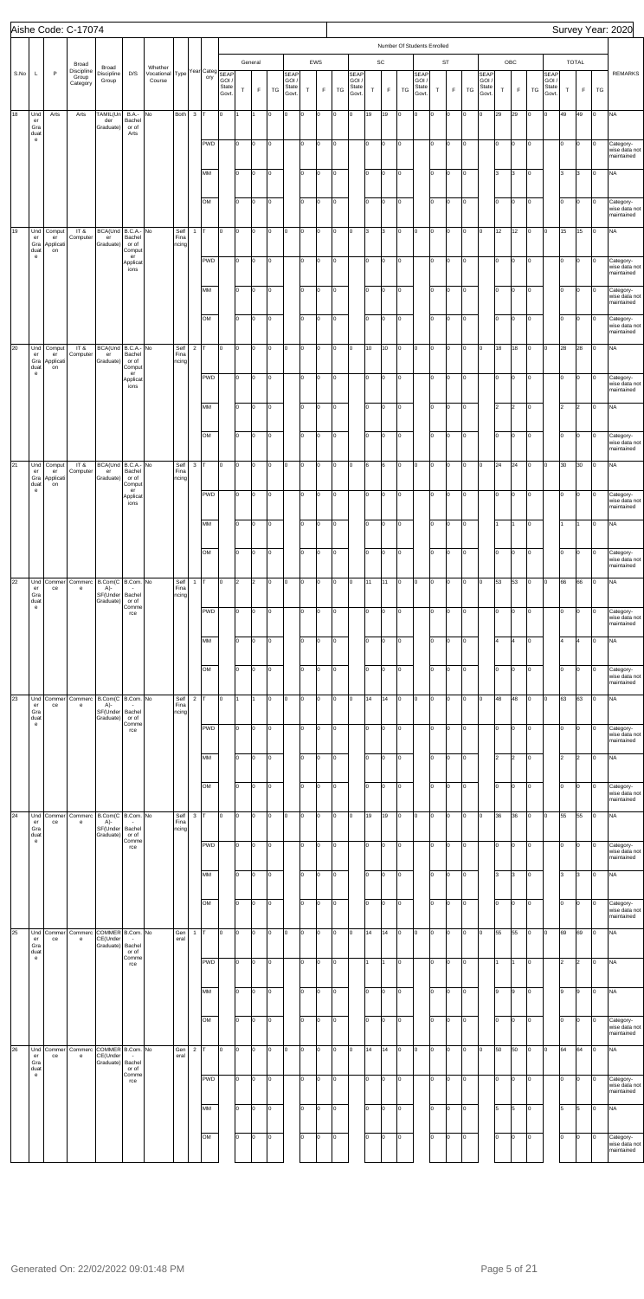|      |                                   |                           | Aishe Code: C-17074             |                                                                |                                  |                                      |                       |                |                        |                         |                |         |                |                                        |                |                |           |                                       |                 |                |                             |                                             |            |                           |                |                                |           |     |                |                               |             |                      |         | Survey Year: 2020                        |
|------|-----------------------------------|---------------------------|---------------------------------|----------------------------------------------------------------|----------------------------------|--------------------------------------|-----------------------|----------------|------------------------|-------------------------|----------------|---------|----------------|----------------------------------------|----------------|----------------|-----------|---------------------------------------|-----------------|----------------|-----------------------------|---------------------------------------------|------------|---------------------------|----------------|--------------------------------|-----------|-----|----------------|-------------------------------|-------------|----------------------|---------|------------------------------------------|
|      |                                   |                           | Broad                           |                                                                |                                  |                                      |                       |                |                        |                         |                | General |                |                                        |                | EWS            |           |                                       |                 | SC             | Number Of Students Enrolled |                                             |            | <b>ST</b>                 |                |                                |           | OBC |                |                               |             | <b>TOTAL</b>         |         |                                          |
| S.No | L                                 | P                         | Discipline<br>Group<br>Category | Broad<br>Discipline<br>Group                                   | D/S                              | Whether<br>Vocational Type<br>Course |                       |                | Year Categ SEAP<br>ory | GOI /<br>State<br>Govt. | T.             | F       | TG             | <b>SEAP</b><br>GOI /<br>State<br>Govt. | T              | $\mathsf F$    | TG        | <b>SEAP</b><br>GOI.<br>State<br>Govt. | T               | $\mathsf F$    | TG                          | <b>SEAP</b><br><b>GOI</b><br>State<br>Govt. | T          | F                         | TG             | SEAP<br>GOI.<br>State<br>Govt. | $\top$    | F   | TG             | SEAP<br>GOI.<br>State<br>Govt | T           | F                    | TG      | <b>REMARKS</b>                           |
| 18   | Und<br>er<br>Gra                  | Arts                      | Arts                            | TAMIL(Un<br>der<br>Graduate)                                   | <b>B.A.-</b><br>Bachel<br>or of  | No                                   | Both                  | $3$ T          |                        | lo.                     | I1             |         | O              | lо                                     | lo.            | $\Omega$       | o         | o                                     | 19              | 19             | $\circ$                     | lо                                          | lo.        | O                         | $\overline{0}$ | Iо                             | 29        | 29  | Iо             | Iо                            | 49          | 49                   | Iо      | <b>NA</b>                                |
|      | duat<br>$\mathbf{e}$              |                           |                                 |                                                                | Arts                             |                                      |                       |                | <b>PWD</b>             |                         | I٥             | l0      | lo.            |                                        | Iо             | $\Omega$       | o         |                                       | lо              | O              | lo.                         |                                             | I٥         | O                         | Iо             |                                | lo.       | O   | Iо             |                               | I٥          | O                    | Iо      | Category-<br>wise data not<br>maintained |
|      |                                   |                           |                                 |                                                                |                                  |                                      |                       |                | MM                     |                         | Iо             | lo.     | O              |                                        | $\vert$ 0      | $\overline{0}$ | o         |                                       | I٥              | o              | Iо                          |                                             | lo.        | lo.                       | $\overline{0}$ |                                | lз        | 3   | Iо             |                               | 3           | l3                   | Iо      | <b>NA</b>                                |
|      |                                   |                           |                                 |                                                                |                                  |                                      |                       |                | OM                     |                         | Iо             | lo.     | O              |                                        | $\vert$ 0      | $\Omega$       | o         |                                       | I٥              | O              | $\circ$                     |                                             | lo.        | O                         | Iо             |                                | lo        | o   | Iо             |                               | Iо          | O                    | Iо      | Category-                                |
| 19   | Und                               | Comput                    | IT&                             | BCA(Und   B.C.A.- No                                           |                                  |                                      | Self                  | $\mathbf{1}$   |                        | lo                      | lo.            | lo.     | O              | lо                                     | O              | $\Omega$       | o         | lо                                    | l3              | 3              | Iо                          | lо                                          | O          | O                         | $\circ$        | <b>l</b> o                     | 12        | 12  | Iо             | Iо                            | 15          | 15                   | Iо      | wise data not<br>maintained<br><b>NA</b> |
|      | er<br>Gra<br>duat<br>$\mathbf{e}$ | er<br>Applicati<br>on     | Computer                        | $\mathop{\text{er}}$<br>Graduate)                              | Bachel<br>or of<br>Comput<br>er  |                                      | Fina<br>ncing         |                | <b>PWD</b>             |                         | I٥             | l0      | O              |                                        | I٥             | $\Omega$       | o         |                                       | Iо              |                | lo.                         |                                             | I٥         |                           |                |                                | lo        |     |                |                               | I٥          | O                    |         |                                          |
|      |                                   |                           |                                 |                                                                | Applicat<br>ions                 |                                      |                       |                |                        |                         |                |         |                |                                        |                |                |           |                                       |                 | O              |                             |                                             |            | O                         | Iо             |                                |           | o   | Iо             |                               |             |                      | Iо      | Category-<br>wise data not<br>maintained |
|      |                                   |                           |                                 |                                                                |                                  |                                      |                       |                | MM                     |                         | Iо             | o       | O              |                                        | $\vert$ 0      | $\overline{0}$ | o         |                                       | I٥              | lо             | $\mathsf{I}^{\mathsf{o}}$   |                                             | lo.        | lo.                       | $\vert$ 0      |                                | lo        | o   | Iо             |                               | Iо          | O                    | Iо      | Category-<br>wise data not<br>maintained |
|      |                                   |                           |                                 |                                                                |                                  |                                      |                       |                | OM                     |                         | Iо             | lo.     | O              |                                        | $\vert$ 0      | $\Omega$       | o         |                                       | I٥              | O              | lo.                         |                                             | lo.        | O                         | Iо             |                                | lo        | o   | Iо             |                               | I٥          | $\overline{0}$       | Iо      | Category-<br>wise data not<br>maintained |
| 20   | Und<br>er<br>Gra                  | Comput<br>er<br>Applicati | IT&<br>Computer                 | BCA(Und B.C.A.- No<br>$\mathop{\text{er}}$<br>Graduate)        | Bachel<br>or of                  |                                      | Self<br>Fina<br>ncing | $\overline{2}$ |                        | lo                      | lo.            | lo.     | O              | lо                                     | O              | $\Omega$       | o         | Iо                                    | 10              | 10             | $\circ$                     | lо                                          | O          | lo.                       | $\circ$        | <b>l</b> o                     | 18        | 18  | Iо             | Iо                            | 28          | 28                   | Iо      | <b>NA</b>                                |
|      | duat<br>$\mathbf{e}$              | on                        |                                 |                                                                | Comput<br>er<br>Applicat<br>ions |                                      |                       |                | <b>PWD</b>             |                         | I٥             | l0      | O              |                                        | I٥             | $\Omega$       | o         |                                       | lо              | O              | lo.                         |                                             | I٥         | O                         | Iо             |                                | lo.       | o   | Iо             |                               | I٥          | lo.                  | Iо      | Category-<br>wise data not<br>maintained |
|      |                                   |                           |                                 |                                                                |                                  |                                      |                       |                | MM                     |                         | lo.            | lo.     | O              |                                        | lo             | $\overline{0}$ | o         |                                       | I٥              | lо             | Iо                          |                                             | lo.        | lo.                       | $\vert$ 0      |                                | l2        | 2   | Iо             |                               | l2          | $\overline{2}$       | Iо      | <b>NA</b>                                |
|      |                                   |                           |                                 |                                                                |                                  |                                      |                       |                | OM                     |                         | Iо             | lo.     | O              |                                        | $\vert$ 0      | $\Omega$       | o         |                                       | I٥              | o              | lo.                         |                                             | lo.        | O                         | O              |                                | lo        | o   | Iо             |                               | I٥          | O                    | Iо      | Category-<br>wise data not               |
| 21   | Und                               | Comput                    | IT&                             | BCA(Und   B.C.A.- No                                           |                                  |                                      | Self                  | $\mathbf{3}$   |                        | lo.                     | lo.            | lo.     | O              | lо                                     | O              | $\Omega$       | O         | lо                                    | 6               | 6              | $\circ$                     | lо                                          | O          | lo.                       | $\circ$        | $\overline{0}$                 | 24        | 24  | lо             | Iо                            | 30          | 30                   | Iо      | maintained<br><b>NA</b>                  |
|      | er<br>Gra<br>duat<br>$\mathbf{e}$ | er<br>Applicati<br>on     | Computer                        | $\mathop{\text{er}}$<br>Graduate)                              | Bachel<br>or of<br>Comput<br>er  |                                      | Fina<br>ncing         |                | PWD                    |                         | I٥             | O       | O              |                                        | I٥             | $\Omega$       | o         |                                       | Iо              | o              | Iо                          |                                             | I٥         | O                         | O              |                                | lo.       | o   | Iо             |                               | I٥          | <b>lo</b>            | O       | Category-                                |
|      |                                   |                           |                                 |                                                                | Applicat<br>ions                 |                                      |                       |                |                        |                         |                |         |                |                                        |                |                |           |                                       |                 |                |                             |                                             |            |                           |                |                                |           |     |                |                               |             |                      |         | wise data not<br>maintained              |
|      |                                   |                           |                                 |                                                                |                                  |                                      |                       |                | MM                     |                         | lo             | lo.     | O              |                                        | lo.            | $\overline{0}$ | o         |                                       | I٥              | o              | $\overline{0}$              |                                             | lo.        | $\mathsf{I}^{\mathsf{O}}$ | $\vert$ 0      |                                |           | I1  | lо             |                               | I1.         |                      | Iо      | <b>NA</b>                                |
|      |                                   |                           |                                 |                                                                |                                  |                                      |                       |                | OM                     |                         | lo.            | lo.     | O              |                                        | $\vert$ 0      | lo.            | o         |                                       | I٥              | o              | lo.                         |                                             | I٥         | Iо                        | lо             |                                | lo        | o   | Iо             |                               | lo.         | $\overline{0}$       | Iо      | Category-<br>wise data not<br>maintained |
| 22   | Und<br>er<br>Gra                  | ce                        | Commer Commerc<br>e             | B.Com(C B.Com. No<br>A)-<br>SF(Under Bachel<br>Graduate) or of |                                  |                                      | Self<br>Fina<br>ncing | $\mathbf{1}$   |                        | lo.                     | $\overline{2}$ | 2       | $\overline{0}$ | lo.                                    | $\overline{0}$ | lo.            | o         | Iо                                    | 11              | 11             | $\circ$                     | Iо                                          | O          | $\circ$                   | $\circ$        | $\overline{0}$                 | 53        | 53  | $\overline{0}$ | $\mathsf{I}^{\mathsf{o}}$     | 66          | 66                   | Iо      | <b>NA</b>                                |
|      | duat<br>$\mathbf{e}$              |                           |                                 |                                                                | Comme<br>rce                     |                                      |                       |                | <b>PWD</b>             |                         | I٥             | lo.     | O              |                                        | lo.            | $\Omega$       | o         |                                       | Iо              | o              | $\circ$                     |                                             | I٥         | O                         | Iо             |                                | lo.       | o   | Iо             |                               | I٥          | $\overline{0}$       | Iо      | Category-<br>wise data not<br>maintained |
|      |                                   |                           |                                 |                                                                |                                  |                                      |                       |                | MM                     |                         | Iо             | lo.     | O              |                                        | lo             | $\Omega$       | o         |                                       | I٥              | o              | $\overline{0}$              |                                             | lo         | lo.                       | $\vert$ 0      |                                | 4         | 4   | Iо             |                               | l4          | 14                   | Iо      | <b>NA</b>                                |
|      |                                   |                           |                                 |                                                                |                                  |                                      |                       |                | OM                     |                         | lo.            | lo.     | O              |                                        | $\vert$ 0      | lo.            | o         |                                       | I٥              | o              | lo.                         |                                             | I٥         | Iо                        | lо             |                                | lo        | O   | Iо             |                               | lo.         | $\overline{0}$       | lо      | Category-<br>wise data not               |
| 23   | Und                               | Commer                    | Commerc                         | B.Com(C B.Com. No                                              |                                  |                                      | Self                  | $2 \mathsf{T}$ |                        | lo.                     | I1.            | 1       | $\overline{0}$ | $\overline{0}$                         | $\overline{0}$ | lo.            | o         | Iо                                    | 14              | 14             | $\overline{0}$              | Iо                                          | O          | $\overline{0}$            | $\circ$        | $\overline{0}$                 | 48        | 48  | $\circ$        | $\mathsf{I}^{\mathsf{o}}$     | 63          | 63                   | Iо      | maintained<br><b>NA</b>                  |
|      | er<br>Gra<br>duat<br>$\mathbf{e}$ | ce                        | e                               | A)-<br>SF(Under Bachel<br>Graduate) or of                      | Comme                            |                                      | Fina<br>ncing         |                | <b>PWD</b>             |                         | I٥             | lo.     | O              |                                        | lo.            | $\Omega$       | o         |                                       | Iо              | o              | lo.                         |                                             | I٥         | O                         | Iо             |                                | lo.       | o   | Iо             |                               | I٥          | $\overline{0}$       | Iо      | Category-                                |
|      |                                   |                           |                                 |                                                                | rce                              |                                      |                       |                |                        |                         |                |         |                |                                        |                |                |           |                                       |                 |                |                             |                                             |            |                           |                |                                |           |     |                |                               |             |                      |         | wise data not<br>maintained              |
|      |                                   |                           |                                 |                                                                |                                  |                                      |                       |                | MM                     |                         | Iо             | lo.     | O              |                                        | lo             | $\Omega$       | o         |                                       | I٥              | o              | $\circ$                     |                                             | lo.        | lo.                       | $\vert$ 0      |                                | l2        | 2   | lо             |                               | 2           | $\vert$ <sub>2</sub> | Iо      | <b>NA</b>                                |
|      |                                   |                           |                                 |                                                                |                                  |                                      |                       |                | OM                     |                         | lo.            | lo.     | O              |                                        | $\vert$ 0      | lo.            | o         |                                       | I٥              | o              | lo.                         |                                             | I٥         | Iо                        | Iо             |                                | lo        | O   | Iо             |                               | lo.         | $\overline{0}$       | Iо      | Category-<br>wise data not<br>maintained |
| 24   | Und<br>er<br>Gra<br>duat          | Commer<br>ce              | Commerc<br>e                    | B.Com(C   B.Com. No<br>A)-<br>SF(Under<br>Graduate)            | Bachel<br>or of                  |                                      | Self<br>Fina<br>ncing | $3 \mid T$     |                        | lo.                     | O              | lo.     | $\overline{0}$ | $\overline{0}$                         | $\overline{0}$ | lo.            | o         | Iо                                    | 19              | 19             | $\overline{0}$              | Iо                                          | O          | $\overline{0}$            | $\circ$        | $\overline{0}$                 | 36        | 36  | $\circ$        | $\mathsf{I}^{\mathsf{o}}$     | 55          | 55                   | Iо      | <b>NA</b>                                |
|      | $\mathbf{e}$                      |                           |                                 |                                                                | Comme<br>rce                     |                                      |                       |                | <b>PWD</b>             |                         | I٥             | lo.     | O              |                                        | lo.            | $\Omega$       | o         |                                       | Iо              | o              | $\circ$                     |                                             | I٥         | O                         | Iо             |                                | lo.       | o   | Iо             |                               | I٥          | $\overline{0}$       | Iо      | Category-<br>wise data not<br>maintained |
|      |                                   |                           |                                 |                                                                |                                  |                                      |                       |                | MM                     |                         | lo.            | lo.     | O              |                                        | lo             | lo.            | o         |                                       | I٥              | o              | $\circ$                     |                                             | lo.        | lo.                       | $\vert$ 0      |                                | lз        | 3   | lо             |                               | l3          | 3                    | Iо      | <b>NA</b>                                |
|      |                                   |                           |                                 |                                                                |                                  |                                      |                       |                | OM                     |                         | lo.            | lo.     | O              |                                        | $\vert$ 0      | lo.            | o         |                                       | I٥              | o              | $\circ$                     |                                             | I٥         | Iо                        | Iо             |                                | lo.       | o   | Iо             |                               | lo.         | $\overline{0}$       | lо      | Category-<br>wise data not               |
| 25   | Und<br>er                         | Commer<br>ce              | e                               | Commerc COMMER B.Com. No<br>CE(Under                           | $\sim$                           |                                      | Gen<br>eral           | $\mathbf{1}$   |                        | $\overline{0}$          | O              | lo.     | $\vert$ 0      | $\overline{0}$                         | $\overline{0}$ | lo.            | o         | Iо                                    | 14              | 14             | $\overline{0}$              | Iо                                          | O          | $\overline{0}$            | $\circ$        | $\overline{0}$                 | 55        | 55  | $\vert$ 0      | $\mathsf{I}^{\mathsf{o}}$     | 69          | 69                   | Iо      | maintained<br><b>NA</b>                  |
|      | Gra<br>duat<br>$\mathbf{e}$       |                           |                                 | Graduate)                                                      | Bachel<br>or of<br>Comme<br>rce  |                                      |                       |                | <b>PWD</b>             |                         | I٥             | o       | O              |                                        | I٥             | $\Omega$       | o         |                                       | I1              | 11             | $\circ$                     |                                             | I٥         | Iо                        | Iо             |                                |           | 11  | $\vert$ 0      |                               | 2           | $\overline{2}$       | Iо      | <b>NA</b>                                |
|      |                                   |                           |                                 |                                                                |                                  |                                      |                       |                | MM                     |                         | $\sqrt{2}$     | $\circ$ | $\vert$ 0      |                                        | $\sqrt{2}$     | $\circ$        | $\vert$ o |                                       | $\vert 0 \vert$ | $\overline{0}$ | $\overline{0}$              |                                             | $\sqrt{2}$ | $\overline{0}$            | $\overline{0}$ |                                | $\vert$ 9 | 9   | $\circ$        |                               | $\boxed{9}$ | 9                    | $\circ$ | <b>NA</b>                                |
|      |                                   |                           |                                 |                                                                |                                  |                                      |                       |                |                        |                         |                |         |                |                                        |                |                |           |                                       |                 |                |                             |                                             |            |                           |                |                                |           |     |                |                               |             |                      |         |                                          |
|      |                                   |                           |                                 |                                                                |                                  |                                      |                       |                | OM                     |                         | lo.            | lo.     | O              |                                        | $\vert$ 0      | lo.            | o         |                                       | I٥              | lо             | $\overline{0}$              |                                             | I٥         | O                         | lо             |                                | lo        | o   | Iо             |                               | lo.         | $\overline{0}$       | Iо      | Category-<br>wise data not<br>maintained |
| 26   | Und<br>er<br>Gra<br>duat          | Commer<br>ce              | e                               | Commerc COMMER B.Com. No<br>CE(Under<br>Graduate)              | $\sim$<br>Bachel<br>or of        |                                      | Gen<br>eral           | $\overline{2}$ |                        | lo.                     | lo.            | lo.     | O              | lо                                     | lo.            | $\Omega$       | O         | Iо                                    | 14              | 14             | lo.                         | Iо                                          | lo.        | O                         | $\circ$        | <b>l</b> o                     | 50        | 50  | Iо             | Iо                            | 64          | 64                   | Iо      | <b>NA</b>                                |
|      | $\mathbf{e}$                      |                           |                                 |                                                                | Comme<br>rce                     |                                      |                       |                | <b>PWD</b>             |                         | lo.            | l0      | 0              |                                        | lo.            | $\Omega$       | O         |                                       | lо              | O              | lo.                         |                                             | I٥         | O                         | 0              |                                | lo.       | o   | Iо             |                               | I٥          | lo.                  | Iо      | Category-<br>wise data not<br>maintained |
|      |                                   |                           |                                 |                                                                |                                  |                                      |                       |                | MM                     |                         | lo.            | lo.     | O              |                                        | $\vert$ 0      | $\overline{0}$ | o         |                                       | I٥              | o              | $\overline{0}$              |                                             | lo         | lo.                       | $\overline{0}$ |                                | l5.       | 5   | Iо             |                               | 5           | 5                    | Iо      | <b>NA</b>                                |
|      |                                   |                           |                                 |                                                                |                                  |                                      |                       |                | OM                     |                         | Iо             | lo.     | O              |                                        | $\vert$ 0      | $\Omega$       | o         |                                       | I٥              | o              | lo.                         |                                             | lo.        | O                         | O              |                                | lo        | o   | lо             |                               | lo.         | lo.                  | Iо      | Category-<br>wise data not               |
|      |                                   |                           |                                 |                                                                |                                  |                                      |                       |                |                        |                         |                |         |                |                                        |                |                |           |                                       |                 |                |                             |                                             |            |                           |                |                                |           |     |                |                               |             |                      |         | maintained                               |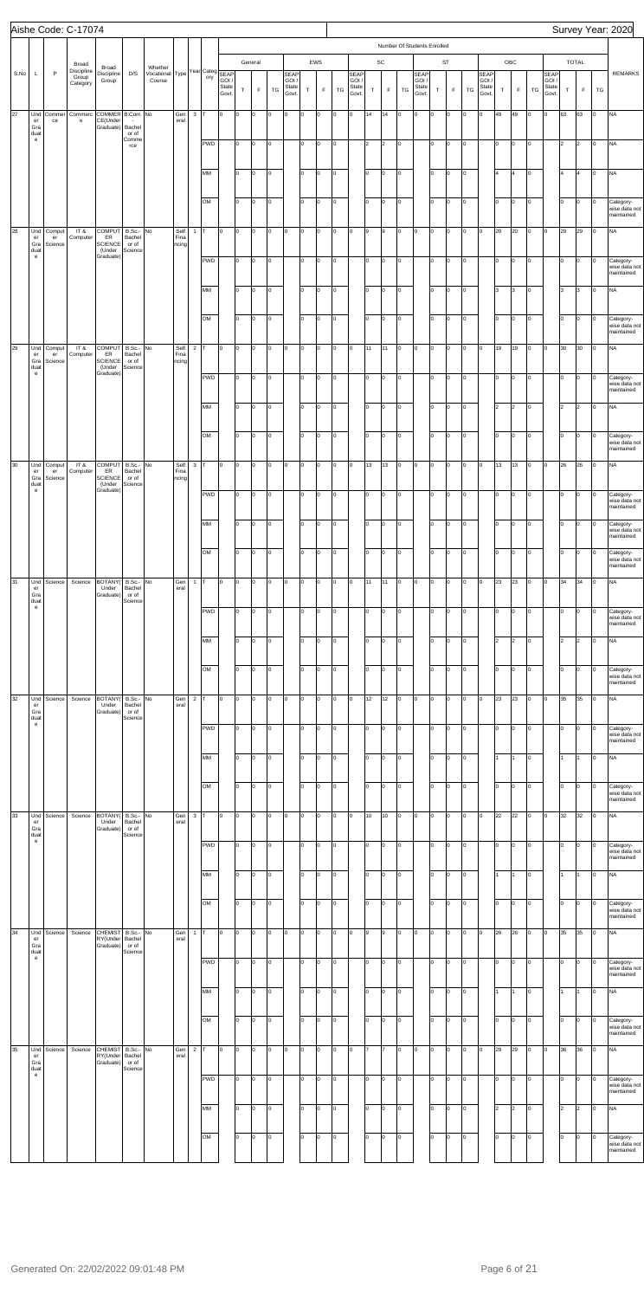|      |                                                                 |              | Aishe Code: C-17074                      |                                                    |                                         |                                 |              |                |                      |                |                  |                                  |                      |                                 |           |                    |          |                                       |          |                              |                             |                                       |                       |                      |                     |                                 |             |                     |                      |                                        |                            |                             |               | Survey Year: 2020                                     |
|------|-----------------------------------------------------------------|--------------|------------------------------------------|----------------------------------------------------|-----------------------------------------|---------------------------------|--------------|----------------|----------------------|----------------|------------------|----------------------------------|----------------------|---------------------------------|-----------|--------------------|----------|---------------------------------------|----------|------------------------------|-----------------------------|---------------------------------------|-----------------------|----------------------|---------------------|---------------------------------|-------------|---------------------|----------------------|----------------------------------------|----------------------------|-----------------------------|---------------|-------------------------------------------------------|
|      |                                                                 |              |                                          |                                                    |                                         |                                 |              |                |                      |                |                  |                                  |                      |                                 |           |                    |          |                                       |          |                              | Number Of Students Enrolled |                                       |                       |                      |                     |                                 |             |                     |                      |                                        |                            |                             |               |                                                       |
| S.No | L                                                               | P            | Broad<br>Discipline<br>Group<br>Category | Broad<br>Discipline<br>Group                       | D/S                                     | Whether<br>/ocational<br>Course |              |                | Type Year Categ SEAP | State<br>Govt. | $\top$           | General<br>F                     | TG                   | SEAP<br>GOI /<br>State<br>Govt. | $\top$    | EWS<br>$\mathsf F$ | TG       | <b>SEAP</b><br>GOI.<br>State<br>Govt. | T        | $\mathsf{SC}$<br>$\mathsf F$ | TG                          | <b>SEAP</b><br>GOI/<br>State<br>Govt. | $\mathsf T$           | ST<br>$\mathsf F$    | TG                  | SEAP<br>GOI /<br>State<br>Govt. | $\mathsf T$ | OBC<br>$\mathsf F$  | TG                   | <b>SEAP</b><br>GOI /<br>State<br>Govt. | T                          | <b>TOTAL</b><br>$\mathsf F$ | TG            | <b>REMARKS</b>                                        |
| 27   | Und<br>er<br>Gra<br>duat                                        | Commer<br>ce | Commerc<br>e                             | COMMER B.Com. No<br>CE(Under -<br>Graduate) Bachel | or of                                   |                                 | Gen<br>eral  | $\mathbf{3}$   | IT.                  | 0              | O                | lo.                              | $\circ$              | O                               | l0        | Iо                 | l0       | lо                                    | 14       | 14                           | 0                           | O                                     | Iо                    | $\circ$              | 0                   | lo.                             | 49          | 49                  | O                    | Iо                                     | 63                         | 63                          | Iо            | <b>NA</b>                                             |
|      | $\mathsf{e}% _{0}\left( \mathsf{e}\right)$                      |              |                                          |                                                    | Comme<br>rce                            |                                 |              |                | PWD                  |                | I٥               | $\overline{0}$                   | 0                    |                                 | I٥        | Iо                 | o        |                                       | 2        | $\overline{2}$               | 0                           |                                       | I٥                    | $\circ$              | O                   |                                 | Iо          | O                   | $\circ$              |                                        | 2                          | 2                           | O             | <b>NA</b>                                             |
|      |                                                                 |              |                                          |                                                    |                                         |                                 |              |                | MM                   |                | I٥               | $\overline{0}$                   | $\vert 0 \vert$      |                                 | lo.       | O                  | o        |                                       | Iо       | l0                           | 0                           |                                       | I٥                    | $\overline{0}$       | 0                   |                                 | l4          | 4                   | 0                    |                                        | l4                         | 4                           | O             | <b>NA</b>                                             |
| 28   | Und<br>er                                                       | Comput<br>er | IT &<br>Computer                         | <b>COMPUT</b><br>ER                                | B.Sc.-<br>Bachel                        | No                              | Self<br>Fina | $1$ T          | OM                   | 0              | I٥<br>O          | $\overline{0}$<br><b>O</b>       | 0<br>l0              | O                               | lo<br>lo. | Iо<br>Iо           | o<br>o   | O                                     | Iо<br>9  | l0<br>9                      | O<br>O                      | O                                     | Iо<br>lo.             | $\circ$<br>$\circ$   | O<br>O              | Iо                              | lо<br>20    | O<br>20             | 0<br>O               | Iо                                     | $\overline{0}$<br>29       | lo.<br>29                   | 0<br>Iо       | Category-<br>wise data not<br>maintained<br><b>NA</b> |
|      | Gra<br>duat<br>$\mathsf{e}% _{0}\left( \mathsf{e}\right)$       | Science      |                                          | <b>SCIENCE</b><br>(Under<br>Graduate               | or of<br>Science                        |                                 | ncing        |                | PWD                  |                | I٥               | $\overline{0}$                   | $\vert 0 \vert$      |                                 | lo.       | Iо                 | o        |                                       | Iо       | l0                           | 0                           |                                       | I٥                    | $\circ$              | O                   |                                 | Iо          | O                   | 0                    |                                        | Iо                         | lo.                         | 0             | Category-<br>wise data not<br>maintained              |
|      |                                                                 |              |                                          |                                                    |                                         |                                 |              |                | MM<br>OM             |                | I٥<br>I٥         | $\overline{0}$<br>$\overline{0}$ | $\vert 0 \vert$<br>0 |                                 | lo.<br>lо | O<br>Iо            | o<br>o   |                                       | Iо<br>Iо | l0<br>l0                     | 0<br>O                      |                                       | I٥<br>Iо              | $\overline{0}$<br>lо | $\overline{0}$<br>O |                                 | l3<br>lо    | 3<br>O              | $\vert 0 \vert$<br>0 |                                        | 3<br>$\mathsf{I}$          | 3<br>lo.                    | Iо<br>Iо      | <b>NA</b><br>Category-                                |
| 29   | Und<br>er                                                       | Comput<br>er | IT &<br>Computer                         | <b>COMPUT</b><br>ER                                | B.Sc.-<br>Bachel                        | No                              | Self<br>Fina | $2$ T          |                      | 0              | O                | <b>O</b>                         | $\circ$              | O                               | l0        | Iо                 | o        | O                                     | 11       | 11                           | O                           | O                                     | $\circ$               | lо                   | 0                   | Iо                              | 19          | 19                  | 0                    | Iо                                     | 30                         | 30                          | Iо            | wise data not<br>maintained<br><b>NA</b>              |
|      | Gra<br>duat<br>$\mathbf{e}$                                     | Science      |                                          | <b>SCIENCE</b><br>(Under<br>Graduate               | or of<br>Science                        |                                 | ncing        |                | PWD                  |                | I٥               | $\overline{0}$                   | $\vert 0 \vert$      |                                 | lo.       | Iо                 | o        |                                       | Iо       | l0                           | l0.                         |                                       | I٥                    | $\circ$              | O                   |                                 | Iо          | O                   | 0                    |                                        | lo                         | lo.                         | 0             | Category-<br>wise data not<br>maintained              |
|      |                                                                 |              |                                          |                                                    |                                         |                                 |              |                | MM                   |                | I٥               | $\overline{0}$                   | $\vert 0 \vert$      |                                 | lo.       | O                  | o        |                                       | Iо       | l0                           | 0                           |                                       | I٥                    | $\overline{0}$       | $\overline{0}$      |                                 | 2           | $\overline{2}$      | $\circ$              |                                        | $\sqrt{2}$                 | 2                           | Iо            | <b>NA</b>                                             |
| 30   | Und<br>er                                                       | Comput<br>er | IT &<br>Computer                         | <b>COMPUT</b><br>ER                                | B.Sc.-<br>Bachel                        | No                              | Self<br>Fina | $3$ T          | OM                   | 0              | I٥<br>O          | $\overline{0}$<br><b>O</b>       | 0<br>$\circ$         | O                               | lо<br>0   | Iо<br>O            | O<br>l0  | o                                     | Iо<br>13 | l0<br>13                     | O<br>l0                     | $\overline{0}$                        | Iо<br>Iо              | lо<br>$\overline{0}$ | lо<br>O             | Iо                              | lо<br>13    | O<br>13             | 0<br>O               | Iо                                     | $\mathsf{I}$<br>26         | lo.<br>26                   | Iо<br>Iо      | Category-<br>wise data not<br>maintained<br><b>NA</b> |
|      | Gra<br>duat<br>${\bf e}$                                        | Science      |                                          | <b>SCIENCE</b><br>(Under<br>Graduate)              | or of<br>Science                        |                                 | ncing        |                | <b>PWD</b>           |                | I٥               | $\overline{0}$                   | 0                    |                                 | lo.       | O                  | o        |                                       | Iо       | l0                           | O                           |                                       | Iо                    | $\circ$              | O                   |                                 | I٥          | O                   | $\vert 0 \vert$      |                                        | lо                         | lo.                         | O             | Category-<br>wise data not<br>mamamed                 |
|      |                                                                 |              |                                          |                                                    |                                         |                                 |              |                | MM                   |                | I٥               | $\overline{0}$                   | O                    |                                 | lo        | Iо                 | o        |                                       | Iо       | l0                           | O                           |                                       | I٥                    | $\overline{0}$       | $\vert$ 0           |                                 | lо          | O                   | O                    |                                        | lо                         | Iо                          | Iо            | Category-<br>wise data not<br>maintained              |
| 31   | Und<br>er                                                       | Science      | Science                                  | BOTANY(                                            | $B.Sc.$ - No<br>Bachel                  |                                 | Gen<br>eral  | $1$ T          | OM                   | 0              | I٥<br>O          | $\overline{0}$<br><b>O</b>       | 0<br>$\circ$         | O                               | lo<br>0   | Iо<br>Iо           | o<br>lo. | O                                     | Iо<br>11 | l0<br>11                     | l0.<br>O                    | $\circ$                               | Iо<br>$\circ$         | lо<br>$\circ$        | O<br>0              | $\circ$                         | lо<br>23    | O<br>23             | 0<br>0               | Iо                                     | $\mathsf{I}$<br>34         | lo.<br>34                   | Iо<br>Iо      | Category-<br>wise data not<br>maintained<br><b>NA</b> |
|      | Gra<br>duat<br>$\mathsf{e}% _{0}\left( \mathsf{e}\right)$       |              |                                          | Under<br>Graduate)                                 | or of<br>Science                        |                                 |              |                | PWD                  |                | I٥               | $\overline{0}$                   | 0                    |                                 | I٥        | Iо                 | o        |                                       | Iо       | l0                           | O                           |                                       | I٥                    | $\circ$              | O                   |                                 | Iо          | O                   | 0                    |                                        | lo                         | lo.                         | 0             | Category-<br>wise data not<br>maintained              |
|      |                                                                 |              |                                          |                                                    |                                         |                                 |              |                | MM                   |                | I٥               | <b>O</b>                         | 0                    |                                 | lo.       | Iо                 | o        |                                       | Iо       | l0                           | O                           |                                       | I٥                    | $\overline{0}$       | O                   |                                 | 2           | $\overline{2}$      | 0                    |                                        | $\sqrt{2}$                 | $\vert$ 2                   | Iо            | <b>NA</b>                                             |
| 32   | Und                                                             | Science      | Science                                  | BOTANY(                                            | B.Sc.- No                               |                                 | Gen          | 2 <sub>T</sub> | OM                   | 0              | I٥<br>O          | $\overline{0}$<br><b>O</b>       | 0<br>$\circ$         | O                               | lo<br>0   | Iо<br>Iо           | o<br>lo. | O                                     | Iо<br>12 | l0<br>12                     | lo.<br>0                    | $\circ$                               | Iо<br>$\vert 0 \vert$ | lо<br>$\circ$        | O<br>0              | $\circ$                         | lо<br>23    | O<br>23             | 0<br>0               | Iо                                     | lо<br>35                   | lo.<br>35                   | Iо<br>Iо      | Category-<br>wise data not<br>maintained<br><b>NA</b> |
|      | er<br>Gra<br>duat<br>$\mathsf{e}% _{0}\left( \mathsf{e}\right)$ |              |                                          | Under<br>(Graduate                                 | Bachel<br>or of<br>Science              |                                 | eral         |                | PWD                  |                | I٥               | $\overline{0}$                   | 0                    |                                 | lo.       | Iо                 | O        |                                       | Iо       | l0                           | 0                           |                                       | I٥                    | $\circ$              | O                   |                                 | Iо          | O                   | 0                    |                                        | lo                         | lo.                         | 0             | Category-<br>wise data not                            |
|      |                                                                 |              |                                          |                                                    |                                         |                                 |              |                | MM                   |                | I٥               | $\overline{0}$                   | 0                    |                                 | lo.       | Iо                 | o        |                                       | Iо       | l0                           | O                           |                                       | I٥                    | $\overline{0}$       | O                   |                                 | l1          |                     | 0                    |                                        | I1.                        |                             | Iо            | maintained<br><b>NA</b>                               |
| 33   | Und                                                             | Science      | Science                                  | BOTANY(                                            | B.Sc.- No                               |                                 | Gen          | $3$ T          | OM                   | 0              | I٥<br>O          | $\overline{0}$<br><b>O</b>       | 0<br>$\circ$         | O                               | lo<br>0   | Iо<br>Iо           | o<br>lo. | O                                     | Iо<br>10 | l0<br>10                     | lo.<br>0                    | $\overline{0}$                        | Iо<br>$\circ$         | lо<br>$\circ$        | lо<br>0             | $\circ$                         | lо<br>22    | O<br>22             | 0<br>0               | Iо                                     | $\mathsf{I}$<br>32         | lo.<br>32                   | Iо<br>Iо      | Category-<br>wise data not<br>maintained<br><b>NA</b> |
|      | er<br>Gra<br>duat<br>$\mathsf{e}% _{0}\left( \mathsf{e}\right)$ |              |                                          | Under<br>Graduate)                                 | Bachel<br>or of<br>Science              |                                 | eral         |                | PWD                  |                | I٥               | $\overline{0}$                   | 0                    |                                 | lo.       | Iо                 | O        |                                       | Iо       | l0                           | O                           |                                       | I٥                    | $\circ$              | O                   |                                 | Iо          | O                   | 0                    |                                        | lo                         | lo.                         | Iо            | Category-                                             |
|      |                                                                 |              |                                          |                                                    |                                         |                                 |              |                | MM                   |                | I٥               | $\overline{0}$                   | 0                    |                                 | lo        | O                  | o        |                                       | Iо       | l0                           | O                           |                                       | I٥                    | $\overline{0}$       | O                   |                                 | l1          |                     | 0                    |                                        | I1.                        |                             | o             | wise data not<br>maintained<br><b>NA</b>              |
|      |                                                                 |              |                                          |                                                    |                                         |                                 |              |                | OM                   |                | I٥               | $\overline{0}$                   | 0                    |                                 | lo        | Iо                 | o        |                                       | Iо       | l0                           | lo.                         |                                       | Iо                    | lо                   | lо                  |                                 | lо          | O                   | 0                    |                                        | lo                         | lo.                         | Iо            | Category-<br>wise data not<br>maintained              |
| 34   | Und<br>er<br>Gra<br>duat<br>$\mathbf{e}$                        | Science      | Science                                  | <b>CHEMIST</b><br>RY(Under<br>Graduate)            | B.Sc.- No<br>Bachel<br>or of<br>Science |                                 | Gen<br>eral  |                | $1$ T                | 0              | O                | <b>O</b>                         | $\circ$              | O                               | $\circ$   | Iо                 | lo       | O                                     | 9        | 9                            | O                           | O                                     | $\circ$               | $\circ$              | 0                   | $\circ$                         | 26          | 26                  | 0                    | Iо                                     | 35                         | 35                          | Iо            | <b>NA</b>                                             |
|      |                                                                 |              |                                          |                                                    |                                         |                                 |              |                | <b>PWD</b><br>MM     |                | I٥<br>$\sqrt{2}$ | $\overline{0}$<br>$\sqrt{2}$     | 0<br>$\vert$ 0       |                                 | lo.<br>lо | Iо<br>O            | o<br>o   |                                       | Iо<br>Iо | l0<br>$\overline{0}$         | O<br>Iо                     |                                       | Iо<br>lо              | $\circ$<br>$\vert$ 0 | 0<br>$\vert$ 0      |                                 | Iо<br>1     | O<br>I1.            | $\circ$<br>$\vert$ 0 |                                        | 10<br>$\vert$ 1            | lo.<br>$\vert$ 1            | Iо<br>$\circ$ | Category-<br>wise data not<br>maintained<br><b>NA</b> |
|      |                                                                 |              |                                          |                                                    |                                         |                                 |              |                | OM                   |                | I٥               | <b>O</b>                         | 0                    |                                 | lo        | O                  | O        |                                       | Iо       | l0                           | 0                           |                                       | I٥                    | lo.                  | 0                   |                                 | lо          | O                   | $\circ$              |                                        | $\overline{0}$             | lo.                         | Iо            | Category-<br>wise data not<br>maintained              |
| 35   | Und<br>er<br>Gra<br>duat<br>e                                   | Science      | Science                                  | <b>CHEMIST</b><br>RY(Under<br>Graduate)            | B.Sc.- No<br>Bachel<br>or of<br>Science |                                 | Gen<br>eral  | $\overline{2}$ | IT.                  | 0              | O                | <b>O</b>                         | <b>O</b>             | O                               | l0        | Iо                 | l0       | O                                     | 17       | 17                           | 0                           | O                                     | lo.                   | $\circ$              | 0                   | I0.                             | 29          | 29                  | O                    | Iо                                     | 36                         | 36                          | Iо            | <b>NA</b>                                             |
|      |                                                                 |              |                                          |                                                    |                                         |                                 |              |                | PWD<br>MM            |                | I٥<br>I٥         | lo.<br>$\overline{0}$            | l0<br>l0             |                                 | I٥<br>lo. | Iо<br>O            | o<br>o   |                                       | Iо<br>Iо | l0<br>l0                     | O<br>0                      |                                       | I٥<br>I٥              | $\circ$<br>$\circ$   | O<br>lo.            |                                 | Iо<br>2     | O<br>$\overline{2}$ | 0<br>$\circ$         |                                        | Iо<br>$\vert$ <sub>2</sub> | 0<br>2                      | 0<br>Iо       | Category-<br>wise data not<br>maintained<br><b>NA</b> |
|      |                                                                 |              |                                          |                                                    |                                         |                                 |              |                | OM                   |                | I٥               | <b>O</b>                         | 0                    |                                 | I٥        | Iо                 | o        |                                       | Iо       | 0                            | O                           |                                       | Iо                    | $\circ$              | 0                   |                                 | lо          | O                   | 0                    |                                        | $\mathsf{I}^{\mathsf{o}}$  | lo.                         | Iо            | Category-<br>wise data not<br>maintained              |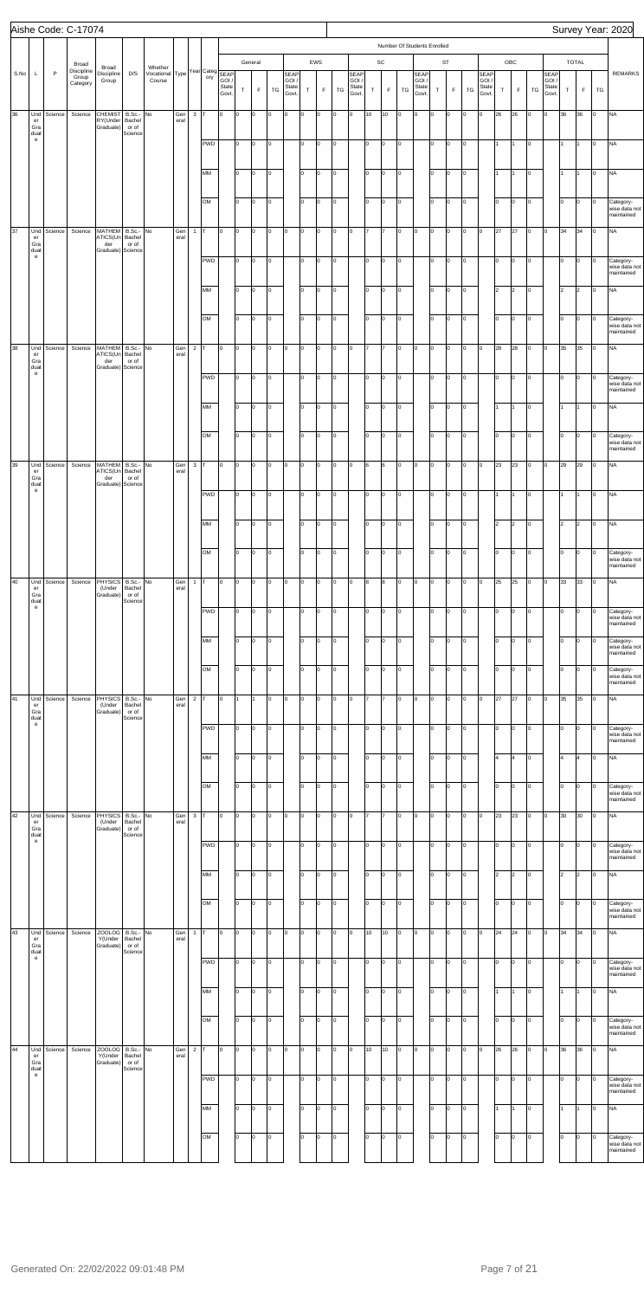|      |                                           |              | Aishe Code: C-17074             |                                         |                                         |                                            |             |                |            |                |        |             |    |                                 |           |             |         |                                 |    |               |                |                                       |        |                |                 |                                 |         |             |           |                                 |             |                |                | Survey Year: 2020                        |
|------|-------------------------------------------|--------------|---------------------------------|-----------------------------------------|-----------------------------------------|--------------------------------------------|-------------|----------------|------------|----------------|--------|-------------|----|---------------------------------|-----------|-------------|---------|---------------------------------|----|---------------|----------------|---------------------------------------|--------|----------------|-----------------|---------------------------------|---------|-------------|-----------|---------------------------------|-------------|----------------|----------------|------------------------------------------|
|      |                                           |              | Broad                           |                                         |                                         |                                            |             |                |            |                |        | General     |    |                                 |           | EWS         |         |                                 |    | $\mathsf{SC}$ |                | Number Of Students Enrolled           |        | <b>ST</b>      |                 |                                 |         | ${\sf OBC}$ |           |                                 |             | TOTAL          |                |                                          |
| S.No | L                                         | $\mathsf{P}$ | Discipline<br>Group<br>Category | Broad<br>Discipline<br>Group            | D/S                                     | Whether Vocational Type Year Category SEAP |             |                |            | State<br>Govt. | $\top$ | $\mathsf F$ | TG | SEAP<br>GOI /<br>State<br>Govt. | $\top$    | $\mathsf F$ | TG      | SEAP<br>GOI /<br>State<br>Govt. | T  | $\mathsf F$   | TG             | <b>SEAP</b><br>GOI.<br>State<br>Govt. | $\top$ | $\mathsf F$    | TG              | SEAP<br>GOI /<br>State<br>Govt. | $\sf T$ | $\mathsf F$ | TG        | SEAP<br>GOI /<br>State<br>Govt. | $\mathsf T$ | F.             | TG             | <b>REMARKS</b>                           |
| 36   | Und<br>er<br>Gra                          | Science      | Science                         | <b>CHEMIST</b><br>RY(Under<br>Graduate) | B.Sc.- No<br>Bachel<br>or of<br>Science |                                            | Gen<br>eral | 3 <sup>1</sup> | Iт         | O              | Iо     | O           | 0  | lo.                             | O         | 0           | O       | O                               | 10 | 10            | $\circ$        | Iо                                    | O      | $\circ$        | O               | O                               | 26      | 26          | O         | l0                              | 36          | 36             | $\circ$        | <b>NA</b>                                |
|      | duat<br>$\mathbf{e}% _{t}\left( t\right)$ |              |                                 |                                         |                                         |                                            |             |                | <b>PWD</b> |                | lо     | O           | O  |                                 | lo.       | 0           | O       |                                 | 10 | O             | $\circ$        |                                       | I٥     | lо             | O               |                                 |         |             | O         |                                 | 1           |                | $\circ$        | <b>NA</b>                                |
|      |                                           |              |                                 |                                         |                                         |                                            |             |                | MM         |                | I٥     | 0           | l0 |                                 | $\vert$ 0 | O           | O       |                                 | I٥ | O             | $\circ$        |                                       | I٥     | $\vert$ 0      | $\vert 0 \vert$ |                                 | I1.     | 11          | O         |                                 | 1           |                | $\circ$        | <b>NA</b>                                |
|      |                                           |              |                                 |                                         |                                         |                                            |             |                | OM         |                | lо     | 0           | l0 |                                 | $\vert$ 0 | 0           | O       |                                 | lo | O             | $\circ$        |                                       | I٥     | lо             | lо              |                                 | Iо      | Iо          | O         |                                 | I٥          | Iо             | 0              | Category-<br>wise data not<br>maintained |
| 37   | Und<br>er<br>Gra<br>duat                  | Science      | Science                         | MATHEM<br>ATICS(Un<br>der<br>Graduate)  | B.Sc.- No<br>Bachel<br>or of<br>Science |                                            | Gen<br>eral | $\mathbf{1}$   | т          | O              | Iо     | O           | l0 | lo.                             | l0        | 0           | O       | O                               | 17 |               | lo.            | Iо                                    | O      | Iо             | O               | 0                               | 27      | 27          | O         | Iо                              | 34          | 34             | 0              | <b>NA</b>                                |
|      | $\mathbf{e}% _{t}\left( t\right)$         |              |                                 |                                         |                                         |                                            |             |                | <b>PWD</b> |                | lо     | O           | 0  |                                 | lo.       | 0           | O       |                                 | 10 | O             | $\circ$        |                                       | I٥     | lо             | O               |                                 | I٥      | Iо          | O         |                                 | I٥          | Iо             | 0              | Category-<br>wise data not<br>maintained |
|      |                                           |              |                                 |                                         |                                         |                                            |             |                | MM         |                | I٥     | 0           | l0 |                                 | $\vert$ 0 | O           | O       |                                 | I٥ | O             | $\circ$        |                                       | I٥     | $\vert$ 0      | Iо              |                                 | 2       | 2           | O         |                                 | l2          | 2              | 0              | <b>NA</b>                                |
|      |                                           |              |                                 |                                         |                                         |                                            |             |                | OM         |                | lо     | O           | 0  |                                 | $\vert$ 0 | 0           | O       |                                 | lo | O             | $\circ$        |                                       | I٥     | lо             | lо              |                                 | Iо      | Iо          | O         |                                 | I٥          | Iо             | 0              | Category-<br>wise data not<br>maintained |
| 38   | Und<br>er<br>Gra<br>duat                  | Science      | Science                         | MATHEM<br>ATICS(Un<br>der<br>Graduate)  | B.Sc.- No<br>Bachel<br>or of<br>Science |                                            | Gen<br>eral | $\overline{2}$ | т          | l0             | O      | O           | l0 | lo.                             | l0        | 0           | O       | O                               | 17 |               | lo.            | Iо                                    | O      | Iо             | O               | 0                               | 28      | 28          | O         | Iо                              | 35          | 35             | 0              | <b>NA</b>                                |
|      | $\mathbf{e}% _{t}\left( t\right)$         |              |                                 |                                         |                                         |                                            |             |                | <b>PWD</b> |                | lо     | O           | l0 |                                 | lo.       | 0           | O       |                                 | 10 | O             | $\circ$        |                                       | I٥     | lо             | O               |                                 | I٥      | Iо          | O         |                                 | I٥          | Iо             | 0              | Category-<br>wise data not<br>maintained |
|      |                                           |              |                                 |                                         |                                         |                                            |             |                | MM         |                | I٥     | 0           | l0 |                                 | $\vert$ 0 | O           | O       |                                 | I٥ | 0             | $\circ$        |                                       | I٥     | $\vert$ 0      | Iо              |                                 | I1.     | 11          | O         |                                 | 1           | 11             | 0              | <b>NA</b>                                |
|      |                                           |              |                                 |                                         |                                         |                                            |             |                | OM         |                | lо     | O.          | O  |                                 | $\vert$ 0 | 0           | O       |                                 | lo | O             | $\circ$        |                                       | I٥     | Iо             | lо              |                                 | Iо      | Iо          | O         |                                 | I٥          | $\circ$        | O              | Category-<br>wise data not<br>maintained |
| 39   | Und<br>er<br>Gra<br>duat                  | Science      | Science                         | MATHEM<br>ATICS(Un<br>der<br>Graduate)  | B.Sc.- No<br>Bachel<br>or of<br>Science |                                            | Gen<br>eral | 3 <sup>1</sup> | T.         | l0             | lo.    | 0           | O  | $\overline{0}$                  | l0        | 0           | O       | O                               | 6  | 6             | $\circ$        | $\overline{0}$                        | O      | $\vert$ 0      | O               | 0                               | 23      | 23          | O         | Iо                              | 29          | 29             | 0              | <b>NA</b>                                |
|      | $\mathbf{e}$                              |              |                                 |                                         |                                         |                                            |             |                | PWD        |                | I٥     | O           | 0  |                                 | lo.       | O           | O       |                                 | 10 | O             | $\circ$        |                                       | I٥     | $\vert$ 0      | Iо              |                                 | l1      |             | O         |                                 | 1           | $\overline{1}$ | 0              | <b>NA</b>                                |
|      |                                           |              |                                 |                                         |                                         |                                            |             |                | MM         |                | lо     | o           | O  |                                 | I٥        | $\Omega$    | O       |                                 | I٥ | O             | lо             |                                       | lo     | Iо             | lо              |                                 | 2       | 2           | O         |                                 | 2           | $\overline{2}$ | O              | <b>NA</b>                                |
|      |                                           |              |                                 |                                         |                                         |                                            |             |                | OM         |                | lо     | o           | O  |                                 | lo        | $\Omega$    | O       |                                 | Iо | O             | lо             |                                       | I٥     | Iо             | Iо              |                                 | Iо      | Iо          | O         |                                 | I٥          | Iо             | 0              | Category-<br>wise data not<br>maintained |
| 40   | Und<br>er<br>Gra<br>duat                  | Science      | Science                         | <b>PHYSICS</b><br>(Under<br>Graduate)   | B.Sc.- No<br>Bachel<br>or of<br>Science |                                            | Gen<br>eral | $\mathbf{1}$   | т          | O              | Iо     | O           | O  | lo.                             | l0        | $\Omega$    | O       | O                               | 8  | 8             | $\circ$        | O                                     | O      | $\overline{0}$ | $\circ$         | 0                               | 25      | 25          | O         | O                               | 33          | 33             | 0              | <b>NA</b>                                |
|      | $\mathbf{e}$                              |              |                                 |                                         |                                         |                                            |             |                | PWD        |                | lо     | o           | o  |                                 | I٥        | O           | O       |                                 | lo | O             | $\circ$        |                                       | I٥     | $\circ$        | Iо              |                                 | I٥      | Iо          | O         |                                 | I٥          | Iо             | 0              | Category-<br>wise data not<br>maintained |
|      |                                           |              |                                 |                                         |                                         |                                            |             |                | MM         |                | I٥     | O           | O  |                                 | lо        | $\Omega$    | O       |                                 | I٥ | O             | lо             |                                       | lo     | Iо             | Iо              |                                 | lо      | lо          | O         |                                 | lо          | Iо             | O              | Category-<br>wise data not<br>maintained |
|      |                                           |              |                                 |                                         |                                         |                                            |             |                | OM         |                | lо     | o           | o  |                                 | $\vert$ 0 | $\Omega$    | O       |                                 | Iо | O             | lo.            |                                       | I٥     | Iо             | Iо              |                                 | lо      | Iо          | O         |                                 | I٥          | Iо             | 0              | Category-<br>wise data not<br>maintained |
| 41   | Und<br>er<br>Gra<br>duat                  | Science      | Science                         | <b>PHYSICS</b><br>(Under<br>Graduate)   | B.Sc.- No<br>Bachel<br>or of<br>Science |                                            | Gen<br>eral | $2$ T          |            | l0             | I1     |             | l0 | lo.                             | l0        | $\Omega$    | O       | O                               | 17 |               | lo.            | Iо                                    | O      | $\circ$        | $\overline{0}$  | 0                               | 27      | 27          | O         | O                               | 35          | 35             | 0              | <b>NA</b>                                |
|      | $\mathbf{e}$                              |              |                                 |                                         |                                         |                                            |             |                | PWD        |                | lо     | o           | O  |                                 | I٥        | O           | O       |                                 | lo | O             | $\circ$        |                                       | I٥     | Iо             | O               |                                 | I٥      | O           | O         |                                 | I٥          | Iо             | 0              | Category-<br>wise data not<br>maintained |
|      |                                           |              |                                 |                                         |                                         |                                            |             |                | MM         |                | I٥     | O           | O  |                                 | lо        | $\Omega$    | O       |                                 | I٥ | O             | lо             |                                       | lo     | Iо             | Iо              |                                 | l4      | l4          | O         |                                 | 4           | 4              | O              | <b>NA</b>                                |
|      |                                           |              |                                 |                                         |                                         |                                            |             |                | OM         |                | lо     | o           | o  |                                 | $\vert$ 0 | $\Omega$    | O       |                                 | Iо | O             | lo.            |                                       | I٥     | Iо             | Iо              |                                 | Iо      | Iо          | O         |                                 | I٥          | Iо             | 0              | Category-<br>wise data not<br>maintained |
| 42   | Und<br>er<br>Gra<br>duat                  | Science      | Science                         | <b>PHYSICS</b><br>(Under<br>Graduate)   | B.Sc.- No<br>Bachel<br>or of<br>Science |                                            | Gen<br>eral | $\mathbf{3}$   | T          | l0             | Iо     | O           | l0 | lo.                             | l0        | $\Omega$    | O       | O                               | 17 |               | lo.            | Iо                                    | O      | $\circ$        | $\overline{0}$  | 0                               | 23      | 23          | O         | Iо                              | 30          | 30             | 0              | <b>NA</b>                                |
|      | e                                         |              |                                 |                                         |                                         |                                            |             |                | PWD        |                | lо     | o           | O  |                                 | I٥        | 0           | O       |                                 | lo | O             | $\circ$        |                                       | I٥     | Iо             | O               |                                 | I٥      | O           | O         |                                 | I٥          | Iо             | 0              | Category-<br>wise data not<br>maintained |
|      |                                           |              |                                 |                                         |                                         |                                            |             |                | MM         |                | lо     | O           | O  |                                 | lo        | $\Omega$    | O       |                                 | I٥ | O             | lо             |                                       | lo     | Iо             | Iо              |                                 | 2       | 2           | O         |                                 | 2           | 2              | Iо             | <b>NA</b>                                |
|      |                                           |              |                                 |                                         |                                         |                                            |             |                | OM         |                | lо     | O           | o  |                                 | $\vert$ 0 | $\Omega$    | O       |                                 | Iо | O             | lo.            |                                       | I٥     | Iо             | Iо              |                                 | Iо      | lо          | O         |                                 | I٥          | Iо             | 0              | Category-<br>wise data not<br>maintained |
| 43   | Und<br>er<br>Gra<br>duat                  | Science      | Science                         | ZOOLOG<br>Y(Under<br>Graduate)          | B.Sc.- No<br>Bachel<br>or of<br>Science |                                            | Gen<br>eral | $\mathbf{1}$   | т          | l0             | Iо     | O           | l0 | lo.                             | l0        | 0           | O       | O                               | 10 | 10            | $\circ$        | Iо                                    | O      | $\circ$        | $\overline{0}$  | 0                               | 24      | 24          | O         | Iо                              | 34          | 34             | 0              | <b>NA</b>                                |
|      | e                                         |              |                                 |                                         |                                         |                                            |             |                | <b>PWD</b> |                | lо     | O           | O  |                                 | Iо        | $\Omega$    | O       |                                 | lo | O             | $\circ$        |                                       | I٥     | lо             | O               |                                 | I٥      | Iо          | 0         |                                 | I٥          | Iо             | 0              | Category-<br>wise data not<br>maintained |
|      |                                           |              |                                 |                                         |                                         |                                            |             |                | MM         |                | lо     | $\vert$ 0   | Iо |                                 | $\vert$ 0 | lо          | $\circ$ |                                 | lо | lо            | $\overline{0}$ |                                       | lо     | $\vert$ 0      | Iо              |                                 | 11      | I1.         | $\vert$ 0 |                                 | I1.         | I1.            | $\overline{0}$ | <b>NA</b>                                |
|      |                                           |              |                                 |                                         |                                         |                                            |             |                | OM         |                | I٥     | 0           | O  |                                 | $\vert$ 0 | O           | O       |                                 | lo | 0             | $\circ$        |                                       | Iо     | $\overline{0}$ | O               |                                 | I٥      | Iо          | O         |                                 | lо          | $\circ$        | 0              | Category-<br>wise data not<br>maintained |
| 44   | Und<br>er<br>Gra<br>duat                  | Science      | Science                         | <b>ZOOLOG</b><br>Y(Under<br>Graduate)   | B.Sc.- No<br>Bachel<br>or of<br>Science |                                            | Gen<br>eral | $2$ T          |            | l0             | O      | O           | l0 | lo.                             | l0        | 0           | O       | O                               | 10 | 10            | $\circ$        | Iо                                    | O      | $\circ$        | lo.             | O                               | 26      | 26          | O         | l0                              | 36          | 36             | 0              | <b>NA</b>                                |
|      | $\mathbf{e}$                              |              |                                 |                                         |                                         |                                            |             |                | <b>PWD</b> |                | I٥     | o           | 0  |                                 | lo.       | $\Omega$    | O       |                                 | Iо | O             | $\circ$        |                                       | I٥     | $\circ$        | 0               |                                 | I٥      | 0           | O         |                                 | I٥          | Iо             | 0              | Category-<br>wise data not<br>maintained |
|      |                                           |              |                                 |                                         |                                         |                                            |             |                | MM         |                | I٥     | 0           | l0 |                                 | lo        | O           | O       |                                 | I٥ | O             | $\circ$        |                                       | I٥     | $\overline{0}$ | lo.             |                                 | I1.     |             | O         |                                 | 1           |                | O              | <b>NA</b>                                |
|      |                                           |              |                                 |                                         |                                         |                                            |             |                | OM         |                | lо     | o           | 0  |                                 | $\vert$ 0 | 0           | O       |                                 | lo | O             | $\circ$        |                                       | I٥     | $\circ$        | O               |                                 | Iо      | 0           | O         |                                 | I٥          | Iо             | O              | Category-<br>wise data not<br>maintained |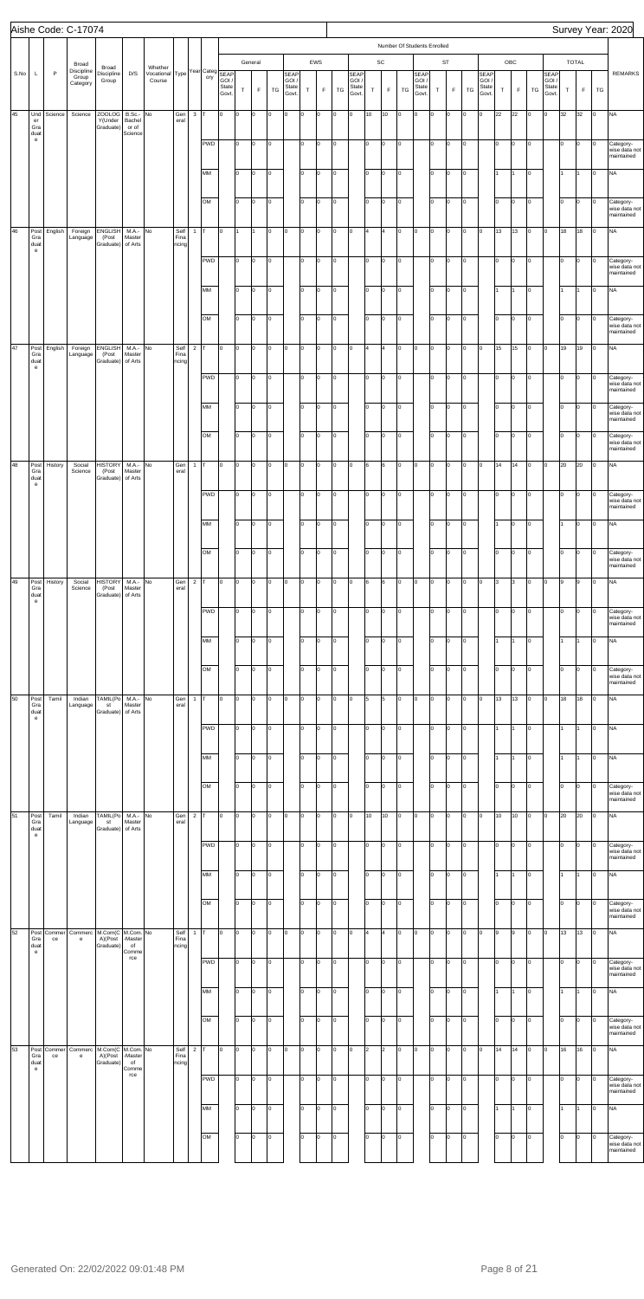| Number Of Students Enrolled<br>EWS<br>SC<br><b>ST</b><br>OBC<br>TOTAL<br>General<br>Broad<br>Broad<br>Discipline<br>Whether Vocational Type Year Category SEAP<br>$\mathsf{P}$<br>S.No<br>D/S<br>SEAP<br>GOI /<br>L<br>Discipline<br>SEAP<br>GOI /<br>SEAP<br>GOI /<br>SEAP<br>GOI /<br><b>SEAP</b><br>Group<br>GOI /<br>Group<br>Category<br>State<br>State<br>State<br>State<br>State<br>State<br>$\mathsf F$<br>$\top$<br>$\mathsf T$<br>$\mathsf F$<br>$\mathsf T$<br>$\mathsf F$<br>TG<br>$\mathsf T$<br>$\mathsf F$<br>TG<br>TG<br>$\mathsf F$<br>TG<br>TG<br>T<br>F<br>TG<br>$\mathsf T$<br>Govt.<br>Govt.<br>Govt.<br>Govt<br>Govt.<br>Govt.<br>45<br><b>ZOOLOG</b><br>B.Sc.- No<br>$3$ T<br>10<br>10<br>$\overline{0}$<br>O<br>22<br>22<br>Iо<br>32<br>32<br><b>NA</b><br>Und<br>Science<br>Science<br>Gen<br>l0<br>lо<br>o<br>O<br>$\circ$<br>lo<br>o<br>O<br>O<br>O<br>$\circ$<br>O<br>$\circ$<br>O<br>O<br>Y(Under<br>Bachel<br>eral<br>er<br>Graduate)<br>Gra<br>or of<br>duat<br>Science<br>$\mathbf{e}% _{t}\left( t\right)$<br>PWD<br>lо<br>l0<br>O<br>o<br>lо<br>I٥<br>Iо<br>lо<br>lo.<br>o<br>10<br>o<br>O<br>$\circ$<br>Iо<br>O<br>0<br>0<br>Category-<br>MM<br>$\vert$ 0<br>lo.<br>I٥<br>$\vert$ 0<br><b>NA</b><br>I٥<br>O<br>O<br>o<br>O<br>Iо<br>1<br>O<br>O<br>$\circ$<br>l1<br>I1.<br>O<br>11<br>OM<br>lo.<br>O<br>$\vert$ 0<br>lо<br>I٥<br>$\vert$ 0<br>$\overline{0}$<br>O.<br>o<br>O<br>Iо<br>lo.<br>Category-<br>wise data not<br>o<br>$\circ$<br>Iо<br>O<br>$\vert 0 \vert$<br>0<br>46<br>$M.A.-$ No<br>O<br>13<br>13<br>18<br>18<br><b>NA</b><br>English<br><b>ENGLISH</b><br>Self<br>$\overline{0}$<br>I1.<br>O<br>O<br>o<br>$\overline{4}$<br>$\overline{4}$<br>Iо<br>O<br>$\vert$ 0<br>o<br>Iо<br>$\circ$<br>Post<br>Foreign<br>$\mathbf{1}$<br>T.<br>O<br>O<br>O<br>Iо<br>O<br>11<br>(Post<br>Gra<br>Master<br>Fina<br>Language<br>Graduate)<br>of Arts<br>duat<br>ncing<br>$\mathbf{e}% _{t}\left( t\right)$<br><b>PWD</b><br>lо<br>lo.<br>O<br>o<br>lо<br>O<br>I٥<br>Iо<br>lо<br>lo.<br>O<br>10<br>o<br>$\circ$<br>Iо<br>O<br>0<br>0<br>wise data not<br>MM<br>$\vert$ 0<br>lo.<br>I٥<br>$\vert$ 0<br>$\overline{0}$<br><b>NA</b><br>I٥<br>O<br>O<br>o<br>O<br>1<br>O<br>O<br>$\circ$<br>l1<br>I1.<br>O<br>11<br>OM<br>lo.<br>O<br>$\vert$ 0<br>lо<br>I٥<br>$\vert$ 0<br>lо<br>O.<br>o<br>O<br>Iо<br>I٥<br>o<br>$\circ$<br>Iо<br>O<br>$\vert 0 \vert$<br>0<br>maintained<br>47<br>English<br><b>ENGLISH</b><br>$M.A.-$ No<br>Self<br>$2$ T<br>O<br>15<br>15<br>19<br>19<br><b>NA</b><br>Foreign<br>$\overline{0}$<br>O<br>O.<br>O<br>O<br>o<br>$\overline{4}$<br>$\overline{4}$<br>Iо<br>O<br>Iо<br>Iо<br>$\circ$<br>Post<br>O<br>O<br>O<br>Iо<br>lо<br>O<br>(Post<br>Gra<br>Master<br>Fina<br>Language<br>Graduate)<br>of Arts<br>duat<br>ncing<br>$\mathbf{e}% _{t}\left  \mathbf{1}\right\rangle =\mathbf{1}_{\left  \mathbf{1}\right  \leq\left  \mathbf{1}% _{t}\right  }$<br><b>PWD</b><br>lо<br>lo.<br>O<br>o<br>lо<br>o<br>I٥<br>Iо<br>lо<br>lo.<br>O<br>10<br>lo<br>$\circ$<br>Iо<br>O<br>0<br>0<br>MM<br>$\vert$ 0<br>lo.<br>I٥<br>$\vert$ 0<br>$\overline{0}$<br>lо<br>lo.<br>I٥<br>O.<br>O<br>o<br>O<br>O<br>$\circ$<br>lо<br>O<br>Iо<br>O<br>OM<br>lo.<br>O<br>$\vert$ 0<br>O<br>lо<br>I٥<br>$\vert$ 0<br>lо<br>O.<br>O<br>Iо<br>Iо<br>lo.<br>o<br>$\circ$<br>O<br>$\vert 0 \vert$<br>0<br>48<br>$M.A.-$ No<br>l6<br>$\vert$ 0<br>$\overline{0}$<br>O<br>14<br>14<br>20<br>20<br><b>NA</b><br>History<br><b>HISTORY</b><br>Gen<br>O<br>O<br>O.<br>O<br>$\circ$<br>O<br>o<br>O<br>6<br>Iо<br>o<br>Iо<br>$\circ$<br>Post<br>Social<br>$\mathbf{1}$<br>T<br>O<br>$\circ$<br>O<br>Gra<br>(Post<br>Master<br>Science<br>eral<br>Graduate)<br>of Arts<br>duat<br>$\mathbf{e}% _{t}\left( t\right)$<br>PWD<br>lо<br>$\vert$ 0<br>lо<br>lo.<br>O<br>lо<br>o<br>lо<br>O<br>Iо<br>Iо<br>lo.<br>O<br>0<br>$\circ$<br>O<br>$\circ$<br>$\overline{0}$<br>MM<br>lo.<br>o<br>lо<br>lo.<br>I٥<br>lo<br>$\overline{0}$<br>lо<br><b>NA</b><br>o<br>lo<br>o<br>l1<br>o<br>I1<br>O<br>lo.<br>O<br>O<br>OM<br>lo<br>lо<br>lо<br>lо<br>o<br>o<br>o<br>I٥<br>Iо<br>lо<br>lo.<br>o<br>lo.<br>Iо<br>Iо<br>O<br>O<br>0<br>49<br><b>HISTORY</b><br>M.A.- No<br>Gen<br>$2$ T<br>6<br>O<br><b>NA</b><br>History<br>Social<br>l0<br>O<br>O<br>$\circ$<br>o<br>6<br>$\overline{0}$<br>o<br>Iо<br>l3<br>l3<br>o<br>9<br>O<br>Post<br>O<br>O<br>0<br>O<br>lo.<br>0<br>O<br>9<br>(Post<br>Gra<br>Master<br>Science<br>eral<br>Graduate)<br>of Arts<br>duat<br>$\mathbf{e}$<br>PWD<br>I٥<br>O<br>o<br>lо<br>I٥<br>Iо<br>lо<br>lо<br>lo.<br>o<br>I٥<br>lo<br>O<br>Iо<br>Iо<br>O<br>0<br>0<br>MM<br>I٥<br><b>NA</b><br>lо<br>O<br>Iо<br>lo<br>lo<br>Iо<br>lо<br>1<br>l0<br>o<br>$\Omega$<br>O<br>l1<br>l0.<br>0<br>OM<br>lo<br>lo.<br>lо<br>I٥<br>lо<br>lо<br>lо<br>o<br>o<br>lo<br>o<br>Iо<br>lo.<br>lо<br>Iо<br>O<br>O<br>0<br>wise data not<br>50<br>TAMIL(Po<br>M.A.- No<br>Gen<br>5<br>O<br>13<br>13<br>18<br>18<br><b>NA</b><br>Tamil<br>l0<br>Iо<br>O<br>$\circ$<br>o<br>5<br>Iо<br>o<br>Iо<br>o<br>Iо<br>O<br>Post<br>Indian<br>$\mathbf{1}$<br>o<br>O<br>0<br>O<br>lо<br>0<br>т.<br>Gra<br>Language<br>st<br>Master<br>eral<br>Graduate)<br>of Arts<br>duat<br>$\mathbf{e}% _{t}\left( t\right)$<br>PWD<br><b>NA</b><br>lо<br>O<br>lо<br>lо<br>I٥<br>Iо<br>lо<br>O<br>o<br>I٥<br>lo<br>O<br>lо<br>I1<br>O<br>1<br>l1<br>MM<br>I٥<br><b>NA</b><br>lо<br>Iо<br>lo<br>lo<br>O<br>lо<br>l1<br>O<br>o<br>l0<br>O<br>l1<br>O<br>$\Omega$<br>I٥<br>OM<br>lo<br>lo.<br>lо<br>I٥<br>lо<br>lо<br>lо<br>o<br>o<br>lo<br>Iо<br>lo.<br>O<br>lо<br>Iо<br>O<br>O<br>0<br>51<br>TAMIL(Po<br>M.A.- No<br>Gen<br>10<br>O<br>10<br>20<br>20<br><b>NA</b><br>Post<br>Tamil<br>$\overline{2}$<br>l0<br>Iо<br>O<br>$\circ$<br>o<br>10<br>Iо<br>o<br>Iо<br>10<br>o<br>O<br>Indian<br>o<br>O<br>0<br>O<br>lо<br>O<br>O<br>Gra<br>Language<br>st<br>Master<br>eral<br>Graduate)<br>of Arts<br>duat<br>$\mathbf{e}$<br>PWD<br>lо<br>O<br>lо<br>I٥<br>I٥<br>Iо<br>lо<br>lо<br>I٥<br>o<br>I٥<br>lo<br>O<br>lо<br>Iо<br>Iо<br>Iо<br>0<br>MM<br>I٥<br><b>NA</b><br>lо<br>Iо<br>lo<br>lo<br>o<br>lо<br>1<br>o<br>l0<br>O<br>l1<br>O<br>O<br>$\Omega$<br>I٥<br>OM<br>lo<br>I٥<br>I٥<br>lо<br>lо<br>lо<br>o<br>o<br>lo<br>o<br>Iо<br>I٥<br>O<br>O<br>Iо<br>O<br>O<br>0<br>52<br>M.Com(C   M.Com. No<br>Self<br>13<br><b>NA</b><br>Post<br>Commerc<br>l0<br>Iо<br>O<br>O<br>o<br>l4<br>$\overline{4}$<br>lо<br>o<br>Iо<br>O<br>l9<br>lo<br>13<br>O<br>Commer<br>$\mathbf{1}$<br>т.<br>o<br>O<br>0<br>O<br>Iо<br>O<br>l9<br>O<br>-Master<br>Gra<br>A)(Post<br>Fina<br>ce<br>$\mathsf{e}% _{0}\left( \mathsf{e}\right)$<br>Graduate)<br>duat<br>of<br>ncing<br>$\mathbf{e}$<br>Comme<br>rce<br><b>PWD</b><br>lо<br>O<br>O<br>lо<br>I٥<br>Iо<br>lо<br>lо<br>I٥<br>o<br>I٥<br>lo<br>O<br>Iо<br>Iо<br>Iо<br>Iо<br>0<br>MM<br>$\overline{0}$<br>o<br><b>NA</b><br>o<br>lо<br>lо<br>o<br>o<br>lо<br>$\vert$ 0<br>lо<br>1<br>I1.<br>O<br>11<br>lо<br>o<br>$\overline{0}$<br>I1.<br>OM<br>lo.<br>lо<br>$ 0\rangle$<br>lо<br>I٥<br>$\overline{0}$<br>O<br>I٥<br>O.<br>lо<br>O<br>O<br>Iо<br>lо<br>Category-<br>$\circ$<br>O<br>Iо<br>0<br>53<br>M.Com(C M.Com. No<br>Self<br>$2$ T<br>14<br><b>NA</b><br>Post<br>Commerc<br>l0<br>$\overline{2}$<br>2<br>Iо<br>O<br>lо<br>14<br>16<br>16<br>O<br>Commer<br>O<br>O<br>O<br>lo<br>O<br>O<br>lo<br>0<br>0<br>0<br>l0.<br>O<br>0<br>-Master<br>Fina<br>A)(Post<br>Gra<br>ce<br>$\mathsf{e}% _{0}\left( \mathsf{e}\right)$<br>Graduate)<br>duat<br>of<br>ncing<br>Comme<br>$\mathsf{e}% _{0}\left( \mathsf{e}\right)$<br>rce<br><b>PWD</b><br>lо<br>lо<br>I٥<br>Iо<br>lо<br>lо<br>lo.<br>lо<br>O<br>I٥<br>lo<br>O<br>lо<br>Iо<br>O<br>O<br>0<br>0<br>MM<br>$\vert$ 0<br>lo.<br>I٥<br><b>NA</b><br>lо<br>o<br>Iо<br>lо<br>1<br>o<br>O<br>lo<br>O<br>lо<br>I1<br>O<br>Iо<br>I1<br>OM<br>lо<br>lо<br>lо<br>I٥<br>lо<br>lо<br>lo.<br>o<br>o<br>Iо<br>o<br>lo.<br>O<br>lо<br>Iо<br>O<br>Iо<br>O |  | Aishe Code: C-17074 |  |  |  |  |  |  |  |  |  |  |  |  |  |  |  | Survey Year: 2020                        |
|----------------------------------------------------------------------------------------------------------------------------------------------------------------------------------------------------------------------------------------------------------------------------------------------------------------------------------------------------------------------------------------------------------------------------------------------------------------------------------------------------------------------------------------------------------------------------------------------------------------------------------------------------------------------------------------------------------------------------------------------------------------------------------------------------------------------------------------------------------------------------------------------------------------------------------------------------------------------------------------------------------------------------------------------------------------------------------------------------------------------------------------------------------------------------------------------------------------------------------------------------------------------------------------------------------------------------------------------------------------------------------------------------------------------------------------------------------------------------------------------------------------------------------------------------------------------------------------------------------------------------------------------------------------------------------------------------------------------------------------------------------------------------------------------------------------------------------------------------------------------------------------------------------------------------------------------------------------------------------------------------------------------------------------------------------------------------------------------------------------------------------------------------------------------------------------------------------------------------------------------------------------------------------------------------------------------------------------------------------------------------------------------------------------------------------------------------------------------------------------------------------------------------------------------------------------------------------------------------------------------------------------------------------------------------------------------------------------------------------------------------------------------------------------------------------------------------------------------------------------------------------------------------------------------------------------------------------------------------------------------------------------------------------------------------------------------------------------------------------------------------------------------------------------------------------------------------------------------------------------------------------------------------------------------------------------------------------------------------------------------------------------------------------------------------------------------------------------------------------------------------------------------------------------------------------------------------------------------------------------------------------------------------------------------------------------------------------------------------------------------------------------------------------------------------------------------------------------------------------------------------------------------------------------------------------------------------------------------------------------------------------------------------------------------------------------------------------------------------------------------------------------------------------------------------------------------------------------------------------------------------------------------------------------------------------------------------------------------------------------------------------------------------------------------------------------------------------------------------------------------------------------------------------------------------------------------------------------------------------------------------------------------------------------------------------------------------------------------------------------------------------------------------------------------------------------------------------------------------------------------------------------------------------------------------------------------------------------------------------------------------------------------------------------------------------------------------------------------------------------------------------------------------------------------------------------------------------------------------------------------------------------------------------------------------------------------------------------------------------------------------------------------------------------------------------------------------------------------------------------------------------------------------------------------------------------------------------------------------------------------------------------------------------------------------------------------------------------------------------------------------------------------------------------------------------------------------------------------------------------------------------------------------------------------------------------------------------------------------------------------------------------------------------------------------------------------------------------------------------------------------------------------------------------------------------------------------------------------------------------------------------------------------------------------------------------------------------------------------------------------------------------------------------------------------------------------------------------------------------------------------------------------------------------------------------------------------------------------------------------------------------------------------------------------------------------------------------------------------------------------------------------------------------------------------------------------------------------------------------------------------------------------------------------------------------------------------------------------------------------------------------------------------------------------------------------------------------------------------------------------------------------------------------------------------------------------------------------------------------------------------------------------------------------------------------------------------------------------------------------------------------------------------------------------------------------------------------------------------------------------------------------------------------------------------------------------------------------------------------------------------------------------------------------------------------------------------------------------------------------------------------------------------------------------------------------------------------------------------------------------------------------------------------------|--|---------------------|--|--|--|--|--|--|--|--|--|--|--|--|--|--|--|------------------------------------------|
|                                                                                                                                                                                                                                                                                                                                                                                                                                                                                                                                                                                                                                                                                                                                                                                                                                                                                                                                                                                                                                                                                                                                                                                                                                                                                                                                                                                                                                                                                                                                                                                                                                                                                                                                                                                                                                                                                                                                                                                                                                                                                                                                                                                                                                                                                                                                                                                                                                                                                                                                                                                                                                                                                                                                                                                                                                                                                                                                                                                                                                                                                                                                                                                                                                                                                                                                                                                                                                                                                                                                                                                                                                                                                                                                                                                                                                                                                                                                                                                                                                                                                                                                                                                                                                                                                                                                                                                                                                                                                                                                                                                                                                                                                                                                                                                                                                                                                                                                                                                                                                                                                                                                                                                                                                                                                                                                                                                                                                                                                                                                                                                                                                                                                                                                                                                                                                                                                                                                                                                                                                                                                                                                                                                                                                                                                                                                                                                                                                                                                                                                                                                                                                                                                                                                                                                                                                                                                                                                                                                                                                                                                                                                                                                                                                                                                                                                                                                                                                                                                                                                                                                                                                                                                                                                                                                                                                                                                                                |  |                     |  |  |  |  |  |  |  |  |  |  |  |  |  |  |  |                                          |
|                                                                                                                                                                                                                                                                                                                                                                                                                                                                                                                                                                                                                                                                                                                                                                                                                                                                                                                                                                                                                                                                                                                                                                                                                                                                                                                                                                                                                                                                                                                                                                                                                                                                                                                                                                                                                                                                                                                                                                                                                                                                                                                                                                                                                                                                                                                                                                                                                                                                                                                                                                                                                                                                                                                                                                                                                                                                                                                                                                                                                                                                                                                                                                                                                                                                                                                                                                                                                                                                                                                                                                                                                                                                                                                                                                                                                                                                                                                                                                                                                                                                                                                                                                                                                                                                                                                                                                                                                                                                                                                                                                                                                                                                                                                                                                                                                                                                                                                                                                                                                                                                                                                                                                                                                                                                                                                                                                                                                                                                                                                                                                                                                                                                                                                                                                                                                                                                                                                                                                                                                                                                                                                                                                                                                                                                                                                                                                                                                                                                                                                                                                                                                                                                                                                                                                                                                                                                                                                                                                                                                                                                                                                                                                                                                                                                                                                                                                                                                                                                                                                                                                                                                                                                                                                                                                                                                                                                                                                |  |                     |  |  |  |  |  |  |  |  |  |  |  |  |  |  |  | <b>REMARKS</b>                           |
|                                                                                                                                                                                                                                                                                                                                                                                                                                                                                                                                                                                                                                                                                                                                                                                                                                                                                                                                                                                                                                                                                                                                                                                                                                                                                                                                                                                                                                                                                                                                                                                                                                                                                                                                                                                                                                                                                                                                                                                                                                                                                                                                                                                                                                                                                                                                                                                                                                                                                                                                                                                                                                                                                                                                                                                                                                                                                                                                                                                                                                                                                                                                                                                                                                                                                                                                                                                                                                                                                                                                                                                                                                                                                                                                                                                                                                                                                                                                                                                                                                                                                                                                                                                                                                                                                                                                                                                                                                                                                                                                                                                                                                                                                                                                                                                                                                                                                                                                                                                                                                                                                                                                                                                                                                                                                                                                                                                                                                                                                                                                                                                                                                                                                                                                                                                                                                                                                                                                                                                                                                                                                                                                                                                                                                                                                                                                                                                                                                                                                                                                                                                                                                                                                                                                                                                                                                                                                                                                                                                                                                                                                                                                                                                                                                                                                                                                                                                                                                                                                                                                                                                                                                                                                                                                                                                                                                                                                                                |  |                     |  |  |  |  |  |  |  |  |  |  |  |  |  |  |  |                                          |
|                                                                                                                                                                                                                                                                                                                                                                                                                                                                                                                                                                                                                                                                                                                                                                                                                                                                                                                                                                                                                                                                                                                                                                                                                                                                                                                                                                                                                                                                                                                                                                                                                                                                                                                                                                                                                                                                                                                                                                                                                                                                                                                                                                                                                                                                                                                                                                                                                                                                                                                                                                                                                                                                                                                                                                                                                                                                                                                                                                                                                                                                                                                                                                                                                                                                                                                                                                                                                                                                                                                                                                                                                                                                                                                                                                                                                                                                                                                                                                                                                                                                                                                                                                                                                                                                                                                                                                                                                                                                                                                                                                                                                                                                                                                                                                                                                                                                                                                                                                                                                                                                                                                                                                                                                                                                                                                                                                                                                                                                                                                                                                                                                                                                                                                                                                                                                                                                                                                                                                                                                                                                                                                                                                                                                                                                                                                                                                                                                                                                                                                                                                                                                                                                                                                                                                                                                                                                                                                                                                                                                                                                                                                                                                                                                                                                                                                                                                                                                                                                                                                                                                                                                                                                                                                                                                                                                                                                                                                |  |                     |  |  |  |  |  |  |  |  |  |  |  |  |  |  |  | wise data not<br>maintained              |
|                                                                                                                                                                                                                                                                                                                                                                                                                                                                                                                                                                                                                                                                                                                                                                                                                                                                                                                                                                                                                                                                                                                                                                                                                                                                                                                                                                                                                                                                                                                                                                                                                                                                                                                                                                                                                                                                                                                                                                                                                                                                                                                                                                                                                                                                                                                                                                                                                                                                                                                                                                                                                                                                                                                                                                                                                                                                                                                                                                                                                                                                                                                                                                                                                                                                                                                                                                                                                                                                                                                                                                                                                                                                                                                                                                                                                                                                                                                                                                                                                                                                                                                                                                                                                                                                                                                                                                                                                                                                                                                                                                                                                                                                                                                                                                                                                                                                                                                                                                                                                                                                                                                                                                                                                                                                                                                                                                                                                                                                                                                                                                                                                                                                                                                                                                                                                                                                                                                                                                                                                                                                                                                                                                                                                                                                                                                                                                                                                                                                                                                                                                                                                                                                                                                                                                                                                                                                                                                                                                                                                                                                                                                                                                                                                                                                                                                                                                                                                                                                                                                                                                                                                                                                                                                                                                                                                                                                                                                |  |                     |  |  |  |  |  |  |  |  |  |  |  |  |  |  |  |                                          |
|                                                                                                                                                                                                                                                                                                                                                                                                                                                                                                                                                                                                                                                                                                                                                                                                                                                                                                                                                                                                                                                                                                                                                                                                                                                                                                                                                                                                                                                                                                                                                                                                                                                                                                                                                                                                                                                                                                                                                                                                                                                                                                                                                                                                                                                                                                                                                                                                                                                                                                                                                                                                                                                                                                                                                                                                                                                                                                                                                                                                                                                                                                                                                                                                                                                                                                                                                                                                                                                                                                                                                                                                                                                                                                                                                                                                                                                                                                                                                                                                                                                                                                                                                                                                                                                                                                                                                                                                                                                                                                                                                                                                                                                                                                                                                                                                                                                                                                                                                                                                                                                                                                                                                                                                                                                                                                                                                                                                                                                                                                                                                                                                                                                                                                                                                                                                                                                                                                                                                                                                                                                                                                                                                                                                                                                                                                                                                                                                                                                                                                                                                                                                                                                                                                                                                                                                                                                                                                                                                                                                                                                                                                                                                                                                                                                                                                                                                                                                                                                                                                                                                                                                                                                                                                                                                                                                                                                                                                                |  |                     |  |  |  |  |  |  |  |  |  |  |  |  |  |  |  | maintained                               |
|                                                                                                                                                                                                                                                                                                                                                                                                                                                                                                                                                                                                                                                                                                                                                                                                                                                                                                                                                                                                                                                                                                                                                                                                                                                                                                                                                                                                                                                                                                                                                                                                                                                                                                                                                                                                                                                                                                                                                                                                                                                                                                                                                                                                                                                                                                                                                                                                                                                                                                                                                                                                                                                                                                                                                                                                                                                                                                                                                                                                                                                                                                                                                                                                                                                                                                                                                                                                                                                                                                                                                                                                                                                                                                                                                                                                                                                                                                                                                                                                                                                                                                                                                                                                                                                                                                                                                                                                                                                                                                                                                                                                                                                                                                                                                                                                                                                                                                                                                                                                                                                                                                                                                                                                                                                                                                                                                                                                                                                                                                                                                                                                                                                                                                                                                                                                                                                                                                                                                                                                                                                                                                                                                                                                                                                                                                                                                                                                                                                                                                                                                                                                                                                                                                                                                                                                                                                                                                                                                                                                                                                                                                                                                                                                                                                                                                                                                                                                                                                                                                                                                                                                                                                                                                                                                                                                                                                                                                                |  |                     |  |  |  |  |  |  |  |  |  |  |  |  |  |  |  | Category-                                |
|                                                                                                                                                                                                                                                                                                                                                                                                                                                                                                                                                                                                                                                                                                                                                                                                                                                                                                                                                                                                                                                                                                                                                                                                                                                                                                                                                                                                                                                                                                                                                                                                                                                                                                                                                                                                                                                                                                                                                                                                                                                                                                                                                                                                                                                                                                                                                                                                                                                                                                                                                                                                                                                                                                                                                                                                                                                                                                                                                                                                                                                                                                                                                                                                                                                                                                                                                                                                                                                                                                                                                                                                                                                                                                                                                                                                                                                                                                                                                                                                                                                                                                                                                                                                                                                                                                                                                                                                                                                                                                                                                                                                                                                                                                                                                                                                                                                                                                                                                                                                                                                                                                                                                                                                                                                                                                                                                                                                                                                                                                                                                                                                                                                                                                                                                                                                                                                                                                                                                                                                                                                                                                                                                                                                                                                                                                                                                                                                                                                                                                                                                                                                                                                                                                                                                                                                                                                                                                                                                                                                                                                                                                                                                                                                                                                                                                                                                                                                                                                                                                                                                                                                                                                                                                                                                                                                                                                                                                                |  |                     |  |  |  |  |  |  |  |  |  |  |  |  |  |  |  | maintained                               |
|                                                                                                                                                                                                                                                                                                                                                                                                                                                                                                                                                                                                                                                                                                                                                                                                                                                                                                                                                                                                                                                                                                                                                                                                                                                                                                                                                                                                                                                                                                                                                                                                                                                                                                                                                                                                                                                                                                                                                                                                                                                                                                                                                                                                                                                                                                                                                                                                                                                                                                                                                                                                                                                                                                                                                                                                                                                                                                                                                                                                                                                                                                                                                                                                                                                                                                                                                                                                                                                                                                                                                                                                                                                                                                                                                                                                                                                                                                                                                                                                                                                                                                                                                                                                                                                                                                                                                                                                                                                                                                                                                                                                                                                                                                                                                                                                                                                                                                                                                                                                                                                                                                                                                                                                                                                                                                                                                                                                                                                                                                                                                                                                                                                                                                                                                                                                                                                                                                                                                                                                                                                                                                                                                                                                                                                                                                                                                                                                                                                                                                                                                                                                                                                                                                                                                                                                                                                                                                                                                                                                                                                                                                                                                                                                                                                                                                                                                                                                                                                                                                                                                                                                                                                                                                                                                                                                                                                                                                                |  |                     |  |  |  |  |  |  |  |  |  |  |  |  |  |  |  | Category-<br>wise data not               |
|                                                                                                                                                                                                                                                                                                                                                                                                                                                                                                                                                                                                                                                                                                                                                                                                                                                                                                                                                                                                                                                                                                                                                                                                                                                                                                                                                                                                                                                                                                                                                                                                                                                                                                                                                                                                                                                                                                                                                                                                                                                                                                                                                                                                                                                                                                                                                                                                                                                                                                                                                                                                                                                                                                                                                                                                                                                                                                                                                                                                                                                                                                                                                                                                                                                                                                                                                                                                                                                                                                                                                                                                                                                                                                                                                                                                                                                                                                                                                                                                                                                                                                                                                                                                                                                                                                                                                                                                                                                                                                                                                                                                                                                                                                                                                                                                                                                                                                                                                                                                                                                                                                                                                                                                                                                                                                                                                                                                                                                                                                                                                                                                                                                                                                                                                                                                                                                                                                                                                                                                                                                                                                                                                                                                                                                                                                                                                                                                                                                                                                                                                                                                                                                                                                                                                                                                                                                                                                                                                                                                                                                                                                                                                                                                                                                                                                                                                                                                                                                                                                                                                                                                                                                                                                                                                                                                                                                                                                                |  |                     |  |  |  |  |  |  |  |  |  |  |  |  |  |  |  |                                          |
|                                                                                                                                                                                                                                                                                                                                                                                                                                                                                                                                                                                                                                                                                                                                                                                                                                                                                                                                                                                                                                                                                                                                                                                                                                                                                                                                                                                                                                                                                                                                                                                                                                                                                                                                                                                                                                                                                                                                                                                                                                                                                                                                                                                                                                                                                                                                                                                                                                                                                                                                                                                                                                                                                                                                                                                                                                                                                                                                                                                                                                                                                                                                                                                                                                                                                                                                                                                                                                                                                                                                                                                                                                                                                                                                                                                                                                                                                                                                                                                                                                                                                                                                                                                                                                                                                                                                                                                                                                                                                                                                                                                                                                                                                                                                                                                                                                                                                                                                                                                                                                                                                                                                                                                                                                                                                                                                                                                                                                                                                                                                                                                                                                                                                                                                                                                                                                                                                                                                                                                                                                                                                                                                                                                                                                                                                                                                                                                                                                                                                                                                                                                                                                                                                                                                                                                                                                                                                                                                                                                                                                                                                                                                                                                                                                                                                                                                                                                                                                                                                                                                                                                                                                                                                                                                                                                                                                                                                                                |  |                     |  |  |  |  |  |  |  |  |  |  |  |  |  |  |  | Category-<br>wise data not<br>maintained |
|                                                                                                                                                                                                                                                                                                                                                                                                                                                                                                                                                                                                                                                                                                                                                                                                                                                                                                                                                                                                                                                                                                                                                                                                                                                                                                                                                                                                                                                                                                                                                                                                                                                                                                                                                                                                                                                                                                                                                                                                                                                                                                                                                                                                                                                                                                                                                                                                                                                                                                                                                                                                                                                                                                                                                                                                                                                                                                                                                                                                                                                                                                                                                                                                                                                                                                                                                                                                                                                                                                                                                                                                                                                                                                                                                                                                                                                                                                                                                                                                                                                                                                                                                                                                                                                                                                                                                                                                                                                                                                                                                                                                                                                                                                                                                                                                                                                                                                                                                                                                                                                                                                                                                                                                                                                                                                                                                                                                                                                                                                                                                                                                                                                                                                                                                                                                                                                                                                                                                                                                                                                                                                                                                                                                                                                                                                                                                                                                                                                                                                                                                                                                                                                                                                                                                                                                                                                                                                                                                                                                                                                                                                                                                                                                                                                                                                                                                                                                                                                                                                                                                                                                                                                                                                                                                                                                                                                                                                                |  |                     |  |  |  |  |  |  |  |  |  |  |  |  |  |  |  | Category-<br>wise data not<br>maintained |
|                                                                                                                                                                                                                                                                                                                                                                                                                                                                                                                                                                                                                                                                                                                                                                                                                                                                                                                                                                                                                                                                                                                                                                                                                                                                                                                                                                                                                                                                                                                                                                                                                                                                                                                                                                                                                                                                                                                                                                                                                                                                                                                                                                                                                                                                                                                                                                                                                                                                                                                                                                                                                                                                                                                                                                                                                                                                                                                                                                                                                                                                                                                                                                                                                                                                                                                                                                                                                                                                                                                                                                                                                                                                                                                                                                                                                                                                                                                                                                                                                                                                                                                                                                                                                                                                                                                                                                                                                                                                                                                                                                                                                                                                                                                                                                                                                                                                                                                                                                                                                                                                                                                                                                                                                                                                                                                                                                                                                                                                                                                                                                                                                                                                                                                                                                                                                                                                                                                                                                                                                                                                                                                                                                                                                                                                                                                                                                                                                                                                                                                                                                                                                                                                                                                                                                                                                                                                                                                                                                                                                                                                                                                                                                                                                                                                                                                                                                                                                                                                                                                                                                                                                                                                                                                                                                                                                                                                                                                |  |                     |  |  |  |  |  |  |  |  |  |  |  |  |  |  |  | Category-<br>wise data not<br>maintained |
|                                                                                                                                                                                                                                                                                                                                                                                                                                                                                                                                                                                                                                                                                                                                                                                                                                                                                                                                                                                                                                                                                                                                                                                                                                                                                                                                                                                                                                                                                                                                                                                                                                                                                                                                                                                                                                                                                                                                                                                                                                                                                                                                                                                                                                                                                                                                                                                                                                                                                                                                                                                                                                                                                                                                                                                                                                                                                                                                                                                                                                                                                                                                                                                                                                                                                                                                                                                                                                                                                                                                                                                                                                                                                                                                                                                                                                                                                                                                                                                                                                                                                                                                                                                                                                                                                                                                                                                                                                                                                                                                                                                                                                                                                                                                                                                                                                                                                                                                                                                                                                                                                                                                                                                                                                                                                                                                                                                                                                                                                                                                                                                                                                                                                                                                                                                                                                                                                                                                                                                                                                                                                                                                                                                                                                                                                                                                                                                                                                                                                                                                                                                                                                                                                                                                                                                                                                                                                                                                                                                                                                                                                                                                                                                                                                                                                                                                                                                                                                                                                                                                                                                                                                                                                                                                                                                                                                                                                                                |  |                     |  |  |  |  |  |  |  |  |  |  |  |  |  |  |  |                                          |
|                                                                                                                                                                                                                                                                                                                                                                                                                                                                                                                                                                                                                                                                                                                                                                                                                                                                                                                                                                                                                                                                                                                                                                                                                                                                                                                                                                                                                                                                                                                                                                                                                                                                                                                                                                                                                                                                                                                                                                                                                                                                                                                                                                                                                                                                                                                                                                                                                                                                                                                                                                                                                                                                                                                                                                                                                                                                                                                                                                                                                                                                                                                                                                                                                                                                                                                                                                                                                                                                                                                                                                                                                                                                                                                                                                                                                                                                                                                                                                                                                                                                                                                                                                                                                                                                                                                                                                                                                                                                                                                                                                                                                                                                                                                                                                                                                                                                                                                                                                                                                                                                                                                                                                                                                                                                                                                                                                                                                                                                                                                                                                                                                                                                                                                                                                                                                                                                                                                                                                                                                                                                                                                                                                                                                                                                                                                                                                                                                                                                                                                                                                                                                                                                                                                                                                                                                                                                                                                                                                                                                                                                                                                                                                                                                                                                                                                                                                                                                                                                                                                                                                                                                                                                                                                                                                                                                                                                                                                |  |                     |  |  |  |  |  |  |  |  |  |  |  |  |  |  |  | Category-<br>wise data not<br>maintained |
|                                                                                                                                                                                                                                                                                                                                                                                                                                                                                                                                                                                                                                                                                                                                                                                                                                                                                                                                                                                                                                                                                                                                                                                                                                                                                                                                                                                                                                                                                                                                                                                                                                                                                                                                                                                                                                                                                                                                                                                                                                                                                                                                                                                                                                                                                                                                                                                                                                                                                                                                                                                                                                                                                                                                                                                                                                                                                                                                                                                                                                                                                                                                                                                                                                                                                                                                                                                                                                                                                                                                                                                                                                                                                                                                                                                                                                                                                                                                                                                                                                                                                                                                                                                                                                                                                                                                                                                                                                                                                                                                                                                                                                                                                                                                                                                                                                                                                                                                                                                                                                                                                                                                                                                                                                                                                                                                                                                                                                                                                                                                                                                                                                                                                                                                                                                                                                                                                                                                                                                                                                                                                                                                                                                                                                                                                                                                                                                                                                                                                                                                                                                                                                                                                                                                                                                                                                                                                                                                                                                                                                                                                                                                                                                                                                                                                                                                                                                                                                                                                                                                                                                                                                                                                                                                                                                                                                                                                                                |  |                     |  |  |  |  |  |  |  |  |  |  |  |  |  |  |  |                                          |
|                                                                                                                                                                                                                                                                                                                                                                                                                                                                                                                                                                                                                                                                                                                                                                                                                                                                                                                                                                                                                                                                                                                                                                                                                                                                                                                                                                                                                                                                                                                                                                                                                                                                                                                                                                                                                                                                                                                                                                                                                                                                                                                                                                                                                                                                                                                                                                                                                                                                                                                                                                                                                                                                                                                                                                                                                                                                                                                                                                                                                                                                                                                                                                                                                                                                                                                                                                                                                                                                                                                                                                                                                                                                                                                                                                                                                                                                                                                                                                                                                                                                                                                                                                                                                                                                                                                                                                                                                                                                                                                                                                                                                                                                                                                                                                                                                                                                                                                                                                                                                                                                                                                                                                                                                                                                                                                                                                                                                                                                                                                                                                                                                                                                                                                                                                                                                                                                                                                                                                                                                                                                                                                                                                                                                                                                                                                                                                                                                                                                                                                                                                                                                                                                                                                                                                                                                                                                                                                                                                                                                                                                                                                                                                                                                                                                                                                                                                                                                                                                                                                                                                                                                                                                                                                                                                                                                                                                                                                |  |                     |  |  |  |  |  |  |  |  |  |  |  |  |  |  |  | Category-<br>wise data not<br>maintained |
|                                                                                                                                                                                                                                                                                                                                                                                                                                                                                                                                                                                                                                                                                                                                                                                                                                                                                                                                                                                                                                                                                                                                                                                                                                                                                                                                                                                                                                                                                                                                                                                                                                                                                                                                                                                                                                                                                                                                                                                                                                                                                                                                                                                                                                                                                                                                                                                                                                                                                                                                                                                                                                                                                                                                                                                                                                                                                                                                                                                                                                                                                                                                                                                                                                                                                                                                                                                                                                                                                                                                                                                                                                                                                                                                                                                                                                                                                                                                                                                                                                                                                                                                                                                                                                                                                                                                                                                                                                                                                                                                                                                                                                                                                                                                                                                                                                                                                                                                                                                                                                                                                                                                                                                                                                                                                                                                                                                                                                                                                                                                                                                                                                                                                                                                                                                                                                                                                                                                                                                                                                                                                                                                                                                                                                                                                                                                                                                                                                                                                                                                                                                                                                                                                                                                                                                                                                                                                                                                                                                                                                                                                                                                                                                                                                                                                                                                                                                                                                                                                                                                                                                                                                                                                                                                                                                                                                                                                                                |  |                     |  |  |  |  |  |  |  |  |  |  |  |  |  |  |  |                                          |
|                                                                                                                                                                                                                                                                                                                                                                                                                                                                                                                                                                                                                                                                                                                                                                                                                                                                                                                                                                                                                                                                                                                                                                                                                                                                                                                                                                                                                                                                                                                                                                                                                                                                                                                                                                                                                                                                                                                                                                                                                                                                                                                                                                                                                                                                                                                                                                                                                                                                                                                                                                                                                                                                                                                                                                                                                                                                                                                                                                                                                                                                                                                                                                                                                                                                                                                                                                                                                                                                                                                                                                                                                                                                                                                                                                                                                                                                                                                                                                                                                                                                                                                                                                                                                                                                                                                                                                                                                                                                                                                                                                                                                                                                                                                                                                                                                                                                                                                                                                                                                                                                                                                                                                                                                                                                                                                                                                                                                                                                                                                                                                                                                                                                                                                                                                                                                                                                                                                                                                                                                                                                                                                                                                                                                                                                                                                                                                                                                                                                                                                                                                                                                                                                                                                                                                                                                                                                                                                                                                                                                                                                                                                                                                                                                                                                                                                                                                                                                                                                                                                                                                                                                                                                                                                                                                                                                                                                                                                |  |                     |  |  |  |  |  |  |  |  |  |  |  |  |  |  |  | Category-<br>wise data not<br>maintained |
|                                                                                                                                                                                                                                                                                                                                                                                                                                                                                                                                                                                                                                                                                                                                                                                                                                                                                                                                                                                                                                                                                                                                                                                                                                                                                                                                                                                                                                                                                                                                                                                                                                                                                                                                                                                                                                                                                                                                                                                                                                                                                                                                                                                                                                                                                                                                                                                                                                                                                                                                                                                                                                                                                                                                                                                                                                                                                                                                                                                                                                                                                                                                                                                                                                                                                                                                                                                                                                                                                                                                                                                                                                                                                                                                                                                                                                                                                                                                                                                                                                                                                                                                                                                                                                                                                                                                                                                                                                                                                                                                                                                                                                                                                                                                                                                                                                                                                                                                                                                                                                                                                                                                                                                                                                                                                                                                                                                                                                                                                                                                                                                                                                                                                                                                                                                                                                                                                                                                                                                                                                                                                                                                                                                                                                                                                                                                                                                                                                                                                                                                                                                                                                                                                                                                                                                                                                                                                                                                                                                                                                                                                                                                                                                                                                                                                                                                                                                                                                                                                                                                                                                                                                                                                                                                                                                                                                                                                                                |  |                     |  |  |  |  |  |  |  |  |  |  |  |  |  |  |  | Category-                                |
|                                                                                                                                                                                                                                                                                                                                                                                                                                                                                                                                                                                                                                                                                                                                                                                                                                                                                                                                                                                                                                                                                                                                                                                                                                                                                                                                                                                                                                                                                                                                                                                                                                                                                                                                                                                                                                                                                                                                                                                                                                                                                                                                                                                                                                                                                                                                                                                                                                                                                                                                                                                                                                                                                                                                                                                                                                                                                                                                                                                                                                                                                                                                                                                                                                                                                                                                                                                                                                                                                                                                                                                                                                                                                                                                                                                                                                                                                                                                                                                                                                                                                                                                                                                                                                                                                                                                                                                                                                                                                                                                                                                                                                                                                                                                                                                                                                                                                                                                                                                                                                                                                                                                                                                                                                                                                                                                                                                                                                                                                                                                                                                                                                                                                                                                                                                                                                                                                                                                                                                                                                                                                                                                                                                                                                                                                                                                                                                                                                                                                                                                                                                                                                                                                                                                                                                                                                                                                                                                                                                                                                                                                                                                                                                                                                                                                                                                                                                                                                                                                                                                                                                                                                                                                                                                                                                                                                                                                                                |  |                     |  |  |  |  |  |  |  |  |  |  |  |  |  |  |  | maintained                               |
|                                                                                                                                                                                                                                                                                                                                                                                                                                                                                                                                                                                                                                                                                                                                                                                                                                                                                                                                                                                                                                                                                                                                                                                                                                                                                                                                                                                                                                                                                                                                                                                                                                                                                                                                                                                                                                                                                                                                                                                                                                                                                                                                                                                                                                                                                                                                                                                                                                                                                                                                                                                                                                                                                                                                                                                                                                                                                                                                                                                                                                                                                                                                                                                                                                                                                                                                                                                                                                                                                                                                                                                                                                                                                                                                                                                                                                                                                                                                                                                                                                                                                                                                                                                                                                                                                                                                                                                                                                                                                                                                                                                                                                                                                                                                                                                                                                                                                                                                                                                                                                                                                                                                                                                                                                                                                                                                                                                                                                                                                                                                                                                                                                                                                                                                                                                                                                                                                                                                                                                                                                                                                                                                                                                                                                                                                                                                                                                                                                                                                                                                                                                                                                                                                                                                                                                                                                                                                                                                                                                                                                                                                                                                                                                                                                                                                                                                                                                                                                                                                                                                                                                                                                                                                                                                                                                                                                                                                                                |  |                     |  |  |  |  |  |  |  |  |  |  |  |  |  |  |  |                                          |
|                                                                                                                                                                                                                                                                                                                                                                                                                                                                                                                                                                                                                                                                                                                                                                                                                                                                                                                                                                                                                                                                                                                                                                                                                                                                                                                                                                                                                                                                                                                                                                                                                                                                                                                                                                                                                                                                                                                                                                                                                                                                                                                                                                                                                                                                                                                                                                                                                                                                                                                                                                                                                                                                                                                                                                                                                                                                                                                                                                                                                                                                                                                                                                                                                                                                                                                                                                                                                                                                                                                                                                                                                                                                                                                                                                                                                                                                                                                                                                                                                                                                                                                                                                                                                                                                                                                                                                                                                                                                                                                                                                                                                                                                                                                                                                                                                                                                                                                                                                                                                                                                                                                                                                                                                                                                                                                                                                                                                                                                                                                                                                                                                                                                                                                                                                                                                                                                                                                                                                                                                                                                                                                                                                                                                                                                                                                                                                                                                                                                                                                                                                                                                                                                                                                                                                                                                                                                                                                                                                                                                                                                                                                                                                                                                                                                                                                                                                                                                                                                                                                                                                                                                                                                                                                                                                                                                                                                                                                |  |                     |  |  |  |  |  |  |  |  |  |  |  |  |  |  |  |                                          |
|                                                                                                                                                                                                                                                                                                                                                                                                                                                                                                                                                                                                                                                                                                                                                                                                                                                                                                                                                                                                                                                                                                                                                                                                                                                                                                                                                                                                                                                                                                                                                                                                                                                                                                                                                                                                                                                                                                                                                                                                                                                                                                                                                                                                                                                                                                                                                                                                                                                                                                                                                                                                                                                                                                                                                                                                                                                                                                                                                                                                                                                                                                                                                                                                                                                                                                                                                                                                                                                                                                                                                                                                                                                                                                                                                                                                                                                                                                                                                                                                                                                                                                                                                                                                                                                                                                                                                                                                                                                                                                                                                                                                                                                                                                                                                                                                                                                                                                                                                                                                                                                                                                                                                                                                                                                                                                                                                                                                                                                                                                                                                                                                                                                                                                                                                                                                                                                                                                                                                                                                                                                                                                                                                                                                                                                                                                                                                                                                                                                                                                                                                                                                                                                                                                                                                                                                                                                                                                                                                                                                                                                                                                                                                                                                                                                                                                                                                                                                                                                                                                                                                                                                                                                                                                                                                                                                                                                                                                                |  |                     |  |  |  |  |  |  |  |  |  |  |  |  |  |  |  | Category-<br>wise data not<br>maintained |
|                                                                                                                                                                                                                                                                                                                                                                                                                                                                                                                                                                                                                                                                                                                                                                                                                                                                                                                                                                                                                                                                                                                                                                                                                                                                                                                                                                                                                                                                                                                                                                                                                                                                                                                                                                                                                                                                                                                                                                                                                                                                                                                                                                                                                                                                                                                                                                                                                                                                                                                                                                                                                                                                                                                                                                                                                                                                                                                                                                                                                                                                                                                                                                                                                                                                                                                                                                                                                                                                                                                                                                                                                                                                                                                                                                                                                                                                                                                                                                                                                                                                                                                                                                                                                                                                                                                                                                                                                                                                                                                                                                                                                                                                                                                                                                                                                                                                                                                                                                                                                                                                                                                                                                                                                                                                                                                                                                                                                                                                                                                                                                                                                                                                                                                                                                                                                                                                                                                                                                                                                                                                                                                                                                                                                                                                                                                                                                                                                                                                                                                                                                                                                                                                                                                                                                                                                                                                                                                                                                                                                                                                                                                                                                                                                                                                                                                                                                                                                                                                                                                                                                                                                                                                                                                                                                                                                                                                                                                |  |                     |  |  |  |  |  |  |  |  |  |  |  |  |  |  |  |                                          |
|                                                                                                                                                                                                                                                                                                                                                                                                                                                                                                                                                                                                                                                                                                                                                                                                                                                                                                                                                                                                                                                                                                                                                                                                                                                                                                                                                                                                                                                                                                                                                                                                                                                                                                                                                                                                                                                                                                                                                                                                                                                                                                                                                                                                                                                                                                                                                                                                                                                                                                                                                                                                                                                                                                                                                                                                                                                                                                                                                                                                                                                                                                                                                                                                                                                                                                                                                                                                                                                                                                                                                                                                                                                                                                                                                                                                                                                                                                                                                                                                                                                                                                                                                                                                                                                                                                                                                                                                                                                                                                                                                                                                                                                                                                                                                                                                                                                                                                                                                                                                                                                                                                                                                                                                                                                                                                                                                                                                                                                                                                                                                                                                                                                                                                                                                                                                                                                                                                                                                                                                                                                                                                                                                                                                                                                                                                                                                                                                                                                                                                                                                                                                                                                                                                                                                                                                                                                                                                                                                                                                                                                                                                                                                                                                                                                                                                                                                                                                                                                                                                                                                                                                                                                                                                                                                                                                                                                                                                                |  |                     |  |  |  |  |  |  |  |  |  |  |  |  |  |  |  | Category-<br>wise data not<br>maintained |
|                                                                                                                                                                                                                                                                                                                                                                                                                                                                                                                                                                                                                                                                                                                                                                                                                                                                                                                                                                                                                                                                                                                                                                                                                                                                                                                                                                                                                                                                                                                                                                                                                                                                                                                                                                                                                                                                                                                                                                                                                                                                                                                                                                                                                                                                                                                                                                                                                                                                                                                                                                                                                                                                                                                                                                                                                                                                                                                                                                                                                                                                                                                                                                                                                                                                                                                                                                                                                                                                                                                                                                                                                                                                                                                                                                                                                                                                                                                                                                                                                                                                                                                                                                                                                                                                                                                                                                                                                                                                                                                                                                                                                                                                                                                                                                                                                                                                                                                                                                                                                                                                                                                                                                                                                                                                                                                                                                                                                                                                                                                                                                                                                                                                                                                                                                                                                                                                                                                                                                                                                                                                                                                                                                                                                                                                                                                                                                                                                                                                                                                                                                                                                                                                                                                                                                                                                                                                                                                                                                                                                                                                                                                                                                                                                                                                                                                                                                                                                                                                                                                                                                                                                                                                                                                                                                                                                                                                                                                |  |                     |  |  |  |  |  |  |  |  |  |  |  |  |  |  |  |                                          |
|                                                                                                                                                                                                                                                                                                                                                                                                                                                                                                                                                                                                                                                                                                                                                                                                                                                                                                                                                                                                                                                                                                                                                                                                                                                                                                                                                                                                                                                                                                                                                                                                                                                                                                                                                                                                                                                                                                                                                                                                                                                                                                                                                                                                                                                                                                                                                                                                                                                                                                                                                                                                                                                                                                                                                                                                                                                                                                                                                                                                                                                                                                                                                                                                                                                                                                                                                                                                                                                                                                                                                                                                                                                                                                                                                                                                                                                                                                                                                                                                                                                                                                                                                                                                                                                                                                                                                                                                                                                                                                                                                                                                                                                                                                                                                                                                                                                                                                                                                                                                                                                                                                                                                                                                                                                                                                                                                                                                                                                                                                                                                                                                                                                                                                                                                                                                                                                                                                                                                                                                                                                                                                                                                                                                                                                                                                                                                                                                                                                                                                                                                                                                                                                                                                                                                                                                                                                                                                                                                                                                                                                                                                                                                                                                                                                                                                                                                                                                                                                                                                                                                                                                                                                                                                                                                                                                                                                                                                                |  |                     |  |  |  |  |  |  |  |  |  |  |  |  |  |  |  | Category-<br>wise data not<br>maintained |
|                                                                                                                                                                                                                                                                                                                                                                                                                                                                                                                                                                                                                                                                                                                                                                                                                                                                                                                                                                                                                                                                                                                                                                                                                                                                                                                                                                                                                                                                                                                                                                                                                                                                                                                                                                                                                                                                                                                                                                                                                                                                                                                                                                                                                                                                                                                                                                                                                                                                                                                                                                                                                                                                                                                                                                                                                                                                                                                                                                                                                                                                                                                                                                                                                                                                                                                                                                                                                                                                                                                                                                                                                                                                                                                                                                                                                                                                                                                                                                                                                                                                                                                                                                                                                                                                                                                                                                                                                                                                                                                                                                                                                                                                                                                                                                                                                                                                                                                                                                                                                                                                                                                                                                                                                                                                                                                                                                                                                                                                                                                                                                                                                                                                                                                                                                                                                                                                                                                                                                                                                                                                                                                                                                                                                                                                                                                                                                                                                                                                                                                                                                                                                                                                                                                                                                                                                                                                                                                                                                                                                                                                                                                                                                                                                                                                                                                                                                                                                                                                                                                                                                                                                                                                                                                                                                                                                                                                                                                |  |                     |  |  |  |  |  |  |  |  |  |  |  |  |  |  |  |                                          |
|                                                                                                                                                                                                                                                                                                                                                                                                                                                                                                                                                                                                                                                                                                                                                                                                                                                                                                                                                                                                                                                                                                                                                                                                                                                                                                                                                                                                                                                                                                                                                                                                                                                                                                                                                                                                                                                                                                                                                                                                                                                                                                                                                                                                                                                                                                                                                                                                                                                                                                                                                                                                                                                                                                                                                                                                                                                                                                                                                                                                                                                                                                                                                                                                                                                                                                                                                                                                                                                                                                                                                                                                                                                                                                                                                                                                                                                                                                                                                                                                                                                                                                                                                                                                                                                                                                                                                                                                                                                                                                                                                                                                                                                                                                                                                                                                                                                                                                                                                                                                                                                                                                                                                                                                                                                                                                                                                                                                                                                                                                                                                                                                                                                                                                                                                                                                                                                                                                                                                                                                                                                                                                                                                                                                                                                                                                                                                                                                                                                                                                                                                                                                                                                                                                                                                                                                                                                                                                                                                                                                                                                                                                                                                                                                                                                                                                                                                                                                                                                                                                                                                                                                                                                                                                                                                                                                                                                                                                                |  |                     |  |  |  |  |  |  |  |  |  |  |  |  |  |  |  | Category-<br>wise data not<br>maintained |
|                                                                                                                                                                                                                                                                                                                                                                                                                                                                                                                                                                                                                                                                                                                                                                                                                                                                                                                                                                                                                                                                                                                                                                                                                                                                                                                                                                                                                                                                                                                                                                                                                                                                                                                                                                                                                                                                                                                                                                                                                                                                                                                                                                                                                                                                                                                                                                                                                                                                                                                                                                                                                                                                                                                                                                                                                                                                                                                                                                                                                                                                                                                                                                                                                                                                                                                                                                                                                                                                                                                                                                                                                                                                                                                                                                                                                                                                                                                                                                                                                                                                                                                                                                                                                                                                                                                                                                                                                                                                                                                                                                                                                                                                                                                                                                                                                                                                                                                                                                                                                                                                                                                                                                                                                                                                                                                                                                                                                                                                                                                                                                                                                                                                                                                                                                                                                                                                                                                                                                                                                                                                                                                                                                                                                                                                                                                                                                                                                                                                                                                                                                                                                                                                                                                                                                                                                                                                                                                                                                                                                                                                                                                                                                                                                                                                                                                                                                                                                                                                                                                                                                                                                                                                                                                                                                                                                                                                                                                |  |                     |  |  |  |  |  |  |  |  |  |  |  |  |  |  |  |                                          |
|                                                                                                                                                                                                                                                                                                                                                                                                                                                                                                                                                                                                                                                                                                                                                                                                                                                                                                                                                                                                                                                                                                                                                                                                                                                                                                                                                                                                                                                                                                                                                                                                                                                                                                                                                                                                                                                                                                                                                                                                                                                                                                                                                                                                                                                                                                                                                                                                                                                                                                                                                                                                                                                                                                                                                                                                                                                                                                                                                                                                                                                                                                                                                                                                                                                                                                                                                                                                                                                                                                                                                                                                                                                                                                                                                                                                                                                                                                                                                                                                                                                                                                                                                                                                                                                                                                                                                                                                                                                                                                                                                                                                                                                                                                                                                                                                                                                                                                                                                                                                                                                                                                                                                                                                                                                                                                                                                                                                                                                                                                                                                                                                                                                                                                                                                                                                                                                                                                                                                                                                                                                                                                                                                                                                                                                                                                                                                                                                                                                                                                                                                                                                                                                                                                                                                                                                                                                                                                                                                                                                                                                                                                                                                                                                                                                                                                                                                                                                                                                                                                                                                                                                                                                                                                                                                                                                                                                                                                                |  |                     |  |  |  |  |  |  |  |  |  |  |  |  |  |  |  | wise data not<br>maintained              |
|                                                                                                                                                                                                                                                                                                                                                                                                                                                                                                                                                                                                                                                                                                                                                                                                                                                                                                                                                                                                                                                                                                                                                                                                                                                                                                                                                                                                                                                                                                                                                                                                                                                                                                                                                                                                                                                                                                                                                                                                                                                                                                                                                                                                                                                                                                                                                                                                                                                                                                                                                                                                                                                                                                                                                                                                                                                                                                                                                                                                                                                                                                                                                                                                                                                                                                                                                                                                                                                                                                                                                                                                                                                                                                                                                                                                                                                                                                                                                                                                                                                                                                                                                                                                                                                                                                                                                                                                                                                                                                                                                                                                                                                                                                                                                                                                                                                                                                                                                                                                                                                                                                                                                                                                                                                                                                                                                                                                                                                                                                                                                                                                                                                                                                                                                                                                                                                                                                                                                                                                                                                                                                                                                                                                                                                                                                                                                                                                                                                                                                                                                                                                                                                                                                                                                                                                                                                                                                                                                                                                                                                                                                                                                                                                                                                                                                                                                                                                                                                                                                                                                                                                                                                                                                                                                                                                                                                                                                                |  |                     |  |  |  |  |  |  |  |  |  |  |  |  |  |  |  | Category-<br>wise data not               |
|                                                                                                                                                                                                                                                                                                                                                                                                                                                                                                                                                                                                                                                                                                                                                                                                                                                                                                                                                                                                                                                                                                                                                                                                                                                                                                                                                                                                                                                                                                                                                                                                                                                                                                                                                                                                                                                                                                                                                                                                                                                                                                                                                                                                                                                                                                                                                                                                                                                                                                                                                                                                                                                                                                                                                                                                                                                                                                                                                                                                                                                                                                                                                                                                                                                                                                                                                                                                                                                                                                                                                                                                                                                                                                                                                                                                                                                                                                                                                                                                                                                                                                                                                                                                                                                                                                                                                                                                                                                                                                                                                                                                                                                                                                                                                                                                                                                                                                                                                                                                                                                                                                                                                                                                                                                                                                                                                                                                                                                                                                                                                                                                                                                                                                                                                                                                                                                                                                                                                                                                                                                                                                                                                                                                                                                                                                                                                                                                                                                                                                                                                                                                                                                                                                                                                                                                                                                                                                                                                                                                                                                                                                                                                                                                                                                                                                                                                                                                                                                                                                                                                                                                                                                                                                                                                                                                                                                                                                                |  |                     |  |  |  |  |  |  |  |  |  |  |  |  |  |  |  | maintained                               |
|                                                                                                                                                                                                                                                                                                                                                                                                                                                                                                                                                                                                                                                                                                                                                                                                                                                                                                                                                                                                                                                                                                                                                                                                                                                                                                                                                                                                                                                                                                                                                                                                                                                                                                                                                                                                                                                                                                                                                                                                                                                                                                                                                                                                                                                                                                                                                                                                                                                                                                                                                                                                                                                                                                                                                                                                                                                                                                                                                                                                                                                                                                                                                                                                                                                                                                                                                                                                                                                                                                                                                                                                                                                                                                                                                                                                                                                                                                                                                                                                                                                                                                                                                                                                                                                                                                                                                                                                                                                                                                                                                                                                                                                                                                                                                                                                                                                                                                                                                                                                                                                                                                                                                                                                                                                                                                                                                                                                                                                                                                                                                                                                                                                                                                                                                                                                                                                                                                                                                                                                                                                                                                                                                                                                                                                                                                                                                                                                                                                                                                                                                                                                                                                                                                                                                                                                                                                                                                                                                                                                                                                                                                                                                                                                                                                                                                                                                                                                                                                                                                                                                                                                                                                                                                                                                                                                                                                                                                                |  |                     |  |  |  |  |  |  |  |  |  |  |  |  |  |  |  | Category-<br>wise data not<br>maintained |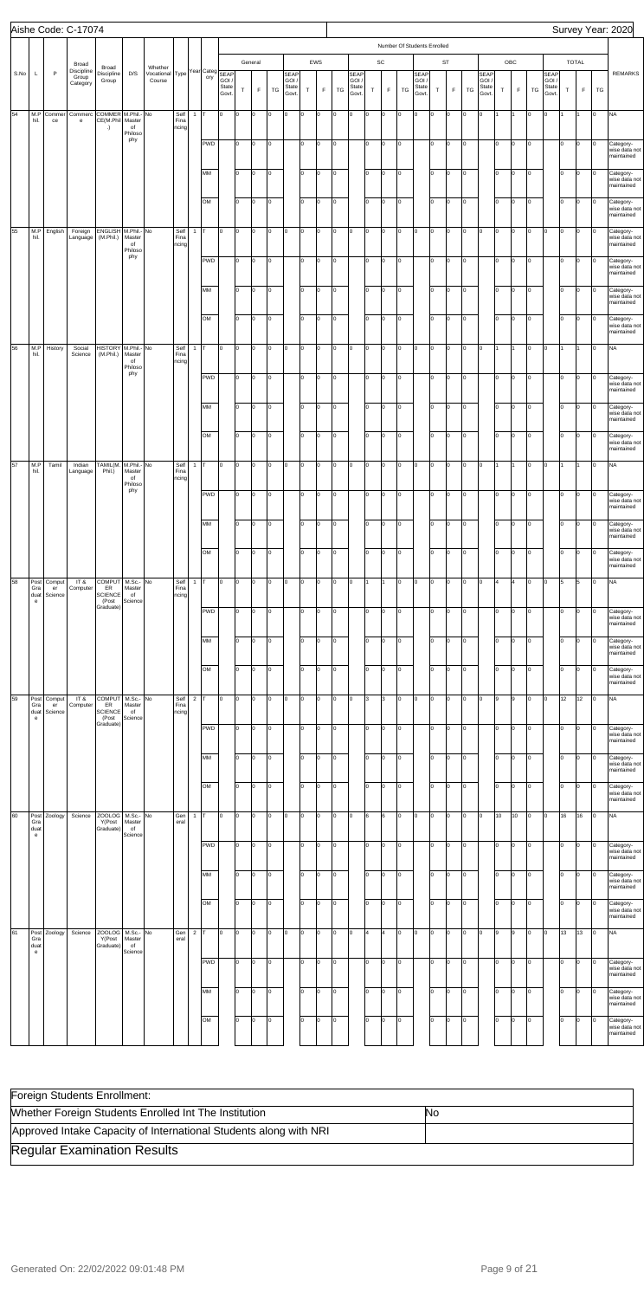|      |                                                          |               | Aishe Code: C-17074                          |                                            |                                               |                                               |                       |                |            |                         |          |                      |        |                                 |          |             |                |                                        |          |             |         |                                       |                             |             |                |                                        |             |             |          |                                 |             |              |         | Survey Year: 2020                                         |
|------|----------------------------------------------------------|---------------|----------------------------------------------|--------------------------------------------|-----------------------------------------------|-----------------------------------------------|-----------------------|----------------|------------|-------------------------|----------|----------------------|--------|---------------------------------|----------|-------------|----------------|----------------------------------------|----------|-------------|---------|---------------------------------------|-----------------------------|-------------|----------------|----------------------------------------|-------------|-------------|----------|---------------------------------|-------------|--------------|---------|-----------------------------------------------------------|
|      |                                                          |               |                                              |                                            |                                               |                                               |                       |                |            |                         |          |                      |        |                                 |          |             |                |                                        |          |             |         |                                       | Number Of Students Enrolled |             |                |                                        |             |             |          |                                 |             |              |         |                                                           |
|      |                                                          | $\mathsf{P}$  | Broad<br>Discipline                          | Broad                                      |                                               | Whether<br>Vocational Type Year Category SEAP |                       |                |            |                         |          | General              |        |                                 |          | EWS         |                |                                        |          | SC          |         |                                       |                             | ST          |                |                                        |             | OBC         |          |                                 |             | <b>TOTAL</b> |         |                                                           |
| S.No | Г                                                        |               | Group<br>Category                            | Discipline<br>Group                        | D/S                                           | Course                                        |                       |                |            | GOI /<br>State<br>Govt. | $\sf T$  | F                    | TG     | SEAP<br>GOI /<br>State<br>Govt. | $\top$   | $\mathsf F$ | TG             | <b>SEAP</b><br>GOI /<br>State<br>Govt. | $\top$   | $\mathsf F$ | TG      | <b>SEAP</b><br>GOI/<br>State<br>Govt. | $\top$                      | $\mathsf F$ | TG             | <b>SEAP</b><br>GOI /<br>State<br>Govt. | $\mathsf T$ | $\mathsf F$ | TG       | SEAP<br>GOI /<br>State<br>Govt. | $\mathsf T$ | $\mathsf F$  | TG      | <b>REMARKS</b>                                            |
| 54   | M.P<br>hil.                                              | Commer<br>ce  | Commerc<br>$\mathbf{e}% _{t}\left( t\right)$ | COMMER M.Phil.- No<br>CE(M.Phil<br>.)      | Master<br>of                                  |                                               | Self<br>Fina<br>ncing | $\mathbf{1}$   | Iт         | O                       | lo.      | O                    | O      | l0.                             | o        | O           | O              | Iо                                     | O        | O           | Iо      | o                                     | O                           | o           | I٥             | O                                      |             |             | Iо       | o                               |             |              | o       | <b>NA</b>                                                 |
|      |                                                          |               |                                              |                                            | Philoso<br>phy                                |                                               |                       |                | <b>PWD</b> |                         | lo.      | O                    | O      |                                 | lо       | o           | O              |                                        | lo.      | lо          | O       |                                       | I٥                          | O           | Iо             |                                        | I٥          | O           | Iо       |                                 | Iо          | lо           | o       | Category-<br>wise data not<br>maintained                  |
|      |                                                          |               |                                              |                                            |                                               |                                               |                       |                | MM         |                         | lo.      | O                    | O      |                                 | Iо       | o           | O              |                                        | lо       | lо          | O       |                                       | lo.                         | O           | 0              |                                        | I٥          | O           | Iо       |                                 | Iо          | lо           | o       | Category-<br>wise data not<br>maintained                  |
|      |                                                          |               |                                              |                                            |                                               |                                               |                       |                | OM         |                         | lo.      | O                    | o      |                                 | lо       | O           | O              |                                        | lо       | lо          | O       |                                       | Iо                          | o           | O              |                                        | I٥          | O           | Iо       |                                 | Iо          | lо           | o       | Category-<br>wise data not<br>maintained                  |
| 55   | M.P<br>hil.                                              | English       | Foreign<br>Language                          | ENGLISH M.Phil.- No<br>(M.Phil.)           | Master<br>of<br>Philoso                       |                                               | Self<br>Fina<br>ncing | $\mathbf{1}$   | Iт         | O                       | o        | O                    | O      | I٥                              | o        | O           | O              | lо                                     | O        | lо          | O       | ю                                     | O                           | O           | I٥             | 0                                      | O           | lо          | Iо       | o                               | Iо          | lо           | Iо      | Category-<br>wise data not<br>maintained                  |
|      |                                                          |               |                                              |                                            | phy                                           |                                               |                       |                | <b>PWD</b> |                         | lo.      | O                    | O      |                                 | lо       | O           | O              |                                        | lo.      | lо          | O       |                                       | I٥                          | o           | Iо             |                                        | lo.         | O           | Iо       |                                 | Iо          | lо           | o       | Category-<br>wise data not<br>maintained                  |
|      |                                                          |               |                                              |                                            |                                               |                                               |                       |                | MM         |                         | I٥       | O                    | O      |                                 | Iо       | o           | O              |                                        | lо       | lо          | O       |                                       | lo.                         | O           | Iо             |                                        | I٥          | O           | lо       |                                 | Iо          | lо           | o       | Category-<br>wise data not<br>maintained                  |
|      |                                                          |               |                                              |                                            |                                               |                                               |                       |                | OM         |                         | I٥       | O                    | o      |                                 | lо       | O           | Iо             |                                        | lо       | lо          | Iо      |                                       | lo.                         | o           | O              |                                        | I٥          | O           | Iо       |                                 | I٥          | lо           | o       | Category-<br>wise data not<br>maintained                  |
| 56   | M.P<br>hil.                                              | History       | Social<br>Science                            | <b>HISTORY</b><br>(M.Phil.)                | M.Phil.- No<br>Master<br>of<br>Philoso        |                                               | Self<br>Fina<br>ncing | $\mathbf{1}$   | Iт         | O                       | o        | O                    | O      | I٥                              | o        | O           | O              | Iо                                     | O        | lо          | Iо      | O                                     | O                           | O           | I٥             | O                                      |             |             | Iо       | o                               |             |              | o       | <b>NA</b>                                                 |
|      |                                                          |               |                                              |                                            | phy                                           |                                               |                       |                | <b>PWD</b> |                         | lo.      | O                    | O      |                                 | lо       | O           | O              |                                        | lo.      | lо          | O       |                                       | lо                          | o           | Iо             |                                        | lo.         | O           | Iо       |                                 | Iо          | lо           | o       | Category-<br>wise data not<br>maintained                  |
|      |                                                          |               |                                              |                                            |                                               |                                               |                       |                | MM         |                         | I٥       | O                    | O      |                                 | Iо       | o           | O              |                                        | lо       | lо          | O       |                                       | lo.                         | O           | Iо             |                                        | I٥          | O           | Iо       |                                 | Iо          | lо           | o       | Category-<br>wise data not<br>maintained                  |
|      |                                                          |               |                                              |                                            |                                               |                                               |                       |                | OM         |                         | lо       | O                    | o      |                                 | lо       | o           | Iо             |                                        | lо       | Iо          | Iо      |                                       | lo.                         | o           | O              |                                        | lo.         | Iо          | Iо       |                                 | I٥          | lо           | o       | Category-<br>wise data not<br>maintained                  |
| 57   | M.P<br>hil.                                              | Tamil         | Indian<br>Language                           | TAMIL(M.<br>Phil.)                         | M.Phil.- No<br>Master<br>of<br>Philoso<br>phy |                                               | Self<br>Fina<br>ncing | $\mathbf{1}$   | lτ<br>PWD  | O                       | O<br>lo. | O<br>$\vert 0 \vert$ | O      | I0.                             | lо<br>lо | O<br>O      | O<br>O         | Iо                                     | O<br>lo. | lо<br>lо    | O       | $\vert$ 0                             | O<br>lо                     | o<br>o      | I٥<br>Iо       | 0                                      | lo.         | 11<br>Iо    | Iо<br>Iо | o                               | lо          | I1           | o       | <b>NA</b>                                                 |
|      |                                                          |               |                                              |                                            |                                               |                                               |                       |                | MM         |                         | I٥       | o                    | O<br>O |                                 | Iо       | lo.         | o              |                                        | I٥       | Iо          | O<br>Iо |                                       | o                           | O           | l0             |                                        | I٥          | l0          | Iо       |                                 | Iо          | O<br>lо      | O<br>Iо | Category-<br>wise data not<br>harictnicm<br>Category-     |
|      |                                                          |               |                                              |                                            |                                               |                                               |                       |                | OM         |                         | I٥       | o                    | O      |                                 | Iо       | lo.         | o              |                                        | Iо       | Iо          | Iо      |                                       | Iо                          | O           | I٥             |                                        | Ιo          | lо          | Iо       |                                 | lo.         | lо           | o       | wise data not<br>maintained<br>Category-                  |
| 58   | Post                                                     | Comput        | IT &                                         | COMPUT                                     | M.Sc.- No                                     |                                               | Self                  | $\mathbf{1}$   | Iт         | O                       | O        | O                    | O      | IΟ                              | O        | l0          | lo             | Iо                                     |          |             | Iо      | Iо                                    | O                           | O           | I٥             | lо                                     | ١4          | 4           | Iо       | O                               | 5           | 5            | o       | wise data not<br>maintained<br><b>NA</b>                  |
|      | Gra<br>duat<br>$\mathsf{e}% _{t}\left( t\right)$         | er<br>Science | Computer                                     | ER<br><b>SCIENCE</b><br>(Post<br>Graduate) | Master<br>of<br>Science                       |                                               | Fina<br>ncing         |                | <b>PWD</b> |                         | I٥       | O                    | O      |                                 | Iо       | l0          | o              |                                        | lo.      | Iо          | Iо      |                                       | I٥                          | O           | I٥             |                                        | I٥          | lо          | Iо       |                                 | I٥          | Iо           | o       | Category-                                                 |
|      |                                                          |               |                                              |                                            |                                               |                                               |                       |                | MM         |                         | I٥       | o                    | O      |                                 | lо       | l0          | o              |                                        | I٥       | Iо          | Iо      |                                       | lo.                         | O           | I٥             |                                        | Ιo          | lo.         | Iо       |                                 | lo.         | Iо           | I٥      | wise data not<br>maintained<br>Category-                  |
|      |                                                          |               |                                              |                                            |                                               |                                               |                       |                | OM         |                         | I٥       | o                    | O      |                                 | Iо       | lo.         | o              |                                        | Iо       | Iо          | Iо      |                                       | Iо                          | O           | l0             |                                        | lo.         | lо          | Iо       |                                 | lo.         | Iо           | o       | wise data not<br>maintained<br>Category-<br>wise data not |
| 59   | Post<br>Gra                                              | Comput<br>er  | IT &<br>Computer                             | COMPUT<br>ER                               | $M.Sc.-No$<br>Master                          |                                               | Self<br>Fina          | $\overline{2}$ | Iт         | O                       | O        | O                    | O      | I٥                              | O        | l0          | o              | Iо                                     | 3        | 3           | Iо      | Iо                                    | O                           | O           | I٥             | lо                                     | 9           | l9          | Iо       | o                               | 12          | 12           | o       | maintained<br><b>NA</b>                                   |
|      | duat<br>$\mathsf{e}% _{t}\left( t\right)$                | Science       |                                              | <b>SCIENCE</b><br>(Post<br>Graduate)       | of<br>Science                                 |                                               | ncing                 |                | <b>PWD</b> |                         | I٥       | o                    | O      |                                 | lо       | l0          | o              |                                        | lo.      | Iо          | Iо      |                                       | I٥                          | O           | I٥             |                                        | I٥          | lо          | Iо       |                                 | lo.         | Iо           | o       | Category-<br>wise data not                                |
|      |                                                          |               |                                              |                                            |                                               |                                               |                       |                | MM         |                         | lo       | o                    | O      |                                 | lо       | l0          | o              |                                        | I٥       | l0          | Iо      |                                       | lo.                         | O           | I٥             |                                        | Ιo          | lo.         | Iо       |                                 | lo.         | Iо           | I٥      | maintained<br>Category-<br>wise data not<br>maintained    |
|      |                                                          |               |                                              |                                            |                                               |                                               |                       |                | OM         |                         | I٥       | o                    | O      |                                 | lо       | lo.         | o              |                                        | lо       | Iо          | Iо      |                                       | Iо                          | O           | l0             |                                        | lo.         | lо          | Iо       |                                 | lo.         | Iо           | o       | Category-<br>wise data not<br>maintained                  |
| 60   | Post<br>Gra<br>duat                                      | Zoology       | Science                                      | <b>ZOOLOG</b><br>Y(Post<br>Graduate)       | M.Sc.- No<br>Master<br>of                     |                                               | Gen<br>eral           | $\mathbf{1}$   | Iт         | O                       | O        | o                    | 0      | I٥                              | O        | l0          | lo             | Iо                                     | 6        | 6           | Iо      | Iо                                    | O                           | O           | l0.            | I٥                                     | 10          | 10          | Iо       | o                               | 16          | 16           | o       | <b>NA</b>                                                 |
|      | $\mathbf{e}% _{t}\left( t\right)$                        |               |                                              |                                            | Science                                       |                                               |                       |                | <b>PWD</b> |                         | I٥       | o                    | O      |                                 | lо       | I٥          | o              |                                        | lo.      | l0          | Iо      |                                       | lo.                         | O           | I٥             |                                        | lo.         | lо          | Iо       |                                 | lo.         | Iо           | o       | Category-<br>wise data not<br>maintained                  |
|      |                                                          |               |                                              |                                            |                                               |                                               |                       |                | MM         |                         | lo       | o                    | O      |                                 | lо       | l0          | o              |                                        | I٥       | l0          | Iо      |                                       | lo.                         | O           | I٥             |                                        | Ιo          | l0          | Iо       |                                 | lo.         | lо           | I٥      | Category-<br>wise data not<br>maintained                  |
|      |                                                          |               |                                              |                                            |                                               |                                               |                       |                | OM         |                         | lo.      | o                    | O      |                                 | lо       | lo.         | o              |                                        | lo.      | Iо          | o       |                                       | Iо                          | O           | l0             |                                        | lo.         | lо          | Iо       |                                 | lo.         | Iо           | o       | Category-<br>wise data not<br>maintained                  |
| 61   | Post<br>Gra<br>duat<br>$\mathbf{e}% _{t}\left( t\right)$ | Zoology       | Science                                      | <b>ZOOLOG</b><br>Y(Post<br>Graduate)       | M.Sc.- No<br>Master<br>of<br>Science          |                                               | Gen<br>eral           | $\overline{2}$ | T          | O                       | O        | O                    | O      | IΟ                              | O        | lo.         | lo             | Iо                                     | l4       | 4           | o       | O                                     | O                           | O           | l٥             | O                                      | 9           | l9          | Iо       | o                               | 13          | 13           | o       | <b>NA</b>                                                 |
|      |                                                          |               |                                              |                                            |                                               |                                               |                       |                | <b>PWD</b> |                         | I٥       | lo                   | O      |                                 | lо       | I٥          | lo             |                                        | lo.      | Iо          | Iо      |                                       | lo.                         | O           | I٥             |                                        | lo.         | lо          | Iо       |                                 | lo.         | Iо           | o       | Category-<br>wise data not<br>maintained                  |
|      |                                                          |               |                                              |                                            |                                               |                                               |                       |                | MM         |                         | lо       | O                    | o      |                                 | lо       | O           | $\overline{0}$ |                                        | I٥       | O           | O       |                                       | lо                          | o           | $\overline{0}$ |                                        | lо          | Iо          | Iо       |                                 | $\vert$ 0   | $\circ$      | O       | Category-<br>wise data not<br>maintained                  |
|      |                                                          |               |                                              |                                            |                                               |                                               |                       |                | OM         |                         | lо       | lo.                  | o      |                                 | lо       | lo.         | Iо             |                                        | lо       | lo.         | O       |                                       | lo.                         | O           | Iо             |                                        | I٥          | Iо          | Iо       |                                 | I٥          | Iо           | lo.     | Category-<br>wise data not<br>maintained                  |

| Foreign Students Enrollment:                                      |    |
|-------------------------------------------------------------------|----|
| Whether Foreign Students Enrolled Int The Institution             | No |
| Approved Intake Capacity of International Students along with NRI |    |
| <b>Regular Examination Results</b>                                |    |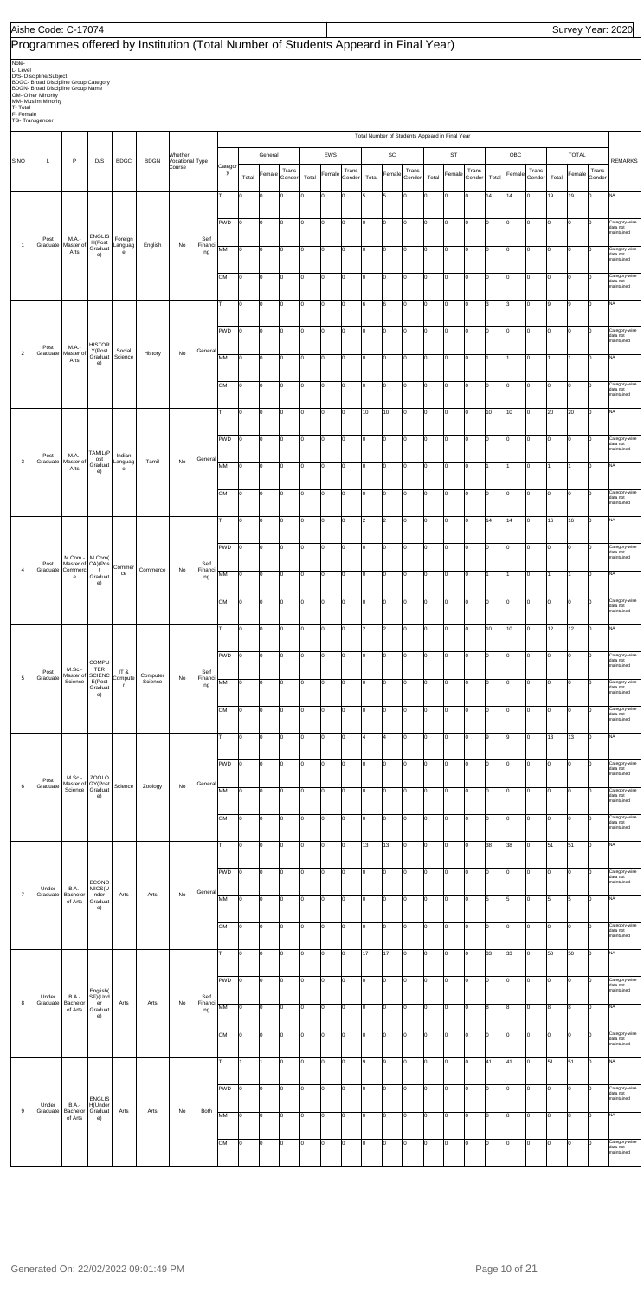|                                                              | Aishe Code: C-17074                                                                                                                                |                                            |                                                 |                                    |                                                                                    |                            |                       |            |                |         |                 |       |          |                 |                                                |                |                 |       |                         |                 |       |        |                 |       |                |                 | Survey Year: 2020                       |
|--------------------------------------------------------------|----------------------------------------------------------------------------------------------------------------------------------------------------|--------------------------------------------|-------------------------------------------------|------------------------------------|------------------------------------------------------------------------------------|----------------------------|-----------------------|------------|----------------|---------|-----------------|-------|----------|-----------------|------------------------------------------------|----------------|-----------------|-------|-------------------------|-----------------|-------|--------|-----------------|-------|----------------|-----------------|-----------------------------------------|
|                                                              |                                                                                                                                                    |                                            |                                                 |                                    | Programmes offered by Institution (Total Number of Students Appeard in Final Year) |                            |                       |            |                |         |                 |       |          |                 |                                                |                |                 |       |                         |                 |       |        |                 |       |                |                 |                                         |
| Note-<br>L-Level<br>T- Total<br>F- Female<br>TG- Transgender | D/S- Discipline/Subject<br>BDGC- Broad Discipline Group Category<br>BDGN- Broad Discipline Group Name<br>OM- Other Minority<br>MM- Muslim Minority |                                            |                                                 |                                    |                                                                                    |                            |                       |            |                |         |                 |       |          |                 |                                                |                |                 |       |                         |                 |       |        |                 |       |                |                 |                                         |
|                                                              |                                                                                                                                                    |                                            |                                                 |                                    |                                                                                    |                            |                       |            |                |         |                 |       |          |                 | Total Number of Students Appeard in Final Year |                |                 |       |                         |                 |       |        |                 |       |                |                 |                                         |
| S <sub>NO</sub>                                              | L                                                                                                                                                  | P                                          | D/S                                             | <b>BDGC</b>                        | <b>BDGN</b>                                                                        | Whether<br>Vocational Type |                       | Categor    |                | General |                 |       | EWS      |                 |                                                | SC             |                 |       | ST                      |                 |       | OBC    |                 |       | <b>TOTAL</b>   |                 | <b>REMARKS</b>                          |
|                                                              |                                                                                                                                                    |                                            |                                                 |                                    |                                                                                    | Course                     |                       | у          | Total          | Female  | Trans<br>Gender | Total | Female   | Trans<br>Gender | Total                                          | Female         | Trans<br>Gender | Total | Female                  | Trans<br>Gender | Total | Female | Trans<br>Gender | Total | Female         | Trans<br>Gender |                                         |
|                                                              |                                                                                                                                                    |                                            |                                                 |                                    |                                                                                    |                            |                       | т          | 10             | 0       |                 | I٥    | $\Omega$ | 0               | l5                                             | 5              | ln              | ۱n    | 0                       | $\mathbf 0$     | 14    | 14     | 0               | 19    | 19             | I٥              | NA                                      |
|                                                              | Post                                                                                                                                               | M.A.-                                      | <b>ENGLIS</b>                                   |                                    |                                                                                    |                            | Self                  | <b>PWD</b> | lо             | O       | lo.             | Iо    | l0       | Iо              | Iо                                             | o              | Iо              | Iо    | $\mathbf 0$             | I٥              | I٥    | lo     | 0               | lo.   | lo.            | Iо              | Category-wise<br>data not<br>maintained |
| $\mathbf{1}$                                                 | Graduate                                                                                                                                           | Master o<br>Arts                           | H(Post<br>Graduat<br>e)                         | Foreign<br>Languag<br>$\mathbf{e}$ | English                                                                            | No                         | Financi<br>ng         | MM         | lо             | 0       | I٥              | Iо    | 0        | 0               | Iо                                             | o              | Iо              | Iо    | $\mathsf{O}\xspace$     | $\mathbf 0$     | I٥    | 0      | I٥              | l0    | 0              | 0               | Category-wise<br>data not<br>maintained |
|                                                              |                                                                                                                                                    |                                            |                                                 |                                    |                                                                                    |                            |                       | OM         | Iо             | O       | lo.             | I٥    | l0       | $\mathbf 0$     | 10                                             | $\mathbf 0$    | Ιo              | I٥    | $\mathbf 0$             | Iо              | I٥    | l0     | $\mathbf 0$     | I٥    | 0              | $\Omega$        | Category-wise<br>data not<br>maintained |
|                                                              |                                                                                                                                                    |                                            |                                                 |                                    |                                                                                    |                            |                       | lт         | Iо             | lо      | lo.             | Iо    | O        | Iо              | l6                                             | 6              | Ιo              | Iо    | O                       | Iо              | l3    | l3     | 0               | l9    | 9              | lо              | <b>NA</b>                               |
|                                                              |                                                                                                                                                    |                                            | <b>HISTOR</b>                                   |                                    |                                                                                    |                            |                       | PWD        | Iо             | O       | Iо              | Iо    | O        | 0               | Iо                                             | o              | Iо              | Iо    | $\mathbf 0$             | $\mathbf 0$     | I٥    | 0      | I٥              | lo.   | $\overline{0}$ | I٥              | Category-wise<br>data not<br>maintained |
| $\overline{2}$                                               | Post<br>Graduate                                                                                                                                   | M.A.-<br>Master of<br>Arts                 | Y(Post<br>Graduat<br>e)                         | Social<br>Science                  | History                                                                            | No                         | General               | MM         | Iо             | o       | lo.             | Iо    | O        | Iо              | 10                                             | $\mathsf{o}$   | Iо              | I٥    | O                       | Iо              |       |        | $\Omega$        |       | 11             | lо              | NA                                      |
|                                                              |                                                                                                                                                    |                                            |                                                 |                                    |                                                                                    |                            |                       | OM         | Iо             | O       | lo.             | Iо    | l0       | Iо              | Iо                                             | lo.            | Ιo              | Iо    | $\mathbf 0$             | Iо              | I٥    | lo     | 0               | Iо    | $\overline{0}$ | Iо              | Category-wise<br>data not<br>maintained |
|                                                              |                                                                                                                                                    |                                            |                                                 |                                    |                                                                                    |                            |                       | т          | I٥             | o       | I٥              | Iо    | 0        | 0               | 10                                             | 10             | Iо              | 10    | $\mathbf 0$             | 0               | 10    | 10     | I٥              | 20    | 20             | I٥              | NA                                      |
|                                                              |                                                                                                                                                    |                                            | TAMIL(F                                         |                                    |                                                                                    |                            |                       | PWD        | Iо             | O       | lo.             | I٥    | l0       | $\mathbf 0$     | 10                                             | $\mathsf{o}$   | Ιo              | I٥    | $\mathbf 0$             | Iо              | I٥    | l0     | $\mathbf 0$     | I٥    | $\overline{0}$ | $\Omega$        | Category-wise<br>data not<br>maintained |
| $\mathbf{3}$                                                 | Post<br>Graduate                                                                                                                                   | M.A.-<br>Master of<br>Arts                 | ost<br>Gradua<br>e)                             | Indian<br>Languag<br>e             | Tamil                                                                              | No                         | General               | MM         | lo             | O       | lo.             | Iо    | l0       | Iо              | Iо                                             | o              | Ιo              | Iо    | $\mathbf 0$             | I٥              |       |        | 0               |       | 1              | Iо              | <b>NA</b>                               |
|                                                              |                                                                                                                                                    |                                            |                                                 |                                    |                                                                                    |                            |                       | OM         | l0             | o       | I٥              | lо    | O        | $\mathbf 0$     | I٥                                             | $\mathsf{o}$   | Iо              | lо    | $\mathbf 0$             | 0               | I٥    | 0      | Iо              | lo.   | 0              | O               | Category-wise<br>data not<br>maintained |
|                                                              |                                                                                                                                                    |                                            |                                                 |                                    |                                                                                    |                            |                       | lт         | Iо             | O       | lo.             | Iо    | l0       | Iо              | 2                                              | $\overline{2}$ | Iо              | I٥    | $\overline{\mathbf{0}}$ | Iо              | 14    | 14     | $\Omega$        | 16    | 16             | Iо              | NA                                      |
|                                                              |                                                                                                                                                    | M.Com.-                                    | M.Com(                                          |                                    |                                                                                    |                            |                       | <b>PWD</b> | $\overline{0}$ | lо      | lo.             | Iо    | l0       | Iо              | Iо                                             | lo.            | Iо              | Iо    | lо                      | Iо              | Iо    | lo     | $\Omega$        | Iо    | lo.            | lо              | Category-wise<br>data not<br>maintained |
| $\overline{4}$                                               | Post                                                                                                                                               | Master of CA)(Pos<br>Graduate Commerc<br>e | $\mathbf{t}$<br>Graduat<br>e)                   | Commer<br>ce                       | Commerce                                                                           | No                         | Self<br>Financi<br>ng | MM         | lо             | 0       | I٥              | Iо    | 0        | 0               | I٥                                             | 0              | Iо              | Iо    | $\mathsf{O}\xspace$     | $\mathbf 0$     |       | 1      | Iо              | I1    | 1              | Iо              | NA                                      |
|                                                              |                                                                                                                                                    |                                            |                                                 |                                    |                                                                                    |                            |                       | OM         | Iо             | O       | $\Omega$        | Iо    | O        | 0               | Iо                                             | $\mathsf{o}$   | Iо              | I٥    | $\mathbf 0$             | $\mathbf 0$     | I٥    | l0     | 0               | I٥    | 0              | Iо              | Category-wise<br>data not<br>maintained |
|                                                              |                                                                                                                                                    |                                            |                                                 |                                    |                                                                                    |                            |                       | Iт         | Iо             | O       | lo.             | Iо    | l0       | lo.             | l2                                             | $\overline{2}$ | Ιo              | Iо    | O                       | Iо              | 10    | 10     | $\Omega$        | 12    | 12             | lо              | <b>NA</b>                               |
|                                                              |                                                                                                                                                    |                                            | <b>COMPU</b>                                    |                                    |                                                                                    |                            |                       | PWD        | lо             | O       | I٥              | Iо    | 0        | 0               | lо                                             | o              | Iо              | Iо    | $\mathsf{O}\xspace$     | 0               | I٥    | 0      | Iо              | lo.   | 0              | Iо              | Category-wise<br>data not<br>maintained |
| $\overline{5}$                                               | Post<br>Graduate                                                                                                                                   | M.Sc.-<br>Master of<br>Science             | TER<br><b>SCIENC</b><br>E(Post<br>Graduat<br>e) | IT &<br>Compute<br>$\mathbf{r}$    | Computer<br>Science                                                                | No                         | Self<br>Financi<br>ng | MM         | lо             | O       | $\Omega$        | Iо    | l0       | $\mathbf 0$     | 10                                             | $\mathsf{o}$   | Iо              | I٥    | $\overline{\mathbf{0}}$ | Iо              | I٥    | 0      | $\Omega$        | l0    | 0              | Iо              | Category-wise<br>data not<br>maintained |
|                                                              |                                                                                                                                                    |                                            |                                                 |                                    |                                                                                    |                            |                       | OM         | Iо             | O       | lo.             | Iо    | l0       | Iо              | Iо                                             | o              | Iо              | Iо    | $\mathbf 0$             | I٥              | I٥    | lo     | 0               | lo.   | $\overline{0}$ | Iо              | Category-wise<br>data not<br>maintained |
|                                                              |                                                                                                                                                    |                                            |                                                 |                                    |                                                                                    |                            |                       | lΤ         | 10             | 0       | I٥              | Iо    | 0        | 0               | 4                                              | $\overline{4}$ | Iо              | Iо    | $\mathsf 0$             | $\mathbf 0$     | 9     | 9      | I٥              | 13    | 13             | Iо              | NA                                      |
|                                                              |                                                                                                                                                    |                                            |                                                 |                                    |                                                                                    |                            |                       | PWD        | Iо             | O       | $\Omega$        | Iо    | l0       | $\mathbf 0$     | 10                                             | $\mathsf 0$    | Iо              | I٥    | $\pmb{0}$               | Iо              | I٥    | l0     | $\mathbf 0$     | Iо    | 0              | Iо              | Category-wise<br>data not<br>maintained |
| $\,6\,$                                                      | Post<br>Graduate                                                                                                                                   | $M.Sc.-$<br>Master of GY(Post<br>Science   | ZOOLO<br>Graduat<br>e)                          | Science                            | Zoology                                                                            | No                         | General               | MM         | lо             | O       | lo.             | Iо    | l0       | Iо              | Iо                                             | lo.            | Ιo              | Iо    | O                       | lо              | lo.   | Iо     | $\Omega$        | Iо    | lo.            | Iо              | Category-wise<br>data not<br>maintained |
|                                                              |                                                                                                                                                    |                                            |                                                 |                                    |                                                                                    |                            |                       | OM         | lо             | O       | lo.             | Iо    | 0        | 0               | Iо                                             | 0              | Iо              | Iо    | $\mathbf 0$             | 0               | I٥    | O      | Iо              | lo.   | 0              | Iо              | Category-wise<br>data not<br>maintained |
|                                                              |                                                                                                                                                    |                                            |                                                 |                                    |                                                                                    |                            |                       | lτ         | lо             | O       | $\Omega$        | Iо    | l0       | $\mathbf 0$     | 13                                             | 13             | Iо              | l٥    | $\overline{\mathbf{0}}$ | Iо              | 38    | 38     | $\Omega$        | 51    | 51             | Iо              | NA                                      |
|                                                              |                                                                                                                                                    |                                            | ECONO                                           |                                    |                                                                                    |                            |                       | <b>PWD</b> | lо             | O       | lo.             | Iо    | l0       | Iо              | Iо                                             | lo.            | Iо              | Iо    | lо                      | Iо              | I٥    | lo.    | 0               | Iо    | $\overline{0}$ | Iо              | Category-wise<br>data not<br>maintained |
| $\overline{7}$                                               | Under<br>Graduate                                                                                                                                  | <b>B.A.-</b><br>Bachelor<br>of Arts        | MICS(U<br>nder<br>Graduat<br>e)                 | Arts                               | Arts                                                                               | No                         | Genera                | MM         | lо             | 0       | I٥              | Iо    | 0        | 0               | I٥                                             | 0              | Iо              | Iо    | $\mathsf 0$             | $\mathbf 0$     | 5     | 5      | Iо              | 5     | 5              | I٥              | NA                                      |
|                                                              |                                                                                                                                                    |                                            |                                                 |                                    |                                                                                    |                            |                       | OM         | Iо             | O       | lo.             | I٥    | O        | $\mathbf 0$     | 10                                             | $\mathsf{o}$   | Iо              | 10    | $\pmb{0}$               | Iо              | I٥    | O      | $\mathbf 0$     | l0    | 0              | Iо              | Category-wise<br>data not<br>maintained |
|                                                              |                                                                                                                                                    |                                            |                                                 |                                    |                                                                                    |                            |                       | lτ         | lо             | 0       | lo.             | Iо    | 0        | $\mathbf 0$     | 17                                             | 17             | I٥              | Iо    | O                       | $\mathbf 0$     | 33    | 33     | 0               | 50    | 50             | Iо              | <b>NA</b>                               |

| 8   | Under<br>Graduate | <b>B.A.-</b><br>Bachelor | English(<br>SF)(Und                 | Arts | Arts | No | Self          | PWD       | 0        | 0  |    | I٥       |    |    |    | IО | 0        | I٥ |          |    | I٥ | I٥  |    | I٥  | Category-wise<br>data not<br>maintained |
|-----|-------------------|--------------------------|-------------------------------------|------|------|----|---------------|-----------|----------|----|----|----------|----|----|----|----|----------|----|----------|----|----|-----|----|-----|-----------------------------------------|
|     |                   | of Arts                  | er<br>Graduat<br>e)                 |      |      |    | Financi<br>ng | MM        | I٥       | I٥ | I0 | $\Omega$ | n  |    | I٥ | Iо | $\Omega$ | Iо | l8       | 8  | I٥ | l8  |    | I٥  | <b>NA</b>                               |
|     |                   |                          |                                     |      |      |    |               | lом       | $\Omega$ | 0  |    | ١O       |    |    | I٥ | Iо | O        | I٥ | l٥       | in | I٥ | I٥  |    | In. | Category-wise<br>data not<br>maintained |
|     |                   |                          |                                     |      |      |    |               | ÷         |          |    | I٥ | $\Omega$ | n  | l9 | l9 | Iо | $\Omega$ | I٥ | 41       | 41 | Iо | 51  | 51 | lo. | <b>NA</b>                               |
| - 9 | Under<br>Graduate | B.A.-<br>Bachelor        | <b>ENGLIS</b><br>H(Under<br>Graduat | Arts | Arts | No | Both          | PWD       | 0        | lo |    |          |    |    |    | I٥ |          |    | $\Omega$ |    | I٥ | I٥  |    | l٥  | Category-wise<br>data not<br>maintained |
|     |                   | of Arts                  | e)                                  |      |      |    |               | <b>MM</b> | $\Omega$ | IО |    |          |    |    |    | I٥ |          |    | lя       | R  | In | l8. |    | l٥  | <b>NA</b>                               |
|     |                   |                          |                                     |      |      |    |               | Іом       | 0        | 0  | ΙO | I٥       | l0 | 10 | I٥ | Iо | $\Omega$ | Iо | l٥       | I٥ | Iо | IО  |    | l٥  | Category-wise<br>data not<br>maintained |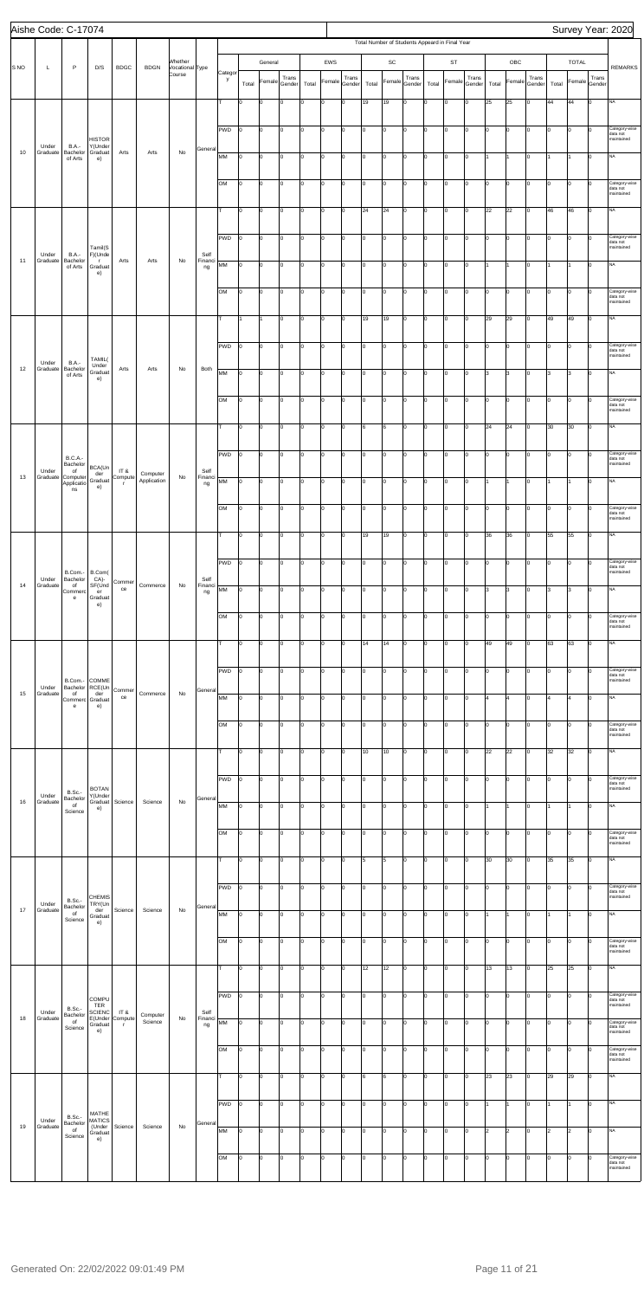|                 | Aishe Code: C-17074 |                                        |                                     |                                 |                     |                           |                       |              |                |         |             |          |        |        |       |               |        |       |                                                |        |       |                         |        |       |              |             | Survey Year: 2020                       |
|-----------------|---------------------|----------------------------------------|-------------------------------------|---------------------------------|---------------------|---------------------------|-----------------------|--------------|----------------|---------|-------------|----------|--------|--------|-------|---------------|--------|-------|------------------------------------------------|--------|-------|-------------------------|--------|-------|--------------|-------------|-----------------------------------------|
|                 |                     |                                        |                                     |                                 |                     |                           |                       |              |                |         |             |          |        |        |       |               |        |       | Total Number of Students Appeard in Final Year |        |       |                         |        |       |              |             |                                         |
|                 |                     |                                        |                                     |                                 |                     | Whether                   |                       |              |                | General |             |          | EWS    |        |       | $\mathsf{SC}$ |        |       | ST                                             |        |       | OBC                     |        |       | <b>TOTAL</b> |             |                                         |
| S <sub>NO</sub> | L                   | $\mathsf{P}$                           | D/S                                 | <b>BDGC</b>                     | <b>BDGN</b>         | Vocational Type<br>Course |                       | Categor<br>y |                | Female  | Trans       |          | Female | Trans  |       | Female        | Trans  |       | Female                                         | Trans  |       | Female                  | Trans  |       | Female       | Trans       | <b>REMARKS</b>                          |
|                 |                     |                                        |                                     |                                 |                     |                           |                       |              | Total          |         | Gender      | Total    |        | Gender | Total |               | Gender | Total |                                                | Gender | Total |                         | Gender | Total |              | Gender      |                                         |
|                 |                     |                                        |                                     |                                 |                     |                           |                       | T.           | lо             | o       | Iо          | $\Omega$ | o      | Iо     | 19    | 19            | 0      | ١o    | $\overline{0}$                                 | Iо     | 25    | 25                      | Iо     | 44    | 44           | $\mathbf 0$ | <b>NA</b>                               |
|                 |                     |                                        |                                     |                                 |                     |                           |                       | PWD          | Iо             | O       | $ 0\rangle$ | I٥       | lo     | lo.    | I٥    | lo            | Iо     | lo.   | $\mathbf 0$                                    | Iо     | lo.   | $\overline{0}$          | lо     | Iо    | lo           | $\Omega$    | Category-wise                           |
|                 | Under               | <b>B.A.-</b>                           | <b>HISTOR</b><br>Y(Under            |                                 |                     |                           |                       |              |                |         |             |          |        |        |       |               |        |       |                                                |        |       |                         |        |       |              |             | data not<br>maintained                  |
| 10              | Graduate            | Bachelor<br>of Arts                    | Graduat<br>e)                       | Arts                            | Arts                | $\mathsf{No}$             | Genera                | MM           | lо             | 0       | Iо          | O        | 0      | I٥     | I٥    | lo            | Iо     | Iо    | $\overline{0}$                                 | Iо     |       | $\overline{1}$          | lо     |       | 1            | $\Omega$    | NA                                      |
|                 |                     |                                        |                                     |                                 |                     |                           |                       |              |                |         |             |          |        |        |       |               |        |       |                                                |        |       |                         |        |       |              |             |                                         |
|                 |                     |                                        |                                     |                                 |                     |                           |                       | OM           | lо             | o       | Iо          | lо       | lo     | I٥     | lo.   | lo            | Iо     | Iо    | lo                                             | Iо     | I٥    | $\mathsf{O}$            | lо     | l0    | 0            | lo          | Category-wise<br>data not<br>maintained |
|                 |                     |                                        |                                     |                                 |                     |                           |                       |              |                |         |             |          |        |        |       |               |        |       |                                                |        |       |                         |        |       |              |             |                                         |
|                 |                     |                                        |                                     |                                 |                     |                           |                       | T.           | lо             | 0       | Iо          | I٥       | lo     | lo.    | 24    | 24            | Iо     | Iо    | 0                                              | Iо     | 22    | 22                      | lо     | 46    | 46           | lo.         | NA                                      |
|                 |                     |                                        |                                     |                                 |                     |                           |                       | PWD          | lo             | 0       | Iо          | O        | 0      | I٥     | I٥    | 10            | Iо     | Iо    | O                                              | Iо     | I٥    | lo.                     | lо     | Iо    | l0           | $\Omega$    | Category-wise                           |
|                 | Under               | <b>B.A.-</b>                           | Tamil(S<br>F)(Unde                  |                                 |                     |                           | Self                  |              |                |         |             |          |        |        |       |               |        |       |                                                |        |       |                         |        |       |              |             | data not<br>maintained                  |
| 11              | Graduate            | Bachelor<br>of Arts                    | $\mathsf{r}$<br>Graduat             | Arts                            | Arts                | No                        | Financi<br>ng         | MM           | lо             | o       | Iо          | Iо       | lo     | I٥     | lo.   | lo            | Iо     | Iо    | lo                                             | Iо     | 1     | $\overline{1}$          | Iо     |       | 1            | lо          | <b>NA</b>                               |
|                 |                     |                                        | e)                                  |                                 |                     |                           |                       |              |                |         |             |          |        |        |       |               |        |       |                                                |        |       |                         |        |       |              |             |                                         |
|                 |                     |                                        |                                     |                                 |                     |                           |                       | OM           | lо             | O       | Iо          | lo.      | 0      | I٥     | I٥    | 10            | Iо     | Iо    | 0                                              | Iо     | lo.   | lo.                     | lо     | Iо    | $ 0\rangle$  | $\Omega$    | Category-wise<br>data not<br>maintained |
|                 |                     |                                        |                                     |                                 |                     |                           |                       |              |                |         |             |          |        |        |       |               |        |       |                                                |        |       |                         |        |       |              |             |                                         |
|                 |                     |                                        |                                     |                                 |                     |                           |                       | т            |                |         | Iо          | 0        | 0      | I٥     | 19    | 19            | Iо     | Iо    | $\mathbf 0$                                    | Iо     | 29    | 29                      | lо     | 49    | 49           | $\mathbf 0$ | NA                                      |
|                 |                     |                                        |                                     |                                 |                     |                           |                       | PWD          | lо             | O       | Iо          | Ιo       | O      | I٥     | I٥    | O             | Iо     | Iо    | O                                              | Iо     | I٥    | $\mathbf 0$             | Iо     | I٥    | 0            | $\mathbf 0$ | Category-wise                           |
|                 | Under               | <b>B.A.-</b>                           | TAMIL(                              |                                 |                     |                           |                       |              |                |         |             |          |        |        |       |               |        |       |                                                |        |       |                         |        |       |              |             | data not<br>maintained                  |
| 12              | Graduate            | Bachelor<br>of Arts                    | Under<br>Graduat<br>e)              | Arts                            | Arts                | No                        | Both                  | MM           | Iо             | O       | Iо          | ١o       | I٥     | lo.    | I٥    | lo            | Iо     | Iо    | $\overline{0}$                                 | Iо     | l3.   | 3                       | Iо     | 3     | 3            | $\Omega$    | NA                                      |
|                 |                     |                                        |                                     |                                 |                     |                           |                       |              |                |         |             |          |        |        |       |               |        |       |                                                |        |       |                         |        |       |              |             |                                         |
|                 |                     |                                        |                                     |                                 |                     |                           |                       | <b>OM</b>    | lо             | 0       | Iо          | ١o       | 0      | Iо     | I٥    | lo            | Iо     | lо    | $\overline{0}$                                 | Iо     | I٥    | $\overline{0}$          | lо     | Iо    | O            | $\Omega$    | Category-wise<br>data not<br>maintained |
|                 |                     |                                        |                                     |                                 |                     |                           |                       | T.           | I٥             | o       | I٥          | I٥       | lo     | I٥     | 6     | 6             | Iо     | Iо    | $\mathbf 0$                                    | Iо     | 24    | 24                      | Iо     | 30    | 30           | lо          | <b>NA</b>                               |
|                 |                     |                                        |                                     |                                 |                     |                           |                       |              |                |         |             |          |        |        |       |               |        |       |                                                |        |       |                         |        |       |              |             |                                         |
|                 |                     | <b>B.C.A.-</b>                         |                                     |                                 |                     |                           |                       | PWD          | lо             | o       | $ 0\rangle$ | I٥       | lo     | I٥     | lo.   | lo            | Iо     | Iо    | $\overline{0}$                                 | Iо     | I٥    | lo.                     | lо     | l0    | $\vert$ 0    | $\Omega$    | Category-wise<br>data not               |
|                 | Under               | Bachelor<br>of                         | BCA(Un<br>der                       | IT &                            | Computer            |                           | Self                  |              |                |         |             |          |        |        |       |               |        |       |                                                |        |       |                         |        |       |              |             | maintained                              |
| 13              | Graduate            | Computer<br>Applicatio<br>ns           | Graduat<br>e)                       | Compute                         | Application         | No                        | Financi<br>ng         | MM           | lo             | 0       | Iо          | O        | 0      | I٥     | Iо    | 10            | Iо     | Iо    | 0                                              | Iо     |       | $\mathbf{1}$            | lо     | 1     | I1           | $\mathbf 0$ | NA                                      |
|                 |                     |                                        |                                     |                                 |                     |                           |                       |              |                |         |             |          |        |        |       |               |        |       |                                                |        |       |                         |        |       |              |             |                                         |
|                 |                     |                                        |                                     |                                 |                     |                           |                       | OМ           | 10             | 10      | 10          |          | I٥     | 10     | 10    | 0             | 10     |       | 0                                              | 10     | 10    | 10                      | 0      | 10    | 10           | IО          | ategory-wise<br>data not<br>maintained  |
|                 |                     |                                        |                                     |                                 |                     |                           |                       | lт.          | lо             | O       | Iо          | Iо       | O      | lo.    | 19    | 19            | Iо     | Iо    | 0                                              | Iо     | 36    | 36                      | Iо     | 55    | 55           | lo.         | <b>NA</b>                               |
|                 |                     |                                        |                                     |                                 |                     |                           |                       |              |                |         |             |          |        |        |       |               |        |       |                                                |        |       |                         |        |       |              |             |                                         |
|                 |                     |                                        |                                     |                                 |                     |                           |                       | PWD          | Iо             | 0       | Iо          | $\Omega$ | 0      | Iо     | I٥    | 10            | Iо     | lo    | $\Omega$                                       | Iо     | I٥    | $\overline{0}$          | Iо     | Iо    | lo           | $\Omega$    | Category-wise<br>data not               |
|                 | Under               | B.Com.-<br>Bachelor                    | B.Com(<br>CA)-                      | Commer                          |                     |                           | Self                  |              |                |         |             |          |        |        |       |               |        |       |                                                |        |       |                         |        |       |              |             | maintained                              |
| 14              | Graduate            | of<br>Commerc<br>e                     | SF(Und<br>er<br>Graduat             | ce                              | Commerce            | No                        | Financi<br>ng         | MM           | lо             | O       | Iо          | I٥       | O      | I٥     | O     | O             | 0      | ١o    | $\overline{0}$                                 | Iо     | 3     | 3                       | Iо     | 3     | 3            | $\mathbf 0$ | <b>NA</b>                               |
|                 |                     |                                        | e)                                  |                                 |                     |                           |                       | OM           | lо             | O       | Iо          | ١o       | I٥     | lo.    | I٥    | lo            | Iо     | Iо    | 0                                              | Iо     | lo.   | $\overline{0}$          | lо     | Iо    | lo           | $\Omega$    | Category-wise                           |
|                 |                     |                                        |                                     |                                 |                     |                           |                       |              |                |         |             |          |        |        |       |               |        |       |                                                |        |       |                         |        |       |              |             | data not<br>maintained                  |
|                 |                     |                                        |                                     |                                 |                     |                           |                       | т            | lо             | 0       | Iо          | ١o       | 0      | Iо     | 14    | 14            | Iо     | Iо    | $\mathbf 0$                                    | Iо     | 49    | 49                      | lо     | 63    | 63           | $\Omega$    | NA                                      |
|                 |                     |                                        |                                     |                                 |                     |                           |                       |              |                |         |             |          |        |        |       |               |        |       |                                                |        |       |                         |        |       |              |             |                                         |
|                 |                     |                                        |                                     |                                 |                     |                           |                       | PWD          | lо             | O       | I٥          | I٥       | O      | I٥     | I٥    | O             | Iо     | Iо    | O                                              | Iо     | I٥    | 0                       | Iо     | I٥    | O            | Iо          | Category-wise<br>data not               |
| 15              | Under<br>Graduate   | B.Com.- COMME<br>Bachelor RCE(Un<br>of | der                                 | Commer                          | Commerce            | No                        | Genera                |              |                |         |             |          |        |        |       |               |        |       |                                                |        |       |                         |        |       |              |             | maintained                              |
|                 |                     | Commerc Graduat<br>e                   | e)                                  | ce                              |                     |                           |                       | MM           | lо             | 0       | Iо          | ١o       | I٥     | lo.    | I٥    | 10            | Iо     | Iо    | 0                                              | Iо     | l4    | $\overline{\mathbf{4}}$ | Iо     | l4    | l4           | $\Omega$    | NA                                      |
|                 |                     |                                        |                                     |                                 |                     |                           |                       | <b>OM</b>    | lо             | 0       | Iо          | ١o       | 0      | Iо     | lo.   | 10            | Iо     | Iо    | 0                                              | Iо     | I٥    | 0                       | Iо     | Iо    | 0            | $\Omega$    | Category-wise                           |
|                 |                     |                                        |                                     |                                 |                     |                           |                       |              |                |         |             |          |        |        |       |               |        |       |                                                |        |       |                         |        |       |              |             | data not<br>maintained                  |
|                 |                     |                                        |                                     |                                 |                     |                           |                       | T.           | lо             | O       | Iо          | I٥       | lo     | I٥     | 10    | 10            | Iо     | Iо    | lo                                             | Iо     | 22    | 22                      | Iо     | 32    | 32           | Iо          | <b>NA</b>                               |
|                 |                     |                                        |                                     |                                 |                     |                           |                       |              |                |         |             |          |        |        |       |               |        |       |                                                |        |       |                         |        |       |              |             |                                         |
|                 |                     |                                        | <b>BOTAN</b>                        |                                 |                     |                           |                       | PWD          | lо             | 0       | Iо          | Iо       | O      | lo.    | I٥    | 10            | Iо     | Iо    | 0                                              | Iо     | lo.   | $\overline{0}$          | lо     | Iо    | lo           | $\Omega$    | Category-wise<br>data not<br>maintained |
| 16              | Under<br>Graduate   | B.Sc.-<br>Bachelor<br>of               | Y(Under<br>Graduat                  | Science                         | Science             | No                        | General               | MM           | lo             | 0       | Iо          | O        | 0      | I٥     | I٥    | 10            | Iо     | Iо    | $\overline{0}$                                 | Iо     |       | $\mathbf{1}$            | lо     | 1     | 1            | $\mathbf 0$ | NA                                      |
|                 |                     | Science                                | e)                                  |                                 |                     |                           |                       |              |                |         |             |          |        |        |       |               |        |       |                                                |        |       |                         |        |       |              |             |                                         |
|                 |                     |                                        |                                     |                                 |                     |                           |                       | OM           | lо             | O       | Iо          | ۱o       | O      | Iо     | I٥    | 0             | Iо     | Iо    | O                                              | Iо     | I٥    | 0                       | Iо     | I٥    | 0            | Ιo          | Category-wise<br>data not               |
|                 |                     |                                        |                                     |                                 |                     |                           |                       |              |                |         |             |          |        |        |       |               |        |       |                                                |        |       |                         |        |       |              |             | maintained                              |
|                 |                     |                                        |                                     |                                 |                     |                           |                       | T.           | lо             | 0       | Iо          | ١o       | I٥     | lo.    | 5     | 5             | Iо     | Iо    | $\Omega$                                       | Iо     | 30    | 30                      | Iо     | 35    | 35           | $\Omega$    | NA                                      |
|                 |                     |                                        |                                     |                                 |                     |                           |                       |              |                |         |             |          |        |        |       |               |        |       |                                                |        |       |                         |        |       |              |             |                                         |
|                 |                     | B.Sc.-                                 | <b>CHEMIS</b>                       |                                 |                     |                           |                       | PWD          | $\overline{0}$ | 0       | Iо          | ١o       | 0      | Iо     | I٥    | 10            | Iо     | lо    | $\Omega$                                       | Iо     | I٥    | $\overline{0}$          | Iо     | Iо    | O            | $\Omega$    | Category-wise<br>data not<br>maintained |
| 17              | Under<br>Graduate   | Bachelor<br>of                         | TRY(Un<br>der<br>Graduat            | Science                         | Science             | No                        | General               | MM           | Iо             | o       | I٥          | I٥       | l0     | I٥     | I٥    | $\mathsf{o}$  | Iо     | ١o    | $\mathbf 0$                                    | Iо     |       | $\overline{1}$          | Iо     |       | 1            | lo          | <b>NA</b>                               |
|                 |                     | Science                                | e)                                  |                                 |                     |                           |                       |              |                |         |             |          |        |        |       |               |        |       |                                                |        |       |                         |        |       |              |             |                                         |
|                 |                     |                                        |                                     |                                 |                     |                           |                       | <b>OM</b>    | Iо             | O       | Iо          | I٥       | l0     | lo.    | I٥    | lo            | Iо     | Iо    | 0                                              | Iо     | lo.   | lo.                     | Iо     | Iо    | lo           | $\Omega$    | Category-wise<br>data not               |
|                 |                     |                                        |                                     |                                 |                     |                           |                       |              |                |         |             |          |        |        |       |               |        |       |                                                |        |       |                         |        |       |              |             | maintained                              |
|                 |                     |                                        |                                     |                                 |                     |                           |                       | lτ.          | lо             | 0       | Iо          | O        | 0      | I٥     | 12    | 12            | Iо     | Iо    | 0                                              | Iо     | 13    | 13                      | lо     | 25    | 25           | I٥          | <b>NA</b>                               |
|                 |                     |                                        |                                     |                                 |                     |                           |                       |              |                |         |             |          | 0      |        |       |               |        | 10    | 10                                             | ıо     | IО    |                         |        |       | ١a           |             | ategory-wise                            |
|                 |                     | <b>B.Sc.-</b>                          | <b>COMPU</b><br><b>TER</b>          |                                 |                     |                           |                       | PWD          | 10             | 10      | 10          |          |        | 10     | 10    | 0             | 10     |       |                                                |        |       | 10                      | 0      | 10    |              |             | data not<br>maintained                  |
| 18              | Under<br>Graduate   | Bachelor<br>of                         | <b>SCIENC</b><br>E(Under<br>Graduat | IT &<br>Compute<br>$\mathsf{r}$ | Computer<br>Science | No                        | Self<br>Financi<br>ng | MM           | I٥             | O       | Iо          | Iо       | 0      | I٥     | I٥    | 10            | Iо     | Iо    | 0                                              | Iо     | lo.   | lo.                     | lо     | Iо    | $ 0\rangle$  | $\Omega$    | Category-wise<br>data not               |
|                 |                     | Science                                | e)                                  |                                 |                     |                           |                       |              |                |         |             |          |        |        |       |               |        |       |                                                |        |       |                         |        |       |              |             | maintained                              |
|                 |                     |                                        |                                     |                                 |                     |                           |                       | OM           | lo             | 0       | I٥          | O        | 0      | I٥     | I٥    | 10            | Iо     | lо    | $\mathbf 0$                                    | Iо     | I٥    | $\overline{0}$          | lо     | Iо    | O            |             | Category-wise<br>data not               |
|                 |                     |                                        |                                     |                                 |                     |                           |                       |              |                |         |             |          |        |        |       |               |        |       |                                                |        |       |                         |        |       |              |             | maintained                              |
|                 |                     |                                        |                                     |                                 |                     |                           |                       | T.           | lо             | o       | Iо          | I٥       | lo     | I٥     | 6     | 6             | Iо     | lо    | $\mathbf 0$                                    | Iо     | 23    | 23                      | Iо     | 29    | 29           | $\mathbf 0$ | <b>NA</b>                               |
|                 |                     |                                        |                                     |                                 |                     |                           |                       | PWD          | lo             | O       | $\vert$ 0   | Iо       | lo     | lo.    | I٥    | lo            | Iо     | lo.   | 0                                              | Iо     |       | $\overline{1}$          | lо     |       | I1           | $\Omega$    | <b>NA</b>                               |
|                 | Under               | B.Sc.-                                 | MATHE<br><b>MATICS</b>              |                                 |                     |                           |                       |              |                |         |             |          |        |        |       |               |        |       |                                                |        |       |                         |        |       |              |             |                                         |
| 19              | Graduate            | Bachelor<br>$\circ$<br>Science         | (Under<br>Graduat                   | Science                         | Science             | No                        | General               | MM           | lo             | 0       | Iо          | ١o       | l0     | I٥     | Iо    | lo            | Iо     | Iо    | 0                                              | Iо     | 2     | $\vert$ <sub>2</sub>    | lо     | l2    | $ 2\rangle$  | 0           | NA                                      |
|                 |                     |                                        | e)                                  |                                 |                     |                           |                       |              |                |         |             |          |        |        |       |               |        |       |                                                |        |       |                         |        |       |              |             |                                         |
|                 |                     |                                        |                                     |                                 |                     |                           |                       | OM           | 0              | o       | Iо          | O        | 0      | I٥     | lo.   | 0             | Iо     | Iо    | O                                              | Iо     | I٥    | O                       | Iо     | lo.   | $ 0\rangle$  | $\mathbf 0$ | Category-wise<br>data not               |
|                 |                     |                                        |                                     |                                 |                     |                           |                       |              |                |         |             |          |        |        |       |               |        |       |                                                |        |       |                         |        |       |              |             | maintained                              |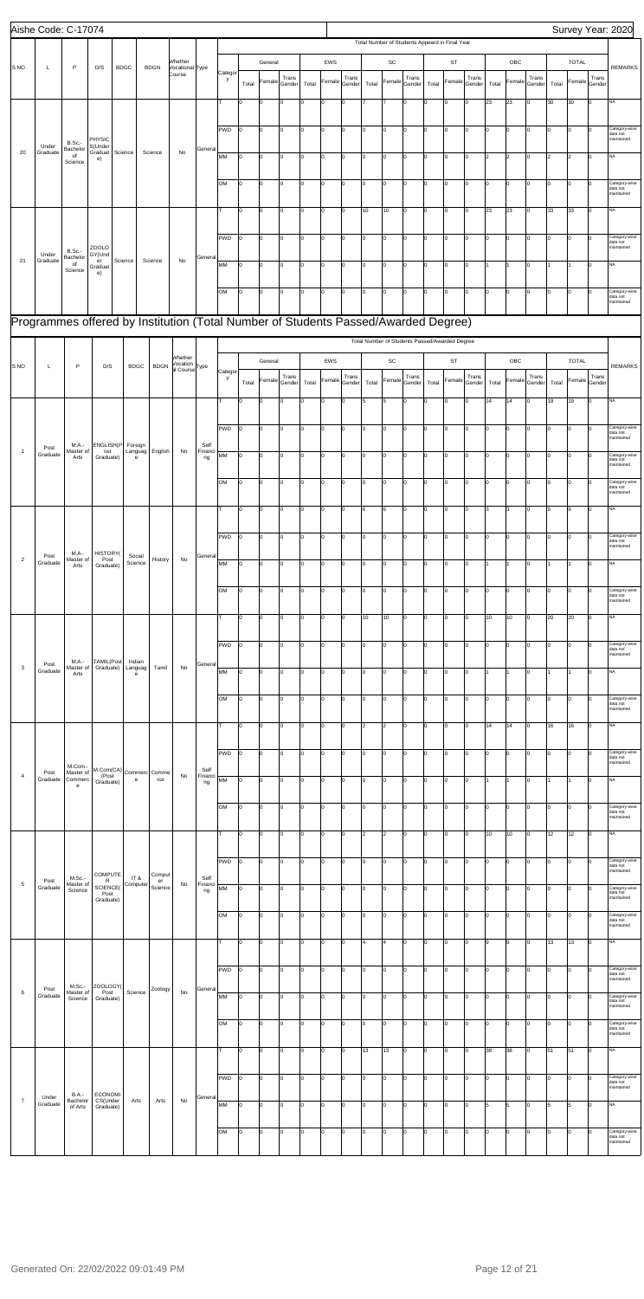|                | Aishe Code: C-17074                                                                |                           |                                  |             |                                   |                      |                                                  |                       |              |       |             |                 |       |             |                 |       |                         |                                                |       |             |                 |       |                |                 |       |                |                        | Survey Year: 2020                       |
|----------------|------------------------------------------------------------------------------------|---------------------------|----------------------------------|-------------|-----------------------------------|----------------------|--------------------------------------------------|-----------------------|--------------|-------|-------------|-----------------|-------|-------------|-----------------|-------|-------------------------|------------------------------------------------|-------|-------------|-----------------|-------|----------------|-----------------|-------|----------------|------------------------|-----------------------------------------|
|                |                                                                                    |                           |                                  |             |                                   |                      |                                                  |                       |              |       |             |                 |       |             |                 |       |                         | Total Number of Students Appeard in Final Year |       |             |                 |       |                |                 |       |                |                        |                                         |
|                |                                                                                    |                           |                                  |             |                                   |                      | Whether                                          |                       |              |       | General     |                 |       | EWS         |                 |       | SC                      |                                                |       | <b>ST</b>   |                 |       | OBC            |                 |       | <b>TOTAL</b>   |                        |                                         |
| S NO           | L                                                                                  | P                         | D/S                              | <b>BDGC</b> |                                   | <b>BDGN</b>          | Vocational Type<br>Course                        |                       | Categor<br>y |       | Female      | Trans           |       | Female      | Trans           |       | Female                  | Trans                                          |       | Female      | Trans           |       | Female         | Trans           |       |                | Trans<br>Female Gender | <b>REMARKS</b>                          |
|                |                                                                                    |                           |                                  |             |                                   |                      |                                                  |                       |              | Total |             | Gender          | Total |             | Gender          | Total |                         | Gender                                         | Total |             | Gender          | Total |                | Gender          | Total |                |                        |                                         |
|                |                                                                                    |                           |                                  |             |                                   |                      |                                                  |                       |              | O     | 0           | $\Omega$        | lо    | $\mathbf 0$ | $\Omega$        |       |                         | Iо                                             | ١o    | O           | lо              | 23    | 23             | $\Omega$        | 30    | 30             | lо                     | <b>NA</b>                               |
|                |                                                                                    |                           |                                  |             |                                   |                      |                                                  |                       | <b>PWD</b>   | I٥    | 0           | Ιo              | Iо    | O           | I٥              | O     | $\mathbf 0$             | Iо                                             | Iо    | 0           | Iо              | Iо    | O              | Iо              | O     | $\overline{0}$ | Iо                     |                                         |
|                | Under                                                                              | <b>B.Sc.-</b>             | <b>PHYSIC</b><br>S(Under         |             |                                   |                      |                                                  |                       |              |       |             |                 |       |             |                 |       |                         |                                                |       |             |                 |       |                |                 |       |                |                        | Category-wise<br>data not<br>maintained |
| 20             | Graduate                                                                           | Bachelor<br>of<br>Science | Graduat<br>e)                    | Science     |                                   | Science              | No                                               | General               | MM           | I٥    | 0           | Iо              | Iо    | O           | lo.             | I٥    | O                       | Iо                                             | I٥    | I٥          | Iо              | l2    | $\overline{2}$ | Iо              | l2    | $\overline{2}$ | lо                     | <b>NA</b>                               |
|                |                                                                                    |                           |                                  |             |                                   |                      |                                                  |                       |              |       |             |                 |       |             |                 |       |                         |                                                |       |             |                 |       |                |                 |       |                |                        |                                         |
|                |                                                                                    |                           |                                  |             |                                   |                      |                                                  |                       | OM           | I٥    | 0           | Iо              | Iо    | O           | I٥              | I٥    | O                       | Iо                                             | I٥    | $ 0\rangle$ | lо              | Iо    | O              | $\Omega$        | Iо    | lo             | lо                     | Category-wise<br>data not<br>maintained |
|                |                                                                                    |                           |                                  |             |                                   |                      |                                                  |                       |              |       |             |                 |       |             |                 |       |                         |                                                |       |             |                 |       |                |                 |       |                |                        | NA                                      |
|                |                                                                                    |                           |                                  |             |                                   |                      |                                                  |                       |              | I٥    | 0           | I٥              | lо    | O           | I٥              | 10    | 10                      | Iо                                             | Iо    | 0           | Iо              | 23    | 23             | Iо              | 33    | 33             | lо                     |                                         |
|                |                                                                                    |                           |                                  |             |                                   |                      |                                                  |                       | <b>PWD</b>   | Iо    | lo.         | lo.             | Iо    | O           | lo.             | I٥    | 0                       | Iо                                             | Iо    | 0           | Iо              | Iо    | O              | Iо              | Iо    | $\overline{0}$ | Iо                     | Category-wise<br>data not               |
|                | Under                                                                              | B.Sc.-<br>Bachelor        | <b>ZOOLO</b><br>GY(Und           |             |                                   |                      |                                                  | General               |              |       |             |                 |       |             |                 |       |                         |                                                |       |             |                 |       |                |                 |       |                |                        | maintained                              |
| 21             | Graduate                                                                           | of<br>Science             | er<br>Graduat<br>e)              | Science     |                                   | Science              | No                                               |                       | MM           | I٥    | 0           | l0              | Iо    | O           | I٥              | O     | O                       | Iо                                             | Iо    | 0           | Iо              | l1    |                | $\Omega$        |       |                | lо                     | <b>NA</b>                               |
|                |                                                                                    |                           |                                  |             |                                   |                      |                                                  |                       |              |       |             |                 |       |             |                 |       |                         |                                                |       |             |                 |       |                |                 |       |                |                        |                                         |
|                |                                                                                    |                           |                                  |             |                                   |                      |                                                  |                       | OM           | I٥    | lo.         | Ιo              | lо    | O           | I٥              | o     | $\mathbf 0$             | I٥                                             | Iо    | 0           | Iо              | Iо    | O              | $\Omega$        | o     | l0             | Iо                     | Category-wise<br>data not<br>maintained |
|                | Programmes offered by Institution (Total Number of Students Passed/Awarded Degree) |                           |                                  |             |                                   |                      |                                                  |                       |              |       |             |                 |       |             |                 |       |                         |                                                |       |             |                 |       |                |                 |       |                |                        |                                         |
|                |                                                                                    |                           |                                  |             |                                   |                      |                                                  |                       |              |       |             |                 |       |             |                 |       |                         |                                                |       |             |                 |       |                |                 |       |                |                        |                                         |
|                |                                                                                    |                           |                                  |             |                                   |                      |                                                  |                       |              |       |             |                 |       |             |                 |       |                         | Total Number of Students Passed/Awarded Degree |       |             |                 |       |                |                 |       |                |                        |                                         |
| S NO           | L                                                                                  | P                         | D/S                              |             | <b>BDGC</b>                       | <b>BDGN</b>          | Whether<br>Vocation<br>al Course <sup>Type</sup> |                       |              |       | General     |                 |       | EWS         |                 |       | SC                      |                                                |       | <b>ST</b>   |                 |       | OBC            |                 |       | <b>TOTAL</b>   |                        | <b>REMARKS</b>                          |
|                |                                                                                    |                           |                                  |             |                                   |                      |                                                  |                       | Categor<br>y | Total | Female      | Trans<br>Gender | Total | Female      | Trans<br>Gender | Total | Female                  | Trans<br>Gender                                | Total | Female      | Trans<br>Gender | Total | Female         | Trans<br>Gender | Total |                | Trans<br>Female Gender |                                         |
|                |                                                                                    |                           |                                  |             |                                   |                      |                                                  |                       | т            | I٥    | 0           | lo              | lо    | O           | I٥              | 5     | 5                       | Iо                                             | 0     | 0           | Iо              | 14    | 14             | $\Omega$        | 19    | 19             | lо                     | <b>NA</b>                               |
|                |                                                                                    |                           |                                  |             |                                   |                      |                                                  |                       |              |       |             |                 |       |             |                 |       |                         |                                                |       |             |                 |       |                |                 |       |                |                        |                                         |
|                |                                                                                    |                           |                                  |             |                                   |                      |                                                  |                       | <b>PWD</b>   | I٥    | 0           | Ιo              | lо    | O           | I٥              | O     | $\mathbf 0$             | Iо                                             | Iо    | 0           | Iо              | Iо    | O              | $\Omega$        | o     | $\overline{0}$ | Iо                     | Category-wise<br>data not               |
|                | Post                                                                               | M.A.-                     | <b>ENGLISH(P</b>                 |             | Foreign                           |                      |                                                  | Self                  |              |       |             |                 |       |             |                 |       |                         |                                                |       |             |                 |       |                |                 |       |                |                        | maintained                              |
| $\overline{1}$ | Graduate                                                                           | Master of<br>Arts         | ost<br>Graduate)                 |             | Languag<br>e                      | English              | No                                               | Financi<br>ng         | MM           | I٥    | 0           | Iо              | Iо    | O           | lo.             | I٥    | 0                       | Iо                                             | I٥    | $ 0\rangle$ | lо              | Iо    | O              | Iо              | Iо    | $\overline{0}$ | Iо                     | Category-wise<br>data not<br>maintained |
|                |                                                                                    |                           |                                  |             |                                   |                      |                                                  |                       |              |       |             |                 |       |             |                 |       |                         |                                                |       |             |                 |       |                |                 |       |                |                        |                                         |
|                |                                                                                    |                           |                                  |             |                                   |                      |                                                  |                       | OM           | I٥    | 0           | Iо              | lо    | O           | lo.             | I٥    | O                       | Iо                                             | Iо    | 0           | lо              | Iо    | 0              |                 | I٥    | O              | l٥                     | Category-wise<br>data not<br>maintained |
|                |                                                                                    |                           |                                  |             |                                   |                      |                                                  |                       |              |       |             |                 |       |             |                 |       |                         |                                                |       |             |                 |       |                |                 |       | 19             | 10                     | ΝA                                      |
|                |                                                                                    |                           |                                  |             |                                   |                      |                                                  |                       |              |       |             |                 |       |             |                 |       |                         |                                                |       |             |                 |       |                |                 |       |                |                        |                                         |
|                |                                                                                    |                           |                                  |             |                                   |                      |                                                  |                       | PWD          | Iо    | lo.         | I٥              | Iо    | O           | lo.             | I٥    | 0                       | Iо                                             | Iо    | lo.         | Iо              | Iо    | 0              | Iо              | I٥    | l0             | Iо                     | Category-wise<br>data not               |
| $\overline{2}$ | Post                                                                               | M.A.-<br>Master of        | HISTORY(<br>Post                 |             | Social                            | History              | No                                               | General               |              |       |             |                 |       |             |                 |       |                         |                                                |       |             |                 |       |                |                 |       |                |                        | maintained                              |
|                | Graduate                                                                           | Arts                      | Graduate)                        |             | Science                           |                      |                                                  |                       | ΜМ           | I٥    | 0           | l0              | lо    | 0           | I٥              | O     | 0                       | Iо                                             | o     | 0           | Iо              | 11    |                | $\Omega$        | 1     |                | Iо                     | <b>NA</b>                               |
|                |                                                                                    |                           |                                  |             |                                   |                      |                                                  |                       | OM           | I٥    | $\Omega$    | lo              | lо    | 0           | I٥              | O     | $\mathbf 0$             | Iо                                             | 0     | 0           | Iо              | Iо    | 0              | Iо              | 0     | l0             | Iо                     | Category-wise                           |
|                |                                                                                    |                           |                                  |             |                                   |                      |                                                  |                       |              |       |             |                 |       |             |                 |       |                         |                                                |       |             |                 |       |                |                 |       |                |                        | data not<br>maintained                  |
|                |                                                                                    |                           |                                  |             |                                   |                      |                                                  |                       |              | I٥    | lo.         | lo.             | Iо    | O           | lo.             | 10    | 10                      | Iо                                             | Iо    | lo.         | Iо              | 10    | 10             | lo.             | 20    | 20             | Iо                     | <b>NA</b>                               |
|                |                                                                                    |                           |                                  |             |                                   |                      |                                                  |                       |              |       |             |                 |       |             |                 |       |                         |                                                |       |             |                 |       |                |                 |       |                |                        |                                         |
|                |                                                                                    |                           |                                  |             |                                   |                      |                                                  |                       | <b>PWD</b>   | I٥    | 0           | l0              | lо    | 0           | I٥              | O     | O                       | Iо                                             | Iо    | O           | Iо              | Iо    | 0              | $\Omega$        | I٥    | O              | Iо                     | Category-wise<br>data not<br>maintained |
| 3              | Post<br>Graduate                                                                   | M.A.-<br>Master of        | TAMIL(Post<br>Graduate)          |             | Indian<br>Languag                 | Tamil                | No                                               | General               | ΜМ           | I٥    | $\Omega$    | lo              | lо    | 0           | I٥              | 0     | $\mathbf 0$             | Iо                                             | l0    | 0           | Iо              |       |                | Iо              | 1     |                | Iо                     | <b>NA</b>                               |
|                |                                                                                    | Arts                      |                                  |             | $\mathsf{e}% _{t}\left( t\right)$ |                      |                                                  |                       |              |       |             |                 |       |             |                 |       |                         |                                                |       |             |                 |       |                |                 |       |                |                        |                                         |
|                |                                                                                    |                           |                                  |             |                                   |                      |                                                  |                       | OM           | I٥    | lo.         | l0              | Iо    | 0           | lo.             | lo.   | 0                       | Iо                                             | Iо    | lo.         | Iо              | Iо    | 0              | Iо              | I٥    | l0             | Iо                     | Category-wise<br>data not               |
|                |                                                                                    |                           |                                  |             |                                   |                      |                                                  |                       |              |       |             |                 |       |             |                 |       |                         |                                                |       |             |                 |       |                |                 |       |                |                        | maintained                              |
|                |                                                                                    |                           |                                  |             |                                   |                      |                                                  |                       | T            | I٥    | 0           | l0              | lо    | O           | I٥              | 2     | 2                       | Iо                                             | Iо    | 0           | Iо              | 14    | 14             | $\Omega$        | 16    | 16             | lо                     | <b>NA</b>                               |
|                |                                                                                    |                           |                                  |             |                                   |                      |                                                  |                       | <b>PWD</b>   |       | $\Omega$    | lo              |       |             |                 |       | $\mathbf 0$             |                                                |       |             | Iо              | Iо    |                | $\mathbf 0$     |       | l0             |                        | Category-wise                           |
|                |                                                                                    | M.Com.-                   |                                  |             |                                   |                      |                                                  |                       |              | I٥    |             |                 | lо    | 0           | I٥              | o     |                         | Iо                                             | Iо    | 0           |                 |       | 0              |                 | 0     |                | Iо                     | data not<br>maintained                  |
| $\overline{a}$ | Post<br>Graduate                                                                   | Master of<br>Commerc      | M.Com(CA)<br>(Post<br>Graduate)  |             | e                                 | Commerc Comme<br>rce | No                                               | Self<br>Financi<br>ng | МM           | I٥    | lo.         | Iо              | Iо    | O           | lo.             | I٥    | $\mathbf 0$             | Iо                                             | Iо    | lo.         | Iо              | l1    |                | Iо              | 1     |                | Iо                     | <b>NA</b>                               |
|                |                                                                                    | e                         |                                  |             |                                   |                      |                                                  |                       |              |       |             |                 |       |             |                 |       |                         |                                                |       |             |                 |       |                |                 |       |                |                        |                                         |
|                |                                                                                    |                           |                                  |             |                                   |                      |                                                  |                       | OM           | I٥    | 0           | Iо              | lо    | 0           | I٥              | I٥    | O                       | Iо                                             | Iо    | 0           | Iо              | Iо    | 0              | $\mathbf 0$     | Iо    | O              | Iо                     | Category-wise<br>data not               |
|                |                                                                                    |                           |                                  |             |                                   |                      |                                                  |                       |              |       |             |                 |       |             |                 |       |                         |                                                |       |             |                 |       |                |                 |       |                |                        | maintained                              |
|                |                                                                                    |                           |                                  |             |                                   |                      |                                                  |                       |              | O     | 0           | Iо              | O     | 0           | I٥              | 2     | $\overline{2}$          | Iо                                             | l0    | 0           | Iо              | 10    | 10             | Iо              | 12    | 12             | Iо                     | <b>NA</b>                               |
|                |                                                                                    |                           |                                  |             |                                   |                      |                                                  |                       | <b>PWD</b>   | I٥    | O           | I٥              | Iо    | O           | lo.             | lo.   | $\Omega$                | Iо                                             | Iо    | 0           | Iо              | Iо    | 0              | Iо              | I٥    | l0             | Iо                     | Category-wise                           |
|                |                                                                                    | M.Sc.-                    | COMPUTE                          |             | IT&                               | Comput               |                                                  | Self                  |              |       |             |                 |       |             |                 |       |                         |                                                |       |             |                 |       |                |                 |       |                |                        | data not<br>maintained                  |
| $\,$ 5 $\,$    | Post<br>Graduate                                                                   | Master of<br>Science      | $\mathsf{R}$<br>SCIENCE(<br>Post |             | Computer                          | er<br>Science        | No                                               | Financi<br>ng         | МM           | I٥    | 0           | lo              | lо    | 0           | I٥              | o     | O                       | Iо                                             | Iо    | 0           | Iо              | Iо    | 0              | $\Omega$        | lo    | O              | Iо                     | Category-wise<br>data not               |
|                |                                                                                    |                           | Graduate)                        |             |                                   |                      |                                                  |                       |              |       |             |                 |       |             |                 |       |                         |                                                |       |             |                 |       |                |                 |       |                |                        | maintained                              |
|                |                                                                                    |                           |                                  |             |                                   |                      |                                                  |                       | OM           | 10    | $\Omega$    | lo              | lо    | 0           | I٥              | o     | $\mathbf 0$             | Iо                                             | 0     | 0           | Iо              | Iо    | 0              | Iо              | 0     | $\overline{0}$ | Iо                     | Category-wise<br>data not<br>maintained |
|                |                                                                                    |                           |                                  |             |                                   |                      |                                                  |                       | lτ           | I٥    | lo.         | lo.             | lо    | O           | lo.             | l4    | $\overline{\mathbf{4}}$ | Iо                                             | Iо    | 0           | Iо              | l9    | 9              | Iо              | 13    | 13             | lо                     | <b>NA</b>                               |
|                |                                                                                    |                           |                                  |             |                                   |                      |                                                  |                       |              |       |             |                 |       |             |                 |       |                         |                                                |       |             |                 |       |                |                 |       |                |                        |                                         |
|                |                                                                                    |                           |                                  |             |                                   |                      |                                                  |                       | PWD          | ١o    | $\mathbf 0$ | $\Omega$        | lо    | O           | $\Omega$        | ١o    | $\mathbf 0$             | Iо                                             | 0     | 0           | l0              | Iо    | $\overline{0}$ |                 | lo    | 0              | Iо                     | Category-wise<br>data not               |

| 6              | Post     | Master of         | M.Sc.- ZOOLOGY(<br>Post    | Science | Zoology | No | General |            |    |    |    |    |    |    |    |    |    |     |    |    |    |    |    |          |     | maintained                              |
|----------------|----------|-------------------|----------------------------|---------|---------|----|---------|------------|----|----|----|----|----|----|----|----|----|-----|----|----|----|----|----|----------|-----|-----------------------------------------|
|                | Graduate | Science           | Graduate)                  |         |         |    |         | <b>IMM</b> | In | lo | l٥ |    |    |    |    | O  | I٥ | 10  |    |    | I٥ |    |    | $\Omega$ | Iо  | Category-wise<br>data not<br>maintained |
|                |          |                   |                            |         |         |    |         | lом        |    | I٥ | ın |    |    |    |    |    |    | ın  |    |    |    |    |    |          | lo. | Category-wise<br>data not<br>maintained |
|                |          |                   |                            |         |         |    |         | $\sim$     |    | Iо | Iо | 10 | I٥ | 13 | 13 | Ιo | Iо | 0   | 10 | 38 | 38 | l0 | 51 | 51       | Iо  | <b>NA</b>                               |
| $\overline{7}$ | Under    | B.A.-<br>Bachelor | <b>ECONOMI</b><br>CS(Under | Arts    | Arts    | No | General | PWD        |    | I٥ | ın |    |    |    |    |    | I٥ | I0. |    |    |    |    |    |          | I٥  | Category-wise<br>data not<br>maintained |
|                | Graduate | of Arts           | Graduate)                  |         |         |    |         | <b>IMM</b> | lo | Iо | Iо | ю  | I٥ |    |    | ı٥ | I٥ | 10  |    | l5 | 5  |    | l5 | 5        | lo. | NA                                      |
|                |          |                   |                            |         |         |    |         | lом        |    | I٥ | ın |    |    |    |    |    |    | חו  |    |    |    |    |    |          | I٥  | Category-wise<br>data not<br>maintained |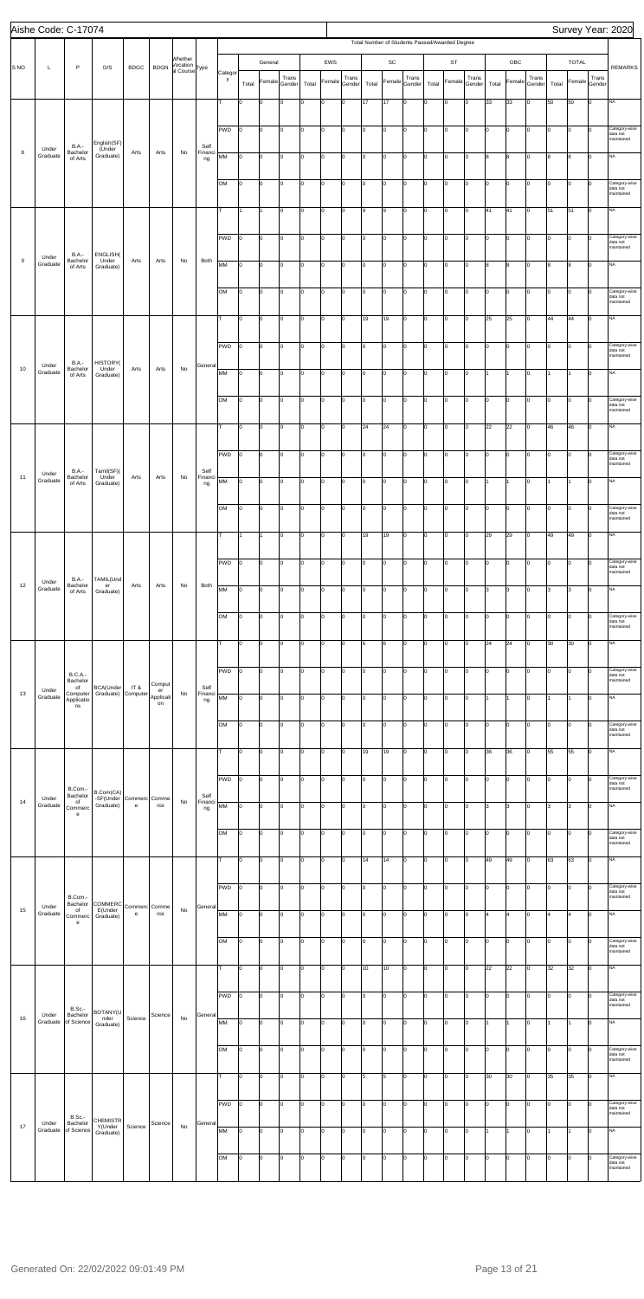|                  | Aishe Code: C-17074 |                                                  |                                         |                                   |                       |                                                  |                       |            |                 |             |                 |                 |        |                 |                                                |             |                 |       |        |                 |       |             |                 |       |                |             | Survey Year: 2020                       |
|------------------|---------------------|--------------------------------------------------|-----------------------------------------|-----------------------------------|-----------------------|--------------------------------------------------|-----------------------|------------|-----------------|-------------|-----------------|-----------------|--------|-----------------|------------------------------------------------|-------------|-----------------|-------|--------|-----------------|-------|-------------|-----------------|-------|----------------|-------------|-----------------------------------------|
|                  |                     |                                                  |                                         |                                   |                       |                                                  |                       |            |                 |             |                 |                 |        |                 | Total Number of Students Passed/Awarded Degree |             |                 |       |        |                 |       |             |                 |       |                |             |                                         |
| S <sub>NO</sub>  | Г                   | $\mathsf P$                                      | D/S                                     | <b>BDGC</b>                       | <b>BDGN</b>           | Whether<br>/ocation<br>al Course <sup>Type</sup> |                       | Categor    |                 | General     |                 |                 | EWS    |                 |                                                | SC          |                 |       | ST     |                 |       | OBC         |                 |       | <b>TOTAL</b>   |             | <b>REMARKS</b>                          |
|                  |                     |                                                  |                                         |                                   |                       |                                                  |                       | y          | Total           | Female      | Trans<br>Gender | Total           | Female | Trans<br>Gender | Total                                          | Female      | Trans<br>Gender | Total | Female | Trans<br>Gender | Total | Female      | Trans<br>Gender | Total | Female Gender  | Trans       |                                         |
|                  |                     |                                                  |                                         |                                   |                       |                                                  |                       | т          | I٥              | 0           | Iо              | lо              | 0      | Iо              | 17                                             | 17          | I٥              | lо    | 0      | Iо              | 33    | 33          | Iо              | 50    | 50             | lо          | NA                                      |
|                  |                     |                                                  |                                         |                                   |                       |                                                  |                       |            |                 |             |                 |                 |        |                 |                                                |             |                 |       |        |                 |       |             |                 |       |                |             |                                         |
|                  |                     |                                                  | English(SF)                             |                                   |                       |                                                  |                       | PWD        | I٥              | lo          | Iо              | Iо              | O      | I٥              | I٥                                             | 0           | Iо              | lo.   | lo     | I٥              | Iо    | O           | Iо              | I٥    | lо             | Iо          | Category-wise<br>data not<br>maintained |
| 8                | Under<br>Graduate   | B.A.-<br>Bachelor<br>of Arts                     | (Under<br>Graduate)                     | Arts                              | Arts                  | No                                               | Self<br>Financi<br>ng | МM         | I٥              | lo          | Iо              | Iо              | l0     | Iо              | I٥                                             | o           | Iо              | lo.   | lo     | lo.             | 8     | 8           | Iо              | 8     | 8              | lо          | <b>NA</b>                               |
|                  |                     |                                                  |                                         |                                   |                       |                                                  |                       |            |                 |             |                 |                 |        |                 |                                                |             |                 |       |        |                 |       |             |                 |       |                |             |                                         |
|                  |                     |                                                  |                                         |                                   |                       |                                                  |                       | OМ         | I٥              | l0          | Iо              | Iо              | 0      | I٥              | O                                              | o           | Iо              | Iо    | lo     | Iо              | I٥    | 0           | Iо              | I٥    | lo             | lо          | Category-wise<br>data not<br>maintained |
|                  |                     |                                                  |                                         |                                   |                       |                                                  |                       | т          |                 |             | lo.             | Iо              | O      | lо              | l9                                             | l9          | Iо              | Iо    | 0      | lo.             | 41    | 41          | Iо              | 51    | 51             | lо          | <b>NA</b>                               |
|                  |                     |                                                  |                                         |                                   |                       |                                                  |                       |            |                 |             |                 |                 |        |                 |                                                |             |                 |       |        |                 |       |             |                 |       |                |             |                                         |
|                  |                     |                                                  |                                         |                                   |                       |                                                  |                       | PWD        | I٥              | lo.         | Iо              | Iо              | l0     | Iо              | I٥                                             | o           | Iо              | lo.   | lo     | lo.             | lо    | lo.         | Iо              | Iо    | lо             | lо          | Category-wise<br>data not<br>maintained |
| $\boldsymbol{9}$ | Under<br>Graduate   | <b>B.A.-</b><br>Bachelor                         | ENGLISH(<br>Under                       | Arts                              | Arts                  | No                                               | Both                  |            |                 |             |                 |                 |        |                 |                                                |             |                 |       |        |                 |       |             |                 |       |                |             | <b>NA</b>                               |
|                  |                     | of Arts                                          | Graduate)                               |                                   |                       |                                                  |                       | MM         | I٥              | lo          | Iо              | Iо              | O      | I٥              | I٥                                             | 0           | Iо              | Iо    | lo     | I٥              | 8     | 8           | Iо              | 8     | 8              | lо          |                                         |
|                  |                     |                                                  |                                         |                                   |                       |                                                  |                       | OM         | O               | lо          | Iо              | Iо              | O      | I٥              | I٥                                             | 0           | I٥              | Iо    | 0      | I٥              | I٥    | O           | Iо              | I٥    | lо             | Iо          | Category-wise<br>data not               |
|                  |                     |                                                  |                                         |                                   |                       |                                                  |                       |            |                 |             |                 |                 |        |                 |                                                |             |                 |       |        |                 |       |             |                 |       |                |             | maintained                              |
|                  |                     |                                                  |                                         |                                   |                       |                                                  |                       | T          | lo              | lo.         | Iо              | Iо              | l0     | Iо              | 19                                             | 19          | Iо              | lo.   | lo     | lo.             | 25    | 25          | Iо              | 44    | 44             | lо          | <b>NA</b>                               |
|                  |                     |                                                  |                                         |                                   |                       |                                                  |                       | PWD        | l0              | l0          | Iо              | Iо              | 0      | I٥              | O                                              | 0           | Iо              | Iо    | lo     | I٥              | I٥    | 0           | Iо              | I٥    | $\overline{0}$ | lо          | Category-wise                           |
|                  | Under               | <b>B.A.-</b>                                     | HISTORY(                                |                                   |                       |                                                  | Genera                |            |                 |             |                 |                 |        |                 |                                                |             |                 |       |        |                 |       |             |                 |       |                |             | data not<br>maintained                  |
| 10               | Graduate            | Bachelor<br>of Arts                              | Under<br>Graduate)                      | Arts                              | Arts                  | No                                               |                       | MM         | O               | 0           | Iо              | Iо              | l0     | O               | lo.                                            | o           | lo.             | lo.   | lo     | lo.             | 1     |             | lо              |       | 1              | lо          | NA                                      |
|                  |                     |                                                  |                                         |                                   |                       |                                                  |                       | OM         | I٥              | lo.         | Iо              | Iо              | l0     | I٥              | o                                              | o           | lo.             | lo.   | lo     | lo.             | I٥    | l0          | Iо              | Iо    | Iо             | lо          | Category-wise                           |
|                  |                     |                                                  |                                         |                                   |                       |                                                  |                       |            |                 |             |                 |                 |        |                 |                                                |             |                 |       |        |                 |       |             |                 |       |                |             | data not<br>maintained                  |
|                  |                     |                                                  |                                         |                                   |                       |                                                  |                       | т          | I٥              | lо          | Iо              | Iо              | O      | I٥              | 24                                             | 24          | Iо              | Iо    | lo     | I٥              | 22    | 22          | Iо              | 46    | 46             | lo          | <b>NA</b>                               |
|                  |                     |                                                  |                                         |                                   |                       |                                                  |                       |            |                 |             |                 |                 |        |                 |                                                |             |                 |       |        |                 |       |             |                 |       |                |             |                                         |
|                  |                     |                                                  |                                         |                                   |                       |                                                  |                       | PWD        | I٥              | lо          | Iо              | Iо              | O      | Iо              | lо                                             | 0           | Iо              | I٥    | lo     | I٥              | lо    | O           | Iо              | I٥    | lо             | Iо          | Category-wise<br>data not<br>maintained |
| 11               | Under<br>Graduate   | <b>B.A.-</b><br>Bachelor<br>of Arts              | Tamil(SF)(<br>Under<br>Graduate)        | Arts                              | Arts                  | No                                               | Self<br>Financi<br>ng | МM         | I٥              | $\vert$ 0   | Iо              | Iо              | O      | lo.             | lo.                                            | o           | Iо              | I٥    | lo     | I٥              | I1.   | 1           | Iо              |       | I1             | lо          | <b>NA</b>                               |
|                  |                     |                                                  |                                         |                                   |                       |                                                  |                       |            |                 |             |                 |                 |        |                 |                                                |             |                 |       |        |                 |       |             |                 |       |                |             |                                         |
|                  |                     |                                                  |                                         |                                   |                       |                                                  |                       | OM         | $\overline{0}$  | $ 0\rangle$ | $\vert 0 \vert$ | $\vert 0 \vert$ | 0      | $\vert 0 \vert$ | 10                                             | 0           | $\overline{0}$  | 10    | 0      | Iо              | 10    | 0           | 10              | 10    | $\overline{0}$ | $ 0\rangle$ | Category-wise<br>data not<br>maintained |
|                  |                     |                                                  |                                         |                                   |                       |                                                  |                       | T          |                 |             | Iо              | Iо              | O      | 0               | 19                                             | 19          | Iо              | Iо    | lo     | I٥              | 29    | 29          | Iо              | 49    | 49             | lо          | <b>NA</b>                               |
|                  |                     |                                                  |                                         |                                   |                       |                                                  |                       |            |                 |             |                 |                 |        |                 |                                                |             |                 |       |        |                 |       |             |                 |       |                |             |                                         |
|                  |                     |                                                  |                                         |                                   |                       |                                                  |                       | PWD        | Iо              | lо          | Iо              | Iо              | l0     | I٥              | I٥                                             | o           | Iо              | lo.   | lo     | lo.             | I٥    | I٥          | Iо              | Iо    | lо             | lо          | Category-wise<br>data not               |
| 12               | Under               | <b>B.A.-</b><br>Bachelor                         | TAMIL(Und<br>er                         | Arts                              | Arts                  | No                                               | Both                  |            |                 |             |                 |                 |        |                 |                                                |             |                 |       |        |                 |       |             |                 |       |                |             | maintained                              |
|                  | Graduate            | of Arts                                          | Graduate)                               |                                   |                       |                                                  |                       | MM         | I٥              | lо          | Iо              | Iо              | 0      | I٥              | I٥                                             | 0           | I٥              | Iо    | 0      | I٥              | lЗ    | 3           | Iо              | lз    | 3              | lо          | <b>NA</b>                               |
|                  |                     |                                                  |                                         |                                   |                       |                                                  |                       | OM         | O               | 0           | lo.             | Iо              | O      | I٥              | I٥                                             | 0           | I٥              | lo.   | 0      | I٥              | lо    | O           | Iо              | I٥    | lо             | lо          | Category-wise<br>data not               |
|                  |                     |                                                  |                                         |                                   |                       |                                                  |                       |            |                 |             |                 |                 |        |                 |                                                |             |                 |       |        |                 |       |             |                 |       |                |             | maintained                              |
|                  |                     |                                                  |                                         |                                   |                       |                                                  |                       | lτ         | lo              | lо          | lo.             | Iо              | O      | Iо              | 6                                              | 6           | Iо              | lo.   | lo     | lo.             | 24    | 24          | Iо              | 30    | 30             | lо          | <b>NA</b>                               |
|                  |                     |                                                  |                                         |                                   |                       |                                                  |                       | <b>PWD</b> | I٥              | lо          | Iо              | Iо              | 0      | I٥              | O                                              | O           | Iо              | Iо    | lo     | I٥              | I٥    | $\mathbf 0$ | Iо              | I٥    | $\overline{0}$ | lо          | Category-wise                           |
|                  |                     | <b>B.C.A.-</b><br>Bachelor<br>of                 | BCA(Under                               | IT &                              | Comput                |                                                  | Self                  |            |                 |             |                 |                 |        |                 |                                                |             |                 |       |        |                 |       |             |                 |       |                |             | data not<br>maintained                  |
| 13               | Under<br>Graduate   | Computer<br>Applicatio<br>ns                     | Graduate) Computer                      |                                   | er<br>Applicati<br>on | No                                               | Financi<br>ng         | MM         | lо              | lо          | Iо              | Iо              | O      | lо              | I٥                                             | 0           | I٥              | Iо    | 0      | I٥              | 1     |             | Iо              |       | 1              | Iо          | <b>NA</b>                               |
|                  |                     |                                                  |                                         |                                   |                       |                                                  |                       |            |                 |             |                 |                 |        |                 |                                                |             |                 |       |        |                 |       |             |                 |       |                |             |                                         |
|                  |                     |                                                  |                                         |                                   |                       |                                                  |                       | OM         | Iо              | lо          | lo.             | Iо              | l0     | I٥              | lo.                                            | o           | Iо              | lo.   | lo     | lo.             | lо    | lo.         | Iо              | Iо    | lо             | lо          | Category-wise<br>data not<br>maintained |
|                  |                     |                                                  |                                         |                                   |                       |                                                  |                       | T.         | I٥              | lо          | Iо              | Iо              | 0      | I٥              | 19                                             | 19          | Iо              | I٥    | O      | I٥              | 36    | 36          | Iо              | 55    | 55             | lо          | <b>NA</b>                               |
|                  |                     |                                                  |                                         |                                   |                       |                                                  |                       |            |                 |             |                 |                 |        |                 |                                                |             |                 |       |        |                 |       |             |                 |       |                |             |                                         |
|                  |                     | B.Com.-                                          | B.Com(CA)                               |                                   |                       |                                                  |                       | PWD        | O               | O           | Iо              | lо              | O      | lо              | I٥                                             | 0           | I٥              | Iо    | 0      | lo.             | I٥    | O           | Iо              | I٥    | lо             | Iо          | Category-wise<br>data not<br>maintained |
| 14               | Under<br>Graduate   | Bachelor<br>of<br>Commerc                        | -SF(Under Commerc Comme<br>Graduate)    | $\mathsf{e}% _{t}\left( t\right)$ | rce                   | No                                               | Self<br>Financi<br>ng | MM         | lо              | $\vert$ 0   | Iо              | Iо              | O      | Iо              | lo.                                            | o           | Iо              | lo.   | O      | lо              | 3     | 3           | Iо              | 3     | 3              | lо          | <b>NA</b>                               |
|                  |                     | e                                                |                                         |                                   |                       |                                                  |                       |            |                 |             |                 |                 |        |                 |                                                |             |                 |       |        |                 |       |             |                 |       |                |             |                                         |
|                  |                     |                                                  |                                         |                                   |                       |                                                  |                       | OM         | I٥              | 0           | Iо              | Iо              | 0      | I٥              | I٥                                             | O           | Iо              | Iо    | 0      | I٥              | I٥    | 0           | Iо              | I٥    | $\overline{0}$ | lо          | Category-wise<br>data not<br>maintained |
|                  |                     |                                                  |                                         |                                   |                       |                                                  |                       | T          | I٥              | 0           | Iо              | Iо              | O      | O               | 14                                             | 14          | I٥              | lo.   | 0      | lо              | 49    | 49          | Iо              | 63    | 63             | lо          | <b>NA</b>                               |
|                  |                     |                                                  |                                         |                                   |                       |                                                  |                       |            |                 |             |                 |                 |        |                 |                                                |             |                 |       |        |                 |       |             |                 |       |                |             |                                         |
|                  |                     |                                                  |                                         |                                   |                       |                                                  |                       | PWD        | Iо              | lo          | lo.             | Iо              | l0     | I٥              | lo.                                            | o           | lo.             | lo.   | lo     | lo.             | I٥    | l0          | Iо              | Iо    | Iо             | lо          | Category-wise<br>data not               |
| 15               | Under               | B.Com.-<br>Bachelor<br>of                        | <b>COMMERC</b><br>E(Under               | Commerc Comme                     |                       | No                                               | General               |            |                 |             |                 |                 |        |                 |                                                |             |                 |       |        |                 |       |             |                 |       |                |             | maintained                              |
|                  | Graduate            | Commerc<br>$\mathbf{e}$                          | Graduate)                               | e                                 | rce                   |                                                  |                       | MM         | I٥              | lo          | Iо              | Iо              | O      | I٥              | lo.                                            | $\mathsf 0$ | Iо              | Iо    | lo     | I٥              | 4     | 4           | Iо              | 4     | $\overline{4}$ | lо          | <b>NA</b>                               |
|                  |                     |                                                  |                                         |                                   |                       |                                                  |                       | OM         | O               | 0           | Iо              | Iо              | O      | lо              | $\overline{10}$                                | 0           | Iо              | I٥    | 0      | lo.             | lо    | lo.         | 0               | I٥    | lо             | lо          | Category-wise<br>data not               |
|                  |                     |                                                  |                                         |                                   |                       |                                                  |                       |            |                 |             |                 |                 |        |                 |                                                |             |                 |       |        |                 |       |             |                 |       |                |             | maintained                              |
|                  |                     |                                                  |                                         |                                   |                       |                                                  |                       | Iт         | l0              | $\vert$ 0   | Iо              | Iо              | O      | lo.             | 10                                             | 10          | $ 0\rangle$     | I٥    | O      | I٥              | 22    | 22          | lо              | 32    | 32             | lо          | <b>NA</b>                               |
|                  |                     |                                                  |                                         |                                   |                       |                                                  |                       | PWD        | 10              | lо          | $\overline{0}$  | 10              | 0      | $\vert 0 \vert$ | 0                                              | 0           | $\overline{0}$  | 10    | 0      | Iо              | 10    | 0           | Iо              | Iо    | 10             | Iо          | Category-wise                           |
|                  |                     | <b>B.Sc.-</b>                                    | BOTANY(U                                |                                   |                       |                                                  |                       |            |                 |             |                 |                 |        |                 |                                                |             |                 |       |        |                 |       |             |                 |       |                |             | data not<br>maintained                  |
| 16               | Under<br>Graduate   | Bachelor<br>of Science                           | nder<br>Graduate)                       | Science                           | Science               | No                                               | General               | MM         | $\vert 0 \vert$ | lo          | Iо              | Iо              | l0     | I٥              | I٥                                             | 0           | Iо              | lo.   | 0      | lo.             | 1     |             | Iо              |       |                | Iо          | <b>NA</b>                               |
|                  |                     |                                                  |                                         |                                   |                       |                                                  |                       |            |                 |             |                 |                 |        |                 |                                                |             |                 |       |        |                 |       |             |                 |       |                |             |                                         |
|                  |                     |                                                  |                                         |                                   |                       |                                                  |                       | OM         | I٥              | lo.         | Iо              | Iо              | l0     | Iо              | $\overline{10}$                                | o           | Iо              | lo.   | lo     | lo.             | Iо    | lo.         | Iо              | lo.   | Iо             | lо          | Category-wise<br>data not<br>maintained |
|                  |                     |                                                  |                                         |                                   |                       |                                                  |                       |            | I٥              | 0           | Iо              | Iо              | 0      | I٥              | 5                                              | 5           | Iо              | Iо    | 0      | Iо              | 30    | 30          | Iо              | 35    | 35             | lо          | <b>NA</b>                               |
|                  |                     |                                                  |                                         |                                   |                       |                                                  |                       |            |                 |             |                 |                 |        |                 |                                                |             |                 |       |        |                 |       |             |                 |       |                |             |                                         |
|                  |                     |                                                  |                                         |                                   |                       |                                                  |                       | PWD        | I٥              | 0           | lo.             | Iо              | O      | Iо              | Iо                                             | o           | I٥              | lo.   | 0      | I٥              | Iо    | 0           | Iо              | I٥    | lо             | I٥          | Category-wise<br>data not<br>maintained |
| 17               | Under               | <b>B.Sc.-</b><br>Bachelor<br>Graduate of Science | <b>CHEMISTR</b><br>Y(Under<br>Graduate) | Science                           | Science               | No                                               | General               | МM         | I٥              | lo          | Iо              | Iо              | l0     | Iо              | lo.                                            | o           | Iо              | lo.   | lo     | lo.             | I1.   | 1           | Iо              |       | 1              | Ιo          | <b>NA</b>                               |
|                  |                     |                                                  |                                         |                                   |                       |                                                  |                       |            |                 |             |                 |                 |        |                 |                                                |             |                 |       |        |                 |       |             |                 |       |                |             |                                         |
|                  |                     |                                                  |                                         |                                   |                       |                                                  |                       | OM         | I٥              | 0           | Iо              | Iо              | 0      | I٥              | O                                              | 0           | Iо              | Iо    | 0      | I٥              | I٥    | $\mathbf 0$ | Iо              | Iо    | $\overline{0}$ | Iо          | Category-wise<br>data not               |
|                  |                     |                                                  |                                         |                                   |                       |                                                  |                       |            |                 |             |                 |                 |        |                 |                                                |             |                 |       |        |                 |       |             |                 |       |                |             | maintained                              |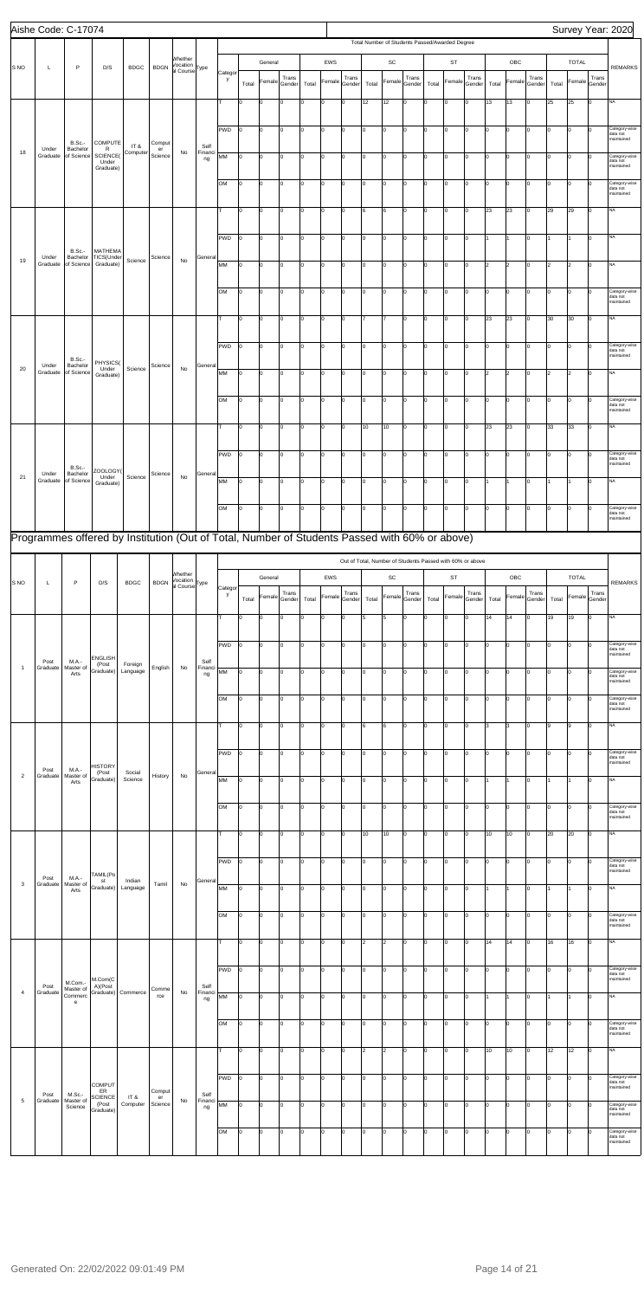|                 | Aishe Code: C-17074 |                                 |                                                                                               |                     |               |                                                  |                       |              |                |                |                 |       |                |                 |       |                     |                                                           |       |                |                 |       |                      |                 |                |                      |                 | Survey Year: 2020                       |
|-----------------|---------------------|---------------------------------|-----------------------------------------------------------------------------------------------|---------------------|---------------|--------------------------------------------------|-----------------------|--------------|----------------|----------------|-----------------|-------|----------------|-----------------|-------|---------------------|-----------------------------------------------------------|-------|----------------|-----------------|-------|----------------------|-----------------|----------------|----------------------|-----------------|-----------------------------------------|
|                 |                     |                                 |                                                                                               |                     |               |                                                  |                       |              |                |                |                 |       |                |                 |       |                     | Total Number of Students Passed/Awarded Degree            |       |                |                 |       |                      |                 |                |                      |                 |                                         |
| S <sub>NO</sub> | L                   | $\sf P$                         | D/S                                                                                           | <b>BDGC</b>         | <b>BDGN</b>   | Whether<br>Vocation<br>al Course <sup>Type</sup> |                       | Categor      |                | General        |                 |       | EWS            |                 |       | SC                  |                                                           |       | <b>ST</b>      |                 |       | OBC                  |                 |                | <b>TOTAL</b>         |                 | <b>REMARKS</b>                          |
|                 |                     |                                 |                                                                                               |                     |               |                                                  |                       | у            | Total          | Female         | Trans<br>Gender | Total | Female         | Trans<br>Gender | Total | Female              | Trans<br>Gender                                           | Total | Female         | Trans<br>Gender | Total | Female               | Trans<br>Gender | Total          | Female               | Trans<br>Gender |                                         |
|                 |                     |                                 |                                                                                               |                     |               |                                                  |                       | T.           | I٥             | 0              | Iо              | l0.   | l0             | I٥              | 12    | 12                  | Iо                                                        | lо    | 0              | Iо              | 13    | 13                   | lo.             | 25             | 25                   | Iо              | <b>NA</b>                               |
|                 |                     |                                 |                                                                                               |                     |               |                                                  |                       |              |                |                |                 |       |                |                 |       |                     |                                                           |       |                |                 |       |                      |                 |                |                      |                 |                                         |
|                 |                     | <b>B.Sc.-</b>                   | COMPUTE                                                                                       |                     | Comput        |                                                  |                       | PWD          | Ιo             | 0              | Iо              | I٥    | lo             | Iо              | lo.   | $\mathsf{O}\xspace$ | Iо                                                        | lо    | O              | Iо              | lо    | O                    | Iо              | O              | l0                   | Iо              | Category-wise<br>data not<br>maintained |
| 18              | Under<br>Graduate   | Bachelor                        | $\mathsf{R}$<br>of Science SCIENCE(<br>Under                                                  | IT&<br>Computer     | er<br>Science | No                                               | Self<br>Financi<br>ng | MM           | Iо             | l0             | lo.             | I٥    | lo             | Iо              | I٥    | o                   | Iо                                                        | lо    | lo.            | Iо              | I٥    | 0                    | lo.             | I٥             | 0                    | I٥              | Category-wise<br>data not               |
|                 |                     |                                 | Graduate)                                                                                     |                     |               |                                                  |                       |              |                |                |                 |       |                |                 |       |                     |                                                           |       |                |                 |       |                      |                 |                |                      |                 | maintained                              |
|                 |                     |                                 |                                                                                               |                     |               |                                                  |                       | OM           | Iо             | l0             | Iо              | I٥    | O              | Iо              | I٥    | 0                   | lо                                                        | lо    | 0              | lo.             | lо    | 0                    | $\Omega$        | I٥             | 0                    | lo.             | Category-wise<br>data not<br>maintained |
|                 |                     |                                 |                                                                                               |                     |               |                                                  |                       |              | I٥             | $\mathbf 0$    | I٥              | I٥    | lo             | Iо              | 6     | 6                   | Iо                                                        | I٥    | O              | lo.             | 23    | 23                   | lо              | 29             | 29                   | lо              | <b>NA</b>                               |
|                 |                     |                                 |                                                                                               |                     |               |                                                  |                       |              |                |                |                 |       |                |                 |       |                     |                                                           |       |                |                 |       |                      |                 |                |                      |                 |                                         |
|                 |                     | <b>B.Sc.-</b>                   | MATHEMA                                                                                       |                     |               |                                                  |                       | PWD          | Iо             | l0             | lo.             | Iо    | lo             | Iо              | lo.   | o                   | Iо                                                        | lо    | lo.            | Iо              |       | 11                   | lo.             | 1              |                      | Iо              | NA                                      |
| 19              | Under<br>Graduate   | Bachelor<br>of Science          | TICS(Under<br>Graduate)                                                                       | Science             | Science       | No                                               | General               | MM           | Iо             | lо             | Iо              | I٥    | lo             | I٥              | I٥    | 0                   | Iо                                                        | I٥    | 0              | lo              | 2     | $\overline{2}$       | Iо              | 2              | $\vert$ <sub>2</sub> | Iо              | <b>NA</b>                               |
|                 |                     |                                 |                                                                                               |                     |               |                                                  |                       |              |                |                |                 |       |                |                 |       |                     |                                                           |       |                |                 |       |                      |                 |                |                      |                 |                                         |
|                 |                     |                                 |                                                                                               |                     |               |                                                  |                       | OM           | lо             | 0              | I٥              | lo.   | lo             | Iо              | I٥    | 0                   | Iо                                                        | I٥    | $\mathbf 0$    | Iо              | lо    | O                    | Iо              | O              | $\overline{0}$       | Iо              | Category-wise<br>data not<br>maintained |
|                 |                     |                                 |                                                                                               |                     |               |                                                  |                       | т            | lо             | l0             | lo.             | I٥    | lo             | Iо              |       | $\overline{7}$      | I٥                                                        | lо    | $\overline{0}$ | Iо              | 23    | 23                   | lo.             | 30             | 30                   | Iо              | NA                                      |
|                 |                     |                                 |                                                                                               |                     |               |                                                  |                       |              |                |                |                 |       |                |                 |       |                     |                                                           |       |                |                 |       |                      |                 |                |                      |                 |                                         |
|                 |                     | B.Sc.-                          | PHYSICS(                                                                                      |                     |               |                                                  |                       | PWD          | Iо             | lo             | Iо              | I٥    | O              | I٥              | I٥    | 0                   | lо                                                        | lо    | 0              | Iо              | lо    | 0                    | lo.             | I٥             | 0                    | Iо              | Category-wise<br>data not<br>maintained |
| 20              | Under               | Bachelor<br>Graduate of Science | Under<br>Graduate)                                                                            | Science             | Science       | No                                               | General               | MM           | I٥             | $\mathsf 0$    | I٥              | I٥    | lo             | Iо              | I٥    | $\mathsf{O}\xspace$ | Iо                                                        | I٥    | $\mathbf 0$    | Iо              | 2     | $\vert$ <sub>2</sub> | lо              | $\overline{2}$ | $\overline{2}$       | lо              | <b>NA</b>                               |
|                 |                     |                                 |                                                                                               |                     |               |                                                  |                       |              |                |                |                 |       |                |                 |       |                     |                                                           |       |                |                 |       |                      |                 |                |                      |                 |                                         |
|                 |                     |                                 |                                                                                               |                     |               |                                                  |                       | lом          | I٥             | l0             | lo.             | Iо    | lo             | Iо              | lo.   | lо                  | Iо                                                        | lо    | O              | Iо              | lо    | O                    | lo.             | Iо             | l0                   | Iо              | Category-wise<br>data not<br>maintained |
|                 |                     |                                 |                                                                                               |                     |               |                                                  |                       | T.           | lo             | lо             | Iо              | lo.   | lo             | Iо              | 10    | 10                  | Iо                                                        | I٥    | 0              | Iо              | 23    | 23                   | Iо              | 33             | 33                   | Iо              | <b>NA</b>                               |
|                 |                     |                                 |                                                                                               |                     |               |                                                  |                       |              |                |                |                 |       |                |                 |       |                     |                                                           |       |                |                 |       |                      |                 |                |                      |                 |                                         |
|                 |                     | B.Sc.                           | ZOOLOGY(                                                                                      |                     |               |                                                  |                       | PWD          | I٥             | lо             | Iо              | I٥    | $\overline{0}$ | Iо              | lo.   | $\mathsf{O}\xspace$ | Iо                                                        | I٥    | O              | Iо              | lо    | O                    | Iо              | lo.            | O                    | Iо              | Category-wise<br>data not<br>maintained |
| 21              | Under<br>Graduate   | Bachelor<br>of Science          | Under<br>Graduate)                                                                            | Science             | Science       | No                                               | General               | MM           | Iо             | l0             | Iо              | I٥    | O              | Iо              | I٥    | O                   | Iо                                                        | l0    | $\mathbf 0$    | Iо              |       |                      | lo.             | 1              |                      | Iо              | NA                                      |
|                 |                     |                                 |                                                                                               |                     |               |                                                  |                       |              |                |                |                 | lo    |                |                 |       | $\mathbf 0$         |                                                           |       | 0              | lo              | ١o    | $\overline{0}$       |                 |                | 0                    | 0               | Category-wise                           |
|                 |                     |                                 |                                                                                               |                     |               |                                                  |                       | OM           | 10             | $\overline{0}$ | Iо              |       | 0              | Iо              | I٥    |                     | Iо                                                        | Iо    |                |                 |       |                      |                 | Iо             |                      |                 | data not<br>maintained                  |
|                 |                     |                                 | Programmes offered by Institution (Out of Total, Number of Students Passed with 60% or above) |                     |               |                                                  |                       |              |                |                |                 |       |                |                 |       |                     |                                                           |       |                |                 |       |                      |                 |                |                      |                 |                                         |
|                 |                     |                                 |                                                                                               |                     |               |                                                  |                       |              |                |                |                 |       |                |                 |       |                     | Out of Total, Number of Students Passed with 60% or above |       |                |                 |       |                      |                 |                |                      |                 |                                         |
|                 |                     |                                 |                                                                                               |                     |               | Whether<br>Vocation                              |                       |              |                | General        |                 |       | EWS            |                 |       | SC                  |                                                           |       | <b>ST</b>      |                 |       | OBC                  |                 |                | <b>TOTAL</b>         |                 |                                         |
| S <sub>NO</sub> | L                   | P                               | D/S                                                                                           | <b>BDGC</b>         | <b>BDGN</b>   | al Course <sup>Type</sup>                        |                       | Categor<br>у | Total          | Female         | Trans<br>Gender | Total | Female         | Trans<br>Gender | Total | Female              | Trans<br>Gender                                           | Total | Female         | Trans<br>Gender | Total | Female               | Trans<br>Gender | Total          | Female               | Trans<br>Gender | <b>REMARKS</b>                          |
|                 |                     |                                 |                                                                                               |                     |               |                                                  |                       | т            | lo             | 0              | lo.             | I٥    | O              | lo.             | 5     | 5                   | Iо                                                        | I٥    | $\mathbf 0$    | lo.             | 14    | 14                   | $\Omega$        | 19             | 19                   | Iо              | NA                                      |
|                 |                     |                                 |                                                                                               |                     |               |                                                  |                       |              |                |                |                 |       |                |                 |       |                     |                                                           |       |                |                 |       |                      |                 |                |                      |                 |                                         |
|                 |                     |                                 |                                                                                               |                     |               |                                                  |                       | PWD          | Iо             | lo             | Iо              | I٥    | O              | I٥              | I٥    | 0                   | Iо                                                        | lо    | 0              | lo.             | lо    | 0                    | $\Omega$        | O              | 0                    | Iо              | Category-wise<br>data not<br>naintained |
| $\mathbf{1}$    | Post<br>Graduate    | M.A.-<br>Master of<br>Arts      | <b>ENGLISH</b><br>(Post<br>Graduate)                                                          | Foreign<br>Language | English       | No                                               | Self<br>Financi       | MM           | I٥             | $\mathsf 0$    | lo.             | lo.   | lo             | Iо              | I٥    | 0                   | Iо                                                        | I٥    | $\mathbf 0$    | lo.             | lо    | O                    | $\Omega$        | O              | $\overline{0}$       | $\Omega$        | Category-wise                           |
|                 |                     |                                 |                                                                                               |                     |               |                                                  | ng                    |              |                |                |                 |       |                |                 |       |                     |                                                           |       |                |                 |       |                      |                 |                |                      |                 | data not<br>maintained                  |
|                 |                     |                                 |                                                                                               |                     |               |                                                  |                       | OM           | I٥             | 0              | lo.             | lo    | lo.            | Iо              | I٥    | o                   | Iо                                                        | lо    | $\mathbf 0$    | Iо              | I٥    | 0                    | $\Omega$        | I٥             | l0                   | $\Omega$        | Category-wise<br>data not<br>maintained |
|                 |                     |                                 |                                                                                               |                     |               |                                                  |                       | т            | 0              | 0              | Iо              | lo.   | lo.            | I٥              | 6     | 6                   | Iо                                                        | lo.   | 0              | lo              | 3     | 3                    | $\Omega$        | 9              | 9                    | Iо              | <b>NA</b>                               |
|                 |                     |                                 |                                                                                               |                     |               |                                                  |                       |              |                |                |                 |       |                |                 |       |                     |                                                           |       |                |                 |       |                      |                 |                |                      |                 |                                         |
|                 |                     |                                 |                                                                                               |                     |               |                                                  |                       | PWD          | I٥             | 0              | lo.             | I٥    | lo             | I٥              | I٥    | 0                   | Iо                                                        | I٥    | $\mathbf 0$    | Iо              | Iо    | 0                    | 0               | O              | 0                    | 0               | Category-wise<br>data not<br>maintained |
| $\overline{2}$  | Post<br>Graduate    | M.A.-<br>Master of<br>Arts      | <b>HISTORY</b><br>(Post<br>Graduate)                                                          | Social<br>Science   | History       | No                                               | Genera                | MM           | I٥             | 0              | lo.             | I٥    | I٥             | Iо              | I٥    | o                   | Iо                                                        | lо    | $\mathbf 0$    | lo.             |       |                      | $\Omega$        | 1              |                      | lo.             | NA                                      |
|                 |                     |                                 |                                                                                               |                     |               |                                                  |                       |              |                |                |                 |       |                |                 |       |                     |                                                           |       |                |                 |       |                      |                 |                |                      |                 |                                         |
|                 |                     |                                 |                                                                                               |                     |               |                                                  |                       | <b>OM</b>    | Iо             | l0             | Iо              | I٥    | l0             | I٥              | I٥    | 0                   | Iо                                                        | lо    | $\mathbf 0$    | Iо              | Iо    | 0                    | $\Omega$        | I٥             | 0                    | Iо              | Category-wise<br>data not<br>maintained |
|                 |                     |                                 |                                                                                               |                     |               |                                                  |                       |              | I٥             | $\mathbf 0$    | lo.             | I٥    | lo             | Iо              | 10    | 10                  | Iо                                                        | I٥    | $\mathbf 0$    | lo.             | 10    | 10                   | lo.             | 20             | 20                   | lо              | <b>NA</b>                               |
|                 |                     |                                 |                                                                                               |                     |               |                                                  |                       |              |                |                |                 |       |                |                 |       |                     |                                                           |       |                |                 |       |                      |                 |                |                      |                 |                                         |
|                 |                     |                                 | TAMIL(Po                                                                                      |                     |               |                                                  |                       | PWD          | l٥             | l0             | lo.             | lo    | lo             | Iо              | lo.   | o                   | Iо                                                        | lо    | $\mathbf 0$    | Iо              | Iо    | O                    | lo.             | I٥             | l0                   | Iо              | Category-wise<br>data not<br>maintained |
| 3               | Post<br>Graduate    | M.A.-<br>Master of<br>Arts      | st<br>Graduate)                                                                               | Indian<br>Language  | Tamil         | No                                               | Genera                | MM           | lo             | 0              | Iо              | I٥    | 0              | I٥              | I٥    | 0                   | Iо                                                        | lo.   | 0              | Iо              |       | 11                   | $\Omega$        | 11             |                      | Iо              | <b>NA</b>                               |
|                 |                     |                                 |                                                                                               |                     |               |                                                  |                       |              |                |                |                 |       |                |                 |       |                     |                                                           |       |                |                 |       |                      |                 |                |                      |                 |                                         |
|                 |                     |                                 |                                                                                               |                     |               |                                                  |                       | OM           | I٥             | 0              | I٥              | I٥    | l0             | Iо              | I٥    | $\mathsf{O}\xspace$ | Iо                                                        | l0    | 0              | Iо              | Iо    | 0                    | 0               | O              | 0                    | Iо              | Category-wise<br>data not<br>maintained |
|                 |                     |                                 |                                                                                               |                     |               |                                                  |                       | T.           | I٥             | l0             | lo.             | I٥    | 0              | Iо              | 2     | $\overline{2}$      | Iо                                                        | lо    | $\mathbf 0$    | Iо              | 14    | 14                   | lo.             | 16             | 16                   | Iо              | NA                                      |
|                 |                     |                                 |                                                                                               |                     |               |                                                  |                       |              |                |                |                 |       |                |                 |       |                     |                                                           |       |                |                 |       |                      |                 |                |                      |                 |                                         |
|                 |                     | M.Com.-                         | M.Com(C                                                                                       |                     |               |                                                  |                       | PWD          | Iо             | 0              | I٥              | lo.   | l0             | lo.             | lo.   | 0                   | Iо                                                        | I٥    | $\mathbf 0$    | lo.             | I٥    | $\Omega$             |                 | O              | 0                    | 10              | Category-wise<br>data not<br>maintained |
| 4               | Post<br>Graduate    | Master of<br>Commerc<br>e       | A)(Post<br>Graduate) Commerce                                                                 |                     | Comme<br>rce  | No                                               | Self<br>Financi<br>ng | MM           | Iо             | 0              | Iо              | 10    | 0              | 10              | 10    | 0                   | 10                                                        | 10    | 0              | Iо              |       |                      | 0               |                |                      | lо              | NA                                      |
|                 |                     |                                 |                                                                                               |                     |               |                                                  |                       |              |                |                |                 |       |                |                 |       |                     |                                                           |       |                |                 |       |                      |                 |                |                      |                 |                                         |
|                 |                     |                                 |                                                                                               |                     |               |                                                  |                       | OM           | Iо             | 0              | lo.             | I٥    | lo.            | Iо              | lo.   | lо                  | lo.                                                       | lо    | $\mathbf 0$    | lo              | I٥    | 0                    | lo.             | Iо             | lo.                  | Iо              | Category-wise<br>data not<br>maintained |
|                 |                     |                                 |                                                                                               |                     |               |                                                  |                       | т            | lo             | 0              | Iо              | lo.   | lo.            | I٥              | 2     | $\overline{2}$      | lo                                                        | I٥    | 0              | Iо              | 10    | 10                   | Iо              | 12             | 12                   | Iо              | <b>NA</b>                               |
|                 |                     |                                 |                                                                                               |                     |               |                                                  |                       |              |                |                |                 |       |                |                 |       |                     |                                                           |       |                |                 |       |                      |                 |                |                      |                 |                                         |
|                 | Post                | M.Sc.-                          | <b>COMPUT</b><br>ER                                                                           |                     | Comput        |                                                  | Self                  | PWD          | $\overline{0}$ | 0              | Iо              | I٥    | 10             | Iо              | I٥    | $\mathsf{O}\xspace$ | Iо                                                        | l0    | $\mathbf 0$    | Iо              | lо    | 0                    | Iо              | I٥             | 0                    | 0               | Category-wise<br>data not<br>maintained |
| $\overline{5}$  | Graduate            | Master of<br>Science            | <b>SCIENCE</b><br>(Post<br>Graduate)                                                          | IT &<br>Computer    | er<br>Science | No                                               | Financi<br>ng         | MM           | lo             | 0              | lo.             | I٥    | lo             | Iо              | lo.   | o                   | Iо                                                        | lо    | lo.            | lo.             | I٥    | 0                    | lo.             | Iо             | 0                    | lo.             | Category-wise<br>data not               |
|                 |                     |                                 |                                                                                               |                     |               |                                                  |                       |              |                |                |                 |       |                |                 |       |                     |                                                           |       |                |                 |       |                      |                 |                |                      |                 | maintained<br>Category-wise             |
|                 |                     |                                 |                                                                                               |                     |               |                                                  |                       | OM           | lo             | lо             | Iо              | lo.   | 0              | Iо              | I٥    | 0                   | Iо                                                        | I٥    | 0              | Iо              | I٥    | 0                    | Iо              | I٥             | lo.                  | Iо              | data not<br>maintained                  |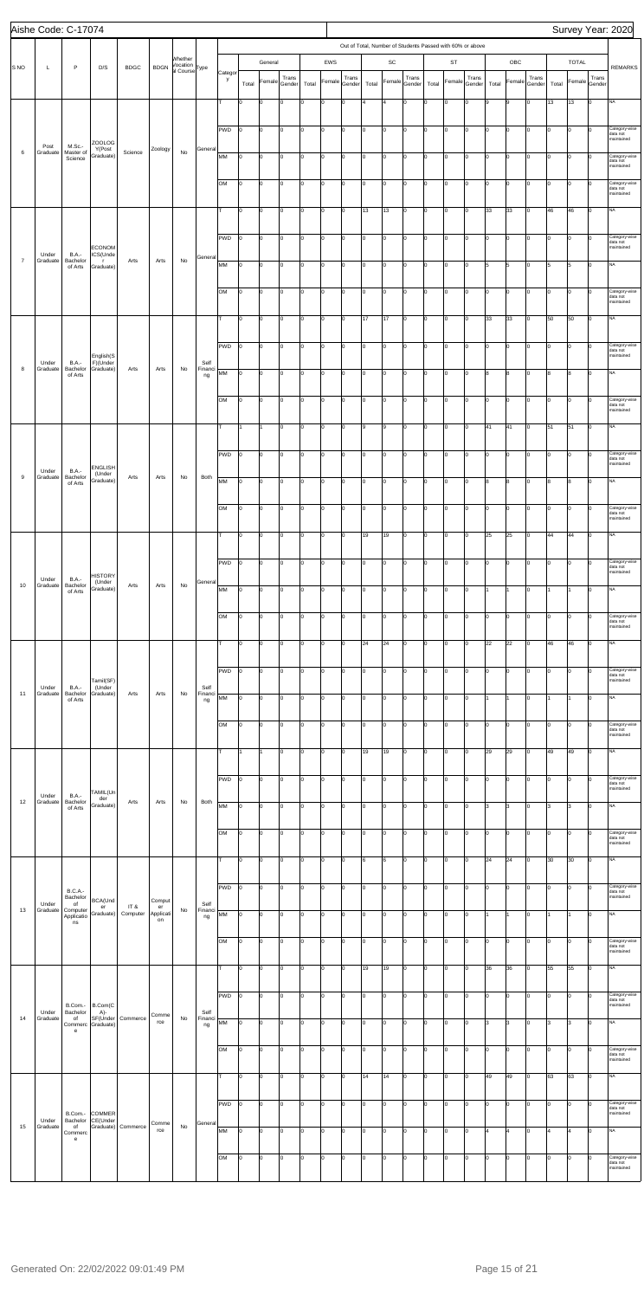|                  | Aishe Code: C-17074 |                                     |                               |                    |                 |                           |                 |              |       |                |                |       |        |        |                                                           |                              |        |          |        |        |                           |                |        |       |               |       | Survey Year: 2020                       |
|------------------|---------------------|-------------------------------------|-------------------------------|--------------------|-----------------|---------------------------|-----------------|--------------|-------|----------------|----------------|-------|--------|--------|-----------------------------------------------------------|------------------------------|--------|----------|--------|--------|---------------------------|----------------|--------|-------|---------------|-------|-----------------------------------------|
|                  |                     |                                     |                               |                    |                 |                           |                 |              |       |                |                |       |        |        | Out of Total, Number of Students Passed with 60% or above |                              |        |          |        |        |                           |                |        |       |               |       |                                         |
|                  |                     |                                     |                               |                    |                 | Whether<br>Vocation       |                 |              |       | General        |                |       | EWS    |        |                                                           | $\operatorname{\textsf{SC}}$ |        |          | ST     |        |                           | OBC            |        |       | <b>TOTAL</b>  |       |                                         |
| S <sub>NO</sub>  | L                   | P                                   | D/S                           | <b>BDGC</b>        | <b>BDGN</b>     | al Course <sup>Type</sup> |                 | Categor<br>y |       |                | Trans          |       |        | Trans  |                                                           |                              | Trans  |          |        | Trans  |                           |                | Trans  |       |               | Trans | <b>REMARKS</b>                          |
|                  |                     |                                     |                               |                    |                 |                           |                 |              | Total | Female         | Gender         | Total | Female | Gender | Total                                                     | Female                       | Gender | Total    | Female | Gender | Total                     | Female         | Gender | Total | Female Gender |       |                                         |
|                  |                     |                                     |                               |                    |                 |                           |                 | т            | O     | 0              | $\overline{0}$ | Iо    | O      | 0      | l4                                                        | $\overline{4}$               | 0      | lo       | O      | I٥     | 9                         | 9              | Iо     | 13    | 13            | lо    | <b>NA</b>                               |
|                  |                     |                                     |                               |                    |                 |                           |                 |              |       |                |                |       |        |        |                                                           |                              |        |          |        |        |                           |                |        |       |               |       |                                         |
|                  |                     |                                     |                               |                    |                 |                           |                 | PWD          | I٥    | 0              | lo.            | Iо    | O      | Iо     | lо                                                        | O                            | Iо     | lo.      | lo     | lo.    | Iо                        | $\mathbf 0$    | Iо     | Iо    | lo            | lо    | Category-wise<br>data not               |
|                  | Post                | M.Sc.-                              | ZOOLOG<br>Y(Post              |                    | Zoology         |                           | General         |              |       |                |                |       |        |        |                                                           |                              |        |          |        |        |                           |                |        |       |               |       | maintained                              |
| $\,6\,$          | Graduate            | Master of<br>Science                | Graduate)                     | Science            |                 | No                        |                 | MM           | I٥    | $\circ$        | I٥             | Iо    | O      | Iо     | Iо                                                        | O                            | lо     | lо       | O      | I٥     | Iо                        | 0              | Iо     | Iо    | 0             | Iо    | Category-wise<br>data not               |
|                  |                     |                                     |                               |                    |                 |                           |                 |              |       |                |                |       |        |        |                                                           |                              |        |          |        |        |                           |                |        |       |               |       | maintained                              |
|                  |                     |                                     |                               |                    |                 |                           |                 | lом          | I٥    | 0              | I٥             | Iо    | O      | lo.    | lо                                                        | O                            | lо     | Iо       | O      | I٥     | I٥                        | lo.            | Iо     | Iо    | lo            | lo    | Category-wise<br>data not<br>maintained |
|                  |                     |                                     |                               |                    |                 |                           |                 |              |       |                |                |       |        |        |                                                           |                              |        |          |        |        |                           |                |        |       |               |       |                                         |
|                  |                     |                                     |                               |                    |                 |                           |                 | lτ           | I٥    | 0              | 0              | Iо    | l0     | Iо     | 13                                                        | 13                           | Iо     | lo.      | 0      | lo.    | 33                        | 33             | Iо     | 46    | 46            | lо    | <b>NA</b>                               |
|                  |                     |                                     |                               |                    |                 |                           |                 |              |       |                |                |       |        |        |                                                           |                              |        |          |        |        |                           |                |        |       |               |       | Category-wise                           |
|                  |                     |                                     | <b>ECONOM</b>                 |                    |                 |                           |                 | PWD          | Iо    | 0              | O              | I٥    | O      | Iо     | Iо                                                        | 0                            | lо     | l٥       | O      | I٥     | I٥                        | O              | Iо     | Iо    | lo            | Iо    | data not<br>maintained                  |
| $\overline{7}$   | Under<br>Graduate   | <b>B.A.-</b><br>Bachelor            | ICS(Unde<br>- r               | Arts               | Arts            | No                        | General         | MM           | l0    | 0              | I٥             | lо    | O      | lo.    | lо                                                        | $\overline{\mathbf{0}}$      | lо     | Iо       | O      | I٥     | 5                         | 5              | Iо     | 5     | 5             | lо    | <b>NA</b>                               |
|                  |                     | of Arts                             | Graduate)                     |                    |                 |                           |                 |              |       |                |                |       |        |        |                                                           |                              |        |          |        |        |                           |                |        |       |               |       |                                         |
|                  |                     |                                     |                               |                    |                 |                           |                 | lом          | I٥    | $\circ$        | O              | Iо    | O      | Iо     | Iо                                                        | O                            | lо     | lo.      | lo     | I٥     | Iо                        | $\overline{0}$ | Iо     | Iо    | Iо            | lо    | Category-wise                           |
|                  |                     |                                     |                               |                    |                 |                           |                 |              |       |                |                |       |        |        |                                                           |                              |        |          |        |        |                           |                |        |       |               |       | data not<br>maintained                  |
|                  |                     |                                     |                               |                    |                 |                           |                 | lτ           | I٥    | lo.            | 0              | I٥    | 0      | Iо     | 17                                                        | 17                           | lо     | lо       | 0      | I٥     | 33                        | 33             | Iо     | 50    | 50            | lо    | <b>NA</b>                               |
|                  |                     |                                     |                               |                    |                 |                           |                 |              |       |                |                |       |        |        |                                                           |                              |        |          |        |        |                           |                |        |       |               |       |                                         |
|                  |                     |                                     |                               |                    |                 |                           |                 | PWD          | I٥    | 0              | I٥             | Iо    | O      | lo.    | lо                                                        | O                            | Iо     | Iо       | O      | I٥     | I٥                        | lo.            | Iо     | Iо    | 0             | lо    | Category-wise<br>data not               |
|                  | Under               | <b>B.A.-</b>                        | English(S<br>F)(Under         |                    |                 |                           | Self            |              |       |                |                |       |        |        |                                                           |                              |        |          |        |        |                           |                |        |       |               |       | maintained                              |
| 8                | Graduate            | Bachelor<br>of Arts                 | Graduate)                     | Arts               | Arts            | No                        | Financi<br>ng   | MM           | Iо    | 0              | O              | Iо    | l0     | I٥     | lо                                                        | O                            | Iо     | Iо       | lo     | lo.    | 8                         | 8              | Iо     | 8     | 8             | lо    | <b>NA</b>                               |
|                  |                     |                                     |                               |                    |                 |                           |                 |              |       |                |                |       |        |        |                                                           |                              |        |          |        |        |                           |                |        |       |               |       |                                         |
|                  |                     |                                     |                               |                    |                 |                           |                 | lом          | I٥    | O              | 0              | I٥    | 0      | I٥     | Iо                                                        | 0                            | Iо     | $\Omega$ | O      | lo.    | o                         | 0              | Iо     | Iо    | lo            | Iо    | Category-wise<br>data not<br>maintained |
|                  |                     |                                     |                               |                    |                 |                           |                 |              |       |                |                |       |        |        |                                                           |                              |        |          |        |        |                           |                |        |       |               |       |                                         |
|                  |                     |                                     |                               |                    |                 |                           |                 | lΤ           |       | 1              | I٥             | lо    | O      | lo.    | l9                                                        | 9                            | Iо     | lо       | O      | I٥     | 41                        | 41             | Iо     | 51    | 51            | lо    | <b>NA</b>                               |
|                  |                     |                                     |                               |                    |                 |                           |                 |              |       |                |                |       |        |        |                                                           |                              |        |          |        |        |                           |                |        |       |               |       |                                         |
|                  |                     |                                     | <b>ENGLISH</b>                |                    |                 |                           |                 | PWD          | I٥    | $\vert$ 0      | lo.            | Iо    | O      | Iо     | I٥                                                        | $\overline{\mathbf{0}}$      | lо     | Iо       | lo     | I٥     | Iо                        | $\overline{0}$ | Iо     | Iо    | l0            | lо    | Category-wise<br>data not<br>maintained |
| $\boldsymbol{9}$ | Under<br>Graduate   | <b>B.A.-</b><br>Bachelor            | (Under<br>Graduate)           | Arts               | Arts            | No                        | Both            | MM           | I٥    | $\overline{0}$ | Iо             | Iо    | lo     | Iо     | 0                                                         | 0                            | lо     | Iо       | O      | I٥     | 8                         | 8              | Iо     | 8     | 8             | lо    | <b>NA</b>                               |
|                  |                     | of Arts                             |                               |                    |                 |                           |                 |              |       |                |                |       |        |        |                                                           |                              |        |          |        |        |                           |                |        |       |               |       |                                         |
|                  |                     |                                     |                               |                    |                 |                           |                 | ЮM           | 10    | $ 0\rangle$    | IО             | 10    | 0      | 10     | 10                                                        | 0                            |        |          | 0      | 10     | $\mathsf{I}^{\mathsf{o}}$ | 0              | 10     | 10    | 10            | 10    | Category-wise                           |
|                  |                     |                                     |                               |                    |                 |                           |                 |              |       |                |                |       |        |        |                                                           |                              |        |          |        |        |                           |                |        |       |               |       | data not<br>maintained                  |
|                  |                     |                                     |                               |                    |                 |                           |                 | lτ           | O     | 0              | lo.            | Iо    | O      | Iо     | 19                                                        | 19                           | Iо     | lo.      | lo     | lo.    | 25                        | 25             | Iо     | 44    | 44            | lо    | <b>NA</b>                               |
|                  |                     |                                     |                               |                    |                 |                           |                 |              |       |                |                |       |        |        |                                                           |                              |        |          |        |        |                           |                |        |       |               |       |                                         |
|                  |                     |                                     |                               |                    |                 |                           |                 | PWD          | I٥    | 0              | 0              | I٥    | 0      | I٥     | Iо                                                        | 0                            | Iо     | $\Omega$ | O      | I٥     | o                         | 0              | Iо     | Iо    | O             | Iо    | Category-wise<br>data not               |
|                  | Under               | <b>B.A.-</b>                        | <b>HISTORY</b><br>(Under      |                    |                 |                           | General         |              |       |                |                |       |        |        |                                                           |                              |        |          |        |        |                           |                |        |       |               |       | maintained                              |
| 10               | Graduate            | Bachelor<br>of Arts                 | Graduate)                     | Arts               | Arts            | No                        |                 | MM           | O     | 0              | Iо             | Iо    | 0      | 0      | lо                                                        | $\overline{\mathbf{0}}$      | Iо     | lо       | lo     | I٥     | 1                         | 1              | Iо     |       | 11            | lо    | <b>NA</b>                               |
|                  |                     |                                     |                               |                    |                 |                           |                 |              |       |                |                |       |        |        |                                                           |                              |        |          |        |        |                           |                |        |       |               |       |                                         |
|                  |                     |                                     |                               |                    |                 |                           |                 | lом          | I٥    | lo.            | lo.            | Iо    | l0     | Iо     | I٥                                                        | O                            | lо     | lo.      | lo     | I٥     | Iо                        | $\overline{0}$ | Iо     | Iо    | l0            | lо    | Category-wise<br>data not<br>maintained |
|                  |                     |                                     |                               |                    |                 |                           |                 |              |       |                |                |       |        |        |                                                           |                              |        |          |        |        |                           |                |        |       |               |       |                                         |
|                  |                     |                                     |                               |                    |                 |                           |                 | lτ           | I٥    | 0              | lo.            | I٥    | 0      | Iо     | 24                                                        | 24                           | lо     | lо       | 0      | I٥     | 22                        | 22             | Iо     | 46    | 46            | lо    | <b>NA</b>                               |
|                  |                     |                                     |                               |                    |                 |                           |                 |              |       |                |                |       |        |        |                                                           |                              |        |          |        |        |                           |                |        |       |               |       | Category-wise                           |
|                  |                     |                                     | Tamil(SF)                     |                    |                 |                           |                 | PWD          | I٥    | 0              | Iо             | Iо    | O      | lo.    | lо                                                        | O                            | Iо     | Iо       | lo     | I٥     | o                         | lo.            | Iо     | Iо    | l0            | lо    | data not<br>maintained                  |
| 11               | Under<br>Graduate   | <b>B.A.-</b><br>Bachelor<br>of Arts | (Under<br>Graduate)           | Arts               | Arts            | No                        | Self<br>Financi | MM           | lо    | 0              | 0              | Iо    | O      | Iо     | I٥                                                        | O                            | Iо     | lo.      | 0      | lo.    | 1                         | 1              | Iо     |       | 1             | lо    | <b>NA</b>                               |
|                  |                     |                                     |                               |                    |                 |                           | ng              |              |       |                |                |       |        |        |                                                           |                              |        |          |        |        |                           |                |        |       |               |       |                                         |
|                  |                     |                                     |                               |                    |                 |                           |                 | lом          | I٥    | 0              | 0              | I٥    | 0      | I٥     | Iо                                                        | 0                            | lо     | l0       | O      | I٥     | I٥                        | lо             | Iо     | I٥    | O             | Iо    | Category-wise                           |
|                  |                     |                                     |                               |                    |                 |                           |                 |              |       |                |                |       |        |        |                                                           |                              |        |          |        |        |                           |                |        |       |               |       | data not<br>maintained                  |
|                  |                     |                                     |                               |                    |                 |                           |                 | lт           |       | 11             | I٥             | Iо    | O      | lo.    | 19                                                        | 19                           | Iо     | Iо       | lo     | I٥     | 29                        | 29             | Iо     | 49    | 49            | lо    | <b>NA</b>                               |
|                  |                     |                                     |                               |                    |                 |                           |                 |              |       |                |                |       |        |        |                                                           |                              |        |          |        |        |                           |                |        |       |               |       |                                         |
|                  |                     |                                     |                               |                    |                 |                           |                 | PWD          | Iо    | 0              | lo.            | Iо    | O      | Iо     | I٥                                                        | O                            | lо     | lo.      | 0      | I٥     | Iо                        | $\overline{0}$ | Iо     | Iо    | I٥            | lо    | Category-wise<br>data not               |
|                  | Under               | <b>B.A.-</b>                        | TAMIL(Un<br>der               |                    |                 |                           |                 |              |       |                |                |       |        |        |                                                           |                              |        |          |        |        |                           |                |        |       |               |       | maintained                              |
| 12               | Graduate            | Bachelor<br>of Arts                 | Graduate)                     | Arts               | Arts            | No                        | Both            | MM           | Iо    | lo.            | lo.            | I٥    | O      | Iо     | Iо                                                        | 0                            | lо     | lо       | 0      | I٥     | 3                         | 3              | Iо     | 13    | 3             | lо    | <b>NA</b>                               |
|                  |                     |                                     |                               |                    |                 |                           |                 |              |       |                |                |       |        |        |                                                           |                              |        |          |        |        |                           |                |        |       |               |       |                                         |
|                  |                     |                                     |                               |                    |                 |                           |                 | lом          | O     | 0              | I٥             | lо    | O      | lo.    | lо                                                        | $\overline{\mathbf{0}}$      | Iо     | Iо       | O      | lo.    | I٥                        | O              | Iо     | Iо    | 0             | lо    | Category-wise<br>data not<br>maintained |
|                  |                     |                                     |                               |                    |                 |                           |                 | Iт           |       | lo.            | 0              |       | O      | lo.    |                                                           |                              | Iо     | Iо       | lo     | I٥     |                           | 24             |        |       |               | lо    | <b>NA</b>                               |
|                  |                     |                                     |                               |                    |                 |                           |                 |              | l0    |                |                | Iо    |        |        | 6                                                         | 6                            |        |          |        |        | 24                        |                | Iо     | 30    | 30            |       |                                         |
|                  |                     |                                     |                               |                    |                 |                           |                 | PWD          | I٥    | 0              | 0              | I٥    | 0      | I٥     | Iо                                                        | 0                            | Iо     | lo       | O      | I٥     | o                         | 0              | Iо     | Iо    | O             | Iо    | Category-wise                           |
|                  | Under               | <b>B.C.A.-</b><br>Bachelor<br>of    | BCA(Und                       |                    | Comput          |                           | Self            |              |       |                |                |       |        |        |                                                           |                              |        |          |        |        |                           |                |        |       |               |       | data not<br>maintained                  |
| 13               | Graduate            | Computer<br>Applicatio              | er<br>Graduate)               | IT &<br>Computer   | er<br>Applicati | No                        | Financi<br>ng   | MM           | l0    | 0              | Iо             | Iо    | 0      | 0      | lо                                                        | $\overline{\mathbf{0}}$      | Iо     | lо       | lo     | I٥     | 1                         | 1              | Iо     |       | 11            | lо    | <b>NA</b>                               |
|                  |                     | ns                                  |                               |                    | on              |                           |                 |              |       |                |                |       |        |        |                                                           |                              |        |          |        |        |                           |                |        |       |               |       |                                         |
|                  |                     |                                     |                               |                    |                 |                           |                 | lом          | I٥    | 0              | lo.            | Iо    | O      | Iо     | I٥                                                        | O                            | lо     | lo.      | lo     | I٥     | Iо                        | $\overline{0}$ | Iо     | Iо    | l0            | lо    | Category-wise<br>data not               |
|                  |                     |                                     |                               |                    |                 |                           |                 |              |       |                |                |       |        |        |                                                           |                              |        |          |        |        |                           |                |        |       |               |       | maintained                              |
|                  |                     |                                     |                               |                    |                 |                           |                 | Iт.          | I٥    | lo.            | lo.            | I٥    | lo     | 0      | 19                                                        | 19                           | Iо     | Iо       | 0      | I٥     | 36                        | 36             | Iо     | 55    | 55            | lо    | <b>NA</b>                               |
|                  |                     |                                     |                               |                    |                 |                           |                 |              |       |                |                |       |        |        |                                                           |                              |        |          |        |        |                           |                |        |       |               |       |                                         |
|                  |                     |                                     |                               |                    |                 |                           |                 | PWD          | 10    | 10             | IО             | 10    | 0      | 10     | 10                                                        | 0                            |        |          | I٥     | IО     | 10                        | 0              | 10     | 10    | 10            | ıо    | Category-wise<br>data not               |
|                  | Under               | Bachelor                            | B.Com.- B.Com(C<br>A)-        |                    | Comme           |                           | Self            |              |       |                |                |       |        |        |                                                           |                              |        |          |        |        |                           |                |        |       |               |       | maintained                              |
| 14               | Graduate            | of<br>е                             | SF(Under<br>Commerc Graduate) | Commerce           | rce             | No                        | Financi<br>ng   | MM           | lо    | $\overline{0}$ | lo.            | Iо    | l0     | Iо     | I٥                                                        | O                            | Iо     | lo.      | lo     | lo.    | 3                         | 3              | Iо     | 3     | l3            | lо    | <b>NA</b>                               |
|                  |                     |                                     |                               |                    |                 |                           |                 |              |       |                |                |       |        |        |                                                           |                              |        |          |        |        |                           |                |        |       |               |       |                                         |
|                  |                     |                                     |                               |                    |                 |                           |                 | lом          | lо    | 0              | 0              | Iо    | O      | Iо     | Iо                                                        | 0                            | lо     | lo       | O      | I٥     | I٥                        | 0              | Iо     | Iо    | O             | Iо    | Category-wise<br>data not<br>maintained |
|                  |                     |                                     |                               |                    |                 |                           |                 |              |       |                |                |       |        |        |                                                           |                              |        |          |        |        |                           |                |        |       |               |       |                                         |
|                  |                     |                                     |                               |                    |                 |                           |                 |              | l0    | 0              | I٥             | lо    | O      | lo.    | 14                                                        | 14                           | Iо     | Iо       | lo     | I٥     | 49                        | 49             | Iо     | 63    | 63            | lо    | <b>NA</b>                               |
|                  |                     |                                     |                               |                    |                 |                           |                 | $PWD$ $ 0$   |       | $\vert$ 0      | lo.            | Iо    | O      | Iо     | I٥                                                        | O                            | Iо     | lo.      | lo     | lo.    | Iо                        | $\overline{0}$ | Iо     | lo.   | I٥            | Iо    | Category-wise                           |
|                  |                     |                                     | B.Com.- COMMER                |                    |                 |                           |                 |              |       |                |                |       |        |        |                                                           |                              |        |          |        |        |                           |                |        |       |               |       | data not<br>maintained                  |
| 15               | Under<br>Graduate   | Bachelor<br>of<br>Commerc           | CE(Under                      | Graduate) Commerce | Comme<br>rce    | No                        | General         | MM           | lo.   | $\overline{0}$ | lo.            | Iо    | lo     | Iо     | lo                                                        | lo                           | lо     | Iо       | O      | I٥     | 4                         | 4              | Iо     | l4    | 4             | Iо    | <b>NA</b>                               |
|                  |                     | $\mathbf{e}% _{t}\left( t\right)$   |                               |                    |                 |                           |                 |              |       |                |                |       |        |        |                                                           |                              |        |          |        |        |                           |                |        |       |               |       |                                         |
|                  |                     |                                     |                               |                    |                 |                           |                 | OM           | O     | 0              | Iо             | lо    | 0      | lo.    | Iо                                                        | $\overline{\mathbf{0}}$      | lо     | Iо       | O      | I٥     | I٥                        | lo.            | Iо     | Iо    | lo            | lо    | Category-wise                           |
|                  |                     |                                     |                               |                    |                 |                           |                 |              |       |                |                |       |        |        |                                                           |                              |        |          |        |        |                           |                |        |       |               |       | data not<br>maintained                  |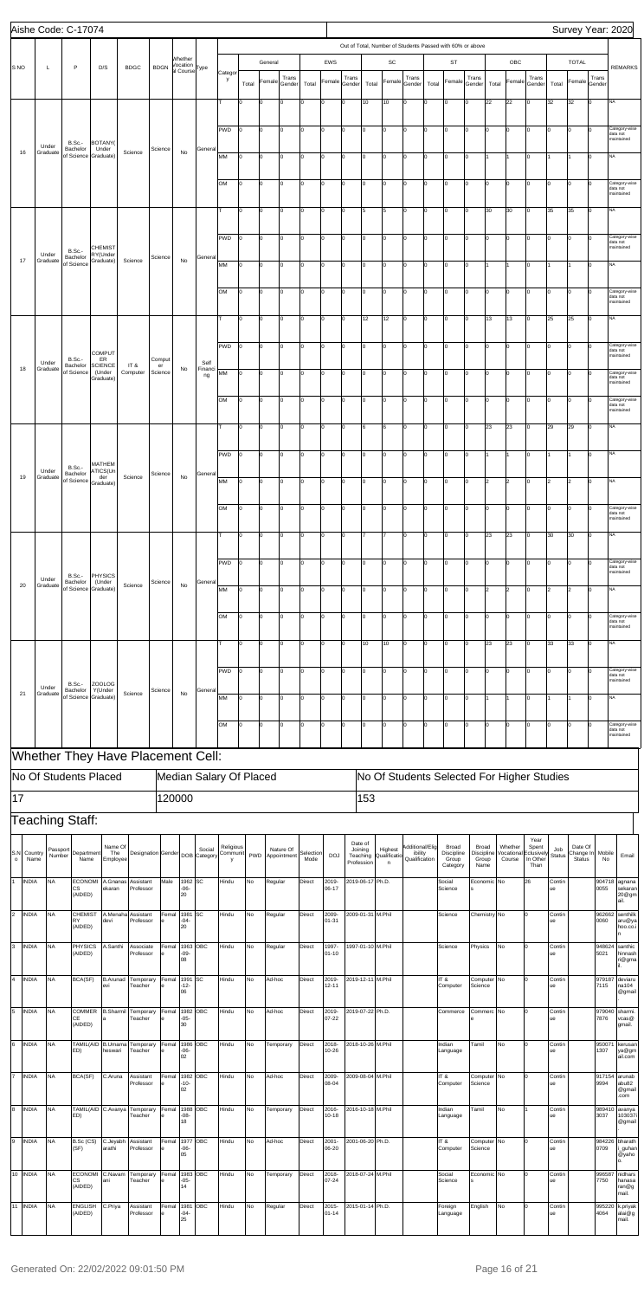|                                   |                    | Aishe Code: C-17074              |                              |                                   |                                 |        |                                  |                       |                         |                |         |                          |                   |                |                                   |                   |                                                           |                          |       |                                 |                             |              |                      |                                |                      |                      |                 | Survey Year: 2020                       |
|-----------------------------------|--------------------|----------------------------------|------------------------------|-----------------------------------|---------------------------------|--------|----------------------------------|-----------------------|-------------------------|----------------|---------|--------------------------|-------------------|----------------|-----------------------------------|-------------------|-----------------------------------------------------------|--------------------------|-------|---------------------------------|-----------------------------|--------------|----------------------|--------------------------------|----------------------|----------------------|-----------------|-----------------------------------------|
|                                   |                    |                                  |                              |                                   |                                 |        |                                  |                       |                         |                |         |                          |                   |                |                                   |                   | Out of Total, Number of Students Passed with 60% or above |                          |       |                                 |                             |              |                      |                                |                      |                      |                 |                                         |
| S NO                              | L                  | P                                | D/S                          | <b>BDGC</b>                       | <b>BDGN</b>                     |        | Whether<br>Vocation<br>al Course | Type                  | Categor                 |                | General |                          |                   | EWS            |                                   |                   | SC                                                        |                          |       | <b>ST</b>                       |                             |              | OBC                  |                                |                      | <b>TOTAL</b>         |                 | <b>REMARKS</b>                          |
|                                   |                    |                                  |                              |                                   |                                 |        |                                  |                       | у                       | Total          | Female  | Trans<br>Gender          | Total             | Female         | Trans<br>Gender                   | Total             | Female                                                    | Trans<br>Gender          | Total | Female                          | Trans<br>Gender             | Total        | Female               | Trans<br>Gender                | Total                | Female               | Trans<br>Gender |                                         |
|                                   |                    |                                  |                              |                                   |                                 |        |                                  |                       | T                       | lо             | O       | I٥                       | I٥                | $\mathbf 0$    | Iо                                | 10                | 10                                                        | Iо                       | ۱n    | O                               | lo.                         | 22           | 22                   | $\Omega$                       | 32                   | 32                   | lо              | <b>NA</b>                               |
|                                   |                    |                                  |                              |                                   |                                 |        |                                  |                       |                         |                |         |                          |                   |                |                                   |                   |                                                           |                          |       |                                 |                             |              |                      |                                |                      |                      |                 |                                         |
|                                   | Under              | <b>B.Sc.-</b>                    | <b>BOTANY</b>                |                                   |                                 |        |                                  |                       | <b>PWD</b>              | Iо             | 0       | I٥                       | I٥                | 0              | Iо                                | Iо                | O                                                         | Iо                       | I٥    | 0                               | Iо                          | $\Omega$     | O                    | I٥                             | Iо                   | $\overline{0}$       | Ιo              | Category-wise<br>data not<br>naintained |
| 16                                | Graduate           | Bachelor<br>of Science Graduate) | Under                        | Science                           | Science                         |        | No                               | General               | MM                      | I٥             | O       | I٥                       | I٥                | 0              | Iо                                | I٥                | lo                                                        | Iо                       | O     | 0                               | Iо                          |              | 1                    | 0                              |                      |                      | lо              | NA                                      |
|                                   |                    |                                  |                              |                                   |                                 |        |                                  |                       |                         |                |         |                          |                   |                |                                   |                   |                                                           |                          |       |                                 |                             |              |                      |                                |                      |                      |                 |                                         |
|                                   |                    |                                  |                              |                                   |                                 |        |                                  |                       | OM                      | I٥             | O       | Iо                       | I٥                | 0              | Iо                                | I٥                | O                                                         | Iо                       | I٥    | O                               | lo.                         | lo.          | $\overline{0}$       | 0                              | I٥                   | lo                   | $\Omega$        | Category-wise<br>data not<br>maintained |
|                                   |                    |                                  |                              |                                   |                                 |        |                                  |                       | lτ                      | Iо             | 0       | I٥                       | I٥                | $\mathbf 0$    | Iо                                | 5                 | 5                                                         | Iо                       | I٥    | 0                               | Iо                          | 30           | 30                   | Iо                             | 35                   | 35                   | Iо              | <b>NA</b>                               |
|                                   |                    |                                  |                              |                                   |                                 |        |                                  |                       |                         |                |         |                          |                   |                |                                   |                   |                                                           |                          |       |                                 |                             |              |                      |                                |                      |                      |                 |                                         |
|                                   |                    | <b>B.Sc.-</b>                    | <b>CHEMIST</b>               |                                   |                                 |        |                                  |                       | PWD                     | I٥             | o       | I٥                       | I٥                | 0              | Iо                                | I٥                | O                                                         | Iо                       | o     | o                               | I٥                          | lo           | $\overline{0}$       | 0                              | Iо                   | O                    | Iо              | Category-wise<br>data not<br>maintained |
| 17                                | Under<br>Graduate  | Bachelor<br>of Science           | RY(Under<br>Graduate)        | Science                           | Science                         |        | No                               | General               | MM                      | Iо             | O       | Iо                       | I٥                | 0              | Iо                                | I٥                | lo                                                        | Iо                       | I٥    | 0                               | lo.                         |              | 1                    | $\Omega$                       |                      |                      | lо              | <b>NA</b>                               |
|                                   |                    |                                  |                              |                                   |                                 |        |                                  |                       |                         |                |         |                          |                   |                |                                   |                   |                                                           |                          |       |                                 |                             |              |                      |                                |                      |                      |                 |                                         |
|                                   |                    |                                  |                              |                                   |                                 |        |                                  |                       | OM                      | Iо             | 0       | lo                       | I٥                | 0              | Iо                                | I٥                | $\mathbf 0$                                               | Iо                       | I٥    | 0                               | Iо                          | $\Omega$     | O                    | 0                              | Iо                   | $\overline{0}$       | O               | Category-wise<br>data not<br>naintained |
|                                   |                    |                                  |                              |                                   |                                 |        |                                  |                       | т                       | I٥             | O       | I٥                       | lо                | 0              | Iо                                | 12                | 12                                                        | Iо                       | o     | lo                              | I٥                          | 13           | 13                   | 0                              | 25                   | 25                   | Iо              | <b>NA</b>                               |
|                                   |                    |                                  |                              |                                   |                                 |        |                                  |                       |                         |                |         |                          |                   |                |                                   |                   |                                                           |                          |       |                                 |                             |              |                      |                                |                      |                      |                 |                                         |
|                                   |                    | <b>B.Sc.-</b>                    | <b>COMPUT</b><br>ER          |                                   | Comput                          |        |                                  |                       | PWD                     | lо             | O       | Iо                       | I٥                | $\mathbf 0$    | Iо                                | I٥                | O                                                         | Iо                       | lo.   | lo                              | lo.                         | $\Omega$     | $\overline{0}$       | $\Omega$                       | I٥                   | lo                   | $\Omega$        | Category-wise<br>data not<br>maintained |
| 18                                | Under<br>Graduate  | Bachelor<br>of Science           | <b>SCIENCE</b><br>(Under     | IT&<br>Computer                   | er<br>Science                   |        | No                               | Self<br>Financi<br>ng | MM                      | lo             | 0       | lo                       | I٥                | $\mathbf 0$    | Iо                                | I٥                | O                                                         | Iо                       | ١o    | 0                               | Iо                          | $\Omega$     | O                    | 0                              | Iо                   | $ 0\rangle$          | <sup>0</sup>    | Category-wise<br>data not               |
|                                   |                    |                                  | Graduate)                    |                                   |                                 |        |                                  |                       |                         |                |         |                          |                   |                |                                   |                   |                                                           |                          |       |                                 |                             |              |                      |                                |                      |                      |                 | maintained                              |
|                                   |                    |                                  |                              |                                   |                                 |        |                                  |                       | OM                      | lo             | O       | I٥                       | lо                | 0              | Iо                                | I٥                | O                                                         | Iо                       | o     | o                               | I٥                          | lo           | $\overline{0}$       | 0                              | Iо                   | lо                   | Iо              | Category-wise<br>data not<br>maintained |
|                                   |                    |                                  |                              |                                   |                                 |        |                                  |                       | lт                      | lo             | O       | Iо                       | I٥                | 0              | Iо                                | 6                 | 6                                                         | Iо                       | I٥    | Iо                              | lo.                         | 23           | 23                   | Iо                             | 29                   | 29                   | lo.             | <b>NA</b>                               |
|                                   |                    |                                  |                              |                                   |                                 |        |                                  |                       |                         |                |         |                          |                   |                |                                   |                   |                                                           |                          |       |                                 |                             |              |                      |                                |                      |                      |                 |                                         |
|                                   |                    | <b>B.Sc.-</b>                    | MATHEM                       |                                   |                                 |        |                                  |                       | PWD                     | lo             | 0       | l0                       | I٥                | 0              | Iо                                | Iо                | O                                                         | Iо                       | I٥    | 0                               | Iо                          |              | 1                    | I٥                             | I1                   |                      | Iо              | NA                                      |
| 19                                | Under<br>Graduate  | Bachelor<br>of Science           | ATICS(Un<br>der<br>Graduate) | Science                           | Science                         |        | No                               | General               | MM                      | lo             | O       | I٥                       | lо                | 0              | Iо                                | I٥                | lo                                                        | Iо                       | O     | 0                               | I٥                          | 2            | $\overline{2}$       | 0                              | l2                   | $\vert$ <sub>2</sub> | Iо              | NA                                      |
|                                   |                    |                                  |                              |                                   |                                 |        |                                  |                       |                         |                |         |                          |                   |                |                                   |                   |                                                           |                          |       |                                 |                             |              |                      |                                |                      |                      |                 |                                         |
|                                   |                    |                                  |                              |                                   |                                 |        |                                  |                       | OM                      | lo             | lo      | Iо                       | lо                | o              | lо                                | Iо                | O                                                         | Iо                       | lо    | O                               | lо                          | Iо           | $\mathsf 0$          | lо                             | lо                   | $ 0\rangle$          | lо              | Category-wise<br>data not<br>maintained |
|                                   |                    |                                  |                              |                                   |                                 |        |                                  |                       | т                       | I٥             | 0       | Iо                       | I٥                | 0              | 0                                 |                   |                                                           | I٥                       | ١o    | 0                               | Iо                          | 23           | 23                   | Iо                             | 30                   | 30                   | Iо              | <b>NA</b>                               |
|                                   |                    |                                  |                              |                                   |                                 |        |                                  |                       |                         |                |         |                          |                   |                |                                   |                   |                                                           |                          |       |                                 |                             |              |                      |                                |                      |                      |                 |                                         |
|                                   |                    | <b>B.Sc.-</b>                    | <b>PHYSICS</b>               |                                   |                                 |        |                                  |                       | PWD                     | lo             | o       | Iо                       | I٥                | 0              | Iо                                | lo.               | lo                                                        | I٥                       | O     | lo.                             | I٥                          | I٥           | $\overline{0}$       | 0                              | Iо                   | lo                   | lо              | Category-wise<br>data not<br>maintained |
| 20                                | Under<br>Graduate  | Bachelor<br>of Science           | (Under<br>Graduate)          | Science                           | Science                         |        | No                               | General               | MM                      | lо             | o       | Iо                       | lо                | O              | lо                                | lo.               | o                                                         | Iо                       | lо    | lo                              | Iо                          | 2            | $\overline{2}$       | lo.                            | 2                    | $\vert$ <sub>2</sub> | lо              | <b>NA</b>                               |
|                                   |                    |                                  |                              |                                   |                                 |        |                                  |                       |                         |                |         |                          |                   |                |                                   |                   |                                                           |                          |       |                                 |                             |              |                      |                                |                      |                      |                 |                                         |
|                                   |                    |                                  |                              |                                   |                                 |        |                                  |                       | OM                      | lo             | 0       | Iо                       | I٥                | 0              | 0                                 | Iо                | O                                                         | Iо                       | I٥    | 0                               | Iо                          | lo           | 0                    | I٥                             | Iо                   | $ 0\rangle$          | Iо              | Category-wise<br>data not<br>naintained |
|                                   |                    |                                  |                              |                                   |                                 |        |                                  |                       | т                       | I٥             | O       | Ιo                       | I٥                | 0              | Iо                                | 10                | 10                                                        | Iо                       | O     | O                               | I٥                          | 23           | 23                   | I٥                             | 33                   | 33                   | Iо              | <b>NA</b>                               |
|                                   |                    |                                  |                              |                                   |                                 |        |                                  |                       |                         |                |         |                          |                   |                |                                   |                   |                                                           |                          |       |                                 |                             |              |                      |                                |                      |                      |                 |                                         |
|                                   |                    | <b>B.Sc.-</b>                    | <b>ZOOLOG</b>                |                                   |                                 |        |                                  |                       | PWD                     | Iо             | o       | Iо                       | I٥                | O              | Iо                                | lo.               | lo                                                        | Iо                       | I٥    | lo                              | I٥                          | lo           | $\circ$              | 0                              | Iо                   | lо                   | $\mathbf 0$     | Category-wise<br>data not<br>maintained |
| 21                                | Under<br>Graduate  | Bachelor<br>of Science Graduate) | Y(Under                      | Science                           | Science                         |        | No                               | General               | MM                      | $\overline{0}$ | lo      | Iо                       | I٥                | 0              | Iо                                | I٥                | O                                                         | Iо                       | I٥    | 0                               | Iо                          |              | 11                   | 0                              |                      |                      | Iо              | <b>NA</b>                               |
|                                   |                    |                                  |                              |                                   |                                 |        |                                  |                       |                         |                |         |                          |                   |                |                                   |                   |                                                           |                          |       |                                 |                             |              |                      |                                |                      |                      |                 |                                         |
|                                   |                    |                                  |                              |                                   |                                 |        |                                  |                       | OM                      | lo.            | O       | Iо                       | I٥                | 0              | Iо                                | lo.               | O                                                         | Iо                       | 0     | O                               | I٥                          | lo           | $\circ$              | 0                              | Iо                   | lо                   | Iо              | Category-wise<br>data not<br>maintained |
|                                   |                    |                                  |                              | Whether They Have Placement Cell: |                                 |        |                                  |                       |                         |                |         |                          |                   |                |                                   |                   |                                                           |                          |       |                                 |                             |              |                      |                                |                      |                      |                 |                                         |
|                                   |                    | No Of Students Placed            |                              |                                   |                                 |        |                                  |                       | Median Salary Of Placed |                |         |                          |                   |                |                                   |                   | No Of Students Selected For Higher Studies                |                          |       |                                 |                             |              |                      |                                |                      |                      |                 |                                         |
|                                   |                    |                                  |                              |                                   |                                 |        |                                  |                       |                         |                |         |                          |                   |                |                                   |                   |                                                           |                          |       |                                 |                             |              |                      |                                |                      |                      |                 |                                         |
| 17                                |                    |                                  |                              |                                   |                                 | 120000 |                                  |                       |                         |                |         |                          |                   |                |                                   | 153               |                                                           |                          |       |                                 |                             |              |                      |                                |                      |                      |                 |                                         |
|                                   |                    | Teaching Staff:                  |                              |                                   |                                 |        |                                  |                       |                         |                |         |                          |                   |                |                                   |                   |                                                           |                          |       |                                 |                             |              |                      |                                |                      |                      |                 |                                         |
|                                   |                    |                                  |                              | Name Of                           |                                 |        |                                  |                       | Religious               |                |         |                          |                   |                | Date of                           |                   |                                                           | Additional/Elig          |       | Broad                           | Broad                       |              | Whether              | Year<br>Spent                  |                      | Date Of              |                 |                                         |
| Country<br>S.N<br>Name<br>$\circ$ | Passport<br>Number | Department<br>Name               | The                          | Employee                          | Designation Gender DOB Category |        |                                  | Social                | Communit<br><b>V</b>    | PWD            |         | Nature Of<br>Appointment | Selection<br>Mode | <b>DOJ</b>     | Joining<br>Teaching<br>Profession |                   | Highest<br>Qualificati<br>$\mathsf{n}$                    | ibility<br>Qualification |       | Discipline<br>Group<br>Category | Discipline<br>Group<br>Name |              | Vocational<br>Course | Eclusively<br>In Other<br>Than | Job<br><b>Status</b> | Change Ir<br>Status  | Mobile<br>No    | Email                                   |
| <b>INDIA</b>                      | <b>NA</b>          | <b>ECONOMI</b>                   |                              | A.Gnanas Assistant                |                                 | Male   | 1962                             | SC                    | Hindu                   | No             | Regular |                          | Direct            | 2019-          |                                   | 2019-06-17 Ph.D.  |                                                           |                          |       | Social                          |                             | Economic No  |                      | 26                             | Contin               |                      | 904718          | agnana                                  |
|                                   |                    | <b>CS</b><br>(AIDED)             | ekaran                       | Professor                         |                                 |        | $-06-$<br>20                     |                       |                         |                |         |                          |                   | 06-17          |                                   |                   |                                                           |                          |       | Science                         |                             |              |                      |                                | lue                  |                      | 0055            | sekarar<br>20@gm<br>ail.                |
| <b>INDIA</b><br>$\overline{2}$    | <b>NA</b>          | <b>CHEMIST</b>                   |                              | A.Menaha Assistant                |                                 | Femal  | 1981                             | SC                    | Hindu                   | No             | Regular |                          | Direct            | 2009-          |                                   | 2009-01-31 M.Phil |                                                           |                          |       | Science                         |                             | Chemistry No |                      |                                | Contin               |                      | 962662          | senthilk                                |
|                                   |                    | <b>RY</b><br>(AIDED)             | devi                         | Professor                         |                                 |        | $-04-$<br>20                     |                       |                         |                |         |                          |                   | 01-31          |                                   |                   |                                                           |                          |       |                                 |                             |              |                      |                                | lue                  |                      | 0060            | aru@ya<br>hoo.co.                       |
| <b>INDIA</b><br>3                 | <b>NA</b>          | PHYSICS<br>(AIDED)               | A.Santhi                     | Associate<br>Professor            |                                 | Femal  | 1963<br>-09-                     | OBC                   | Hindu                   | No             | Regular |                          | Direct            | 1997-<br>01-10 |                                   | 1997-01-10 M.Phil |                                                           |                          |       | Science                         | Physics                     | No           |                      |                                | Contin<br>lue        |                      | 948624<br>5021  | santhic<br>hinnash                      |
|                                   |                    |                                  |                              |                                   |                                 |        | 08                               |                       |                         |                |         |                          |                   |                |                                   |                   |                                                           |                          |       |                                 |                             |              |                      |                                |                      |                      |                 | ri@gma                                  |

| <b>NA</b><br>1988 OBC<br>Hindu<br>N <sub>o</sub><br>2016-10-18 M.Phil<br><b>No</b><br><b>INDIA</b><br>TAMIL(AID C.Avanya Temporary<br>Femal<br>2016-<br>Indian<br>l8<br>Direct<br>Tamil<br>Contin<br>Temporary<br>Teacher<br>$-08-$<br>ED)<br>10-18<br>Language<br>ue<br>18<br>IT &<br>B.Sc (CS)<br><b>INDIA</b><br><b>NA</b><br>C.Jeyabh<br>Assistant<br>Femal<br>1977 OBC<br>Hindu<br>2001-06-20 Ph.D.<br><b>No</b><br>Ad-hoc<br>2001-<br>Computer No<br>l9<br>Direct<br>Contin<br>Professor<br>06-20<br>$-06-$<br>Computer<br>(SF)<br>arathi<br>Science<br>ue<br>05<br>1983 OBC<br>Hindu<br>10 INDIA<br><b>NA</b><br><b>ECONOMI</b><br>C.Navam<br>No<br>2018-07-24 M.Phil<br>Social<br>Economic No<br>Femal<br>Direct<br>2018-<br>Contin<br>Temporary<br>Temporary<br>CS<br>Teacher<br>07-24<br>$-05-$<br>Science<br>lani<br>ue<br>(AIDED)<br>14<br><b>NA</b><br><b>ENGLISH</b><br>C.Priya<br>1981 OBC<br>Hindu<br><b>No</b><br>11 INDIA<br>lNo.<br>2015-<br>2015-01-14 Ph.D.<br>Assistant<br>Femal<br>English<br>Contin<br>Regular<br>Direct<br>Foreign<br>$-04-$<br>(AIDED)<br>Professor<br>01-14<br>Language<br>ue<br>25 |                                   |                          |                                |                                   |
|--------------------------------------------------------------------------------------------------------------------------------------------------------------------------------------------------------------------------------------------------------------------------------------------------------------------------------------------------------------------------------------------------------------------------------------------------------------------------------------------------------------------------------------------------------------------------------------------------------------------------------------------------------------------------------------------------------------------------------------------------------------------------------------------------------------------------------------------------------------------------------------------------------------------------------------------------------------------------------------------------------------------------------------------------------------------------------------------------------------------------------|-----------------------------------|--------------------------|--------------------------------|-----------------------------------|
|                                                                                                                                                                                                                                                                                                                                                                                                                                                                                                                                                                                                                                                                                                                                                                                                                                                                                                                                                                                                                                                                                                                                |                                   | l6                       | 5                              |                                   |
|                                                                                                                                                                                                                                                                                                                                                                                                                                                                                                                                                                                                                                                                                                                                                                                                                                                                                                                                                                                                                                                                                                                                | <b>INDIA</b>                      | <b>INDIA</b>             | <b>INDIA</b>                   | <b>INDIA</b>                      |
|                                                                                                                                                                                                                                                                                                                                                                                                                                                                                                                                                                                                                                                                                                                                                                                                                                                                                                                                                                                                                                                                                                                                | <b>NA</b>                         | <b>NA</b>                | <b>NA</b>                      | <b>NA</b>                         |
|                                                                                                                                                                                                                                                                                                                                                                                                                                                                                                                                                                                                                                                                                                                                                                                                                                                                                                                                                                                                                                                                                                                                | BCA(SF)                           | TAMIL(AID B.Umama<br>ED) | <b>COMMER</b><br>СE<br>(AIDED) | BCA(SF)                           |
|                                                                                                                                                                                                                                                                                                                                                                                                                                                                                                                                                                                                                                                                                                                                                                                                                                                                                                                                                                                                                                                                                                                                | C.Aruna                           | heswari                  | <b>B.Sharmil</b><br>la         | <b>B.Arunad</b><br>levi           |
|                                                                                                                                                                                                                                                                                                                                                                                                                                                                                                                                                                                                                                                                                                                                                                                                                                                                                                                                                                                                                                                                                                                                | Assistant<br>Professor            | Temporary<br>Teacher     | Temporary<br>Teacher           | Temporary<br>Teacher              |
|                                                                                                                                                                                                                                                                                                                                                                                                                                                                                                                                                                                                                                                                                                                                                                                                                                                                                                                                                                                                                                                                                                                                | Femal                             | Femal<br>le.             | Femal                          | Femal                             |
|                                                                                                                                                                                                                                                                                                                                                                                                                                                                                                                                                                                                                                                                                                                                                                                                                                                                                                                                                                                                                                                                                                                                | $-10-$<br>02                      | $-06-$<br>02             | $-05-$<br>30                   | 1991 SC<br>$-12-$<br>06           |
|                                                                                                                                                                                                                                                                                                                                                                                                                                                                                                                                                                                                                                                                                                                                                                                                                                                                                                                                                                                                                                                                                                                                | 1982 OBC                          | 1986 OBC                 | 1982 OBC                       |                                   |
|                                                                                                                                                                                                                                                                                                                                                                                                                                                                                                                                                                                                                                                                                                                                                                                                                                                                                                                                                                                                                                                                                                                                | Hindu                             | Hindu                    | Hindu                          | Hindu                             |
|                                                                                                                                                                                                                                                                                                                                                                                                                                                                                                                                                                                                                                                                                                                                                                                                                                                                                                                                                                                                                                                                                                                                | No.                               | <b>INo</b>               | N <sub>o</sub>                 | No                                |
|                                                                                                                                                                                                                                                                                                                                                                                                                                                                                                                                                                                                                                                                                                                                                                                                                                                                                                                                                                                                                                                                                                                                | Ad-hoc                            | Temporary                | Ad-hoc                         | Ad-hoc                            |
|                                                                                                                                                                                                                                                                                                                                                                                                                                                                                                                                                                                                                                                                                                                                                                                                                                                                                                                                                                                                                                                                                                                                | Direct                            | Direct                   | Direct                         | Direct                            |
|                                                                                                                                                                                                                                                                                                                                                                                                                                                                                                                                                                                                                                                                                                                                                                                                                                                                                                                                                                                                                                                                                                                                | 2009-<br>08-04                    | 2018-<br>10-26           | 2019-<br>07-22                 | 2019-<br>12-11                    |
|                                                                                                                                                                                                                                                                                                                                                                                                                                                                                                                                                                                                                                                                                                                                                                                                                                                                                                                                                                                                                                                                                                                                | 2009-08-04 M.Phil                 | 2018-10-26 M.Phil        | 2019-07-22 Ph.D.               | 2019-12-11 M.Phil                 |
|                                                                                                                                                                                                                                                                                                                                                                                                                                                                                                                                                                                                                                                                                                                                                                                                                                                                                                                                                                                                                                                                                                                                |                                   |                          |                                |                                   |
|                                                                                                                                                                                                                                                                                                                                                                                                                                                                                                                                                                                                                                                                                                                                                                                                                                                                                                                                                                                                                                                                                                                                | IT &<br>Computer                  | Indian<br>Language       | Commerce                       | IT &<br>Computer                  |
|                                                                                                                                                                                                                                                                                                                                                                                                                                                                                                                                                                                                                                                                                                                                                                                                                                                                                                                                                                                                                                                                                                                                | Computer No<br>Science            | Tamil                    | Commerc No                     | Computer <sup>No</sup><br>Science |
|                                                                                                                                                                                                                                                                                                                                                                                                                                                                                                                                                                                                                                                                                                                                                                                                                                                                                                                                                                                                                                                                                                                                |                                   | <b>No</b>                |                                |                                   |
|                                                                                                                                                                                                                                                                                                                                                                                                                                                                                                                                                                                                                                                                                                                                                                                                                                                                                                                                                                                                                                                                                                                                |                                   |                          |                                | ln.                               |
|                                                                                                                                                                                                                                                                                                                                                                                                                                                                                                                                                                                                                                                                                                                                                                                                                                                                                                                                                                                                                                                                                                                                | Contin<br>ue                      | Contin<br>ue             | Contin<br>ue                   | Contin<br>ue                      |
|                                                                                                                                                                                                                                                                                                                                                                                                                                                                                                                                                                                                                                                                                                                                                                                                                                                                                                                                                                                                                                                                                                                                |                                   |                          |                                |                                   |
| 989410 avanya<br>3037<br>984226<br>0709<br>996587<br>7750<br>995220 k.priyak<br>4064                                                                                                                                                                                                                                                                                                                                                                                                                                                                                                                                                                                                                                                                                                                                                                                                                                                                                                                                                                                                                                           | 917154<br>9994                    | 950071 kerusan<br>1307   | 979040 sharmi.<br>7876         | 979187<br>7115                    |
| 103037i<br>@gmail<br>bharath<br>i_guhan<br>@yaho<br>nidhars<br>hanasa<br>ran@g<br>mail.<br>alai@g                                                                                                                                                                                                                                                                                                                                                                                                                                                                                                                                                                                                                                                                                                                                                                                                                                                                                                                                                                                                                              | arunab<br>abu82<br>@gmail<br>.com | ya@gm<br>ail.com         | vcas@<br>gmail.                | deviaru<br>na104<br>@gmail        |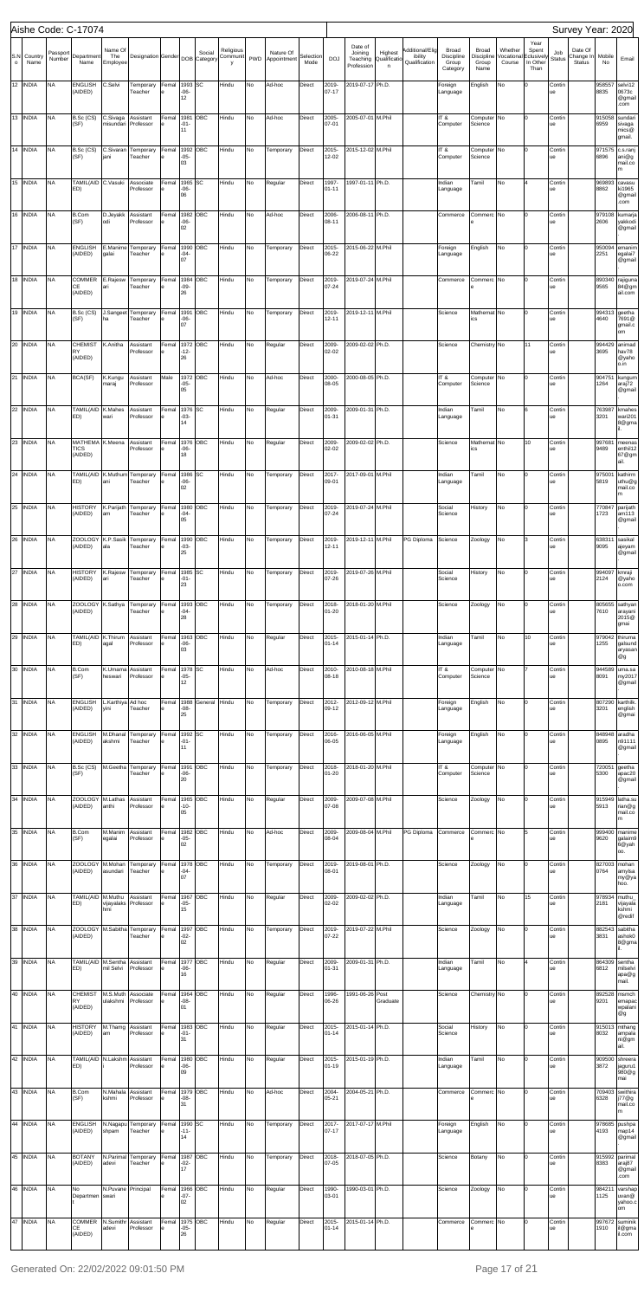|         |                      |                        | Aishe Code: C-17074                          |                             |                                         |                      |                                      |               |                           |          |                          |                  |                             |                                      |                        |                            |                                         |                                |                       |                             |                        | Survey Year: 2020    |                      |                                                              |
|---------|----------------------|------------------------|----------------------------------------------|-----------------------------|-----------------------------------------|----------------------|--------------------------------------|---------------|---------------------------|----------|--------------------------|------------------|-----------------------------|--------------------------------------|------------------------|----------------------------|-----------------------------------------|--------------------------------|-----------------------|-----------------------------|------------------------|----------------------|----------------------|--------------------------------------------------------------|
| S.N     | Country              | Passport<br>Number     | Department                                   | Name Of<br>The              | Designation Gender DOB Category         |                      |                                      | Social        | Religious<br>Communit PWD |          | Nature Of<br>Appointment | Selection        | <b>DOJ</b>                  | Date of<br>Joining<br>Teaching       | Highest<br>Qualificati | Additional/Elig<br>ibility | Broad<br><b>Discipline</b>              | Broad<br>Discipline            | Whether<br>/ocational | Year<br>Spent<br>Eclusively | Job<br><b>Status</b>   | Date Of<br>Change In | Mobile               | Email                                                        |
| $\circ$ | Name<br>12 INDIA     | <b>NA</b>              | Name<br><b>ENGLISH</b><br>(AIDED)            | Employee<br>C.Selvi         | Temporary<br>Teacher                    | Femal                | 1993 SC<br>$-06-$<br>12              |               | v<br>Hindu                | No       | Ad-hoc                   | Mode<br>Direct   | 2019-<br>$07 - 17$          | Profession<br>2019-07-17 Ph.D.       | $\mathsf{n}$           | Qualification              | Group<br>Category<br>Foreign<br>anguage | Group<br>Name<br>English       | Course<br>No          | In Other<br>Than            | Contin<br>ue           | <b>Status</b>        | No<br>958557<br>8835 | selvi12<br>0673c<br>@gmail                                   |
|         | 13 INDIA             | <b>NA</b>              | B.Sc (CS)<br>(SF)                            | C.Sivaga<br>misundari       | Assistant<br>Professor                  | Femal                | 1981<br>$-01-$<br>11                 | ОВС           | Hindu                     | No       | Ad-hoc                   | Direct           | 2005-<br>07-01              | 2005-07-01                           | M.Phil                 |                            | IT&<br>Computer                         | Computer<br>Science            | No                    |                             | Contin<br>ue           |                      | 915058<br>6959       | .com<br>sundari<br>sivaga<br>mics@                           |
|         | 14 INDIA             | <b>NA</b>              | B.Sc (CS)<br>(SF)                            | C.Sivaran<br>jani           | Temporary<br>Teacher                    | Femal                | 1992<br>$-05-$<br>03                 | OBC           | Hindu                     | No       | Temporary                | Direct           | 2015-<br>12-02              | 2015-12-02 M.Phil                    |                        |                            | IT&<br>Computer                         | Computer<br>Science            | No                    |                             | Contin<br>ue           |                      | 971575<br>6896       | gmail.<br>c.s.ranj<br>ani@g<br>mail.co                       |
|         | 15 INDIA             | <b>NA</b>              | TAMIL(AID C.Vasuki<br>ED)                    |                             | Associate<br>Professor                  | Femal                | 1965<br>$-06-$<br>06                 | SC            | Hindu                     | No       | Regular                  | Direct           | 1997-<br>$01 - 11$          | 1997-01-11 Ph.D.                     |                        |                            | Indian<br>Language                      | Tamil                          | No                    |                             | Contin<br>ue           |                      | 969893<br>8862       | m<br>cavasu<br>ki1965<br>@gmail                              |
|         | 16 INDIA             | <b>NA</b>              | B.Com<br>(SF)                                | D.Jeyakk<br>odi             | Assistant<br>Professor                  | Femal                | 1982<br>$-06-$<br>02                 | OBC           | Hindu                     | No       | Ad-hoc                   | Direct           | 2006-<br>08-11              | 2006-08-11 Ph.D.                     |                        |                            | Commerce                                | Commerc                        | No                    |                             | Contin<br>ue           |                      | 979108<br>2606       | .com<br>kumarja<br>yakkodi<br>@gmail                         |
|         | 17 INDIA             | <b>NA</b>              | <b>ENGLISH</b><br>(AIDED)                    | E.Manime<br>galai           | Temporary<br>Teacher                    | Femal                | 1990<br>$-04-$<br>07                 | OBC           | Hindu                     | No       | Temporary                | Direct           | 2015-<br>06-22              | 2015-06-22 M.Phil                    |                        |                            | Foreign<br>Language                     | English                        | No                    |                             | Contin<br>ue           |                      | 950094<br>2251       | emanim<br>egalai7<br>@gmail                                  |
|         | 18 INDIA             | <b>NA</b>              | COMMER E.Rajesw<br>СE<br>(AIDED)             | ari                         | Temporary<br>Teacher                    | Femal                | 1984<br>$-09-$<br>26                 | OBC           | Hindu                     | No       | Temporary                | Direct           | 2019-<br>07-24              | 2019-07-24 M.Phil                    |                        |                            | Commerce                                | Commerc No                     |                       |                             | Contin<br>ue           |                      | 890340<br>9565       | rajiguna<br>84@gm<br>ail.com                                 |
|         | 19 INDIA             | <b>NA</b>              | B.Sc (CS)<br>(SF)                            | ha                          | J.Sangeet Temporary<br>Teacher          | Femal                | 1991<br>$-06-$<br>07                 | OBC           | Hindu                     | No       | Temporary                | Direct           | 2019-<br>$12 - 11$          | 2019-12-11 M.Phil                    |                        |                            | Science                                 | Mathemat No<br>ics             |                       |                             | Contin<br>ue           |                      | 994313<br>4640       | geetha<br>7691@<br>gmail.c                                   |
|         | 20 INDIA             | <b>NA</b>              | CHEMIST K.Anitha<br>RY<br>(AIDED)            |                             | Assistant<br>Professor                  | Femal                | 1972 OBC<br>$-12-$<br>26             |               | Hindu                     | No       | Regular                  | Direct           | 2009-<br>02-02              | 2009-02-02 Ph.D.                     |                        |                            | Science                                 | Chemistry No                   |                       | 11                          | Contin<br>ue           |                      | 994429<br>3695       | om<br>animad<br>hav78<br>@yaho<br>o.in                       |
|         | 21 INDIA             | <b>NA</b>              | BCA(SF)                                      | K.Kungu<br>maraj            | Assistant<br>Professor                  | Male                 | 1972<br>$-05-$<br>05                 | OBC           | Hindu                     | No       | Ad-hoc                   | Direct           | 2000-<br>08-05              | 2000-08-05 Ph.D.                     |                        |                            | IT&<br>Computer                         | Computer No<br>Science         |                       |                             | Contin<br>ue           |                      | 904751<br>1264       | kungum<br>araj72<br>@gmail                                   |
|         | 22 INDIA             | <b>NA</b>              | TAMIL(AID K.Mahes<br>ED)                     | wari                        | Assistant<br>Professor                  | Femal                | 1976 SC<br>$-03-$<br>14              |               | Hindu                     | No       | Regular                  | Direct           | 2009-<br>$01 - 31$          | 2009-01-31 Ph.D.                     |                        |                            | Indian<br>Language                      | Tamil                          | No                    |                             | Contin<br>ue           |                      | 763987<br>3201       | kmahes<br>wari201<br>8@gma                                   |
|         | 23 INDIA             | <b>NA</b>              | MATHEMA K.Meena<br><b>TICS</b><br>(AIDED)    |                             | Assistant<br>Professor                  | Femal                | 1976<br>$-06-$<br>18                 | OBC           | Hindu                     | No       | Regular                  | Direct           | 2009-<br>02-02              | 2009-02-02 Ph.D.                     |                        |                            | Science                                 | Mathemat No<br>ics             |                       | 10                          | Contin<br>ue           |                      | 997681<br>9489       | meenas<br>enthil12<br>67@gm<br>ail.                          |
|         | 24 INDIA             | <b>NA</b>              | ED)                                          | ani                         | TAMIL(AID K.Muthum Temporary<br>Teacher | Femal                | 1986<br>$-06-$<br>02                 | SC            | Hindu                     | No       | Temporary                | Direct           | 2017-<br>09-01              | 2017-09-01 M.Phil                    |                        |                            | Indian<br>Language                      | Tamil                          | No                    |                             | Contin<br>ue           |                      | 975001<br>5819       | kathirm<br>uthu@g<br>mail.co                                 |
| 25      | <b>INDIA</b>         | <b>NA</b>              | <b>HISTORY</b><br>(AIDED)                    | K.Parijath<br>am            | Temporary<br>Teacher                    | Femal<br>le          | 1980 OBC<br>$-04-$<br>05             |               | Hindu                     | No       | Temporary                | Direct           | 2019-<br>07-24              | 2019-07-24 M.Phil                    |                        |                            | Social<br>Science                       | History                        | NO                    |                             | ∪ontin<br>ue           |                      | 770847<br>1723       | parijath<br>am113<br>@gmail                                  |
|         | 26 INDIA             | <b>NA</b>              | ZOOLOGY K.P.Sasik<br>(AIDED)                 | ala                         | Temporary<br>Teacher                    | Femal                | 1990 OBC<br>$-03-$<br>25             |               | Hindu                     | No       | Temporary                | Direct           | 2019-<br>12-11              | 2019-12-11 M.Phil                    |                        | PG Diploma                 | Science                                 | Zoology                        | No                    |                             | Contin<br>ue           |                      | 638311<br>9095       | sasikal<br>ajeyam<br>@gmail                                  |
|         | 27 INDIA             | <b>NA</b>              | <b>HISTORY</b><br>(AIDED)                    | K.Rajesw<br>lari            | Temporary<br>Teacher                    | Femal<br>le          | 1985 SC<br>$-01-$<br>23              |               | Hindu                     | No       | Temporary                | Direct           | 2019-<br>07-26              | 2019-07-26 M.Phil                    |                        |                            | Social<br>Science                       | History                        | No                    |                             | Contin<br>ue           |                      | 994097<br>2124       | kmraji<br>@yaho<br>o.com                                     |
|         | 28 INDIA             | <b>NA</b>              | ZOOLOGY K.Sathya<br>(AIDED)                  |                             | Temporary<br>Teacher                    | Femal                | 1993<br>$-04-$<br>28                 | OBC           | Hindu                     | No       | Temporary                | Direct           | 2018-<br>$01 - 20$          | 2018-01-20 M.Phil                    |                        |                            | Science                                 | Zoology                        | No                    |                             | Contin<br>ue           |                      | 805655<br>7610       | sathyan<br>arayani<br>2015@<br>gmai                          |
|         | 29 INDIA             | <b>NA</b>              | TAMIL(AID K.Thirum<br>ED)                    | agal                        | Assistant<br>Professor                  | Femal                | $-06-$<br>03                         | 1963 OBC      | Hindu                     | No       | Regular                  | Direct           | 2015-<br>$01 - 14$          | 2015-01-14 Ph.D.                     |                        |                            | Indian<br>Language                      | Tamil                          | No                    | 10                          | Contin<br>ue           |                      | 979042<br>1255       | thiruma<br>galsund<br>aryasan<br>@g                          |
|         | 30 INDIA             | <b>NA</b>              | B.Com<br>(SF)                                | K.Umama<br>heswari          | Assistant<br>Professor                  | Femal                | 1978 SC<br>$-05-$<br>12              |               | Hindu                     | No       | Ad-hoc                   | Direct           | 2010-<br>08-18              | 2010-08-18 M.Phil                    |                        |                            | IT&<br>Computer                         | Computer No<br>Science         |                       |                             | Contin<br>ue           |                      | 944589<br>8091       | uma.sa<br>my2017<br>@gmail                                   |
|         | 31 INDIA             | <b>NA</b>              | <b>ENGLISH</b><br>(AIDED)                    | L.Karthiya Ad hoc<br>yini   | Teacher                                 | Femal<br>le          | 1988<br>$-08-$<br>25                 | General Hindu |                           | No       | Temporary                | Direct           | 2012-<br>09-12              | 2012-09-12 M.Phil                    |                        |                            | Foreign<br>Language                     | English                        | No                    |                             | Contin<br>ue           |                      | 807290<br>3201       | karthilk.<br>english<br>@gmai                                |
|         | 32 INDIA             | <b>NA</b>              | <b>ENGLISH</b><br>(AIDED)                    | M.Dhanal<br>akshmi          | Temporary<br>Teacher                    | Femal                | 1992 SC<br>$-01-$<br>11              |               | Hindu                     | No       | Temporary                | Direct           | 2016-<br>06-05              | 2016-06-05 M.Phil                    |                        |                            | Foreign<br>Language                     | English                        | No                    |                             | Contin<br>ue           |                      | 848948<br>0895       | aradha<br>n91111<br>@gmail                                   |
|         | 33 INDIA             | <b>NA</b>              | (SF)                                         |                             | B.Sc (CS) M.Geetha Temporary<br>Teacher | Femal                | 1991<br>$-06-$<br>20                 | ОВС           | Hindu                     | No       | Temporary                | Direct           | 2018-<br>$01 - 20$          | 2018-01-20 M.Phil                    |                        |                            | IT&<br>Computer                         | Computer No<br>Science         |                       |                             | Contin<br>ue           |                      | 720051<br>5300       | geetha<br>apac20<br>@gmail                                   |
|         | 34 INDIA             | <b>NA</b>              | ZOOLOGY M.Lathas<br>(AIDED)                  | anthi                       | Assistant<br>Professor                  | Femal                | 1965<br>$-10-$<br>05                 | OBC           | Hindu                     | No       | Regular                  | Direct           | 2009-<br>07-08              | 2009-07-08 M.Phil                    |                        |                            | Science                                 | Zoology                        | No                    |                             | Contin<br>ue           |                      | 915949<br>5913       | latha.su<br>rian@g<br>mail.co<br>m.                          |
|         | 35 INDIA             | <b>NA</b>              | B.Com<br>(SF)                                | M.Manim<br>egalai           | Assistant<br>Professor                  | Femal                | $-05-$<br>02                         | 1982 OBC      | Hindu                     | No       | Ad-hoc                   | Direct           | 2009-<br>08-04              | 2009-08-04 M.Phil                    |                        | PG Diploma Commerce        |                                         | Commerc No                     |                       |                             | Contin<br>ue           |                      | 999400<br>9620       | manime<br>galaim9<br>6@yah  <br>00.                          |
|         | 36 INDIA             | <b>NA</b>              | ZOOLOGY M.Mohan<br>(AIDED)                   | asundari                    | Temporary<br>Teacher                    | Femal                | 1978 OBC<br>$-04-$<br>07             |               | Hindu                     | No       | Temporary                | Direct           | 2019-<br>08-01              | 2019-08-01 Ph.D.                     |                        |                            | Science                                 | Zoology                        | No                    |                             | Contin<br>ue           |                      | 827003<br>0764       | mohan<br>amylsa<br>my@ya<br>hoo.                             |
|         | 37 INDIA             | <b>NA</b>              | TAMIL(AID M.Muthu<br>ED)                     | hmi                         | Assistant<br>vijayalaks Professor       | Femal                | $-05-$<br>15                         | 1967 OBC      | Hindu                     | No       | Regular                  | Direct           | 2009-<br>02-02              | 2009-02-02 Ph.D.                     |                        |                            | Indian<br>Language                      | Tamil                          | No                    | 15                          | Contin<br>ue           |                      | 978934<br>2181       | muthu_<br>vijayala<br>kshmi<br>@redif                        |
|         | 38 INDIA             | <b>NA</b>              | (AIDED)                                      |                             | ZOOLOGY M.Sabitha Temporary<br>Teacher  | Femal                | 1997<br>$-02-$<br>02                 | OBC           | Hindu                     | No       | Temporary                | Direct           | 2019-<br>$07 - 22$          | 2019-07-22 M.Phil                    |                        |                            | Science                                 | Zoology                        | No                    |                             | Contin<br>ue           |                      | 882543<br>3831       | sabitha<br>ashok0<br>8@gma                                   |
|         | 39 INDIA             | <b>NA</b>              | TAMIL(AID M.Sentha<br>ED)                    | mil Selvi                   | Assistant<br>Professor                  | Femal                | 1977 OBC<br>$-06-$<br>16             |               | Hindu                     | No       | Regular                  | Direct           | 2009-<br>$01 - 31$          | 2009-01-31 Ph.D.                     |                        |                            | Indian<br>Language                      | Tamil                          | No                    |                             | Contin<br>ue           |                      | 864309<br>6812       | sentha<br>milselvi<br>apa@g<br>mail.                         |
|         | 40 INDIA             | <b>NA</b>              | CHEMIST M.S.Muth<br><b>RY</b><br>(AIDED)     | ulakshmi                    | Associate<br>Professor                  | Femal 1964 OBC<br>le | $-08-$<br>01                         |               | Hindu                     | (No      | Regular                  | Direct           | 1996-<br>06-26              | 1991-06-26 Post                      | Graduate               |                            | Science                                 | Chemistry No                   |                       |                             | Contin<br>lue          |                      | 9201                 | 892528 msmch<br>emapac<br>wpalani<br>@g                      |
|         | 41 INDIA             | <b>NA</b>              | <b>HISTORY</b><br>(AIDED)                    | M.Thamg<br>am               | Assistant<br>Professor                  | Femal                | $-01-$<br>31                         | 1983 OBC      | Hindu                     | No       | Regular                  | Direct           | 2015-<br>$01 - 14$          | 2015-01-14 Ph.D.                     |                        |                            | Social<br>Science                       | History                        | No                    |                             | Contin<br>ue           |                      | 8032                 | 915013 mthang<br>ampala<br>ni@gm<br>ail.                     |
|         | 42 INDIA<br>43 INDIA | <b>NA</b><br><b>NA</b> | TAMIL(AID N.Lakshm Assistant<br>ED)<br>B.Com | N.Mahala                    | Professor<br>Assistant                  | Femal<br>Femal       | 1980 OBC<br>$-06-$<br>09<br>1979 OBC |               | Hindu<br>Hindu            | No<br>No | Regular<br>Ad-hoc        | Direct<br>Direct | 2015-<br>$01 - 19$<br>2004- | 2015-01-19 Ph.D.<br>2004-05-21 Ph.D. |                        |                            | Indian<br>Language<br>Commerce          | Tamil<br>Commerc <sup>No</sup> | No                    | $\Omega$<br>0               | Contin<br>ue<br>Contin |                      | 3872                 | 909500 shreera<br>jaguru1<br>980@g<br>mai<br>709403 swithira |
|         | 44 INDIA             | <b>NA</b>              | (SF)<br><b>ENGLISH</b>                       | kshmi                       | Professor<br>N.Nagapu Temporary         | Femal                | $-08-$<br>31<br>1990 SC              |               | Hindu                     | No       | Temporary                | Direct           | $05 - 21$<br>2017-          | 2017-07-17 M.Phil                    |                        |                            | Foreign                                 | English                        | No                    |                             | ue<br>Contin           |                      | 6328                 | j77@g<br>mail.co  <br>m<br>978685 pushpa                     |
|         | 45 INDIA             | <b>NA</b>              | (AIDED)<br><b>BOTANY</b>                     | shpam                       | Teacher<br>N.Parimal Temporary          | Femal                | $-11-$<br>14<br>1987 OBC             |               | Hindu                     | No       | Temporary                | Direct           | $07 - 17$<br>2018-          | 2018-07-05 Ph.D.                     |                        |                            | Language<br>Science                     | Botany                         | No                    | 0                           | ue<br>Contin           |                      | 4193                 | map14<br>@gmail<br>915992 parimal                            |
|         | 46 INDIA             | <b>NA</b>              | (AIDED)<br>No                                | adevi<br>N.Puvane Principal | Teacher                                 | Femal                | $-02-$<br>17<br>1966 OBC             |               | Hindu                     | No       | Regular                  | Direct           | 07-05<br>1990-              | 1990-03-01 Ph.D.                     |                        |                            | Science                                 | Zoology                        | No                    |                             | ue<br>Contin           |                      | 8383<br>984211       | araj87<br>@gmail<br>.com<br>varshap                          |
|         | 47 INDIA             | <b>NA</b>              | Departmen swari<br>COMMER N.Sumithr          |                             | Assistant                               | Femal                | $-07-$<br>02<br>1975 OBC             |               | Hindu                     | No       | Regular                  | Direct           | 03-01<br>2015-              | 2015-01-14 Ph.D.                     |                        |                            | Commerce                                | Commerc <sup>No</sup>          |                       |                             | ue<br>Contin           |                      | 1125                 | uvan@<br>yahoo.c<br>om<br>997672 suminik                     |
|         |                      |                        | CE<br>(AIDED)                                | adevi                       | Professor                               |                      | $-05-$<br>26                         |               |                           |          |                          |                  | $01 - 14$                   |                                      |                        |                            |                                         |                                |                       |                             | ue                     |                      | 1910                 | il@gma<br>il.com                                             |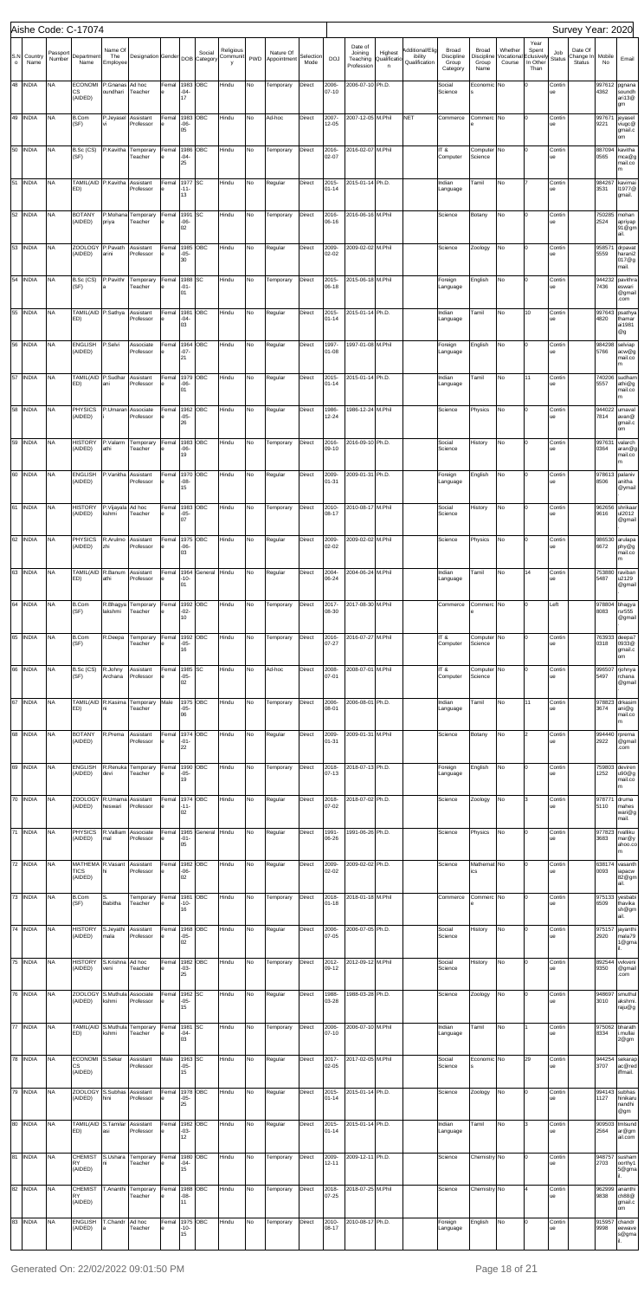|                     |                       |                        | Aishe Code: C-17074                        |                            |                                                        |                      |                       |                        |                       |     |                          |                   |                    |                                              |                             |                                             |                                          |                                             |                                 |                                                 |                      | Survey Year: 2020                     |                          |                                            |
|---------------------|-----------------------|------------------------|--------------------------------------------|----------------------------|--------------------------------------------------------|----------------------|-----------------------|------------------------|-----------------------|-----|--------------------------|-------------------|--------------------|----------------------------------------------|-----------------------------|---------------------------------------------|------------------------------------------|---------------------------------------------|---------------------------------|-------------------------------------------------|----------------------|---------------------------------------|--------------------------|--------------------------------------------|
| S.N<br>$\mathsf{o}$ | Country<br>Name       | Passport<br>Number     | Department<br>Name                         | Name Of<br>The<br>Employee | <b>Designation Gender</b>                              |                      |                       | Social<br>DOB Category | Religious<br>Communit | PWD | Nature Of<br>Appointment | Selection<br>Mode | <b>DOJ</b>         | Date of<br>Joining<br>Teaching<br>Profession | Highest<br>Qualificati<br>n | Additional/Elig<br>ibility<br>Qualification | Broad<br>Discipline<br>Group<br>Category | <b>Broad</b><br>Discipline<br>Group<br>Name | Whether<br>/ocational<br>Course | Year<br>Spent<br>Eclusively<br>In Other<br>Than | Job<br><b>Status</b> | Date Of<br>Change In<br><b>Status</b> | Mobile<br>No             | Email                                      |
| 48                  | <b>INDIA</b>          | <b>NA</b>              | <b>ECONOMI</b><br>СS<br>(AIDED)            | P.Gnanas<br>oundhari       | Ad hoc<br>Teacher                                      | Femal<br>le          | 1983<br>$-04-$<br>17  | OBC                    | Hindu                 | No  | Temporary                | Direct            | 2006-<br>$07 - 10$ | 2006-07-10 Ph.D.                             |                             |                                             | Social<br>Science                        | Economic No                                 |                                 | I٥                                              | Contin<br>ue         |                                       | 4362                     | 997612 pgnana<br>soundh<br>ari13@<br>gm    |
| 49                  | <b>INDIA</b>          | <b>NA</b>              | <b>B.Com</b><br>(SF)                       | P.Jeyasel                  | Assistant<br>Professor                                 | Femal                | 1983<br>-06-<br>05    | OBC                    | Hindu                 | No  | Ad-hoc                   | Direct            | 2007-<br>12-05     | 2007-12-05 M.Phil                            |                             | <b>NET</b>                                  | Commerce                                 | Commerc No                                  |                                 | O                                               | Contin<br>ue         |                                       | 997671<br>9221           | jeyasel<br><br>viugc@<br>gmail.c<br>om     |
| 50                  | <b>INDIA</b>          | <b>NA</b>              | B.Sc (CS)<br>(SF)                          | P.Kavitha                  | Temporary<br>Teacher                                   | Femal                | 1986<br>$-04-$<br>25  | OBC                    | Hindu                 | No  | Temporary                | Direct            | 2016-<br>02-07     | 2016-02-07 M.Phil                            |                             |                                             | IT&<br>Computer                          | Computer No<br>Science                      |                                 | l0                                              | Contin<br>ue         |                                       | 887094<br>0565           | kavitha<br>mca@g<br>mail.co<br>m           |
| 51                  | <b>INDIA</b>          | <b>NA</b>              | TAMIL(AID P.Kavitha<br>ED)                 |                            | Assistant<br>Professor                                 | Femal                | 1977 SC<br>-11-<br>13 |                        | Hindu                 | No  | Regular                  | Direct            | 2015-<br>$01 - 14$ | 2015-01-14 Ph.D.                             |                             |                                             | Indian<br>Language                       | Tamil                                       | No                              |                                                 | Contin<br>ue         |                                       | 984267<br>3531           | kavimai<br>11977@<br>gmail.                |
| 52                  | <b>INDIA</b>          | <b>NA</b>              | <b>BOTANY</b><br>(AIDED)                   | priya                      | P.Mohana Temporary<br>Teacher                          | Femal                | 1991<br>$-06-$<br>02  | <b>SC</b>              | Hindu                 | No  | Temporary                | Direct            | 2016-<br>$06-16$   | 2016-06-16 M.Phil                            |                             |                                             | Science                                  | Botany                                      | No                              | I٥                                              | Contin<br>ue         |                                       | 750285<br>2524           | mohan<br>apriyap<br>91@gm<br>ail.          |
| 53                  | <b>INDIA</b>          | <b>NA</b>              | <b>ZOOLOGY</b><br>(AIDED)                  | P.Pavath<br>arini          | Assistant<br>Professor                                 | Femal                | 1985<br>$-05-$<br>30  | OBC                    | Hindu                 | No  | Regular                  | Direct            | 2009-<br>02-02     | 2009-02-02 M.Phil                            |                             |                                             | Science                                  | Zoology                                     | No                              | I٥                                              | Contin<br>ue         |                                       | 958571<br>5559           | drpavat<br>harani2<br>017@g<br>mail.       |
| 54                  | <b>INDIA</b>          | <b>NA</b>              | B.Sc (CS)<br>(SF)                          | P.Pavithr                  | Temporary<br>Teacher                                   | Femal                | 1988<br>$-01-$<br>01  | <b>SC</b>              | Hindu                 | No  | Temporary                | Direct            | 2015-<br>$06-18$   | 2015-06-18 M.Phil                            |                             |                                             | Foreign<br>Language                      | English                                     | No                              | I٥                                              | Contin<br>ue         |                                       | 944232<br>7436           | pavithra<br>eswari<br>@gmail<br>.com       |
| 55                  | <b>INDIA</b>          | <b>NA</b>              | TAMIL(AID P.Sathya<br>ED)                  |                            | Assistant<br>Professor                                 | Femal                | 1981<br>$-04-$<br>03  | OBC                    | Hindu                 | No  | Regular                  | Direct            | 2015-<br>$01 - 14$ | 2015-01-14 Ph.D.                             |                             |                                             | Indian<br>Language                       | Tamil                                       | No                              | 10                                              | Contin<br>ue         |                                       | 997643<br>4820           | psathya<br>thamar<br>ai1981<br>@g          |
| 56                  | <b>INDIA</b>          | <b>NA</b>              | <b>ENGLISH</b><br>(AIDED)                  | P.Selvi                    | Associate<br>Professor                                 | Femal                | 1964<br>$-07-$<br>21  | OBC                    | Hindu                 | No  | Regular                  | Direct            | 1997-<br>$01 - 08$ | 1997-01-08 M.Phil                            |                             |                                             | Foreign<br>Language                      | English                                     | No                              | O                                               | Contin<br>ue         |                                       | 984298<br>5766           | selviap<br>acw@g<br>mail.co<br>m           |
| 57                  | <b>INDIA</b>          | <b>NA</b>              | TAMIL(AID P.Sudhar<br>ED)                  | ani                        | Assistant<br>Professor                                 | Femal                | 1979<br>-06-<br>01    | OBC                    | Hindu                 | No  | Regular                  | Direct            | 2015-<br>$01 - 14$ | 2015-01-14 Ph.D.                             |                             |                                             | Indian<br>Language                       | Tamil                                       | No                              | 11                                              | Contin<br>ue         |                                       | 740206<br>5557           | sudham<br>athi@g<br>mail.co<br>m           |
| 58                  | <b>INDIA</b>          | <b>NA</b>              | <b>PHYSICS</b><br>(AIDED)                  | P.Umaran                   | Associate<br>Professor                                 | Femal                | 1962<br>$-05-$<br>26  | OBC                    | Hindu                 | No  | Regular                  | Direct            | 1986-<br>12-24     | 1986-12-24 M.Phil                            |                             |                                             | Science                                  | Physics                                     | No                              | O                                               | Contin<br>ue         |                                       | 944022<br>7814           | umaval<br>avan@<br>gmail.c<br>om           |
| 59                  | <b>INDIA</b>          | <b>NA</b>              | <b>HISTORY</b><br>(AIDED)                  | P.Valarm<br>athi           | Temporary<br>Teacher                                   | Femal                | 1983<br>-06-<br>19    | OBC                    | Hindu                 | No  | Temporary                | Direct            | 2016-<br>09-10     | 2016-09-10 Ph.D.                             |                             |                                             | Social<br>Science                        | History                                     | No                              | I٥                                              | Contin<br>ue         |                                       | 997631<br>0364           | valarch<br>aran@g<br>mail.co<br>m          |
| 60                  | <b>INDIA</b>          | <b>NA</b>              | <b>ENGLISH</b><br>(AIDED)                  | P.Vanitha                  | Assistant<br>Professor                                 | Femal                | 1970<br>-08-<br>15    | OBC                    | Hindu                 | No  | Regular                  | Direct            | 2009-<br>01-31     | 2009-01-31 Ph.D.                             |                             |                                             | Foreign<br>Language                      | English                                     | No                              | O                                               | Contin<br>ue         |                                       | 978613<br>8506           | palaniv<br>anitha<br>@ymail                |
| 61                  | <b>INDIA</b>          | N <sub>A</sub>         | HISTORY P.Vijayala Ad hoc<br>(AIDED)       | kshmi                      | Teacher                                                | Femal 1983 OBC<br>le | $-05-$<br>07          |                        | Hindu                 | No  | Temporary                | Direct            | 2010-<br>08-17     | 2010-08-17 M.Phil                            |                             |                                             | Social<br>Science                        | History                                     | No                              |                                                 | Contin<br>ue         |                                       | 962656<br>9616           | shrikaar<br>ul2012<br>@gmail               |
|                     | 62 INDIA              | <b>NA</b>              | PHYSICS<br>(AIDED)                         | R.Arulmo<br>zhi            | Assistant<br>Professor                                 | Femal                | 1975<br>-06-<br>03    | OBC                    | Hindu                 | No  | Regular                  | Direct            | 2009-<br>02-02     | 2009-02-02 M.Phil                            |                             |                                             | Science                                  | Physics                                     | No                              | O                                               | Contin<br>ue         |                                       | 986530<br>6672           | arulapa<br>phy@g<br>mail.co<br>m           |
|                     | 63 INDIA              | <b>NA</b>              | TAMIL(AID R.Banum<br>ED)                   | athi                       | Assistant<br>Professor                                 | Femal<br>e           | 1964<br>-10-<br>01    | General Hindu          |                       | No  | Regular                  | Direct            | 2004-<br>06-24     | 2004-06-24 M.Phil                            |                             |                                             | Indian<br>Language                       | Tamil                                       | <b>No</b>                       | 14                                              | Contin<br>ue         |                                       | 5487                     | 753880 raviban<br>u2129<br>@gmail          |
|                     | 64 INDIA              | <b>NA</b>              | <b>B.Com</b><br>(SF)                       | R.Bhagya<br>lakshmi        | Temporary<br>Teacher                                   | Femal<br>le          | 1992<br>-02-<br>10    | OBC                    | Hindu                 | No  | Temporary                | Direct            | 2017-<br>08-30     | 2017-08-30 M.Phil                            |                             |                                             | Commerce                                 | Commerc No                                  |                                 | I٥                                              | Left                 |                                       | 978804<br>8083           | bhagya<br>rsr555<br>@gmail                 |
|                     | 65 INDIA              | <b>NA</b>              | B.Com<br>(SF)                              | R.Deepa                    | Temporary<br>Teacher                                   | Femal<br>le          | 1992<br>-05-<br>16    | OBC                    | Hindu                 | No  | Temporary                | Direct            | 2016-<br>07-27     | 2016-07-27 M.Phil                            |                             |                                             | IT &<br>Computer                         | Computer No<br>Science                      |                                 | O                                               | Contin<br>ue         |                                       | 763933<br>0318           | deepa7<br>0933@<br>gmail.c<br>om           |
|                     | 66 INDIA              | <b>NA</b>              | B.Sc (CS)<br>(SF)                          | R.Johny<br>Archana         | Assistant<br>Professor                                 | Femal                | 1985<br>-05-<br>02    | <b>SC</b>              | Hindu                 | No  | Ad-hoc                   | Direct            | 2008-<br>07-01     | 2008-07-01 M.Phil                            |                             |                                             | IT&<br>Computer                          | Computer No<br>Science                      |                                 | O                                               | Contin<br>ue         |                                       | 996507<br>5497           | rjohnya<br>rchana<br>@gmail                |
|                     | 67 INDIA              | <b>NA</b>              | ED)                                        | ni                         | TAMIL(AID R.Kasima Temporary<br>Teacher                | Male                 | 1975<br>-05-<br>06    | OBC                    | Hindu                 | No  | Temporary                | Direct            | 2006-<br>08-01     | 2006-08-01 Ph.D.                             |                             |                                             | Indian<br>Language                       | Tamil                                       | No                              | 11                                              | Contin<br>ue         |                                       | 978823<br>3674           | drkasim<br>ani@g<br>mail.co<br>m           |
|                     | 68 INDIA              | <b>NA</b>              | <b>BOTANY</b><br>(AIDED)                   | R.Prema                    | Assistant<br>Professor                                 | Femal                | 1974<br>-01-<br>22    | OBC                    | Hindu                 | No  | Regular                  | Direct            | 2009-<br>01-31     | 2009-01-31 M.Phil                            |                             |                                             | Science                                  | Botany                                      | No                              | 2                                               | Contin<br>ue         |                                       | 994440<br>2922           | rprema<br>@gmail<br>.com                   |
| 69                  | <b>INDIA</b>          | <b>NA</b>              | <b>ENGLISH</b><br>(AIDED)                  | devi                       | R.Renuka Temporary<br>Teacher                          | Femal<br>le          | 1990<br>-05-<br>19    | OBC                    | Hindu                 | No  | Temporary                | Direct            | 2018-<br>$07-13$   | 2018-07-13 Ph.D.                             |                             |                                             | Foreign<br>Language                      | English                                     | No                              | O                                               | Contin<br>ue         |                                       | 759803<br>1252           | deviren<br>u90@g<br>mail.co<br>m           |
|                     | 70 INDIA<br>71 INDIA  | <b>NA</b><br><b>NA</b> | <b>ZOOLOGY</b><br>(AIDED)<br>PHYSICS       | R.Umama<br>heswari         | Assistant<br>Professor                                 | Femal                | 1974<br>-11-<br>02    | OBC                    | Hindu                 | No  | Regular                  | Direct            | 2018-<br>07-02     | 2018-07-02 Ph.D.                             |                             |                                             | Science                                  | Zoology                                     | No                              | Iз<br>l0                                        | Contin<br>ue         |                                       | 978771<br>5110<br>977823 | druma<br>mahes<br>wari@g<br>mail.          |
|                     |                       |                        | (AIDED)                                    | R.Valliam<br>mal           | Associate<br>Professor                                 | Femal                | 1965<br>-01-<br>05    | General Hindu          |                       | No  | Regular                  | Direct            | 1991-<br>06-26     | 1991-06-26 Ph.D.                             |                             |                                             | Science                                  | Physics                                     | No                              |                                                 | Contin<br>ue         |                                       | 3683                     | rvalliku<br>mar@y<br>ahoo.co<br>m          |
|                     | 72 INDIA              | <b>NA</b>              | MATHEMA R.Vasant<br><b>TICS</b><br>(AIDED) | hi                         | Assistant<br>Professor                                 | Femal                | 1982<br>-06-<br>02    | OBC                    | Hindu                 | No  | Regular                  | Direct            | 2009-<br>02-02     | 2009-02-02 Ph.D.                             |                             |                                             | Science                                  | Mathemat No<br>ics                          |                                 | I٥                                              | Contin<br>ue         |                                       | 638174<br>0093           | vasanth<br>iapacw<br>82@gm<br>ail.         |
|                     | $\overline{73}$ INDIA | <b>NA</b>              | B.Com<br>(SF)                              | S.<br>Babitha              | Temporary<br>Teacher                                   | Femal<br>le          | 1981<br>-10-<br>16    | OBC                    | Hindu                 | No  | Temporary                | Direct            | 2018-<br>$01 - 18$ | 2018-01-18 M.Phil                            |                             |                                             | Commerce                                 | Commerc No                                  |                                 | l0                                              | Contin<br>ue         |                                       | 6509                     | 975133 yesbabi<br>thavika<br>sh@gm<br>ail. |
|                     | 74 INDIA              | <b>NA</b>              | <b>HISTORY</b><br>(AIDED)                  | S.Jeyathi<br>mala          | Assistant<br>Professor                                 | Femal                | 1968<br>-05-<br>02    | OBC                    | Hindu                 | No  | Regular                  | Direct            | 2006-<br>07-05     | 2006-07-05 Ph.D.                             |                             |                                             | Social<br>Science                        | History                                     | No                              | I٥                                              | Contin<br>ue         |                                       | 975157<br>2920           | jayanthi<br>mala79<br>1@gma                |
|                     | 75 INDIA              | <b>NA</b>              | <b>HISTORY</b><br>(AIDED)                  | S.Krishna Ad hoc<br>veni   | Teacher                                                | Femal<br>le          | 1982<br>-03-<br>25    | OBC                    | Hindu                 | No  | Temporary                | Direct            | 2012-<br>09-12     | 2012-09-12 M.Phil                            |                             |                                             | Social<br>Science                        | History                                     | No                              | O                                               | Contin<br>ue         |                                       | 892544<br>9350           | vvkveni<br>@gmail<br>.com                  |
|                     | 76 INDIA              | N <sub>A</sub>         | (AIDED)                                    | kshmi                      | ZOOLOGY S.Muthula Associate Femal 1962 SC<br>Professor | le                   | $-05-$<br>15          |                        | Hindu                 | No  | Regular                  | Direct            | 03-28              | 1988- 1988-03-28 Ph.D.                       |                             |                                             | Science                                  | Zoology                                     | ٧о                              |                                                 | Contin<br>ue         |                                       | 948697<br>3010           | smuthul<br>akshmi.<br>raju@g               |
|                     | 77 INDIA              | <b>NA</b>              | ED)                                        | kshmi                      | TAMIL(AID S.Muthula Temporary<br>Teacher               | Femal<br>e           | 1981 SC<br>-04-<br>03 |                        | Hindu                 | No  | Temporary                | Direct            | 2006-<br>$07 - 10$ | 2006-07-10 M.Phil                            |                             |                                             | Indian<br>Language                       | Tamil                                       | No                              |                                                 | Contin<br>ue         |                                       | 8334                     | 975062 bharath<br>i.mullai<br>2@gm         |
|                     | 78 INDIA              | <b>NA</b>              | ECONOMI S.Sekar<br>СS<br>(AIDED)           |                            | Assistant<br>Professor                                 | Male                 | 1963<br>-05-<br>15    | SC                     | Hindu                 | No  | Regular                  | Direct            | 2017-<br>02-05     | 2017-02-05 M.Phil                            |                             |                                             | Social<br>Science                        | Economic No                                 |                                 | 29                                              | Contin<br>ue         |                                       | 3707                     | 944254 sekarap<br>ac@red<br>iffmail.       |
|                     | 79 INDIA              | <b>NA</b>              | ZOOLOGY S.Subhas<br>(AIDED)                | hini                       | Assistant<br>Professor                                 | Femal                | 1978<br>-05-<br>25    | OBC                    | Hindu                 | No  | Regular                  | Direct            | 2015-<br>$01 - 14$ | 2015-01-14 Ph.D.                             |                             |                                             | Science                                  | Zoology                                     | No                              | O                                               | Contin<br>ue         |                                       | 1127                     | 994143 subhas<br>hinikaru<br>nandhi<br>@gm |
|                     | 80 INDIA              | <b>NA</b>              | TAMIL(AID S.Tamilar<br>ED)                 | asi                        | Assistant<br>Professor                                 | Femal                | 1982<br>-03-<br>12    | OBC                    | Hindu                 | No  | Regular                  | Direct            | 2015-<br>01-14     | 2015-01-14 Ph.D.                             |                             |                                             | Indian<br>Language                       | Tamil                                       | No                              | 3                                               | Contin<br>ue         |                                       | 2564                     | 909503 tmlsund<br>ar@gm<br>ail.com         |
|                     | 81 INDIA              | <b>NA</b>              | CHEMIST<br>RY<br>(AIDED)                   | S.Ushara                   | Temporary<br>Teacher                                   | Femal<br>e           | 1980<br>-04-<br>15    | OBC                    | Hindu                 | No  | Temporary                | Direct            | 2009-<br>12-11     | 2009-12-11 Ph.D.                             |                             |                                             | Science                                  | Chemistry No                                |                                 | O                                               | Contin<br>ue         |                                       | 948757<br>2703           | susham<br>oorthy1<br>5@gma                 |
|                     | 82 INDIA              | <b>NA</b>              | CHEMIST<br>RY<br>(AIDED)                   | T.Ananthi                  | Temporary<br>Teacher                                   | Femal<br>e           | 1988<br>-08-<br>11    | OBC                    | Hindu                 | No  | Temporary                | Direct            | 2018-<br>07-25     | 2018-07-25 M.Phil                            |                             |                                             | Science                                  | Chemistry No                                |                                 | l4                                              | Contin<br>ue         |                                       | 9838                     | 962999 ananthi<br>ch88@<br>gmail.c<br>om   |
|                     | 83 INDIA              | <b>NA</b>              | <b>ENGLISH</b><br>(AIDED)                  | T.Chandr                   | Ad hoc<br>Teacher                                      | Femal<br>le          | 1975<br>-10-<br>15    | OBC                    | Hindu                 | No  | Temporary                | Direct            | 2010-<br>08-17     | 2010-08-17 Ph.D.                             |                             |                                             | Foreign<br>Language                      | English                                     | No                              | O                                               | Contin<br>ue         |                                       | 915957<br>9998           | chandr<br>eewave<br>s@gma                  |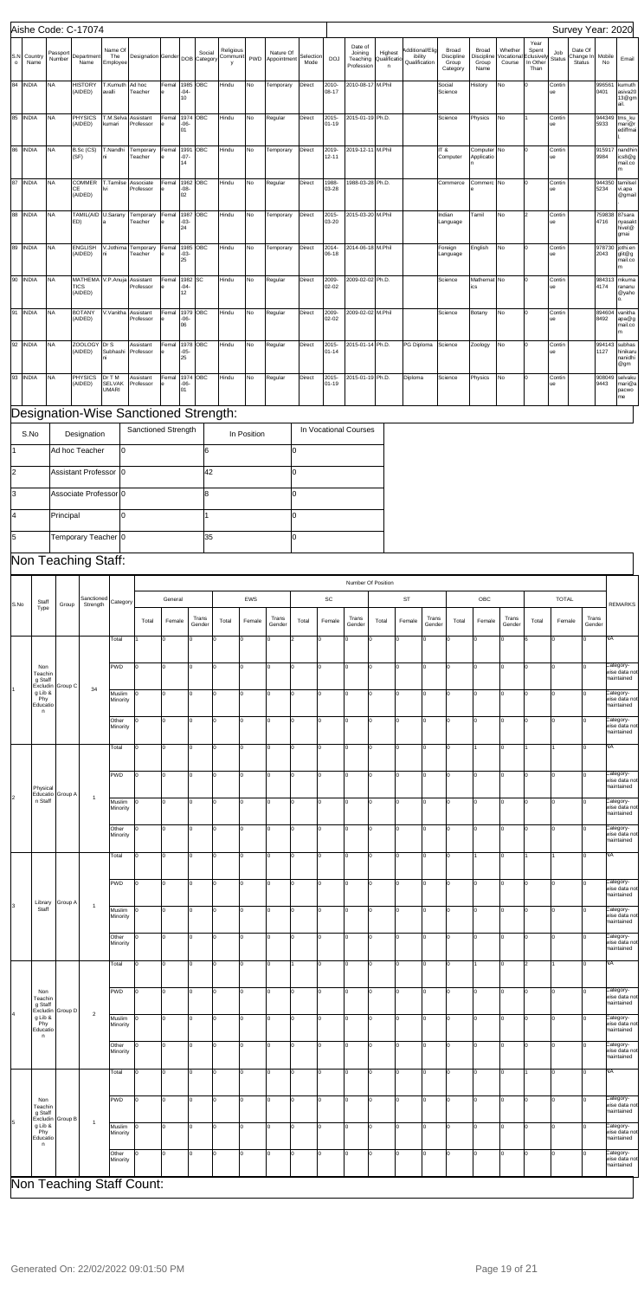|              |                     |                    | Aishe Code: C-17074                         |                                         |                                       |       |                      |           |                            |             |                              |                   |                    |                                              |                              |                                             |                                          |                                      |                                |                                                |                      | Survey Year: 2020                     |                |                                      |
|--------------|---------------------|--------------------|---------------------------------------------|-----------------------------------------|---------------------------------------|-------|----------------------|-----------|----------------------------|-------------|------------------------------|-------------------|--------------------|----------------------------------------------|------------------------------|---------------------------------------------|------------------------------------------|--------------------------------------|--------------------------------|------------------------------------------------|----------------------|---------------------------------------|----------------|--------------------------------------|
| $\mathbf{o}$ | S.N Country<br>Name | Passport<br>Number | Department<br>Name                          | Name Of<br>The<br>Employee              | Designation Gender DOB Category       |       |                      | Social    | Religious<br>Communit<br>У |             | Nature Of<br>PWD Appointment | Selection<br>Mode | <b>DOJ</b>         | Date of<br>Joining<br>Teaching<br>Profession | Highest<br>Qualificatio<br>n | Additional/Elig<br>ibility<br>Qualification | Broad<br>Discipline<br>Group<br>Category | Broad<br>Discipline<br>Group<br>Name | Whether<br>/ocationa<br>Course | Year<br>Spent<br>Eclusivel<br>In Other<br>Than | Job<br><b>Status</b> | Date Of<br>Change In<br><b>Status</b> | Mobile<br>No   | Email                                |
|              | 84 INDIA            | <b>NA</b>          | <b>HISTORY</b><br>(AIDED)                   | T.Kumuth<br>avalli                      | Ad hoc<br>Teacher                     | Femal | $-04-$<br>10         | 1985 OBC  | Hindu                      | No          | Temporary                    | Direct            | 2010-<br>08-17     | 2010-08-17 M.Phil                            |                              |                                             | Social<br>Science                        | History                              | No                             | I٥                                             | Contin<br>Je         |                                       | 996561<br>0401 | kumuth<br>asiva20<br>13@gm<br>ail.   |
|              | 85 INDIA            | <b>NA</b>          | PHYSICS<br>(AIDED)                          | T.M.Selva<br>kumari                     | Assistant<br>Professor                | Femal | 1974<br>$-06-$<br>01 | ОВС       | Hindu                      | No          | Regular                      | <b>Direct</b>     | 2015-<br>01-19     | 2015-01-19 Ph.D.                             |                              |                                             | Science                                  | Physics                              | No                             |                                                | Contin<br>ue         |                                       | 944349<br>5933 | tms_ku<br>mari@r<br>ediffmai         |
|              | 86 INDIA            | <b>NA</b>          | B.Sc (CS)<br>(SF)                           | T.Nandhi                                | Temporary<br>Teacher                  | Femal | 1991<br>$-07-$<br>14 | ОВС       | Hindu                      | No          | Temporary                    | Direct            | 2019-<br>$12 - 11$ | 2019-12-11 M.Phil                            |                              |                                             | IT&<br>Computer                          | Computer No<br>Applicatio            |                                |                                                | Contin<br>ue         |                                       | 915917<br>9984 | nandhir<br>ics8@g<br>mail.co<br>m    |
| 87           | <b>INDIA</b>        | NA                 | COMMER<br>CE<br>(AIDED)                     | T.Tamilse<br>lvi                        | Associate<br>Professor                | Femal | 1962<br>$-08-$<br>02 | ОВС       | Hindu                      | No          | Regular                      | Direct            | 1988-<br>03-28     | 1988-03-28 Ph.D.                             |                              |                                             | Commerce                                 | Commerc No                           |                                |                                                | Contin<br>Je         |                                       | 944350<br>5234 | tamilsel<br>vi.apa<br>@gmail         |
| 88           | <b>INDIA</b>        | <b>NA</b>          | TAMIL(AID U.Sarany<br>ED)                   |                                         | Temporary<br>Teacher                  | Femal | 1987<br>$-03-$<br>24 | ОВС       | Hindu                      | No          | Temporary                    | Direct            | 2015-<br>03-20     | 2015-03-20 M.Phil                            |                              |                                             | Indian<br>Language                       | Tamil                                | <b>No</b>                      |                                                | Contin<br>Je.        |                                       | 759838<br>4716 | 87sara<br>nyasakt<br>hivel@<br>gmai  |
| 89           | <b>INDIA</b>        | NA                 | <b>ENGLISH</b><br>(AIDED)                   | V.Jothima                               | Temporary<br>Teacher                  | Femal | 1985<br>$-03-$<br>25 | ОВС       | Hindu                      | No          | Temporary                    | Direct            | 2014-<br>06-18     | 2014-06-18 M.Phil                            |                              |                                             | Foreign<br>Language                      | English                              | No                             |                                                | Contin<br>Je         |                                       | 978730<br>2043 | jothi.en<br>glit@g<br>mail.co<br>m   |
| 90           | <b>INDIA</b>        | NA                 | MATHEMA V.P.Anuja<br><b>TICS</b><br>(AIDED) |                                         | Assistant<br>Professor                | Femal | 1982<br>$-04-$<br>12 | <b>SC</b> | Hindu                      | No          | Regular                      | Direct            | 2009-<br>02-02     | 2009-02-02 Ph.D.                             |                              |                                             | Science                                  | Mathemat No<br>ics                   |                                |                                                | Contin<br>ue         |                                       | 984313<br>4174 | mkuma<br>rananu<br>@yaho<br>о.       |
| 91           | <b>INDIA</b>        | <b>NA</b>          | <b>BOTANY</b><br>(AIDED)                    | V.Vanitha                               | Assistant<br>Professor                | Femal | 1979<br>$-06-$<br>06 | ОВС       | Hindu                      | No          | Regular                      | Direct            | 2009-<br>02-02     | 2009-02-02 M.Phil                            |                              |                                             | Science                                  | Botany                               | No                             |                                                | Contin<br>Je         |                                       | 894604<br>8492 | vanitha<br>apa@g<br>mail.co<br>m     |
| 92           | <b>INDIA</b>        | <b>NA</b>          | ZOOLOGY Dr S<br>(AIDED)                     | Subhashi<br>ni                          | Assistant<br>Professor                | Femal | 1978<br>$-05-$<br>25 | ОВС       | Hindu                      | No          | Regular                      | Direct            | 2015-<br>01-14     | 2015-01-14 Ph.D.                             |                              | PG Diploma                                  | Science                                  | Zoology                              | No                             | I٥                                             | Contin<br>Je         |                                       | 994143<br>1127 | subhas<br>hinikaru<br>nanidhi<br>@gm |
|              | 93 INDIA            | NA                 | <b>PHYSICS</b><br>(AIDED)                   | Dr T M<br><b>SELVAK</b><br><b>UMARI</b> | Assistant<br>Professor                | Femal | 1974<br>$-06-$<br>01 | OBC       | Hindu                      | No          | Regular                      | Direct            | 2015-<br>01-19     | 2015-01-19 Ph.D.                             |                              | Diploma                                     | Science                                  | Physics                              | <b>No</b>                      | I٥                                             | Contin<br>Je         |                                       | 908049<br>9443 | selvaku<br>mari@a<br>pacwo<br>me     |
|              |                     |                    |                                             |                                         | Designation-Wise Sanctioned Strength: |       |                      |           |                            |             |                              |                   |                    |                                              |                              |                                             |                                          |                                      |                                |                                                |                      |                                       |                |                                      |
|              | $C$ N <sub>1</sub>  |                    | <b>Decianction</b>                          |                                         | Sanctioned Strength                   |       |                      |           |                            | In Dooition |                              |                   |                    | In Vocational Courses                        |                              |                                             |                                          |                                      |                                |                                                |                      |                                       |                |                                      |

|  | Non<br>Teachin                   | g Staff<br>Excludin Group D | $\overline{2}$ | PWD                | I٥  | ln.      | I٥ | lo.      | I٥       | I٥  | $\sim$     | I٥ | I٥       | $\Omega$ | I٥ | I∩       | I٥ | Iо  | Category-<br>wise data not<br>maintained |
|--|----------------------------------|-----------------------------|----------------|--------------------|-----|----------|----|----------|----------|-----|------------|----|----------|----------|----|----------|----|-----|------------------------------------------|
|  | g Lib &<br>Phy<br>Educatio<br>n. |                             |                | Muslim<br>Minority |     | $\Omega$ | I٥ | $\Omega$ |          | In. |            |    | O        |          | I٥ |          |    | I٥  | Category-<br>wise data not<br>maintained |
|  |                                  |                             |                | Other<br>Minority  | I٥  | ln.      | I٥ | ln.      |          | I٥  | $\Omega$   | I∩ | $\Omega$ | n        | I٥ | $\Omega$ |    | lo. | Category-<br>wise data not<br>maintained |
|  |                                  |                             |                | Total              | lo. | $\Omega$ | l٥ | In.      | $\Omega$ | I٥  |            | I∩ | $\Omega$ | n        | I٥ |          |    | I٥  | <b>NA</b>                                |
|  | Non<br>Teachin<br>g Staff        | Excludin Group B            | $\mathbf{1}$   | PWD                | ln. | $\Omega$ | I٥ | In.      |          | ln. |            | I٥ | $\Omega$ |          | In |          |    | ln. | Category-<br>wise data not<br>maintained |
|  | g Lib &<br>Phy<br>Educatio<br>n. |                             |                | Muslim<br>Minority | l٥  | ln.      | I∩ | In.      |          | ln. | $\sqrt{2}$ |    | $\Omega$ | n        | I∩ |          |    | lo. | Category-<br>wise data not<br>maintained |
|  |                                  |                             |                | Other<br>Minority  | I٥  | $\Omega$ | I٥ | In.      |          | I٥  |            | I∩ | $\Omega$ |          | I٥ |          |    | l٥  | Category-<br>wise data not<br>maintained |
|  | Non Teaching Staff Count:        |                             |                |                    |     |          |    |          |          |     |            |    |          |          |    |          |    |     |                                          |

 $\overline{\phantom{a}}$ 

 $\mathbf{I}$ 

|      |                                                                           |                  | ັ<br>$\overline{\phantom{0}}$ |                    |                   |                   |                   |       |          |                 |          |          |                 |                    |             |                 |       |                |                 |                |        |                 |                                          |                                          |
|------|---------------------------------------------------------------------------|------------------|-------------------------------|--------------------|-------------------|-------------------|-------------------|-------|----------|-----------------|----------|----------|-----------------|--------------------|-------------|-----------------|-------|----------------|-----------------|----------------|--------|-----------------|------------------------------------------|------------------------------------------|
|      |                                                                           |                  |                               |                    |                   |                   |                   |       |          |                 |          |          |                 | Number Of Position |             |                 |       |                |                 |                |        |                 |                                          |                                          |
| S.No | Staff<br>Type                                                             | Group            | Sanctioned<br>Strength        | Category           |                   | General           |                   |       | EWS      |                 |          | SC       |                 | ST                 |             | OBC             |       |                | <b>TOTAL</b>    |                |        | <b>REMARKS</b>  |                                          |                                          |
|      |                                                                           |                  |                               |                    | Total             | Female            | Trans<br>Gender   | Total | Female   | Trans<br>Gender | Total    | Female   | Trans<br>Gender | Total              | Female      | Trans<br>Gender | Total | Female         | Trans<br>Gender | Total          | Female | Trans<br>Gender |                                          |                                          |
|      | Non<br>Teachin<br>g Staff<br>Excludin<br>g Lib &<br>Phy<br>Educatio<br>n. | Group C          |                               |                    | Total             |                   | lo.               | I٥    | Iо       | I٥              | O        | l2       | O               | Ιo                 | lo.         | lo              | lo.   | Iо             | $\Omega$        | I٥             | l6.    | I٥              | l٥                                       | <b>NA</b>                                |
|      |                                                                           |                  |                               | PWD                | I٥                | lo.               | I٥                | Iо    | I٥       | lo.             | lo       | Iо       | Iо              | lo.                | O           | lo.             | I٥    | $\overline{0}$ | l٥              | l٥             | I٥     | lo.             | Category-<br>wise data not<br>maintained |                                          |
|      |                                                                           |                  | 34                            | Muslim<br>Minority | l٥                | I٥                | I٥                | lо    | $\Omega$ | 0               | I٥       | O        | Iо              | lo                 | $\mathbf 0$ | Iо              | I٥    | $\Omega$       | $\Omega$        | ln.            | l٥     | l∩              | Category-<br>wise data not<br>maintained |                                          |
|      |                                                                           |                  |                               |                    |                   | Other<br>Minority | I٥                | lo.   | I٥       | Iо              | $\Omega$ | lo.      | I٥              | Iо                 | Iо          | l٥              | O     | lo.            | I٥              | $\overline{0}$ | l٥     | l٥              | I٥                                       | l٥                                       |
|      | Physical                                                                  | Educatio Group A |                               | Total              | I٥                | lo.               | I٥                | Iо    | $\Omega$ | lo.             | l٥       | lo       | Iо              | lo.                | O           | lo.             | I٥    |                | l٥              |                |        | l٥              | NA                                       |                                          |
|      |                                                                           |                  |                               | PWD                | I٥                | lo.               | $\Omega$          | Iо    | $\Omega$ | O               | lo       | $\Omega$ | I٥              | l٥                 | $\Omega$    | lo.             | I٥    | $\Omega$       | $\Omega$        | l٥             | I٥     | lo              | Category-<br>wise data not<br>maintained |                                          |
| 2    | n Staff                                                                   |                  | $\mathbf{1}$                  | Muslim<br>Minority | l٥                | lo.               | $\Omega$          | Iо    | $\Omega$ | O               | lo       | lo       | Iо              | lo                 | $\Omega$    | lo.             | I٥    | $\Omega$       | $\Omega$        |                | I٥     | $\Omega$        | Category-<br>wise data not<br>maintained |                                          |
|      |                                                                           |                  |                               |                    |                   |                   | Other<br>Minority | I٥    | lo.      | I٥              | lо       | $\Omega$ | Iо              | I٥                 | Iо          | Iо              | lo.   | l0             | lo.             | I٥             | 0      | I٥              | ln.                                      | lo.                                      |
|      |                                                                           |                  |                               | Total              | I٥                | I٥                | I٥                | lо    | lo.      | Iо              | l٥       | Iо       | Ιo              | lo.                | <b>O</b>    | lo.             | I٥    |                | I۵              |                |        | lo.             | NA                                       |                                          |
|      | Library                                                                   | Group A          |                               | PWD                | I٥                | lo.               | I٥                | Iо    | lo.      | Iо              | I٥       | Iо       | Iо              | I٥                 | $\Omega$    | Iо              | lo.   | $\mathbf 0$    | l٥              | l٥             | I٥     | lo.             | Category-<br>wise data not<br>maintained |                                          |
| 3    | Staff                                                                     |                  | $\overline{1}$                | Muslim<br>Minority | l٥                | lo.               | I٥                | Iо    | l0.      | O               | l٥       | Iо       | Iо              | lo                 | $\Omega$    | lo.             | I٥    | 0              | l <sub>0</sub>  | ln.            | l0.    | l0.             | Category-<br>wise data not<br>maintained |                                          |
|      |                                                                           |                  |                               |                    | Other<br>Minority | I٥                | lo.               | I٥    | Iо       | I٥              | lo.      | Iо       | lo              | Iо                 | lo.         | lo.             | Iо    | Iо             | lo.             | Iо             | l٥     | lo              | lo.                                      | Category-<br>wise data not<br>maintained |
|      |                                                                           |                  |                               | Total              | lo.               | I٥                | lo.               | lо    | lo       | Iо              | 1        | lo       | Iо              | Iо                 | lo.         | lо              | Iо    |                | lо              | 2              |        | Iо              | NA                                       |                                          |

| S.No | Designation           | Sanctioned Strength | In Position | In Vocational Courses |
|------|-----------------------|---------------------|-------------|-----------------------|
|      | Ad hoc Teacher        | 10                  |             |                       |
|      | Assistant Professor 0 |                     | 42          |                       |
| l3   | Associate Professor 0 |                     |             |                       |
|      | Principal             |                     |             |                       |
| l5   | Temporary Teacher 0   |                     | 35          |                       |

## Non Teaching Staff: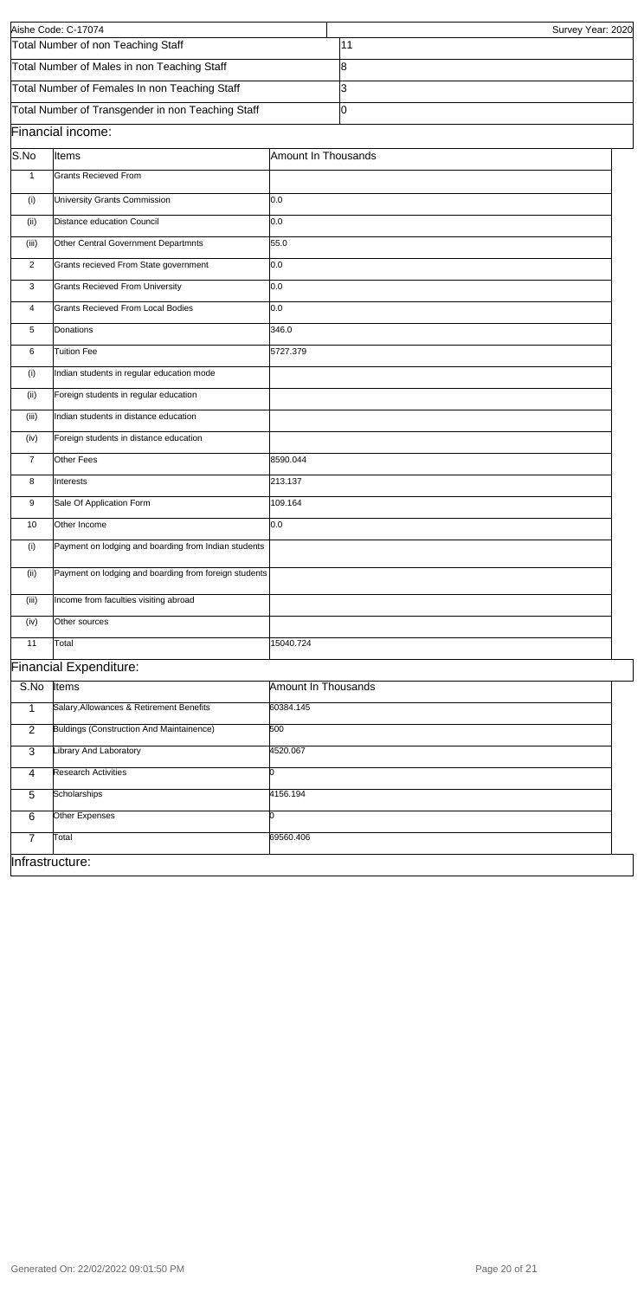| Infrastructure: |
|-----------------|
|-----------------|

|                | Aishe Code: C-17074                                   |                            | Survey Year: 2020 |  |
|----------------|-------------------------------------------------------|----------------------------|-------------------|--|
|                | Total Number of non Teaching Staff                    |                            | 11                |  |
|                | Total Number of Males in non Teaching Staff           |                            | 8                 |  |
|                | Total Number of Females In non Teaching Staff         |                            | 3                 |  |
|                | Total Number of Transgender in non Teaching Staff     |                            | l0                |  |
|                | Financial income:                                     |                            |                   |  |
| S.No           | Items                                                 | Amount In Thousands        |                   |  |
| $\mathbf{1}$   | <b>Grants Recieved From</b>                           |                            |                   |  |
| (i)            | University Grants Commission                          | 0.0                        |                   |  |
| (ii)           | Distance education Council                            | 0.0                        |                   |  |
| (iii)          | Other Central Government Departmnts                   | 55.0                       |                   |  |
| 2              | Grants recieved From State government                 | 0.0                        |                   |  |
| 3              | <b>Grants Recieved From University</b>                | 0.0                        |                   |  |
| 4              | Grants Recieved From Local Bodies                     | 0.0                        |                   |  |
| 5              | Donations                                             | 346.0                      |                   |  |
| 6              | <b>Tuition Fee</b>                                    | 5727.379                   |                   |  |
| (i)            | Indian students in regular education mode             |                            |                   |  |
| (ii)           | Foreign students in regular education                 |                            |                   |  |
| (iii)          | Indian students in distance education                 |                            |                   |  |
| (iv)           | Foreign students in distance education                |                            |                   |  |
| $\overline{7}$ | Other Fees                                            | 8590.044                   |                   |  |
| 8              | Interests                                             | 213.137                    |                   |  |
| 9              | Sale Of Application Form                              | 109.164                    |                   |  |
| 10             | Other Income                                          | 0.0                        |                   |  |
| (i)            | Payment on lodging and boarding from Indian students  |                            |                   |  |
| (ii)           | Payment on lodging and boarding from foreign students |                            |                   |  |
| (iii)          | Income from faculties visiting abroad                 |                            |                   |  |
| (iv)           | Other sources                                         |                            |                   |  |
| 11             | Total                                                 | 15040.724                  |                   |  |
|                | <b>Financial Expenditure:</b>                         |                            |                   |  |
| S.No           | Items                                                 | <b>Amount In Thousands</b> |                   |  |
| $\mathbf{1}$   | Salary, Allowances & Retirement Benefits              | 60384.145                  |                   |  |
| 2              | Buldings (Construction And Maintainence)              | 500                        |                   |  |
| 3              | Library And Laboratory                                | 4520.067                   |                   |  |
|                | <b>Research Activities</b>                            | n                          |                   |  |
| 4              | Scholarships                                          | 4156.194                   |                   |  |
| 5              |                                                       |                            |                   |  |

0

6

**Other Expenses** 

7 Total 69560.406

Generated On: 22/02/2022 09:01:50 PM **Page 20 of 21**